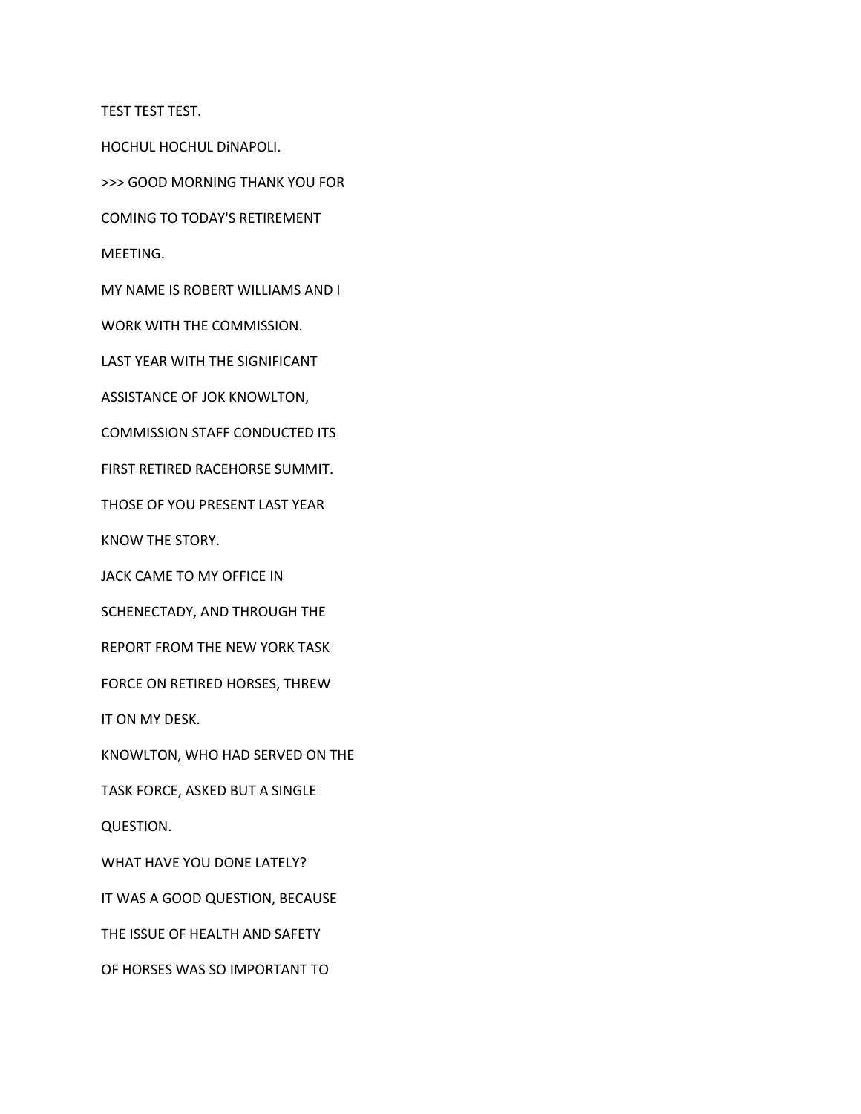TEST TEST TEST.

HOCHUL HOCHUL DiNAPOLI.

>>> GOOD MORNING THANK YOU FOR

COMING TO TODAY'S RETIREMENT

MEETING.

MY NAME IS ROBERT WILLIAMS AND I

WORK WITH THE COMMISSION.

LAST YEAR WITH THE SIGNIFICANT

ASSISTANCE OF JOK KNOWLTON,

COMMISSION STAFF CONDUCTED ITS

FIRST RETIRED RACEHORSE SUMMIT.

THOSE OF YOU PRESENT LAST YEAR

KNOW THE STORY.

JACK CAME TO MY OFFICE IN

SCHENECTADY, AND THROUGH THE

REPORT FROM THE NEW YORK TASK

FORCE ON RETIRED HORSES, THREW

IT ON MY DESK.

KNOWLTON, WHO HAD SERVED ON THE

TASK FORCE, ASKED BUT A SINGLE

QUESTION.

WHAT HAVE YOU DONE LATELY?

IT WAS A GOOD QUESTION, BECAUSE

THE ISSUE OF HEALTH AND SAFETY

OF HORSES WAS SO IMPORTANT TO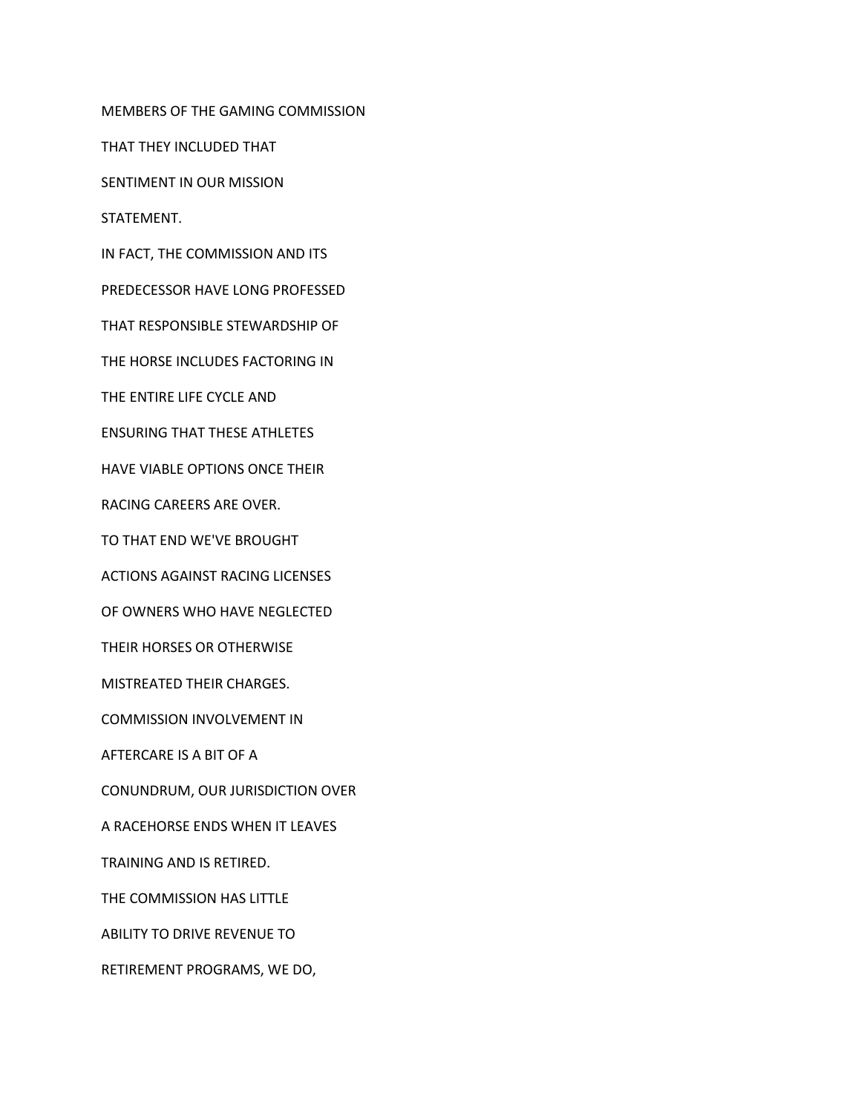MEMBERS OF THE GAMING COMMISSION

THAT THEY INCLUDED THAT

SENTIMENT IN OUR MISSION

STATEMENT.

IN FACT, THE COMMISSION AND ITS

PREDECESSOR HAVE LONG PROFESSED

THAT RESPONSIBLE STEWARDSHIP OF

THE HORSE INCLUDES FACTORING IN

THE ENTIRE LIFE CYCLE AND

ENSURING THAT THESE ATHLETES

HAVE VIABLE OPTIONS ONCE THEIR

RACING CAREERS ARE OVER.

TO THAT END WE'VE BROUGHT

ACTIONS AGAINST RACING LICENSES

OF OWNERS WHO HAVE NEGLECTED

THEIR HORSES OR OTHERWISE

MISTREATED THEIR CHARGES.

COMMISSION INVOLVEMENT IN

AFTERCARE IS A BIT OF A

CONUNDRUM, OUR JURISDICTION OVER

A RACEHORSE ENDS WHEN IT LEAVES

TRAINING AND IS RETIRED.

THE COMMISSION HAS LITTLE

ABILITY TO DRIVE REVENUE TO

RETIREMENT PROGRAMS, WE DO,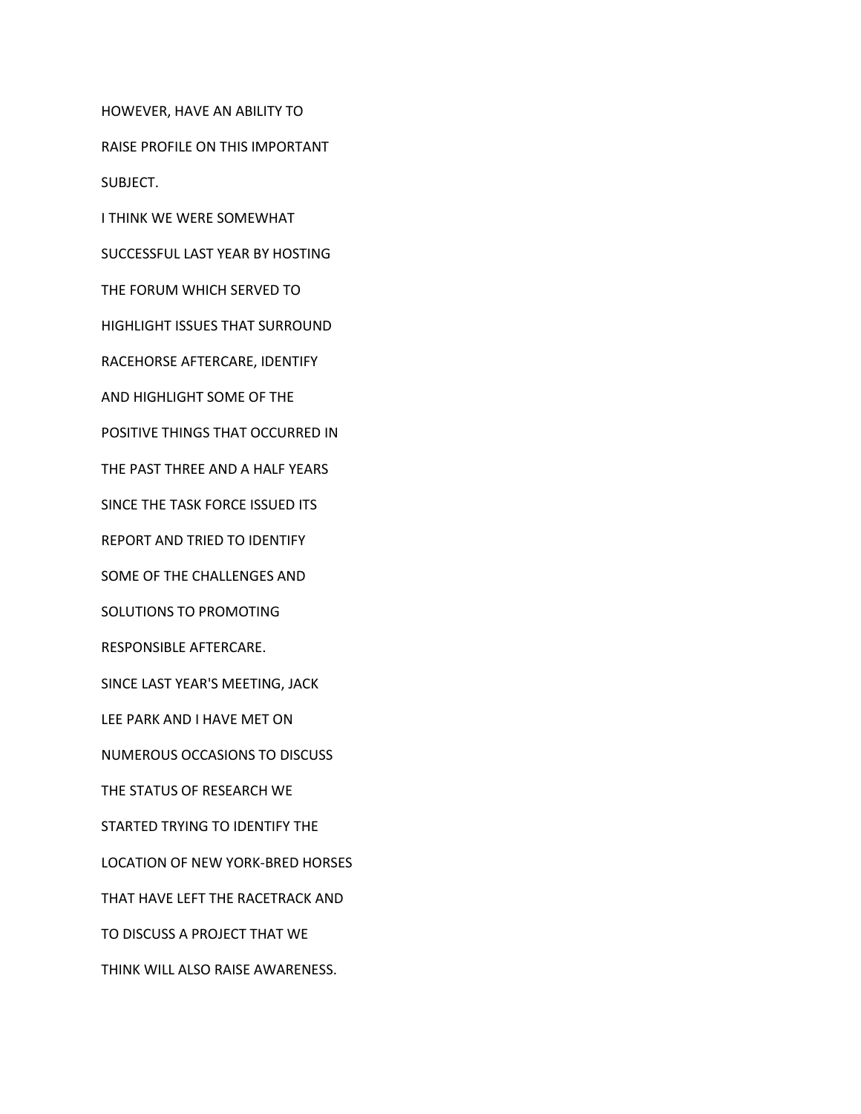HOWEVER, HAVE AN ABILITY TO

RAISE PROFILE ON THIS IMPORTANT

SUBJECT.

I THINK WE WERE SOMEWHAT

SUCCESSFUL LAST YEAR BY HOSTING

THE FORUM WHICH SERVED TO

HIGHLIGHT ISSUES THAT SURROUND

RACEHORSE AFTERCARE, IDENTIFY

AND HIGHLIGHT SOME OF THE

POSITIVE THINGS THAT OCCURRED IN

THE PAST THREE AND A HALF YEARS

SINCE THE TASK FORCE ISSUED ITS

REPORT AND TRIED TO IDENTIFY

SOME OF THE CHALLENGES AND

SOLUTIONS TO PROMOTING

RESPONSIBLE AFTERCARE.

SINCE LAST YEAR'S MEETING, JACK

LEE PARK AND I HAVE MET ON

NUMEROUS OCCASIONS TO DISCUSS

THE STATUS OF RESEARCH WE

STARTED TRYING TO IDENTIFY THE

LOCATION OF NEW YORK-BRED HORSES

THAT HAVE LEFT THE RACETRACK AND

TO DISCUSS A PROJECT THAT WE

THINK WILL ALSO RAISE AWARENESS.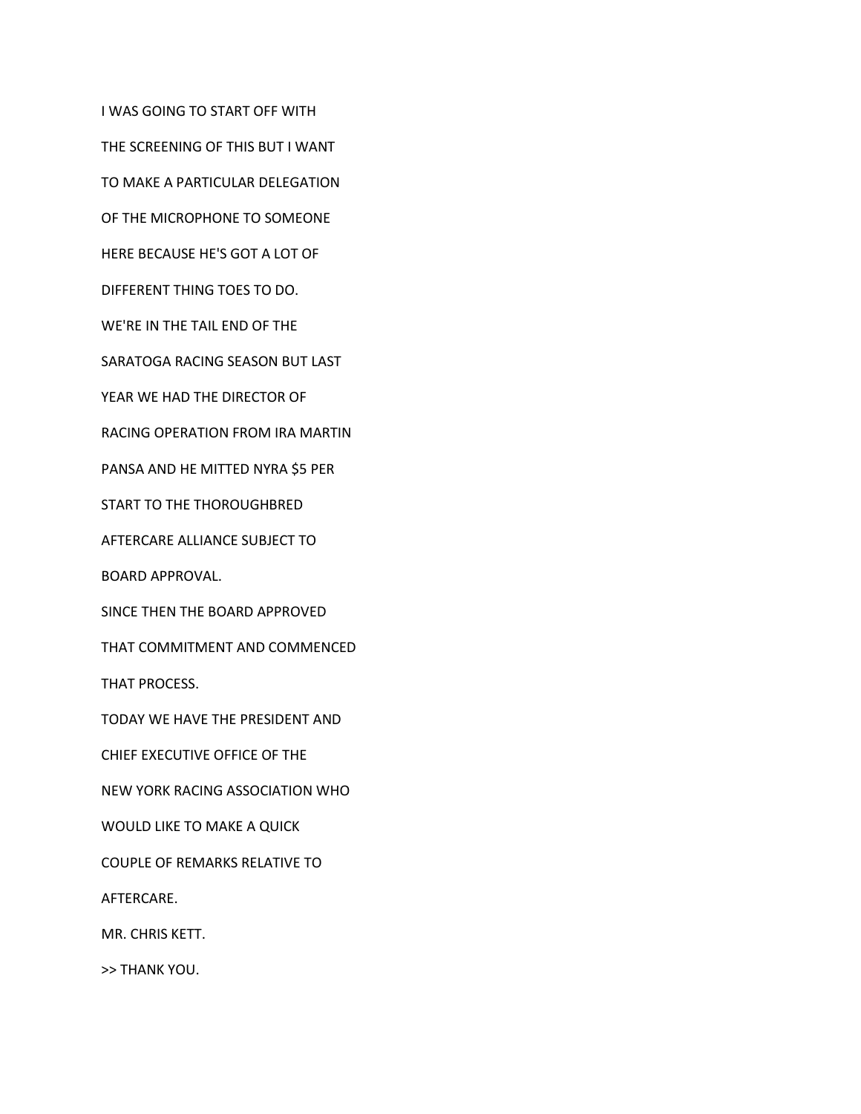I WAS GOING TO START OFF WITH THE SCREENING OF THIS BUT I WANT TO MAKE A PARTICULAR DELEGATION OF THE MICROPHONE TO SOMEONE HERE BECAUSE HE'S GOT A LOT OF DIFFERENT THING TOES TO DO. WE'RE IN THE TAIL END OF THE SARATOGA RACING SEASON BUT LAST YEAR WE HAD THE DIRECTOR OF RACING OPERATION FROM IRA MARTIN PANSA AND HE MITTED NYRA \$5 PER START TO THE THOROUGHBRED AFTERCARE ALLIANCE SUBJECT TO BOARD APPROVAL. SINCE THEN THE BOARD APPROVED THAT COMMITMENT AND COMMENCED THAT PROCESS. TODAY WE HAVE THE PRESIDENT AND CHIEF EXECUTIVE OFFICE OF THE NEW YORK RACING ASSOCIATION WHO WOULD LIKE TO MAKE A QUICK COUPLE OF REMARKS RELATIVE TO AFTERCARE. MR. CHRIS KETT.

>> THANK YOU.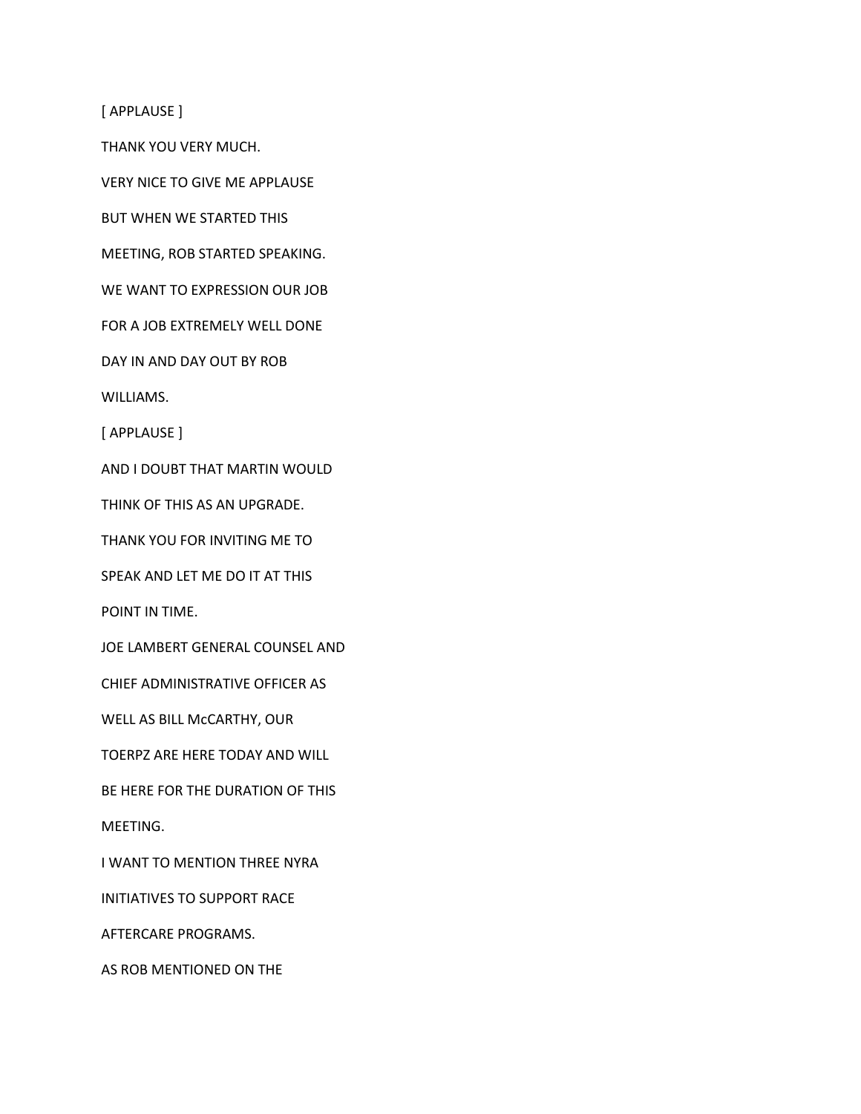[ APPLAUSE ]

THANK YOU VERY MUCH.

VERY NICE TO GIVE ME APPLAUSE

BUT WHEN WE STARTED THIS

MEETING, ROB STARTED SPEAKING.

WE WANT TO EXPRESSION OUR JOB

FOR A JOB EXTREMELY WELL DONE

DAY IN AND DAY OUT BY ROB

WILLIAMS.

[ APPLAUSE ]

AND I DOUBT THAT MARTIN WOULD

THINK OF THIS AS AN UPGRADE.

THANK YOU FOR INVITING ME TO

SPEAK AND LET ME DO IT AT THIS

POINT IN TIME.

JOE LAMBERT GENERAL COUNSEL AND

CHIEF ADMINISTRATIVE OFFICER AS

WELL AS BILL McCARTHY, OUR

TOERPZ ARE HERE TODAY AND WILL

BE HERE FOR THE DURATION OF THIS

MEETING.

I WANT TO MENTION THREE NYRA

INITIATIVES TO SUPPORT RACE

AFTERCARE PROGRAMS.

AS ROB MENTIONED ON THE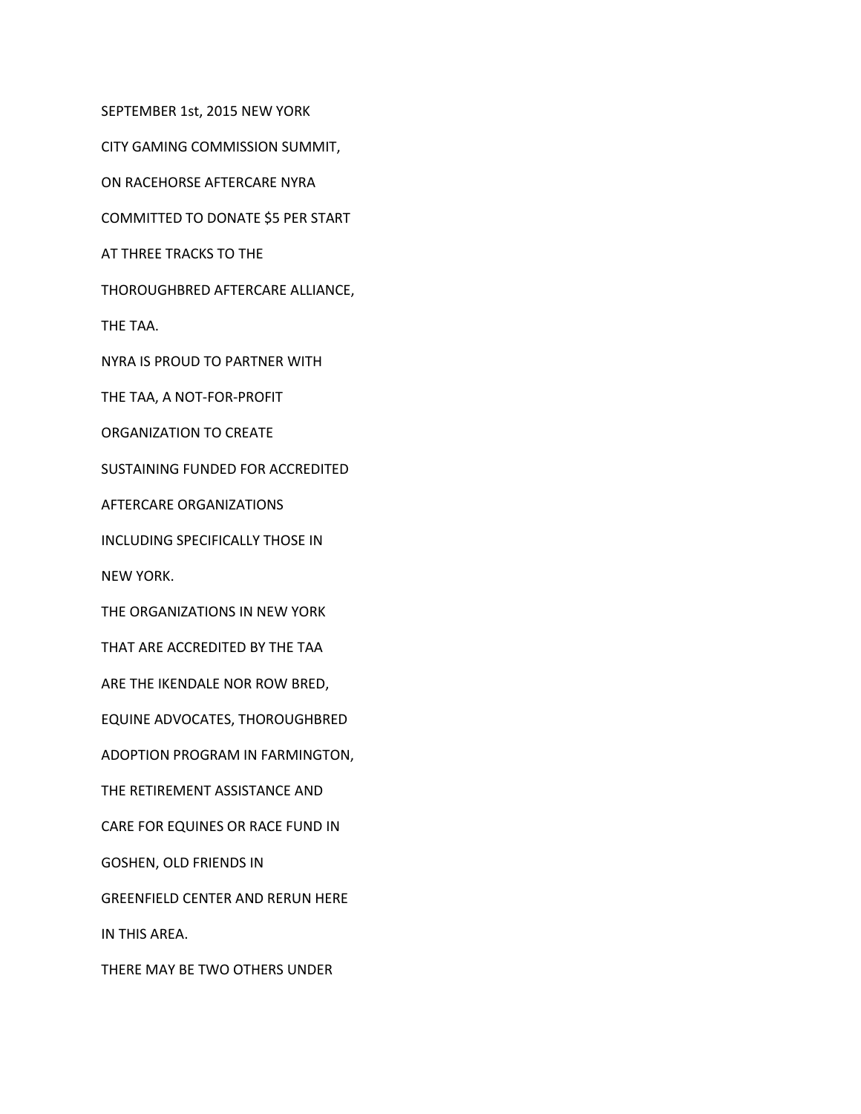SEPTEMBER 1st, 2015 NEW YORK

CITY GAMING COMMISSION SUMMIT,

ON RACEHORSE AFTERCARE NYRA

COMMITTED TO DONATE \$5 PER START

AT THREE TRACKS TO THE

THOROUGHBRED AFTERCARE ALLIANCE,

THE TAA.

NYRA IS PROUD TO PARTNER WITH

THE TAA, A NOT-FOR-PROFIT

ORGANIZATION TO CREATE

SUSTAINING FUNDED FOR ACCREDITED

AFTERCARE ORGANIZATIONS

INCLUDING SPECIFICALLY THOSE IN

NEW YORK.

THE ORGANIZATIONS IN NEW YORK

THAT ARE ACCREDITED BY THE TAA

ARE THE IKENDALE NOR ROW BRED,

EQUINE ADVOCATES, THOROUGHBRED

ADOPTION PROGRAM IN FARMINGTON,

THE RETIREMENT ASSISTANCE AND

CARE FOR EQUINES OR RACE FUND IN

GOSHEN, OLD FRIENDS IN

GREENFIELD CENTER AND RERUN HERE

IN THIS AREA.

THERE MAY BE TWO OTHERS UNDER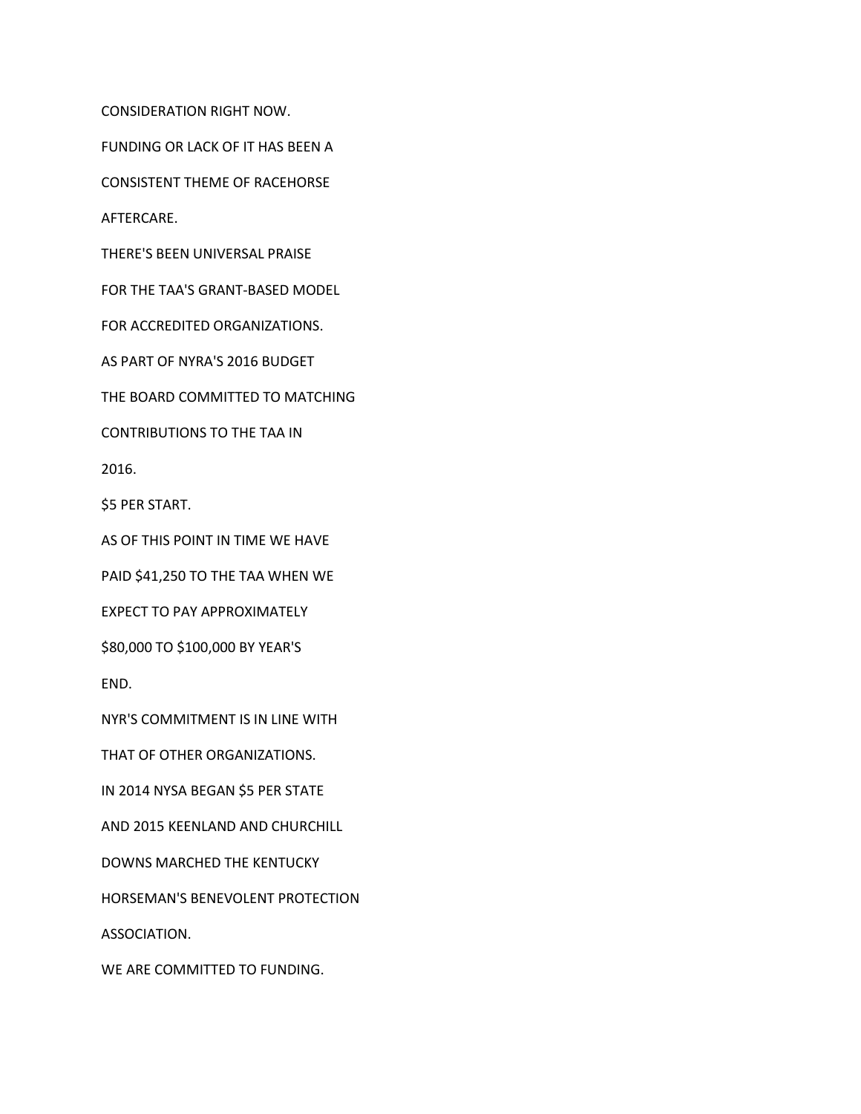CONSIDERATION RIGHT NOW.

FUNDING OR LACK OF IT HAS BEEN A

CONSISTENT THEME OF RACEHORSE

AFTERCARE.

THERE'S BEEN UNIVERSAL PRAISE

FOR THE TAA'S GRANT-BASED MODEL

FOR ACCREDITED ORGANIZATIONS.

AS PART OF NYRA'S 2016 BUDGET

THE BOARD COMMITTED TO MATCHING

CONTRIBUTIONS TO THE TAA IN

2016.

\$5 PER START.

AS OF THIS POINT IN TIME WE HAVE

PAID \$41,250 TO THE TAA WHEN WE

EXPECT TO PAY APPROXIMATELY

\$80,000 TO \$100,000 BY YEAR'S

END.

NYR'S COMMITMENT IS IN LINE WITH

THAT OF OTHER ORGANIZATIONS.

IN 2014 NYSA BEGAN \$5 PER STATE

AND 2015 KEENLAND AND CHURCHILL

DOWNS MARCHED THE KENTUCKY

HORSEMAN'S BENEVOLENT PROTECTION

ASSOCIATION.

WE ARE COMMITTED TO FUNDING.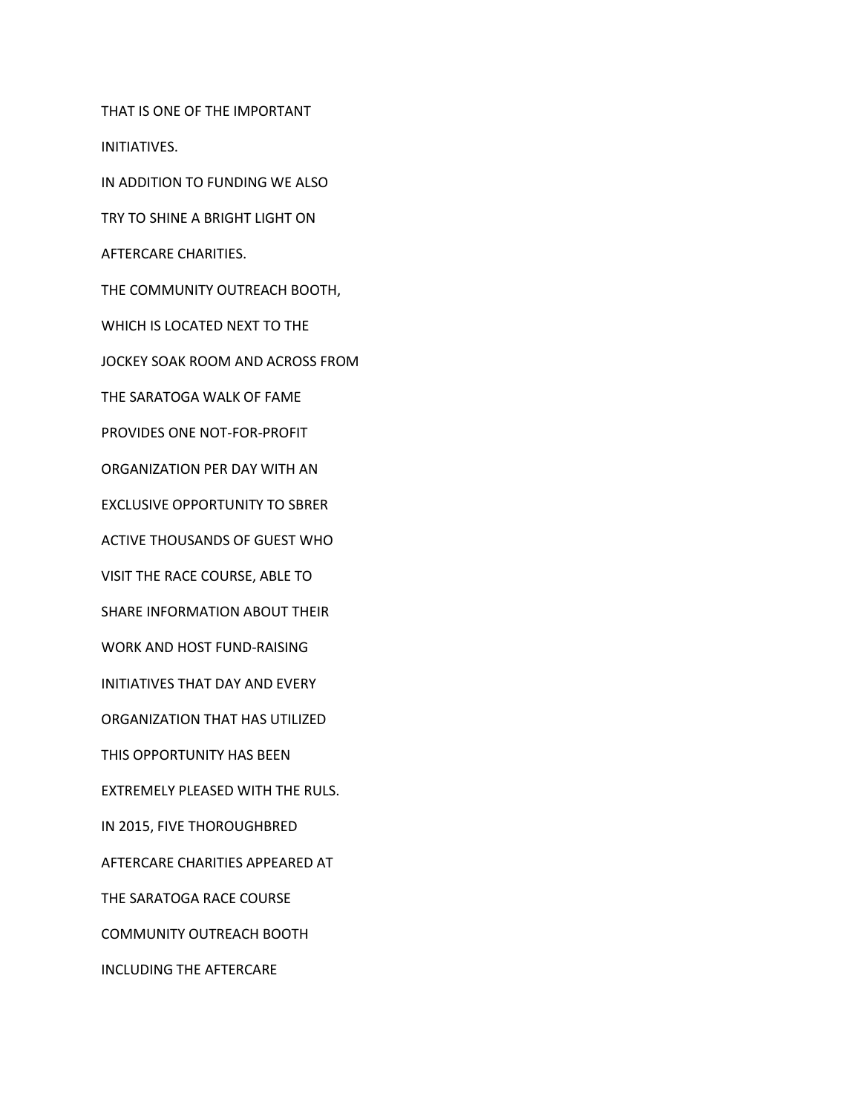THAT IS ONE OF THE IMPORTANT

INITIATIVES.

IN ADDITION TO FUNDING WE ALSO

TRY TO SHINE A BRIGHT LIGHT ON

AFTERCARE CHARITIES.

THE COMMUNITY OUTREACH BOOTH,

WHICH IS LOCATED NEXT TO THE

JOCKEY SOAK ROOM AND ACROSS FROM

THE SARATOGA WALK OF FAME

PROVIDES ONE NOT-FOR-PROFIT

ORGANIZATION PER DAY WITH AN

EXCLUSIVE OPPORTUNITY TO SBRER

ACTIVE THOUSANDS OF GUEST WHO

VISIT THE RACE COURSE, ABLE TO

SHARE INFORMATION ABOUT THEIR

WORK AND HOST FUND-RAISING

INITIATIVES THAT DAY AND EVERY

ORGANIZATION THAT HAS UTILIZED

THIS OPPORTUNITY HAS BEEN

EXTREMELY PLEASED WITH THE RULS.

IN 2015, FIVE THOROUGHBRED

AFTERCARE CHARITIES APPEARED AT

THE SARATOGA RACE COURSE

COMMUNITY OUTREACH BOOTH

INCLUDING THE AFTERCARE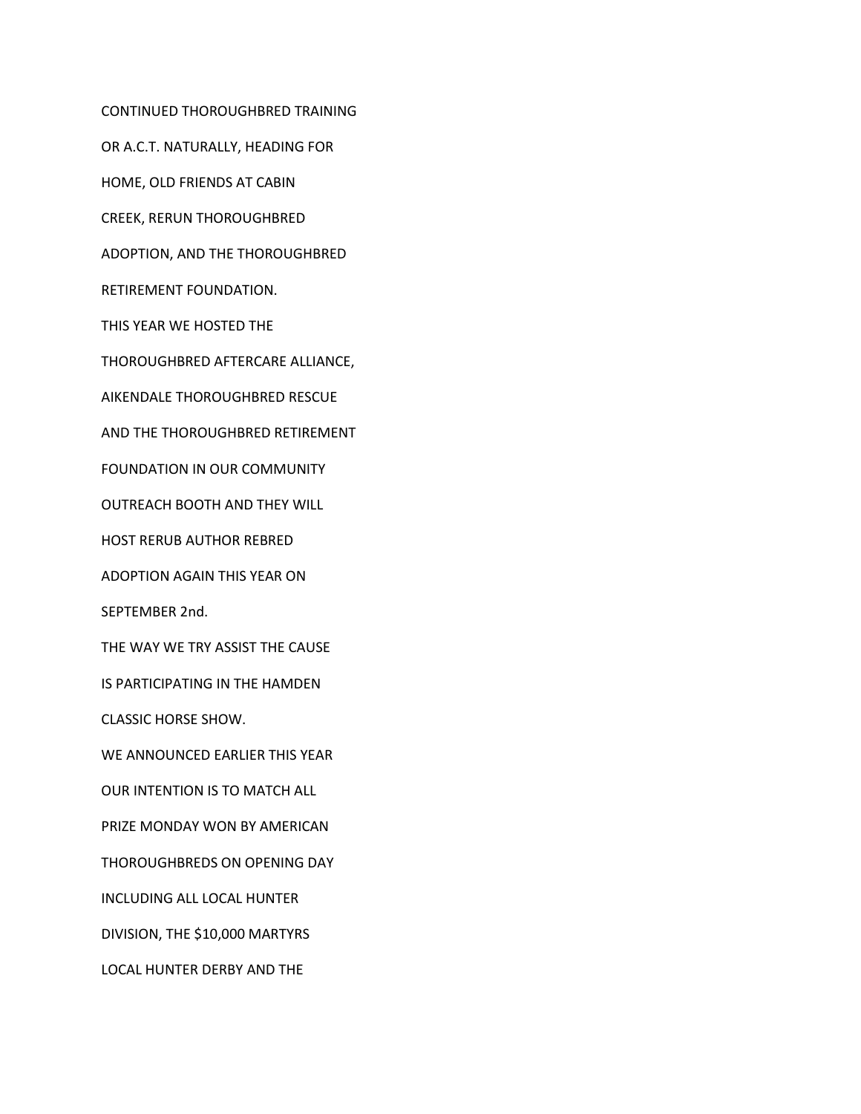CONTINUED THOROUGHBRED TRAINING OR A.C.T. NATURALLY, HEADING FOR HOME, OLD FRIENDS AT CABIN CREEK, RERUN THOROUGHBRED ADOPTION, AND THE THOROUGHBRED RETIREMENT FOUNDATION. THIS YEAR WE HOSTED THE THOROUGHBRED AFTERCARE ALLIANCE, AIKENDALE THOROUGHBRED RESCUE AND THE THOROUGHBRED RETIREMENT FOUNDATION IN OUR COMMUNITY OUTREACH BOOTH AND THEY WILL HOST RERUB AUTHOR REBRED ADOPTION AGAIN THIS YEAR ON SEPTEMBER 2nd. THE WAY WE TRY ASSIST THE CAUSE IS PARTICIPATING IN THE HAMDEN CLASSIC HORSE SHOW. WE ANNOUNCED EARLIER THIS YEAR OUR INTENTION IS TO MATCH ALL PRIZE MONDAY WON BY AMERICAN THOROUGHBREDS ON OPENING DAY INCLUDING ALL LOCAL HUNTER DIVISION, THE \$10,000 MARTYRS LOCAL HUNTER DERBY AND THE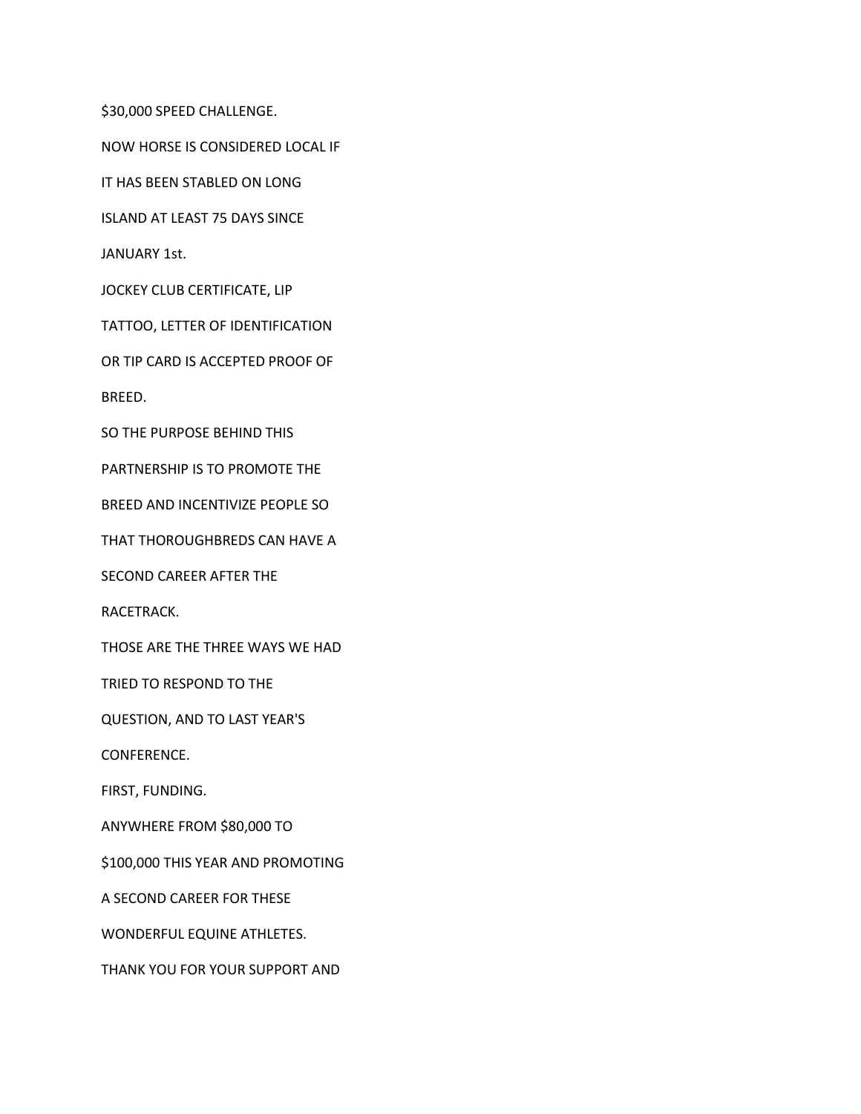\$30,000 SPEED CHALLENGE.

NOW HORSE IS CONSIDERED LOCAL IF

IT HAS BEEN STABLED ON LONG

ISLAND AT LEAST 75 DAYS SINCE

JANUARY 1st.

JOCKEY CLUB CERTIFICATE, LIP

TATTOO, LETTER OF IDENTIFICATION

OR TIP CARD IS ACCEPTED PROOF OF

BREED.

SO THE PURPOSE BEHIND THIS

PARTNERSHIP IS TO PROMOTE THE

BREED AND INCENTIVIZE PEOPLE SO

THAT THOROUGHBREDS CAN HAVE A

SECOND CAREER AFTER THE

RACETRACK.

THOSE ARE THE THREE WAYS WE HAD

TRIED TO RESPOND TO THE

QUESTION, AND TO LAST YEAR'S

CONFERENCE.

FIRST, FUNDING.

ANYWHERE FROM \$80,000 TO

\$100,000 THIS YEAR AND PROMOTING

A SECOND CAREER FOR THESE

WONDERFUL EQUINE ATHLETES.

THANK YOU FOR YOUR SUPPORT AND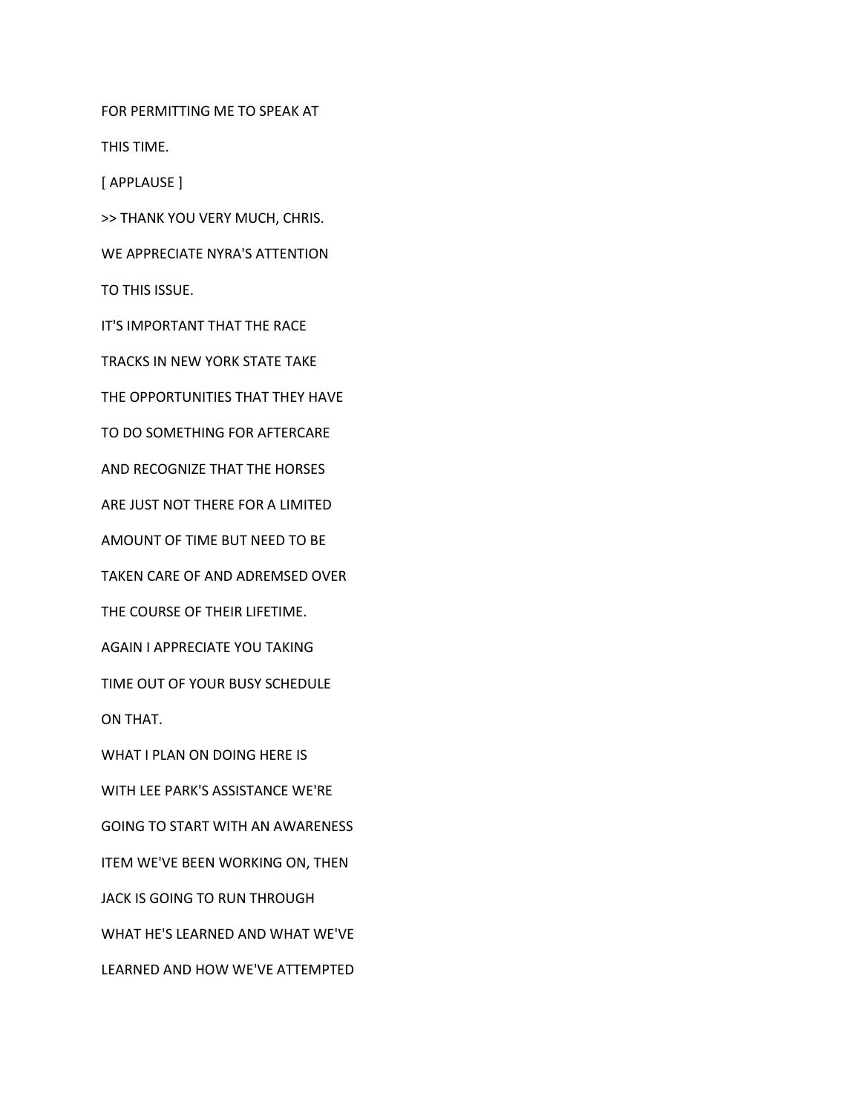FOR PERMITTING ME TO SPEAK AT

THIS TIME.

[ APPLAUSE ]

>> THANK YOU VERY MUCH, CHRIS.

WE APPRECIATE NYRA'S ATTENTION

TO THIS ISSUE.

IT'S IMPORTANT THAT THE RACE

TRACKS IN NEW YORK STATE TAKE

THE OPPORTUNITIES THAT THEY HAVE

TO DO SOMETHING FOR AFTERCARE

AND RECOGNIZE THAT THE HORSES

ARE JUST NOT THERE FOR A LIMITED

AMOUNT OF TIME BUT NEED TO BE

TAKEN CARE OF AND ADREMSED OVER

THE COURSE OF THEIR LIFETIME.

AGAIN I APPRECIATE YOU TAKING

TIME OUT OF YOUR BUSY SCHEDULE

ON THAT.

WHAT I PLAN ON DOING HERE IS

WITH LEE PARK'S ASSISTANCE WE'RE

GOING TO START WITH AN AWARENESS

ITEM WE'VE BEEN WORKING ON, THEN

JACK IS GOING TO RUN THROUGH

WHAT HE'S LEARNED AND WHAT WE'VE

LEARNED AND HOW WE'VE ATTEMPTED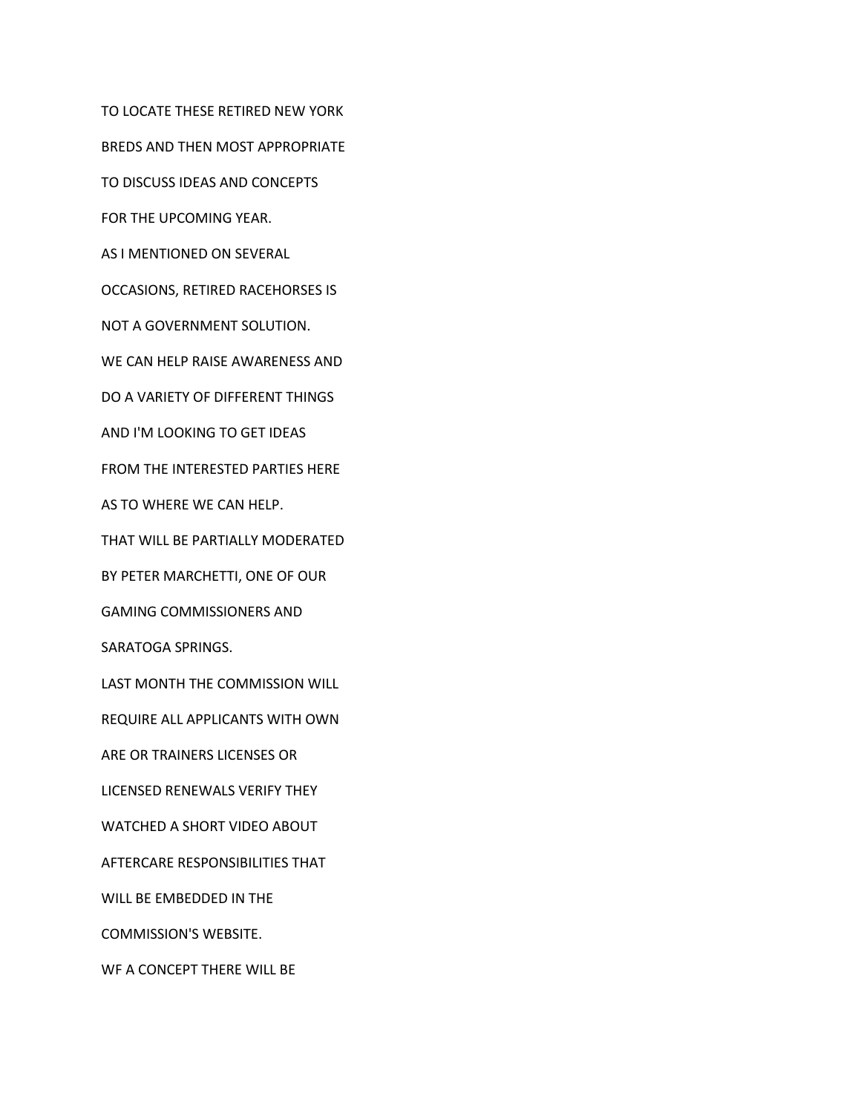TO LOCATE THESE RETIRED NEW YORK BREDS AND THEN MOST APPROPRIATE TO DISCUSS IDEAS AND CONCEPTS FOR THE UPCOMING YEAR. AS I MENTIONED ON SEVERAL OCCASIONS, RETIRED RACEHORSES IS NOT A GOVERNMENT SOLUTION. WE CAN HELP RAISE AWARENESS AND DO A VARIETY OF DIFFERENT THINGS AND I'M LOOKING TO GET IDEAS FROM THE INTERESTED PARTIES HERE AS TO WHERE WE CAN HELP. THAT WILL BE PARTIALLY MODERATED BY PETER MARCHETTI, ONE OF OUR GAMING COMMISSIONERS AND SARATOGA SPRINGS. LAST MONTH THE COMMISSION WILL REQUIRE ALL APPLICANTS WITH OWN ARE OR TRAINERS LICENSES OR LICENSED RENEWALS VERIFY THEY WATCHED A SHORT VIDEO ABOUT AFTERCARE RESPONSIBILITIES THAT WILL BE EMBEDDED IN THE COMMISSION'S WEBSITE. WF A CONCEPT THERE WILL BE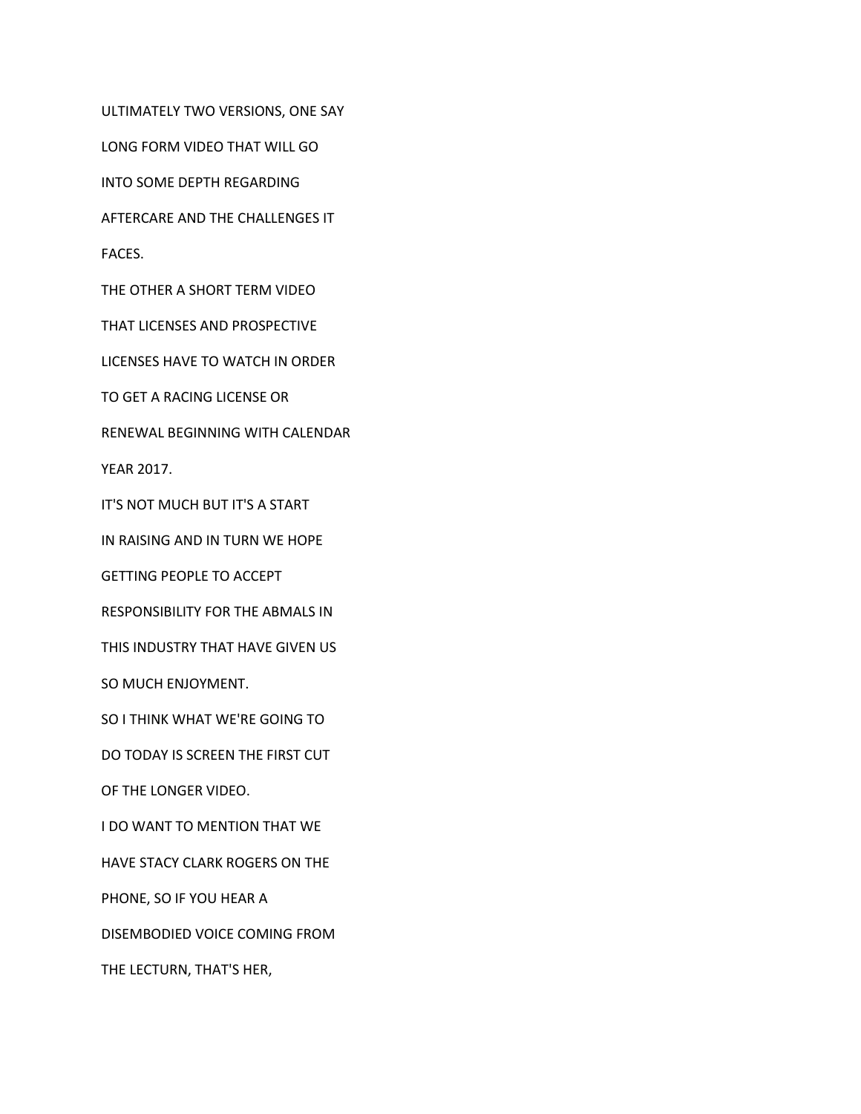ULTIMATELY TWO VERSIONS, ONE SAY

LONG FORM VIDEO THAT WILL GO

INTO SOME DEPTH REGARDING

AFTERCARE AND THE CHALLENGES IT

FACES.

THE OTHER A SHORT TERM VIDEO

THAT LICENSES AND PROSPECTIVE

LICENSES HAVE TO WATCH IN ORDER

TO GET A RACING LICENSE OR

RENEWAL BEGINNING WITH CALENDAR

YEAR 2017.

IT'S NOT MUCH BUT IT'S A START

IN RAISING AND IN TURN WE HOPE

GETTING PEOPLE TO ACCEPT

RESPONSIBILITY FOR THE ABMALS IN

THIS INDUSTRY THAT HAVE GIVEN US

SO MUCH ENJOYMENT.

SO I THINK WHAT WE'RE GOING TO

DO TODAY IS SCREEN THE FIRST CUT

OF THE LONGER VIDEO.

I DO WANT TO MENTION THAT WE

HAVE STACY CLARK ROGERS ON THE

PHONE, SO IF YOU HEAR A

DISEMBODIED VOICE COMING FROM

THE LECTURN, THAT'S HER,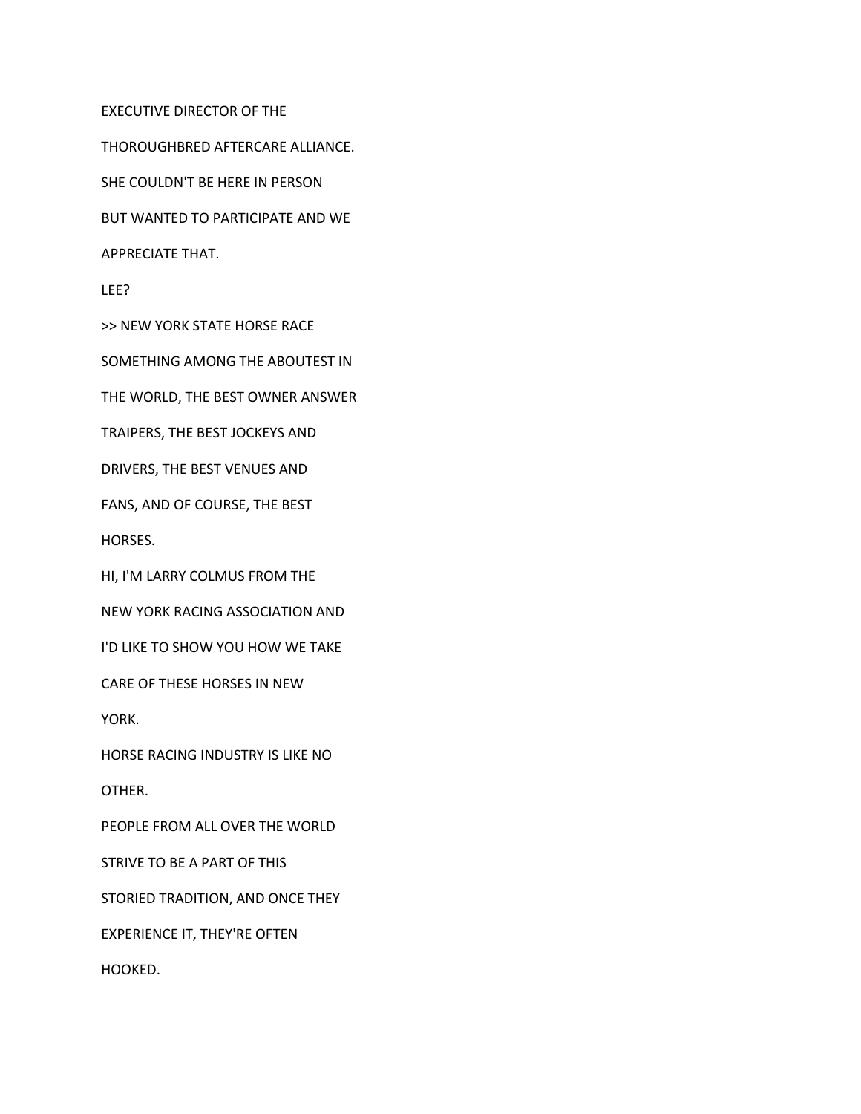EXECUTIVE DIRECTOR OF THE

THOROUGHBRED AFTERCARE ALLIANCE.

SHE COULDN'T BE HERE IN PERSON

BUT WANTED TO PARTICIPATE AND WE

APPRECIATE THAT.

LEE?

>> NEW YORK STATE HORSE RACE

SOMETHING AMONG THE ABOUTEST IN

THE WORLD, THE BEST OWNER ANSWER

TRAIPERS, THE BEST JOCKEYS AND

DRIVERS, THE BEST VENUES AND

FANS, AND OF COURSE, THE BEST

HORSES.

HI, I'M LARRY COLMUS FROM THE

NEW YORK RACING ASSOCIATION AND

I'D LIKE TO SHOW YOU HOW WE TAKE

CARE OF THESE HORSES IN NEW

YORK.

HORSE RACING INDUSTRY IS LIKE NO

OTHER.

PEOPLE FROM ALL OVER THE WORLD

STRIVE TO BE A PART OF THIS

STORIED TRADITION, AND ONCE THEY

EXPERIENCE IT, THEY'RE OFTEN

HOOKED.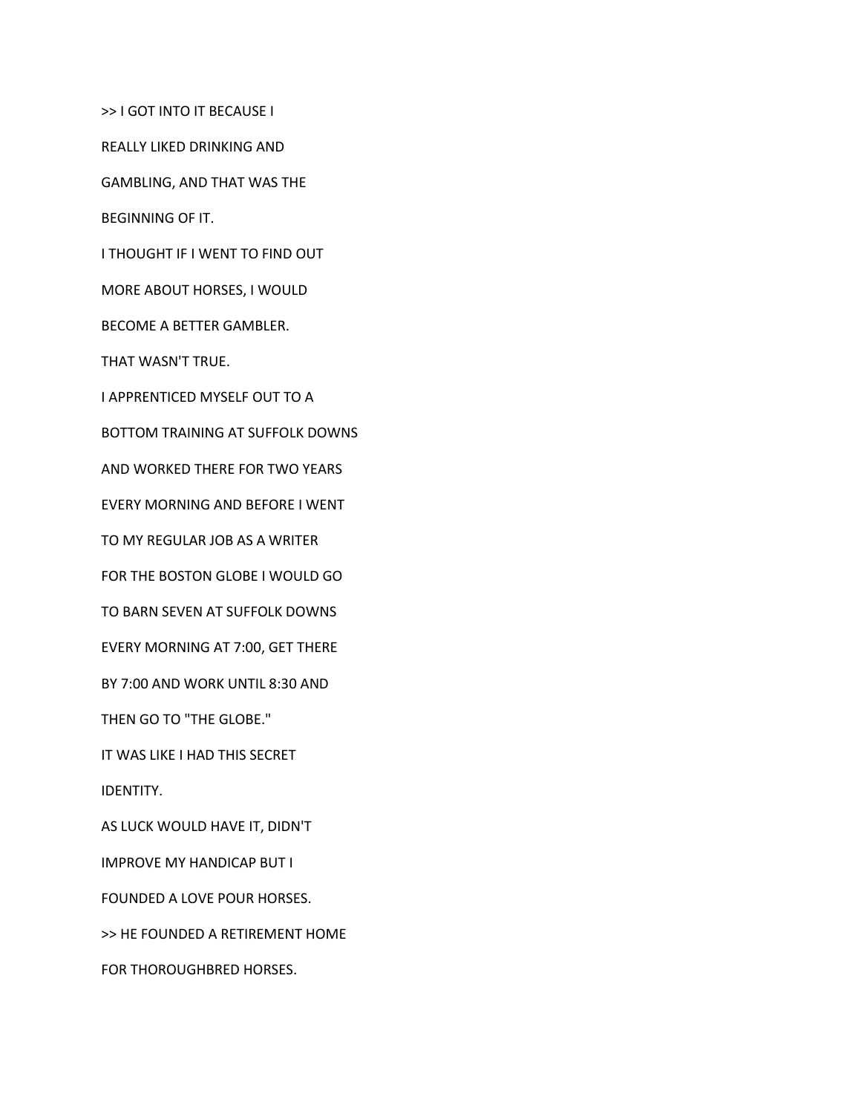>> I GOT INTO IT BECAUSE I

REALLY LIKED DRINKING AND

GAMBLING, AND THAT WAS THE

BEGINNING OF IT.

I THOUGHT IF I WENT TO FIND OUT

MORE ABOUT HORSES, I WOULD

BECOME A BETTER GAMBLER.

THAT WASN'T TRUE.

I APPRENTICED MYSELF OUT TO A

BOTTOM TRAINING AT SUFFOLK DOWNS

AND WORKED THERE FOR TWO YEARS

EVERY MORNING AND BEFORE I WENT

TO MY REGULAR JOB AS A WRITER

FOR THE BOSTON GLOBE I WOULD GO

TO BARN SEVEN AT SUFFOLK DOWNS

EVERY MORNING AT 7:00, GET THERE

BY 7:00 AND WORK UNTIL 8:30 AND

THEN GO TO "THE GLOBE."

IT WAS LIKE I HAD THIS SECRET

IDENTITY.

AS LUCK WOULD HAVE IT, DIDN'T

IMPROVE MY HANDICAP BUT I

FOUNDED A LOVE POUR HORSES.

>> HE FOUNDED A RETIREMENT HOME

FOR THOROUGHBRED HORSES.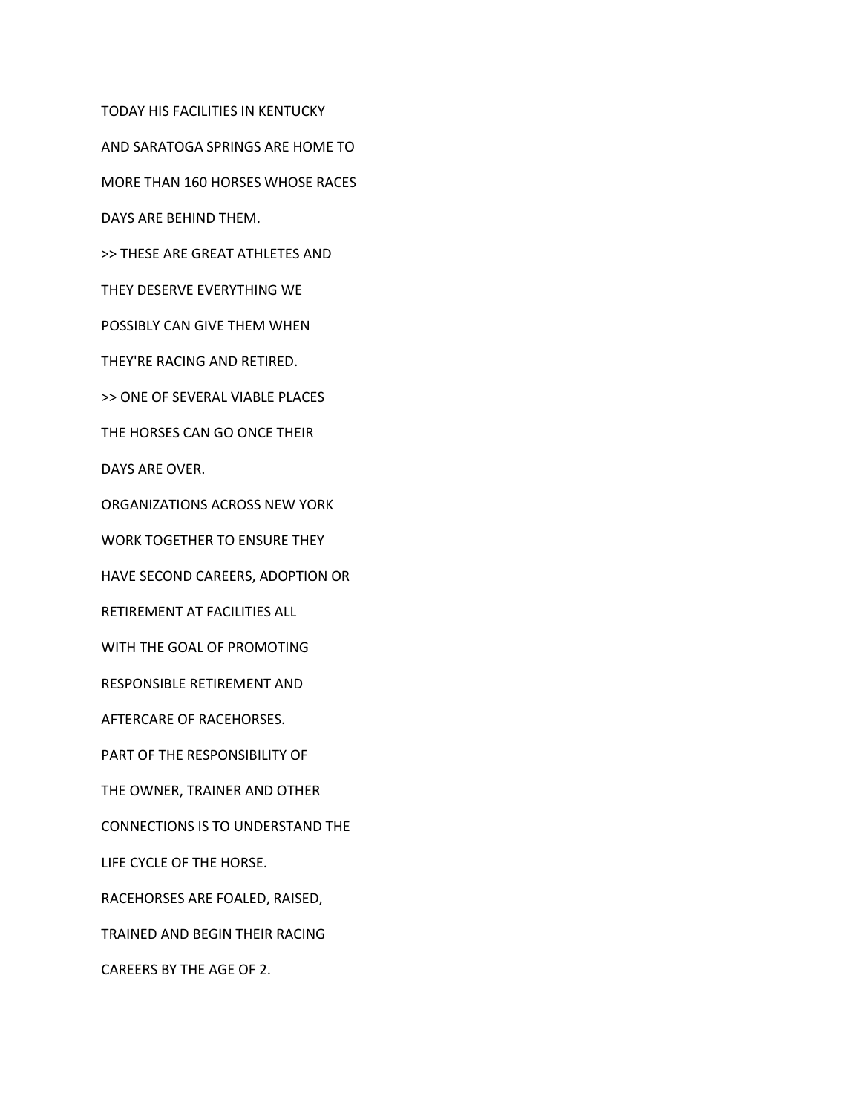TODAY HIS FACILITIES IN KENTUCKY AND SARATOGA SPRINGS ARE HOME TO MORE THAN 160 HORSES WHOSE RACES DAYS ARE BEHIND THEM. >> THESE ARE GREAT ATHLETES AND THEY DESERVE EVERYTHING WE POSSIBLY CAN GIVE THEM WHEN THEY'RE RACING AND RETIRED. >> ONE OF SEVERAL VIABLE PLACES THE HORSES CAN GO ONCE THEIR DAYS ARE OVER. ORGANIZATIONS ACROSS NEW YORK WORK TOGETHER TO ENSURE THEY HAVE SECOND CAREERS, ADOPTION OR RETIREMENT AT FACILITIES ALL WITH THE GOAL OF PROMOTING RESPONSIBLE RETIREMENT AND AFTERCARE OF RACEHORSES. PART OF THE RESPONSIBILITY OF THE OWNER, TRAINER AND OTHER CONNECTIONS IS TO UNDERSTAND THE LIFE CYCLE OF THE HORSE. RACEHORSES ARE FOALED, RAISED, TRAINED AND BEGIN THEIR RACING CAREERS BY THE AGE OF 2.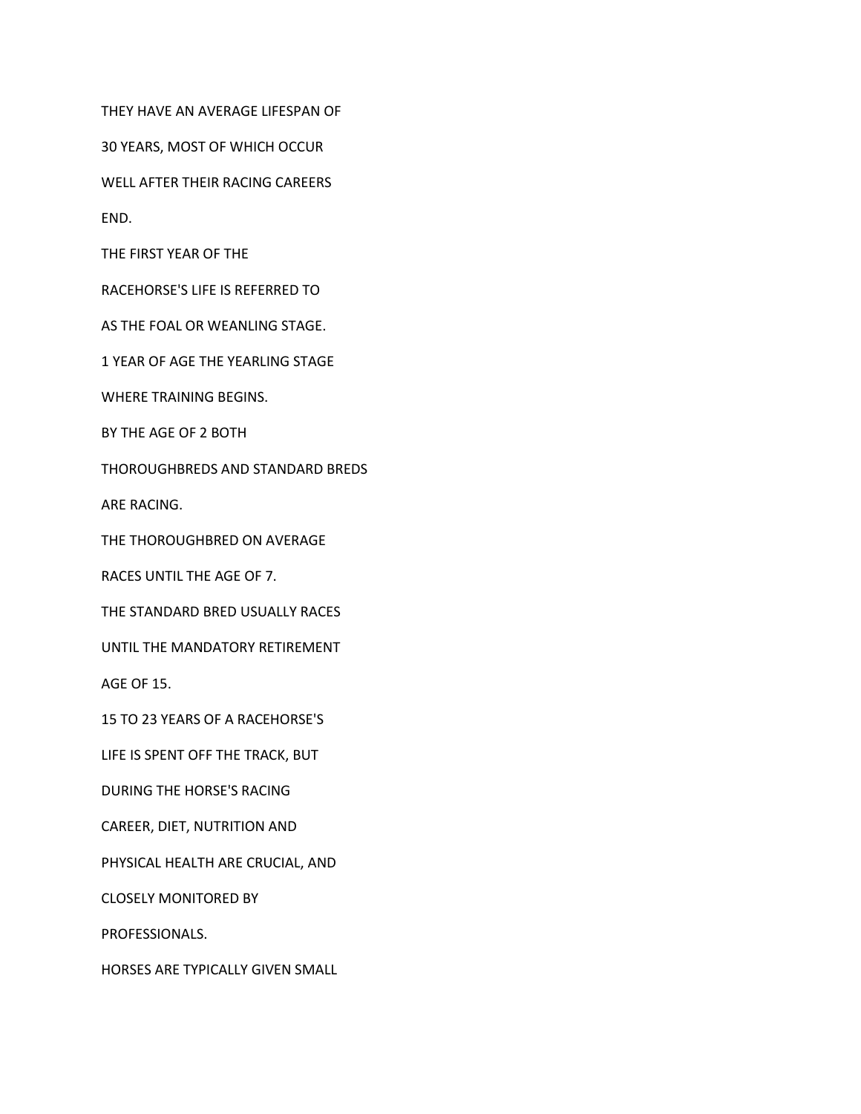THEY HAVE AN AVERAGE LIFESPAN OF

30 YEARS, MOST OF WHICH OCCUR

WELL AFTER THEIR RACING CAREERS

END.

THE FIRST YEAR OF THE

RACEHORSE'S LIFE IS REFERRED TO

AS THE FOAL OR WEANLING STAGE.

1 YEAR OF AGE THE YEARLING STAGE

WHERE TRAINING BEGINS.

BY THE AGE OF 2 BOTH

THOROUGHBREDS AND STANDARD BREDS

ARE RACING.

THE THOROUGHBRED ON AVERAGE

RACES UNTIL THE AGE OF 7.

THE STANDARD BRED USUALLY RACES

UNTIL THE MANDATORY RETIREMENT

AGE OF 15.

15 TO 23 YEARS OF A RACEHORSE'S

LIFE IS SPENT OFF THE TRACK, BUT

DURING THE HORSE'S RACING

CAREER, DIET, NUTRITION AND

PHYSICAL HEALTH ARE CRUCIAL, AND

CLOSELY MONITORED BY

PROFESSIONALS.

HORSES ARE TYPICALLY GIVEN SMALL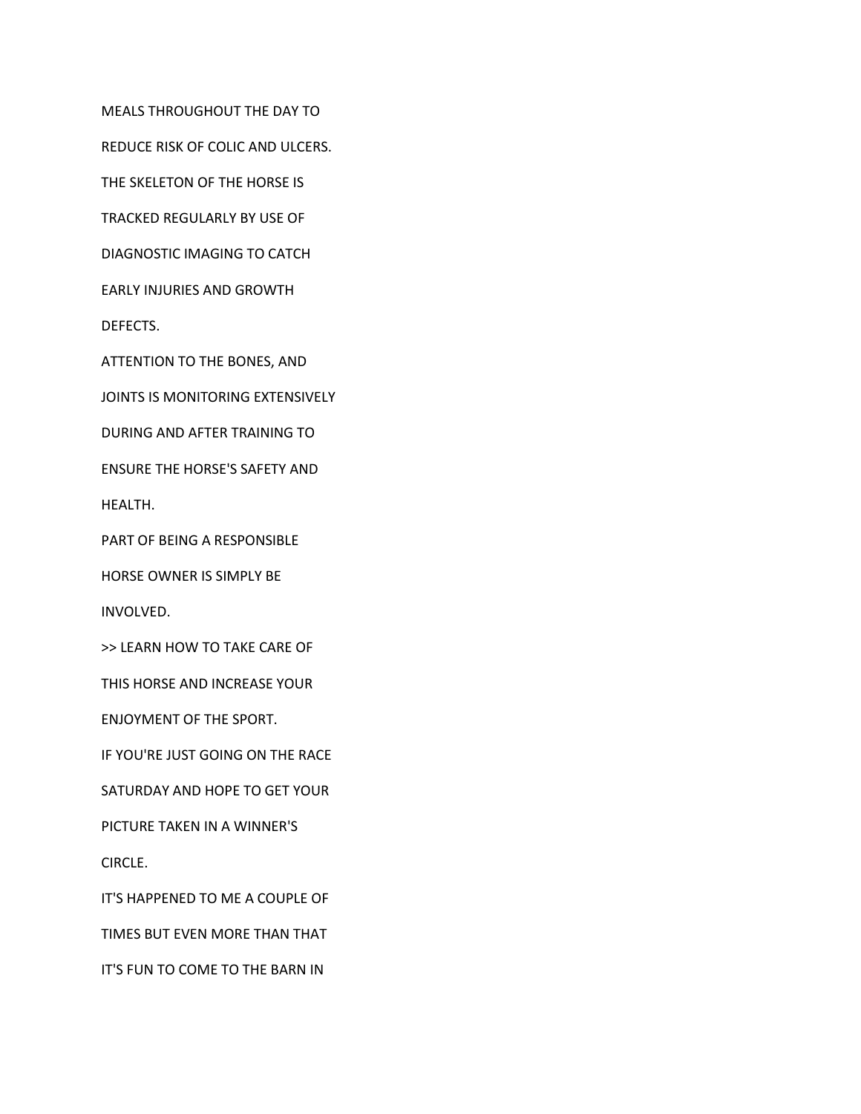MEALS THROUGHOUT THE DAY TO

REDUCE RISK OF COLIC AND ULCERS.

THE SKELETON OF THE HORSE IS

TRACKED REGULARLY BY USE OF

DIAGNOSTIC IMAGING TO CATCH

EARLY INJURIES AND GROWTH

DEFECTS.

ATTENTION TO THE BONES, AND

JOINTS IS MONITORING EXTENSIVELY

DURING AND AFTER TRAINING TO

ENSURE THE HORSE'S SAFETY AND

HEALTH.

PART OF BEING A RESPONSIBLE

HORSE OWNER IS SIMPLY BE

INVOLVED.

>> LEARN HOW TO TAKE CARE OF

THIS HORSE AND INCREASE YOUR

ENJOYMENT OF THE SPORT.

IF YOU'RE JUST GOING ON THE RACE

SATURDAY AND HOPE TO GET YOUR

PICTURE TAKEN IN A WINNER'S

CIRCLE.

IT'S HAPPENED TO ME A COUPLE OF

TIMES BUT EVEN MORE THAN THAT

IT'S FUN TO COME TO THE BARN IN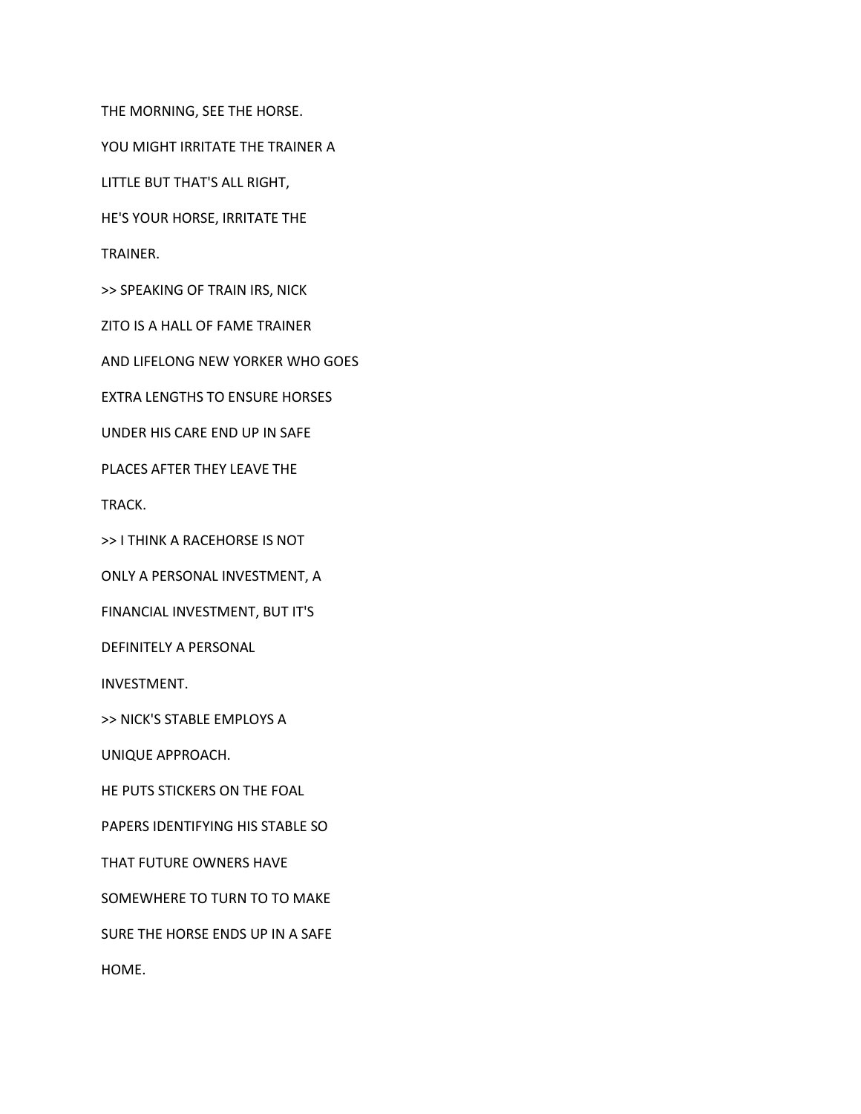THE MORNING, SEE THE HORSE.

YOU MIGHT IRRITATE THE TRAINER A

LITTLE BUT THAT'S ALL RIGHT,

HE'S YOUR HORSE, IRRITATE THE

TRAINER.

>> SPEAKING OF TRAIN IRS, NICK

ZITO IS A HALL OF FAME TRAINER

AND LIFELONG NEW YORKER WHO GOES

EXTRA LENGTHS TO ENSURE HORSES

UNDER HIS CARE END UP IN SAFE

PLACES AFTER THEY LEAVE THE

TRACK.

>> I THINK A RACEHORSE IS NOT

ONLY A PERSONAL INVESTMENT, A

FINANCIAL INVESTMENT, BUT IT'S

DEFINITELY A PERSONAL

INVESTMENT.

>> NICK'S STABLE EMPLOYS A

UNIQUE APPROACH.

HE PUTS STICKERS ON THE FOAL

PAPERS IDENTIFYING HIS STABLE SO

THAT FUTURE OWNERS HAVE

SOMEWHERE TO TURN TO TO MAKE

SURE THE HORSE ENDS UP IN A SAFE

HOME.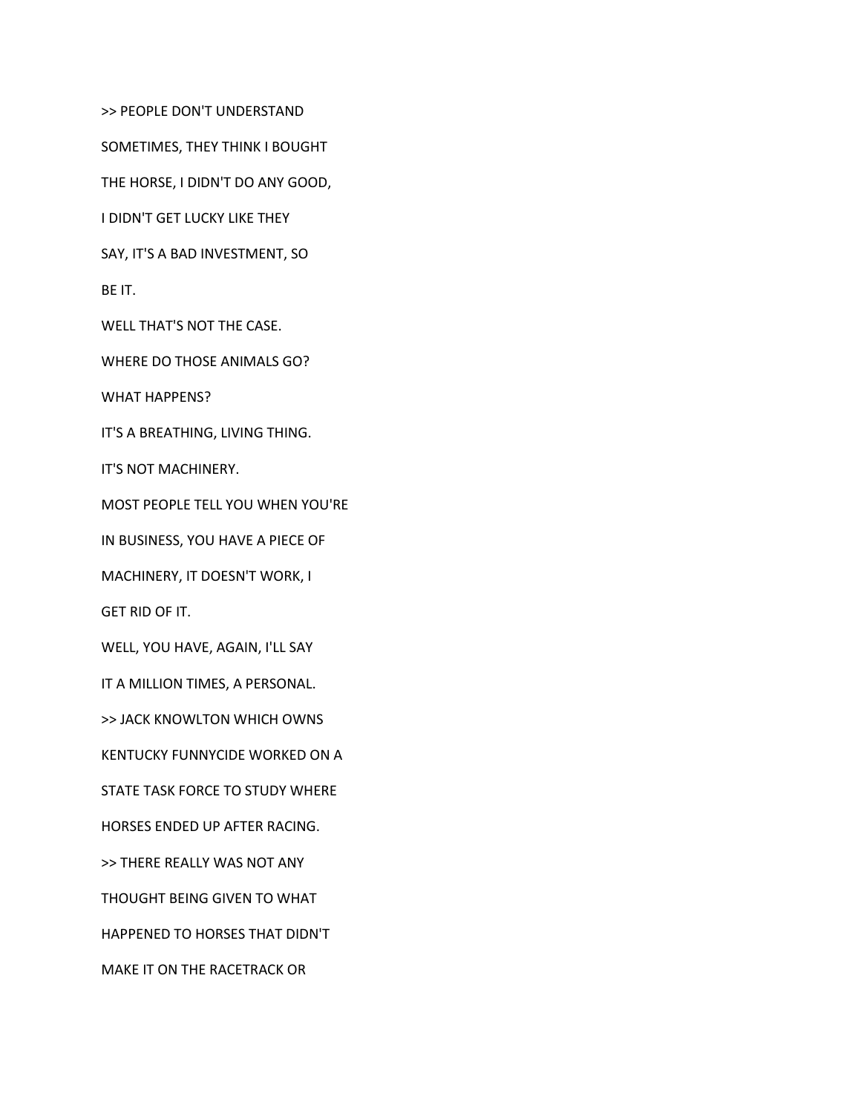>> PEOPLE DON'T UNDERSTAND

SOMETIMES, THEY THINK I BOUGHT

THE HORSE, I DIDN'T DO ANY GOOD,

I DIDN'T GET LUCKY LIKE THEY

SAY, IT'S A BAD INVESTMENT, SO

BE IT.

WELL THAT'S NOT THE CASE.

WHERE DO THOSE ANIMALS GO?

WHAT HAPPENS?

IT'S A BREATHING, LIVING THING.

IT'S NOT MACHINERY.

MOST PEOPLE TELL YOU WHEN YOU'RE

IN BUSINESS, YOU HAVE A PIECE OF

MACHINERY, IT DOESN'T WORK, I

GET RID OF IT.

WELL, YOU HAVE, AGAIN, I'LL SAY

IT A MILLION TIMES, A PERSONAL.

>> JACK KNOWLTON WHICH OWNS

KENTUCKY FUNNYCIDE WORKED ON A

STATE TASK FORCE TO STUDY WHERE

HORSES ENDED UP AFTER RACING.

>> THERE REALLY WAS NOT ANY

THOUGHT BEING GIVEN TO WHAT

HAPPENED TO HORSES THAT DIDN'T

MAKE IT ON THE RACETRACK OR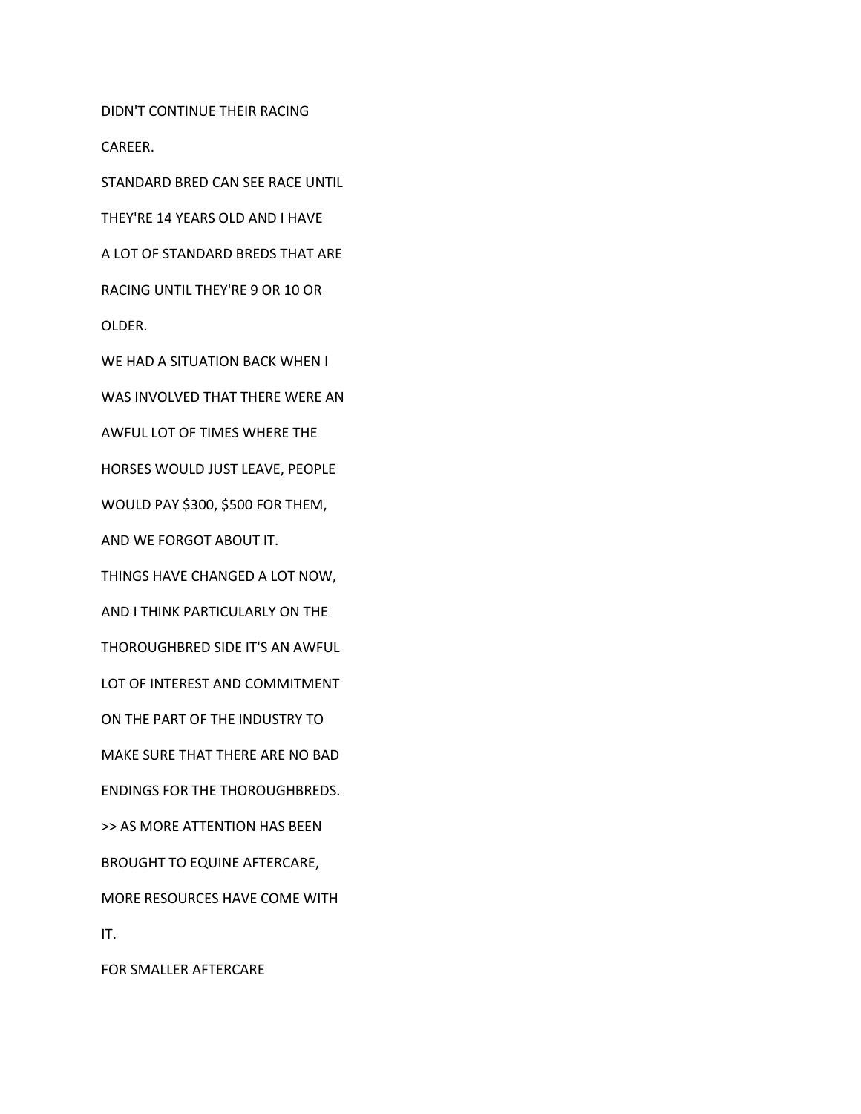DIDN'T CONTINUE THEIR RACING

CAREER.

STANDARD BRED CAN SEE RACE UNTIL

THEY'RE 14 YEARS OLD AND I HAVE

A LOT OF STANDARD BREDS THAT ARE

RACING UNTIL THEY'RE 9 OR 10 OR

OLDER.

WE HAD A SITUATION BACK WHEN I

WAS INVOLVED THAT THERE WERE AN

AWFUL LOT OF TIMES WHERE THE

HORSES WOULD JUST LEAVE, PEOPLE

WOULD PAY \$300, \$500 FOR THEM,

AND WE FORGOT ABOUT IT.

THINGS HAVE CHANGED A LOT NOW,

AND I THINK PARTICULARLY ON THE

THOROUGHBRED SIDE IT'S AN AWFUL

LOT OF INTEREST AND COMMITMENT

ON THE PART OF THE INDUSTRY TO

MAKE SURE THAT THERE ARE NO BAD

ENDINGS FOR THE THOROUGHBREDS.

>> AS MORE ATTENTION HAS BEEN

BROUGHT TO EQUINE AFTERCARE,

MORE RESOURCES HAVE COME WITH

IT.

FOR SMALLER AFTERCARE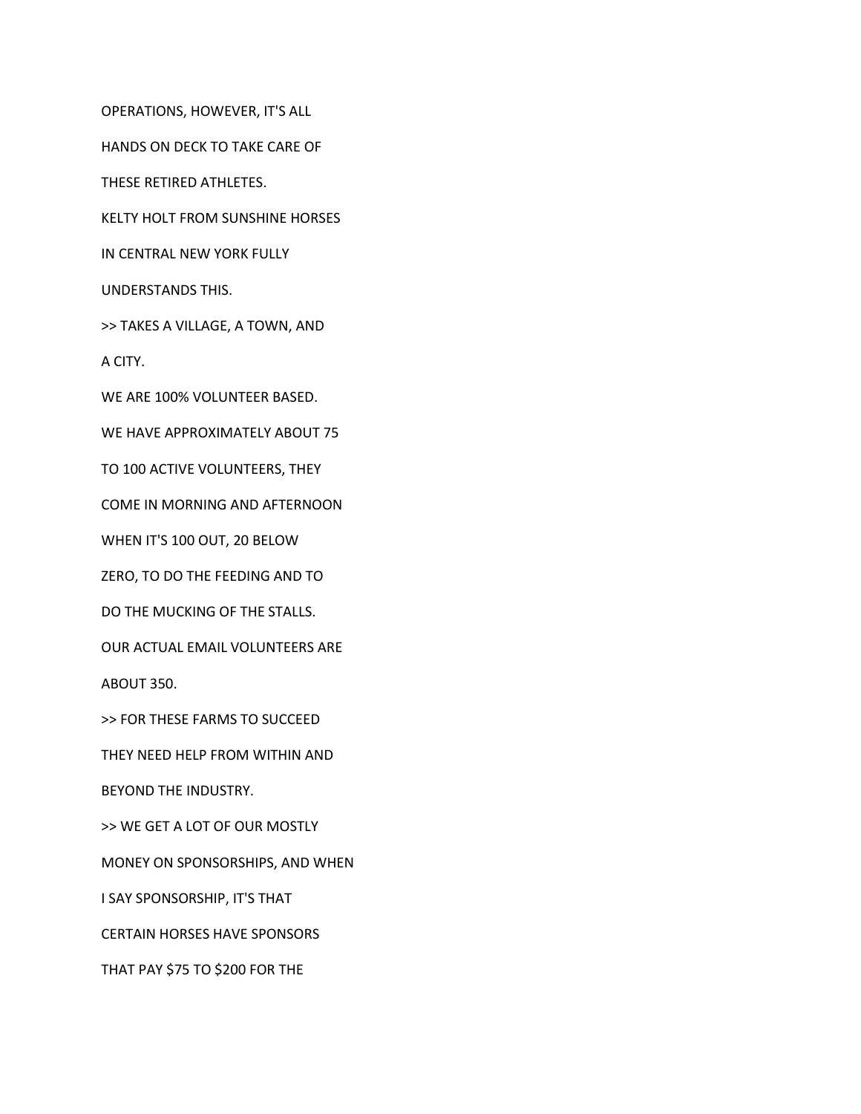OPERATIONS, HOWEVER, IT'S ALL

HANDS ON DECK TO TAKE CARE OF

THESE RETIRED ATHLETES.

KELTY HOLT FROM SUNSHINE HORSES

IN CENTRAL NEW YORK FULLY

UNDERSTANDS THIS.

>> TAKES A VILLAGE, A TOWN, AND

A CITY.

WE ARE 100% VOLUNTEER BASED.

WE HAVE APPROXIMATELY ABOUT 75

TO 100 ACTIVE VOLUNTEERS, THEY

COME IN MORNING AND AFTERNOON

WHEN IT'S 100 OUT, 20 BELOW

ZERO, TO DO THE FEEDING AND TO

DO THE MUCKING OF THE STALLS.

OUR ACTUAL EMAIL VOLUNTEERS ARE

ABOUT 350.

>> FOR THESE FARMS TO SUCCEED

THEY NEED HELP FROM WITHIN AND

BEYOND THE INDUSTRY.

>> WE GET A LOT OF OUR MOSTLY

MONEY ON SPONSORSHIPS, AND WHEN

I SAY SPONSORSHIP, IT'S THAT

CERTAIN HORSES HAVE SPONSORS

THAT PAY \$75 TO \$200 FOR THE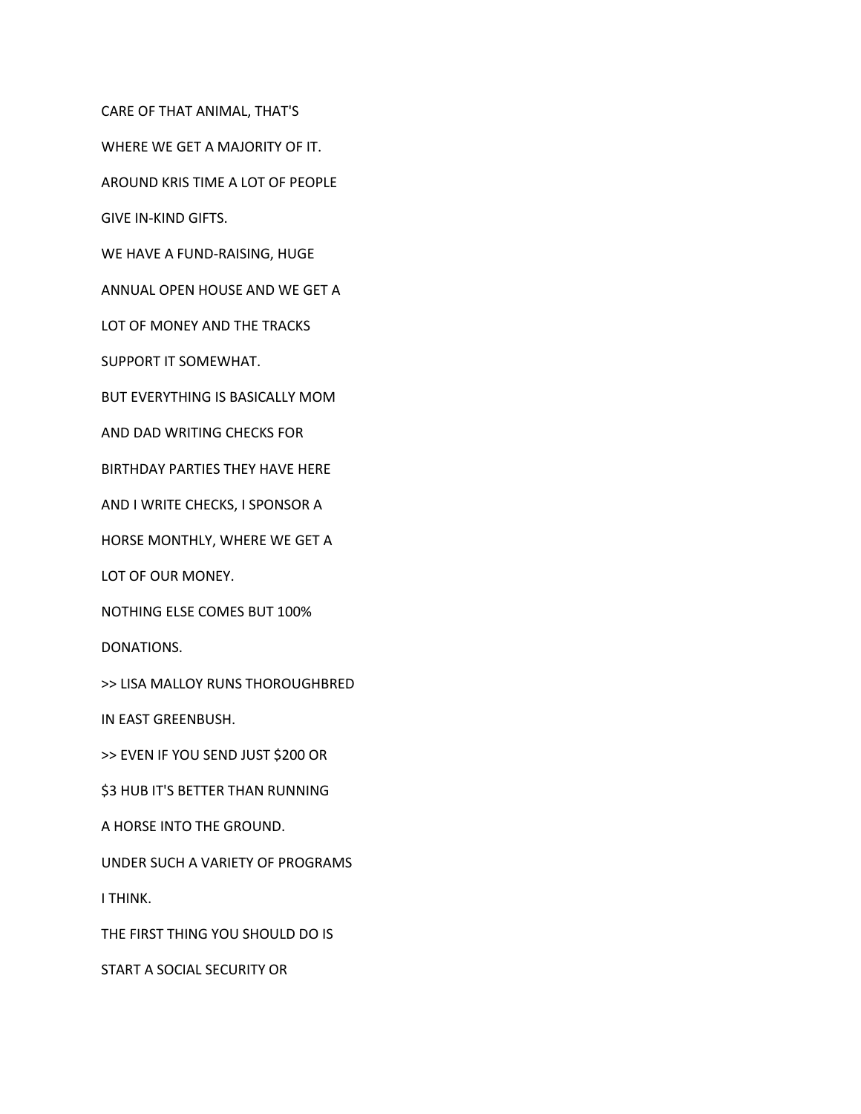CARE OF THAT ANIMAL, THAT'S

WHERE WE GET A MAJORITY OF IT.

AROUND KRIS TIME A LOT OF PEOPLE

GIVE IN-KIND GIFTS.

WE HAVE A FUND-RAISING, HUGE

ANNUAL OPEN HOUSE AND WE GET A

LOT OF MONEY AND THE TRACKS

SUPPORT IT SOMEWHAT.

BUT EVERYTHING IS BASICALLY MOM

AND DAD WRITING CHECKS FOR

BIRTHDAY PARTIES THEY HAVE HERE

AND I WRITE CHECKS, I SPONSOR A

HORSE MONTHLY, WHERE WE GET A

LOT OF OUR MONEY.

NOTHING ELSE COMES BUT 100%

DONATIONS.

>> LISA MALLOY RUNS THOROUGHBRED

IN EAST GREENBUSH.

>> EVEN IF YOU SEND JUST \$200 OR

**\$3 HUB IT'S BETTER THAN RUNNING** 

A HORSE INTO THE GROUND.

UNDER SUCH A VARIETY OF PROGRAMS

I THINK.

THE FIRST THING YOU SHOULD DO IS

START A SOCIAL SECURITY OR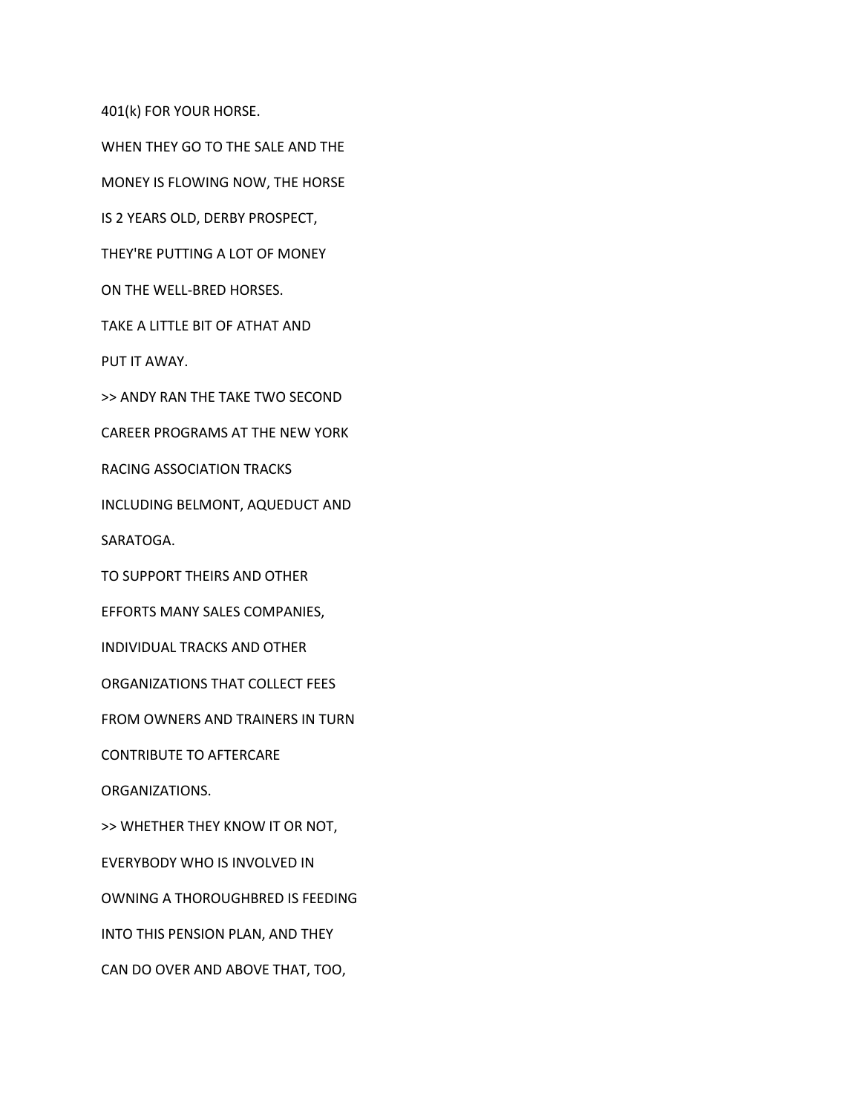401(k) FOR YOUR HORSE.

WHEN THEY GO TO THE SALE AND THE

MONEY IS FLOWING NOW, THE HORSE

IS 2 YEARS OLD, DERBY PROSPECT,

THEY'RE PUTTING A LOT OF MONEY

ON THE WELL-BRED HORSES.

TAKE A LITTLE BIT OF ATHAT AND

PUT IT AWAY.

>> ANDY RAN THE TAKE TWO SECOND

CAREER PROGRAMS AT THE NEW YORK

RACING ASSOCIATION TRACKS

INCLUDING BELMONT, AQUEDUCT AND

SARATOGA.

TO SUPPORT THEIRS AND OTHER

EFFORTS MANY SALES COMPANIES,

INDIVIDUAL TRACKS AND OTHER

ORGANIZATIONS THAT COLLECT FEES

FROM OWNERS AND TRAINERS IN TURN

CONTRIBUTE TO AFTERCARE

ORGANIZATIONS.

>> WHETHER THEY KNOW IT OR NOT,

EVERYBODY WHO IS INVOLVED IN

OWNING A THOROUGHBRED IS FEEDING

INTO THIS PENSION PLAN, AND THEY

CAN DO OVER AND ABOVE THAT, TOO,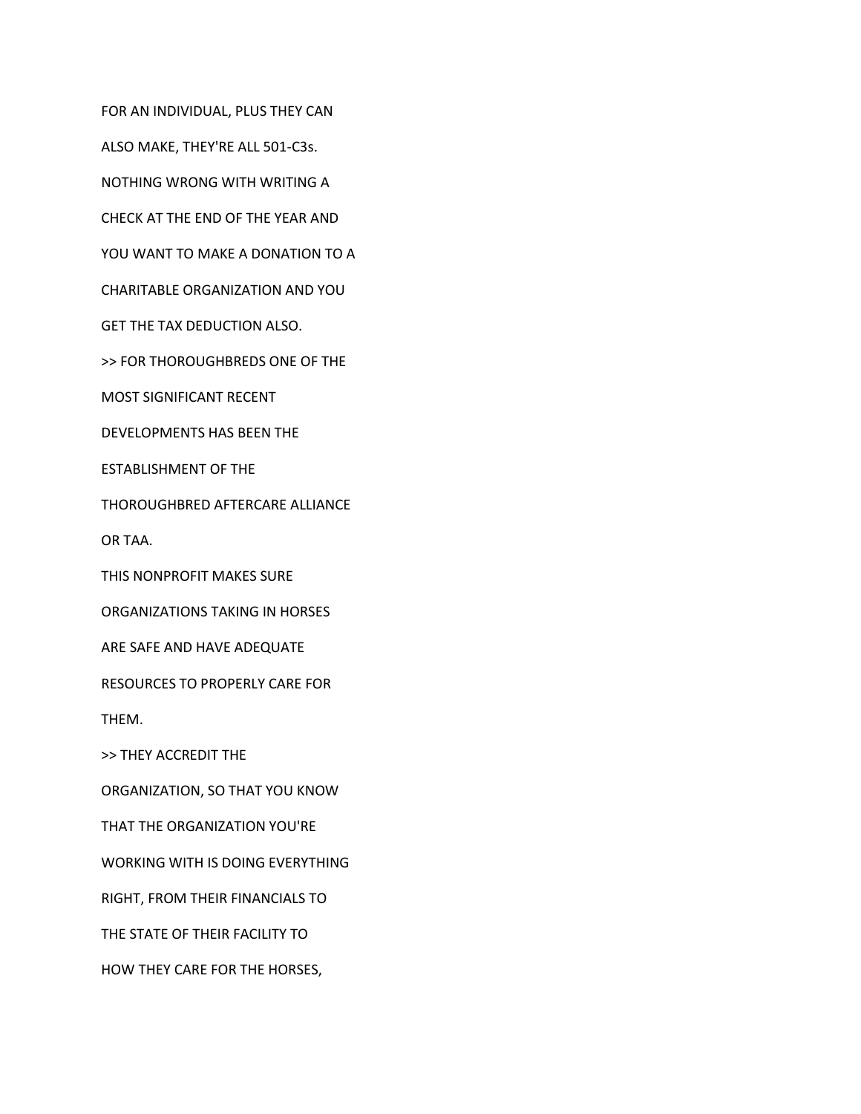FOR AN INDIVIDUAL, PLUS THEY CAN

ALSO MAKE, THEY'RE ALL 501-C3s.

NOTHING WRONG WITH WRITING A

CHECK AT THE END OF THE YEAR AND

YOU WANT TO MAKE A DONATION TO A

CHARITABLE ORGANIZATION AND YOU

GET THE TAX DEDUCTION ALSO.

>> FOR THOROUGHBREDS ONE OF THE

MOST SIGNIFICANT RECENT

DEVELOPMENTS HAS BEEN THE

ESTABLISHMENT OF THE

THOROUGHBRED AFTERCARE ALLIANCE

OR TAA.

THIS NONPROFIT MAKES SURE

ORGANIZATIONS TAKING IN HORSES

ARE SAFE AND HAVE ADEQUATE

RESOURCES TO PROPERLY CARE FOR

THEM.

>> THEY ACCREDIT THE

ORGANIZATION, SO THAT YOU KNOW

THAT THE ORGANIZATION YOU'RE

WORKING WITH IS DOING EVERYTHING

RIGHT, FROM THEIR FINANCIALS TO

THE STATE OF THEIR FACILITY TO

HOW THEY CARE FOR THE HORSES,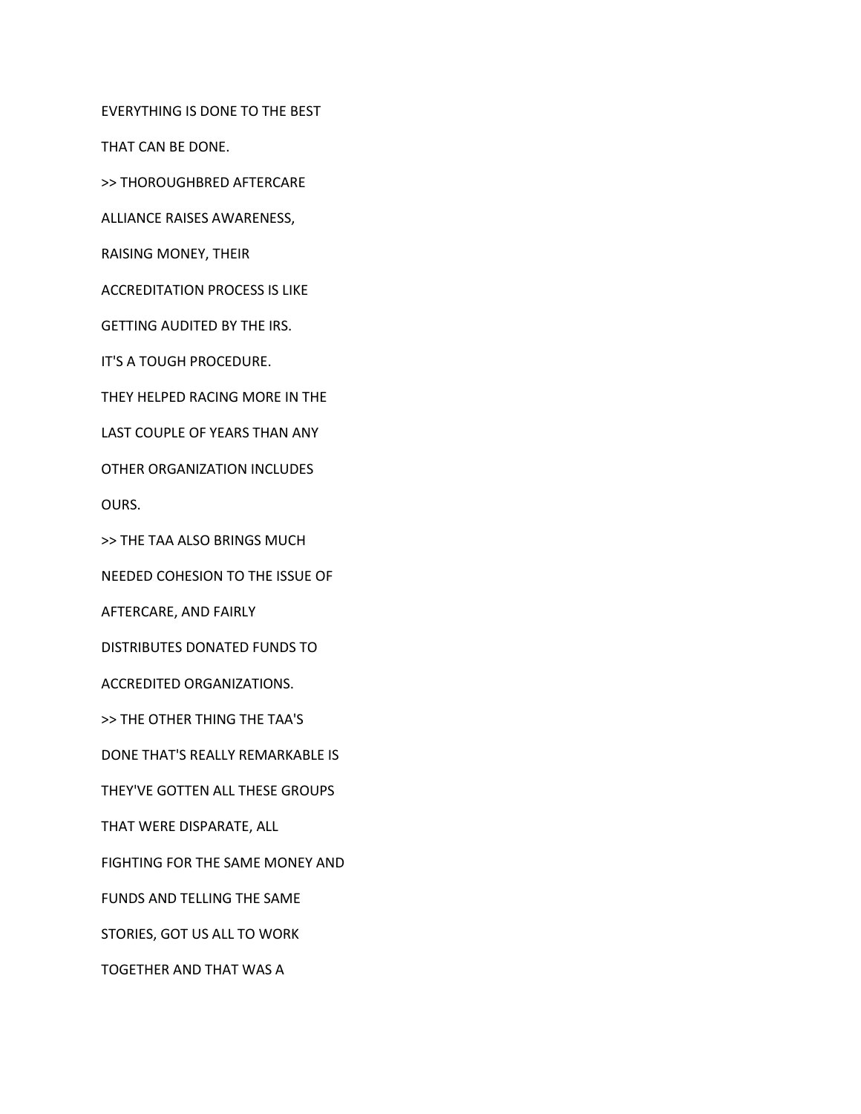EVERYTHING IS DONE TO THE BEST

THAT CAN BE DONE.

>> THOROUGHBRED AFTERCARE

ALLIANCE RAISES AWARENESS,

RAISING MONEY, THEIR

ACCREDITATION PROCESS IS LIKE

GETTING AUDITED BY THE IRS.

IT'S A TOUGH PROCEDURE.

THEY HELPED RACING MORE IN THE

LAST COUPLE OF YEARS THAN ANY

OTHER ORGANIZATION INCLUDES

OURS.

>> THE TAA ALSO BRINGS MUCH

NEEDED COHESION TO THE ISSUE OF

AFTERCARE, AND FAIRLY

DISTRIBUTES DONATED FUNDS TO

ACCREDITED ORGANIZATIONS.

>> THE OTHER THING THE TAA'S

DONE THAT'S REALLY REMARKABLE IS

THEY'VE GOTTEN ALL THESE GROUPS

THAT WERE DISPARATE, ALL

FIGHTING FOR THE SAME MONEY AND

FUNDS AND TELLING THE SAME

STORIES, GOT US ALL TO WORK

TOGETHER AND THAT WAS A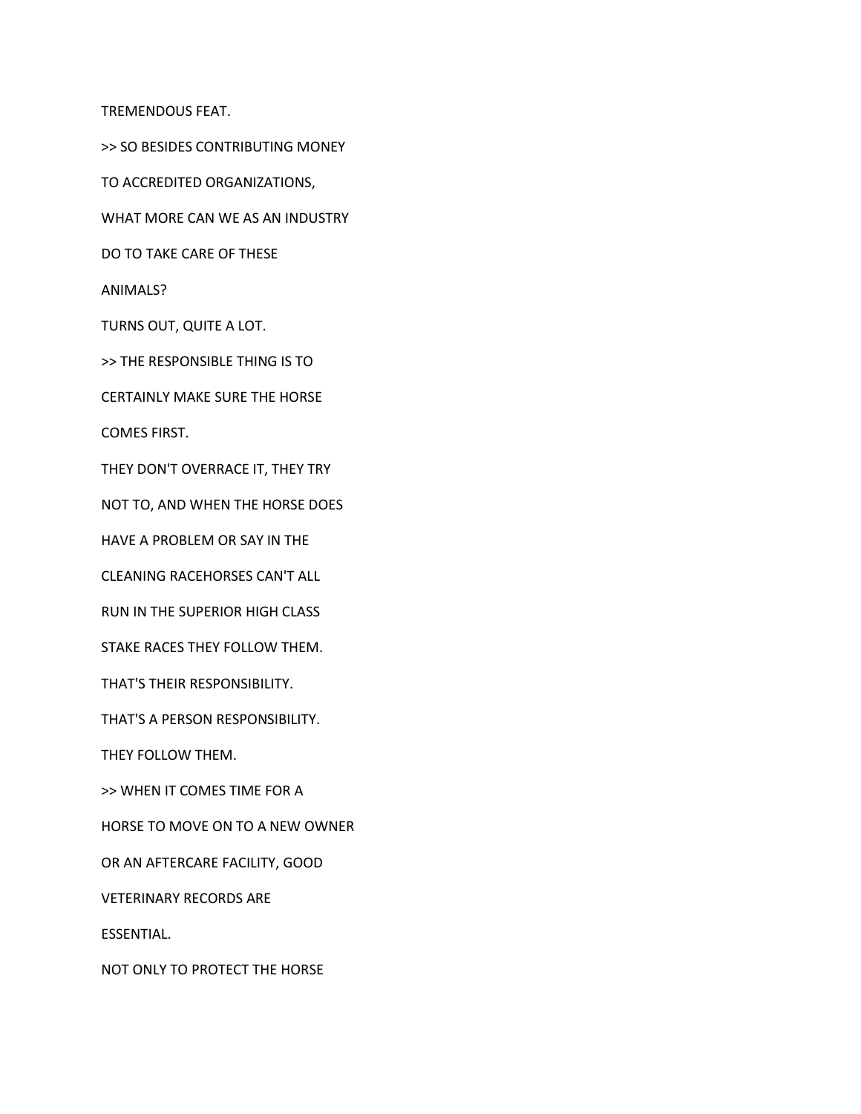TREMENDOUS FEAT.

>> SO BESIDES CONTRIBUTING MONEY

TO ACCREDITED ORGANIZATIONS,

WHAT MORE CAN WE AS AN INDUSTRY

DO TO TAKE CARE OF THESE

ANIMALS?

TURNS OUT, QUITE A LOT.

>> THE RESPONSIBLE THING IS TO

CERTAINLY MAKE SURE THE HORSE

COMES FIRST.

THEY DON'T OVERRACE IT, THEY TRY

NOT TO, AND WHEN THE HORSE DOES

HAVE A PROBLEM OR SAY IN THE

CLEANING RACEHORSES CAN'T ALL

RUN IN THE SUPERIOR HIGH CLASS

STAKE RACES THEY FOLLOW THEM.

THAT'S THEIR RESPONSIBILITY.

THAT'S A PERSON RESPONSIBILITY.

THEY FOLLOW THEM.

>> WHEN IT COMES TIME FOR A

HORSE TO MOVE ON TO A NEW OWNER

OR AN AFTERCARE FACILITY, GOOD

VETERINARY RECORDS ARE

ESSENTIAL.

NOT ONLY TO PROTECT THE HORSE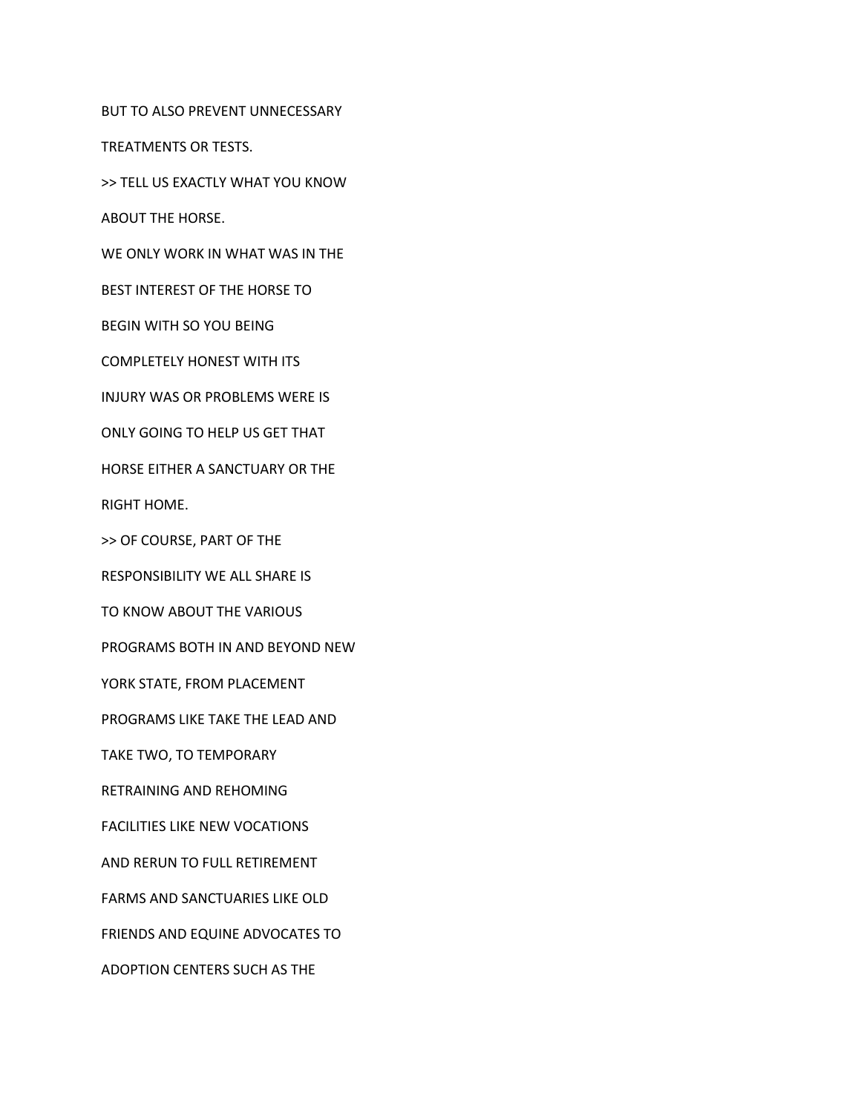BUT TO ALSO PREVENT UNNECESSARY

TREATMENTS OR TESTS.

>> TELL US EXACTLY WHAT YOU KNOW

ABOUT THE HORSE.

WE ONLY WORK IN WHAT WAS IN THE

BEST INTEREST OF THE HORSE TO

BEGIN WITH SO YOU BEING

COMPLETELY HONEST WITH ITS

INJURY WAS OR PROBLEMS WERE IS

ONLY GOING TO HELP US GET THAT

HORSE EITHER A SANCTUARY OR THE

RIGHT HOME.

>> OF COURSE, PART OF THE

RESPONSIBILITY WE ALL SHARE IS

TO KNOW ABOUT THE VARIOUS

PROGRAMS BOTH IN AND BEYOND NEW

YORK STATE, FROM PLACEMENT

PROGRAMS LIKE TAKE THE LEAD AND

TAKE TWO, TO TEMPORARY

RETRAINING AND REHOMING

FACILITIES LIKE NEW VOCATIONS

AND RERUN TO FULL RETIREMENT

FARMS AND SANCTUARIES LIKE OLD

FRIENDS AND EQUINE ADVOCATES TO

ADOPTION CENTERS SUCH AS THE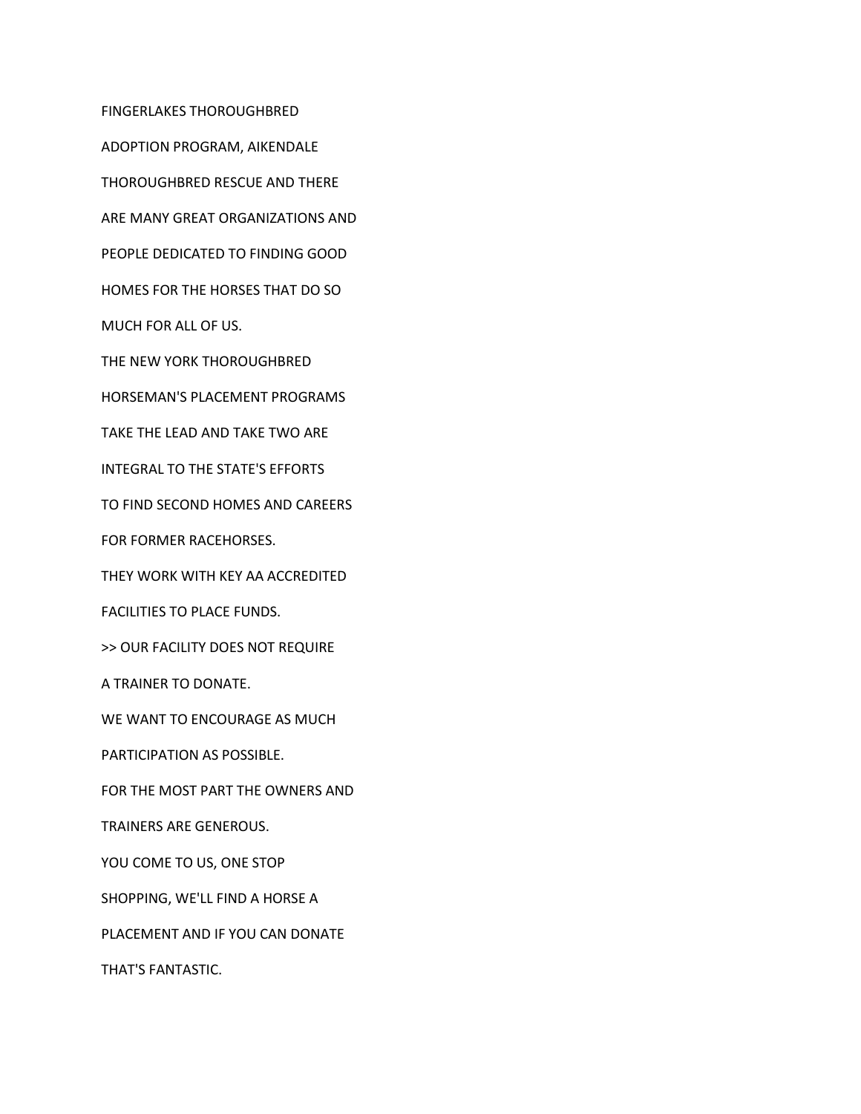FINGERLAKES THOROUGHBRED ADOPTION PROGRAM, AIKENDALE THOROUGHBRED RESCUE AND THERE ARE MANY GREAT ORGANIZATIONS AND PEOPLE DEDICATED TO FINDING GOOD HOMES FOR THE HORSES THAT DO SO MUCH FOR ALL OF US. THE NEW YORK THOROUGHBRED HORSEMAN'S PLACEMENT PROGRAMS TAKE THE LEAD AND TAKE TWO ARE INTEGRAL TO THE STATE'S EFFORTS TO FIND SECOND HOMES AND CAREERS FOR FORMER RACEHORSES. THEY WORK WITH KEY AA ACCREDITED FACILITIES TO PLACE FUNDS. >> OUR FACILITY DOES NOT REQUIRE A TRAINER TO DONATE. WE WANT TO ENCOURAGE AS MUCH PARTICIPATION AS POSSIBLE. FOR THE MOST PART THE OWNERS AND TRAINERS ARE GENEROUS. YOU COME TO US, ONE STOP SHOPPING, WE'LL FIND A HORSE A PLACEMENT AND IF YOU CAN DONATE THAT'S FANTASTIC.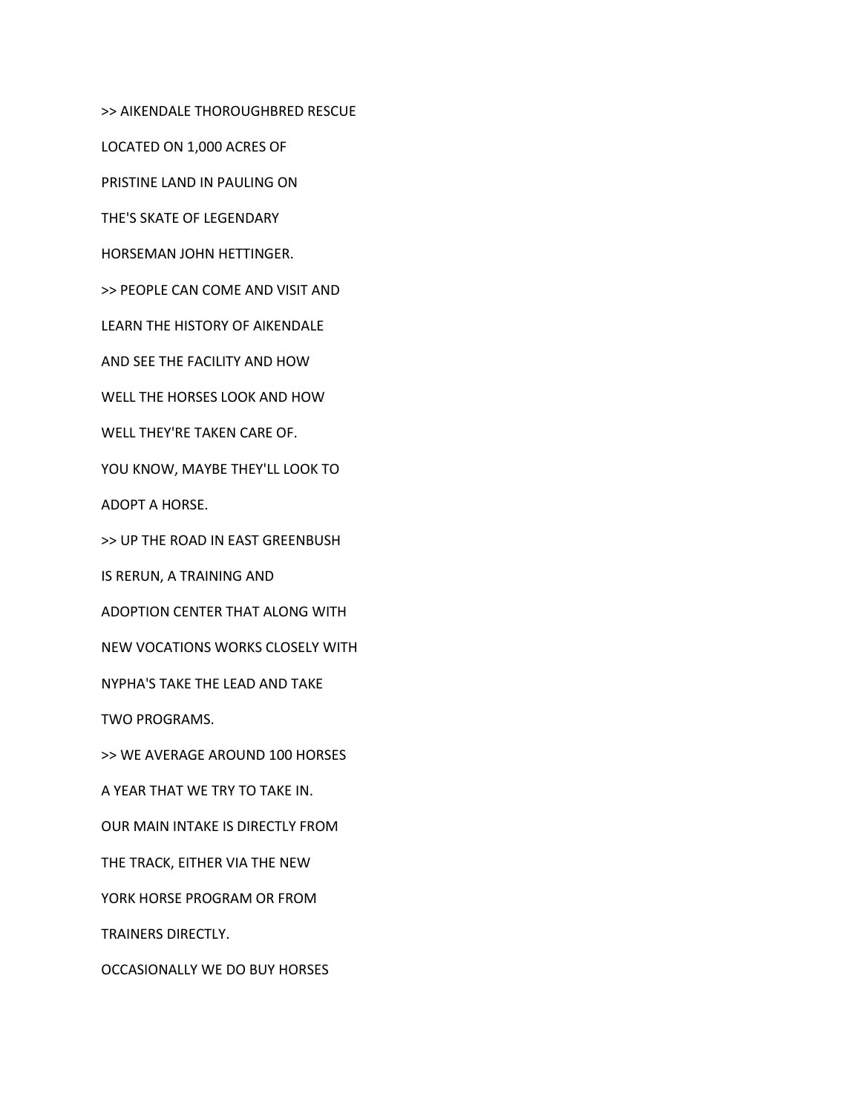>> AIKENDALE THOROUGHBRED RESCUE

LOCATED ON 1,000 ACRES OF

PRISTINE LAND IN PAULING ON

THE'S SKATE OF LEGENDARY

HORSEMAN JOHN HETTINGER.

>> PEOPLE CAN COME AND VISIT AND

LEARN THE HISTORY OF AIKENDALE

AND SEE THE FACILITY AND HOW

WELL THE HORSES LOOK AND HOW

WELL THEY'RE TAKEN CARE OF.

YOU KNOW, MAYBE THEY'LL LOOK TO

ADOPT A HORSE.

>> UP THE ROAD IN EAST GREENBUSH

IS RERUN, A TRAINING AND

ADOPTION CENTER THAT ALONG WITH

NEW VOCATIONS WORKS CLOSELY WITH

NYPHA'S TAKE THE LEAD AND TAKE

TWO PROGRAMS.

>> WE AVERAGE AROUND 100 HORSES

A YEAR THAT WE TRY TO TAKE IN.

OUR MAIN INTAKE IS DIRECTLY FROM

THE TRACK, EITHER VIA THE NEW

YORK HORSE PROGRAM OR FROM

TRAINERS DIRECTLY.

OCCASIONALLY WE DO BUY HORSES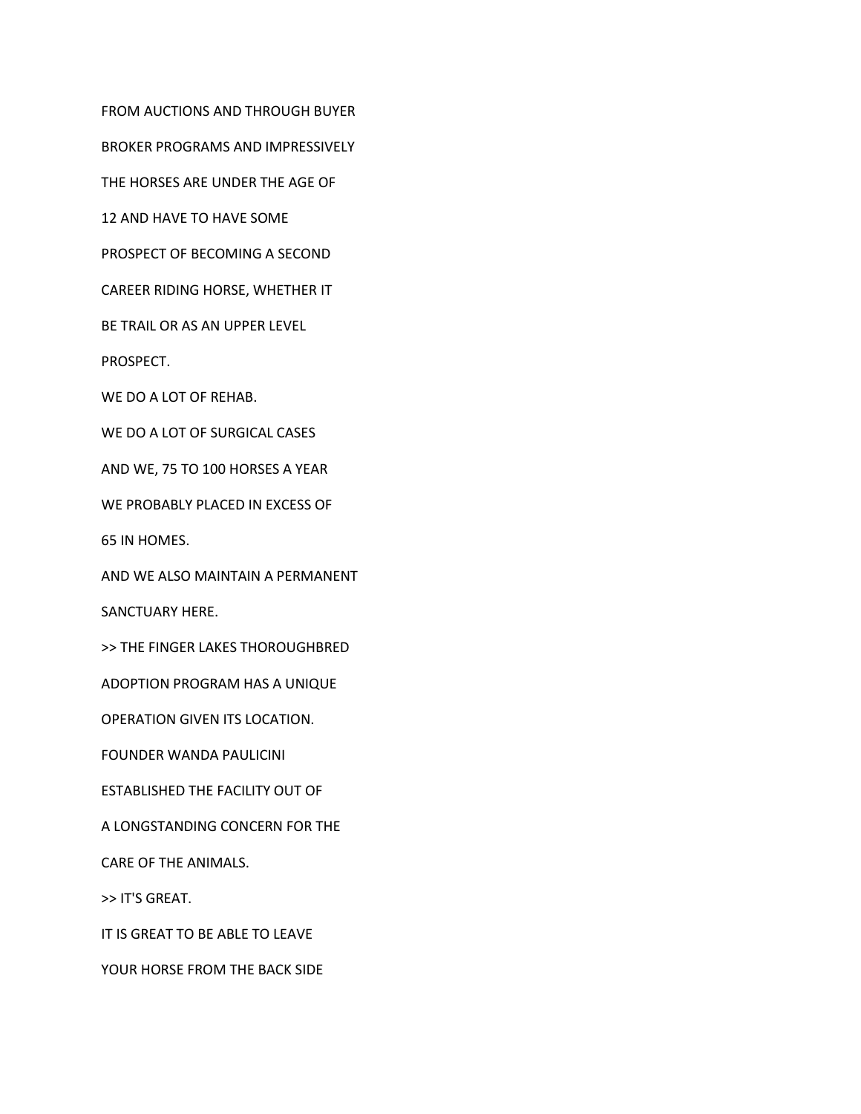BROKER PROGRAMS AND IMPRESSIVELY THE HORSES ARE UNDER THE AGE OF 12 AND HAVE TO HAVE SOME PROSPECT OF BECOMING A SECOND CAREER RIDING HORSE, WHETHER IT BE TRAIL OR AS AN UPPER LEVEL PROSPECT. WE DO A LOT OF REHAB. WE DO A LOT OF SURGICAL CASES AND WE, 75 TO 100 HORSES A YEAR WE PROBABLY PLACED IN EXCESS OF 65 IN HOMES.

FROM AUCTIONS AND THROUGH BUYER

AND WE ALSO MAINTAIN A PERMANENT

SANCTUARY HERE.

>> THE FINGER LAKES THOROUGHBRED

ADOPTION PROGRAM HAS A UNIQUE

OPERATION GIVEN ITS LOCATION.

FOUNDER WANDA PAULICINI

ESTABLISHED THE FACILITY OUT OF

A LONGSTANDING CONCERN FOR THE

CARE OF THE ANIMALS.

>> IT'S GREAT.

IT IS GREAT TO BE ABLE TO LEAVE

YOUR HORSE FROM THE BACK SIDE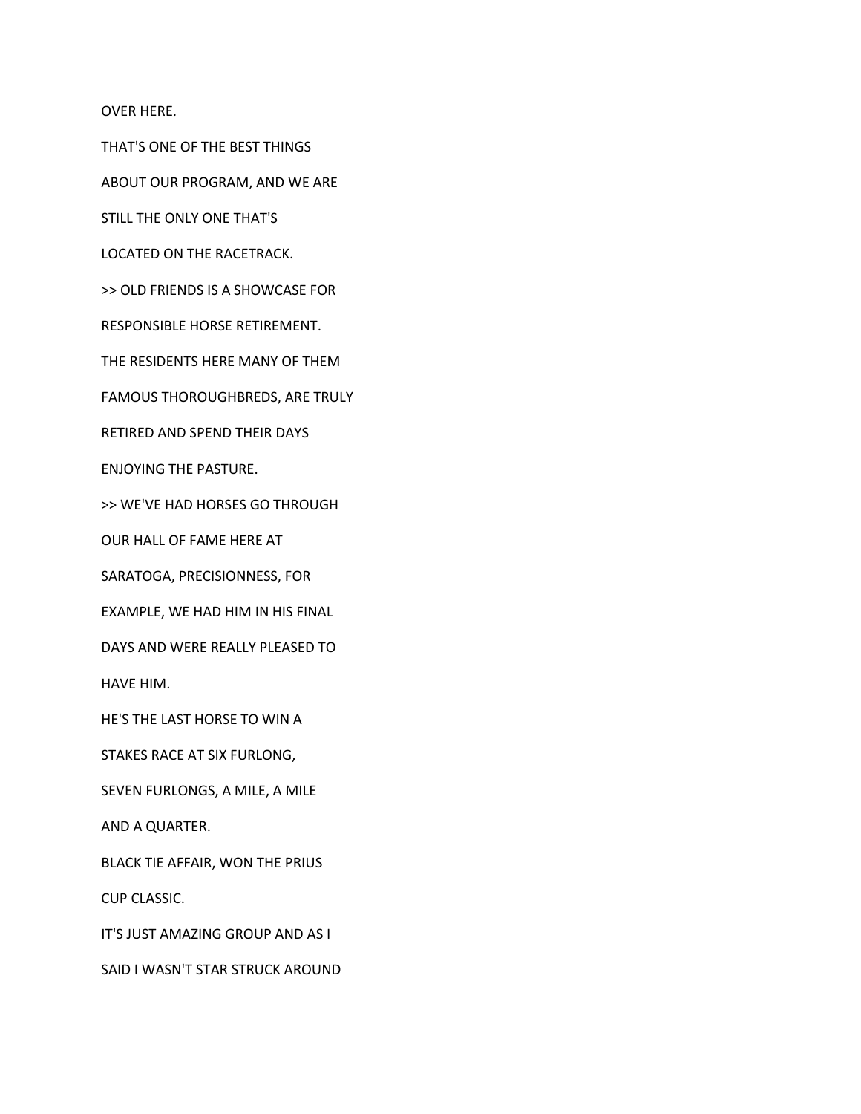OVER HERE.

THAT'S ONE OF THE BEST THINGS

ABOUT OUR PROGRAM, AND WE ARE

STILL THE ONLY ONE THAT'S

LOCATED ON THE RACETRACK.

>> OLD FRIENDS IS A SHOWCASE FOR

RESPONSIBLE HORSE RETIREMENT.

THE RESIDENTS HERE MANY OF THEM

FAMOUS THOROUGHBREDS, ARE TRULY

RETIRED AND SPEND THEIR DAYS

ENJOYING THE PASTURE.

>> WE'VE HAD HORSES GO THROUGH

OUR HALL OF FAME HERE AT

SARATOGA, PRECISIONNESS, FOR

EXAMPLE, WE HAD HIM IN HIS FINAL

DAYS AND WERE REALLY PLEASED TO

HAVE HIM.

HE'S THE LAST HORSE TO WIN A

STAKES RACE AT SIX FURLONG,

SEVEN FURLONGS, A MILE, A MILE

AND A QUARTER.

BLACK TIE AFFAIR, WON THE PRIUS

CUP CLASSIC.

IT'S JUST AMAZING GROUP AND AS I

SAID I WASN'T STAR STRUCK AROUND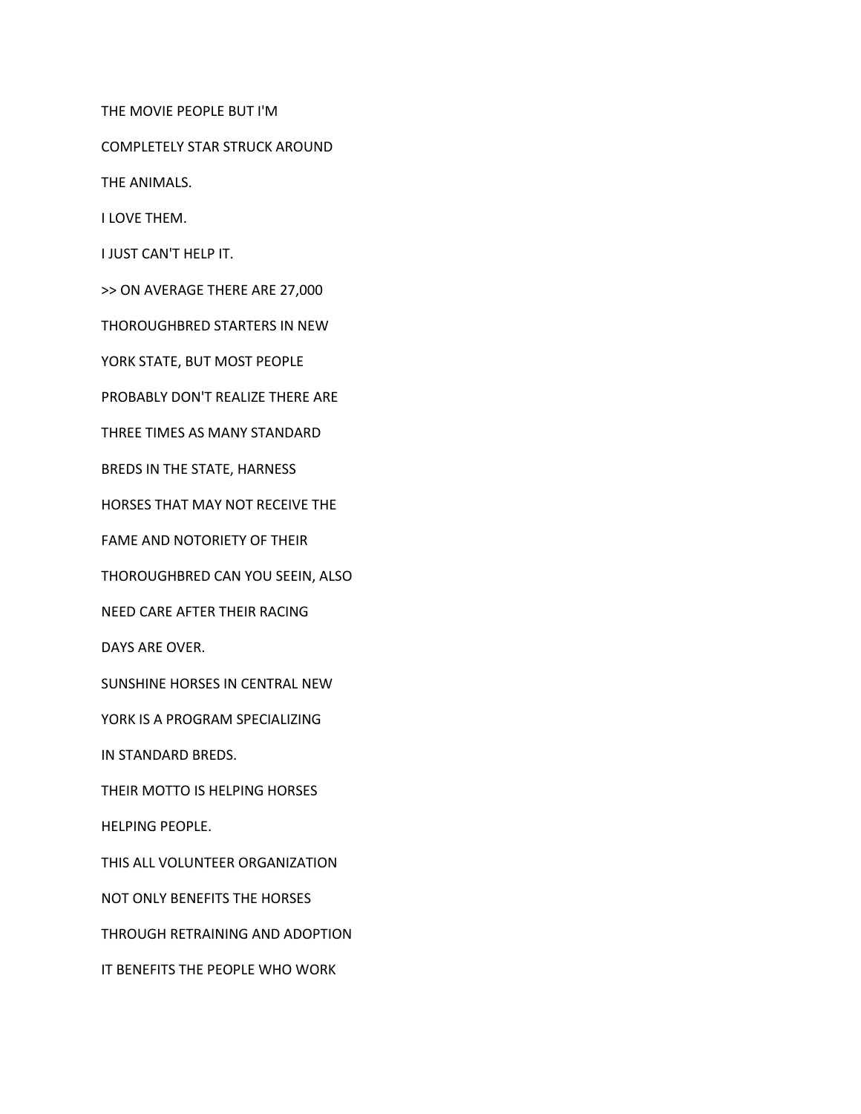THE MOVIE PEOPLE BUT I'M

COMPLETELY STAR STRUCK AROUND

THE ANIMALS.

I LOVE THEM.

I JUST CAN'T HELP IT.

>> ON AVERAGE THERE ARE 27,000

THOROUGHBRED STARTERS IN NEW

YORK STATE, BUT MOST PEOPLE

PROBABLY DON'T REALIZE THERE ARE

THREE TIMES AS MANY STANDARD

BREDS IN THE STATE, HARNESS

HORSES THAT MAY NOT RECEIVE THE

FAME AND NOTORIETY OF THEIR

THOROUGHBRED CAN YOU SEEIN, ALSO

NEED CARE AFTER THEIR RACING

DAYS ARE OVER.

SUNSHINE HORSES IN CENTRAL NEW

YORK IS A PROGRAM SPECIALIZING

IN STANDARD BREDS.

THEIR MOTTO IS HELPING HORSES

HELPING PEOPLE.

THIS ALL VOLUNTEER ORGANIZATION

NOT ONLY BENEFITS THE HORSES

THROUGH RETRAINING AND ADOPTION

IT BENEFITS THE PEOPLE WHO WORK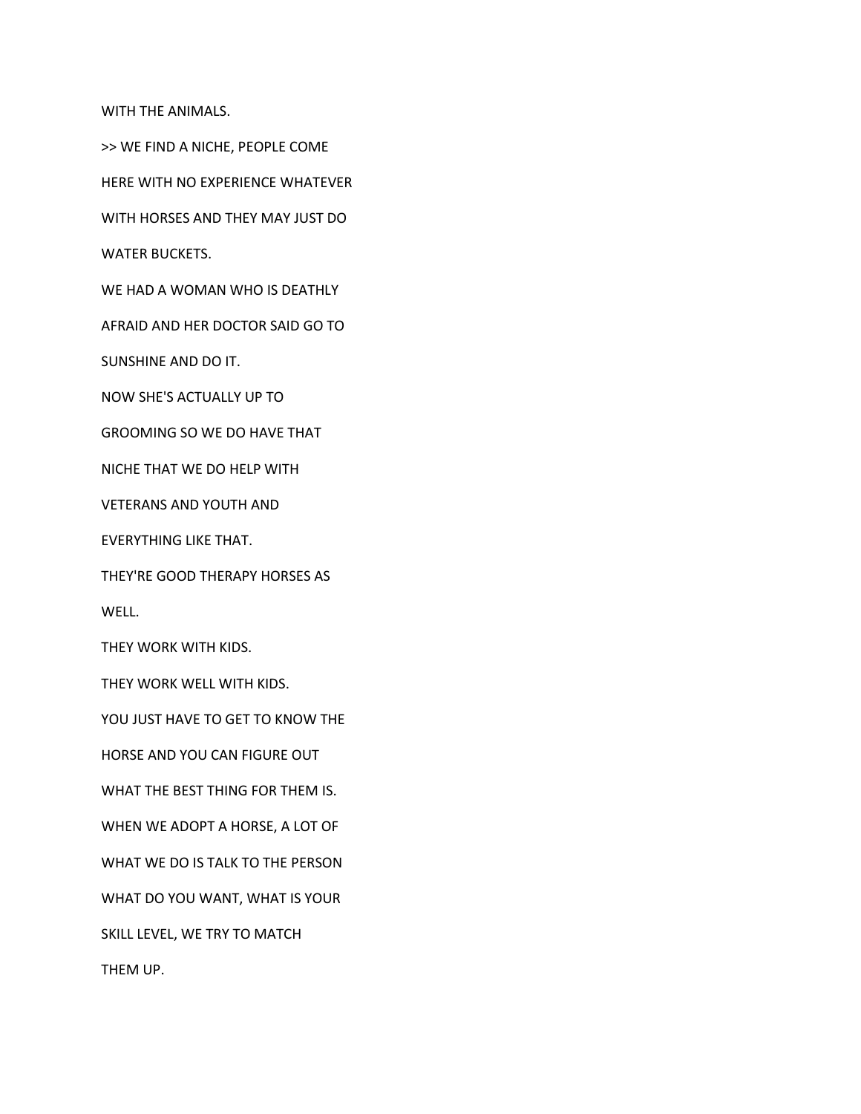WITH THE ANIMALS.

>> WE FIND A NICHE, PEOPLE COME

HERE WITH NO EXPERIENCE WHATEVER

WITH HORSES AND THEY MAY JUST DO

WATER BUCKETS.

WE HAD A WOMAN WHO IS DEATHLY

AFRAID AND HER DOCTOR SAID GO TO

SUNSHINE AND DO IT.

NOW SHE'S ACTUALLY UP TO

GROOMING SO WE DO HAVE THAT

NICHE THAT WE DO HELP WITH

VETERANS AND YOUTH AND

EVERYTHING LIKE THAT.

THEY'RE GOOD THERAPY HORSES AS

WELL.

THEY WORK WITH KIDS.

THEY WORK WELL WITH KIDS.

YOU JUST HAVE TO GET TO KNOW THE

HORSE AND YOU CAN FIGURE OUT

WHAT THE BEST THING FOR THEM IS.

WHEN WE ADOPT A HORSE, A LOT OF

WHAT WE DO IS TALK TO THE PERSON

WHAT DO YOU WANT, WHAT IS YOUR

SKILL LEVEL, WE TRY TO MATCH

THEM UP.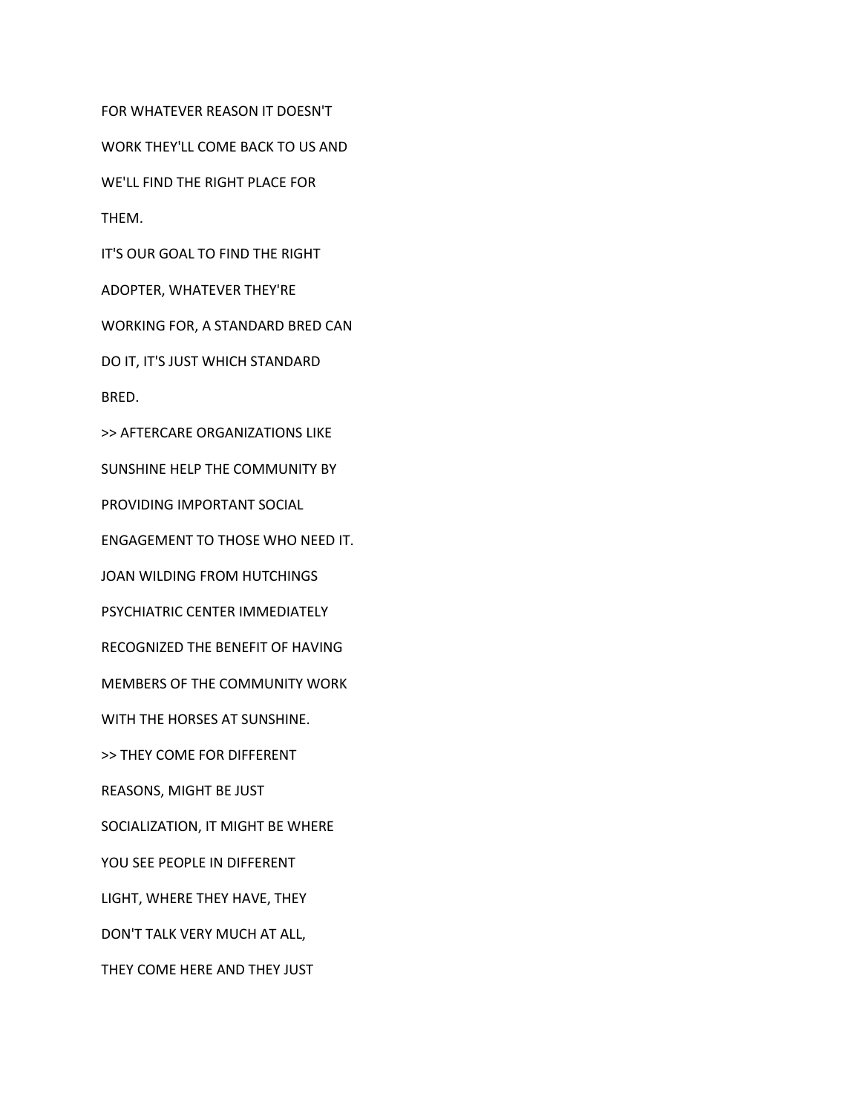FOR WHATEVER REASON IT DOESN'T WORK THEY'LL COME BACK TO US AND WE'LL FIND THE RIGHT PLACE FOR THEM. IT'S OUR GOAL TO FIND THE RIGHT ADOPTER, WHATEVER THEY'RE WORKING FOR, A STANDARD BRED CAN DO IT, IT'S JUST WHICH STANDARD BRED. >> AFTERCARE ORGANIZATIONS LIKE SUNSHINE HELP THE COMMUNITY BY PROVIDING IMPORTANT SOCIAL ENGAGEMENT TO THOSE WHO NEED IT. JOAN WILDING FROM HUTCHINGS PSYCHIATRIC CENTER IMMEDIATELY RECOGNIZED THE BENEFIT OF HAVING MEMBERS OF THE COMMUNITY WORK WITH THE HORSES AT SUNSHINE. >> THEY COME FOR DIFFERENT REASONS, MIGHT BE JUST SOCIALIZATION, IT MIGHT BE WHERE YOU SEE PEOPLE IN DIFFERENT LIGHT, WHERE THEY HAVE, THEY DON'T TALK VERY MUCH AT ALL, THEY COME HERE AND THEY JUST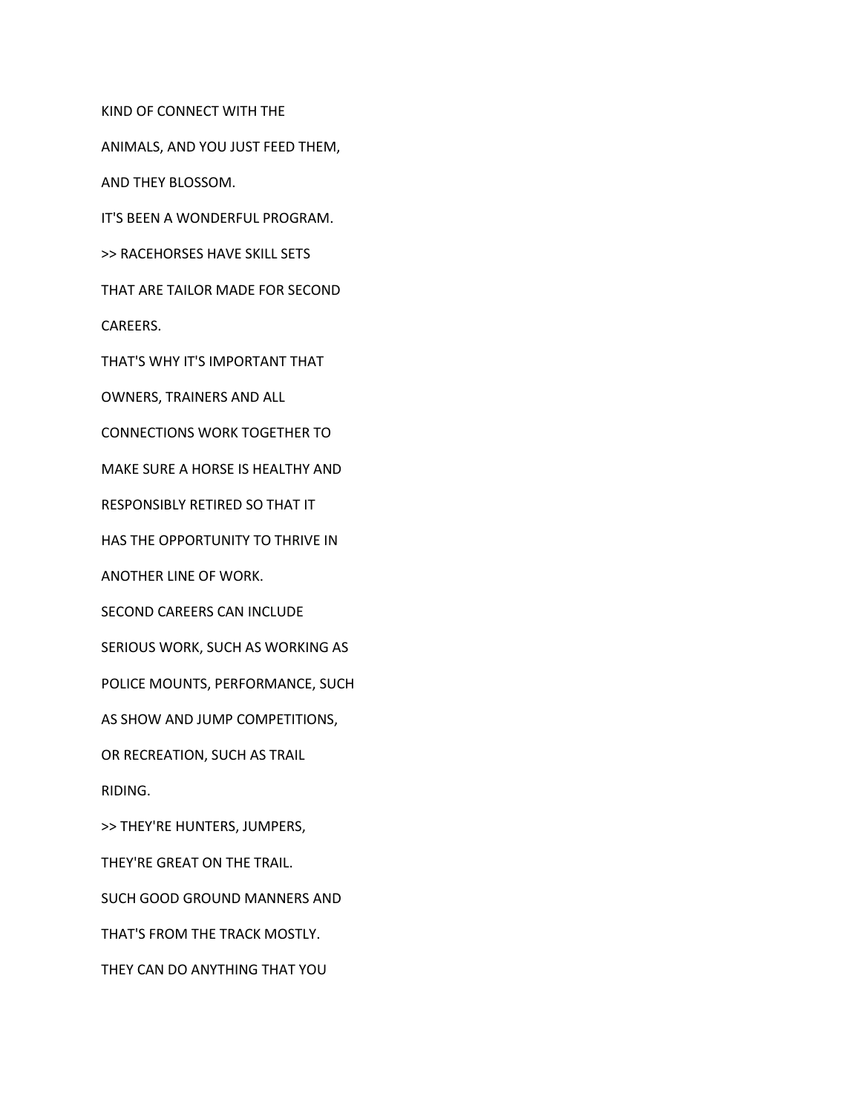KIND OF CONNECT WITH THE

ANIMALS, AND YOU JUST FEED THEM,

AND THEY BLOSSOM.

IT'S BEEN A WONDERFUL PROGRAM.

>> RACEHORSES HAVE SKILL SETS

THAT ARE TAILOR MADE FOR SECOND

CAREERS.

THAT'S WHY IT'S IMPORTANT THAT

OWNERS, TRAINERS AND ALL

CONNECTIONS WORK TOGETHER TO

MAKE SURE A HORSE IS HEALTHY AND

RESPONSIBLY RETIRED SO THAT IT

HAS THE OPPORTUNITY TO THRIVE IN

ANOTHER LINE OF WORK.

SECOND CAREERS CAN INCLUDE

SERIOUS WORK, SUCH AS WORKING AS

POLICE MOUNTS, PERFORMANCE, SUCH

AS SHOW AND JUMP COMPETITIONS,

OR RECREATION, SUCH AS TRAIL

RIDING.

>> THEY'RE HUNTERS, JUMPERS,

THEY'RE GREAT ON THE TRAIL.

SUCH GOOD GROUND MANNERS AND

THAT'S FROM THE TRACK MOSTLY.

THEY CAN DO ANYTHING THAT YOU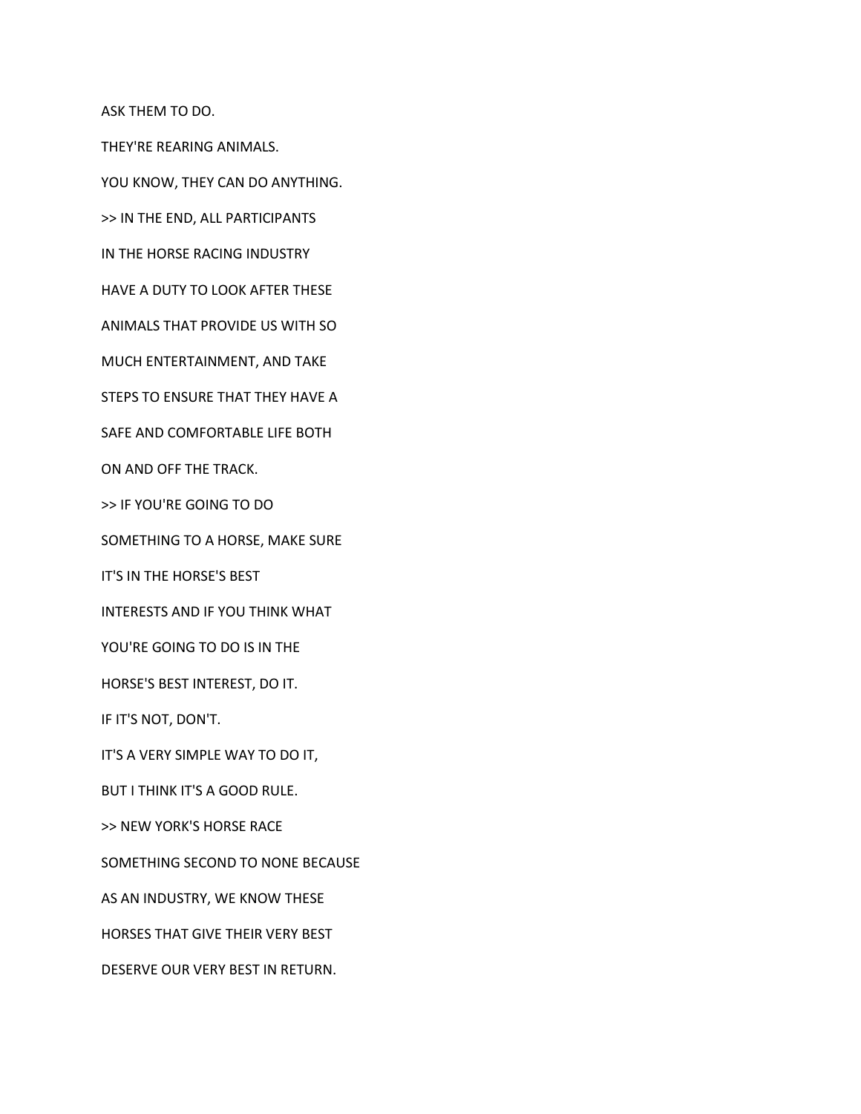ASK THEM TO DO.

THEY'RE REARING ANIMALS.

YOU KNOW, THEY CAN DO ANYTHING.

>> IN THE END, ALL PARTICIPANTS

IN THE HORSE RACING INDUSTRY

HAVE A DUTY TO LOOK AFTER THESE

ANIMALS THAT PROVIDE US WITH SO

MUCH ENTERTAINMENT, AND TAKE

STEPS TO ENSURE THAT THEY HAVE A

SAFE AND COMFORTABLE LIFE BOTH

ON AND OFF THE TRACK.

>> IF YOU'RE GOING TO DO

SOMETHING TO A HORSE, MAKE SURE

IT'S IN THE HORSE'S BEST

INTERESTS AND IF YOU THINK WHAT

YOU'RE GOING TO DO IS IN THE

HORSE'S BEST INTEREST, DO IT.

IF IT'S NOT, DON'T.

IT'S A VERY SIMPLE WAY TO DO IT,

BUT I THINK IT'S A GOOD RULE.

>> NEW YORK'S HORSE RACE

SOMETHING SECOND TO NONE BECAUSE

AS AN INDUSTRY, WE KNOW THESE

HORSES THAT GIVE THEIR VERY BEST

DESERVE OUR VERY BEST IN RETURN.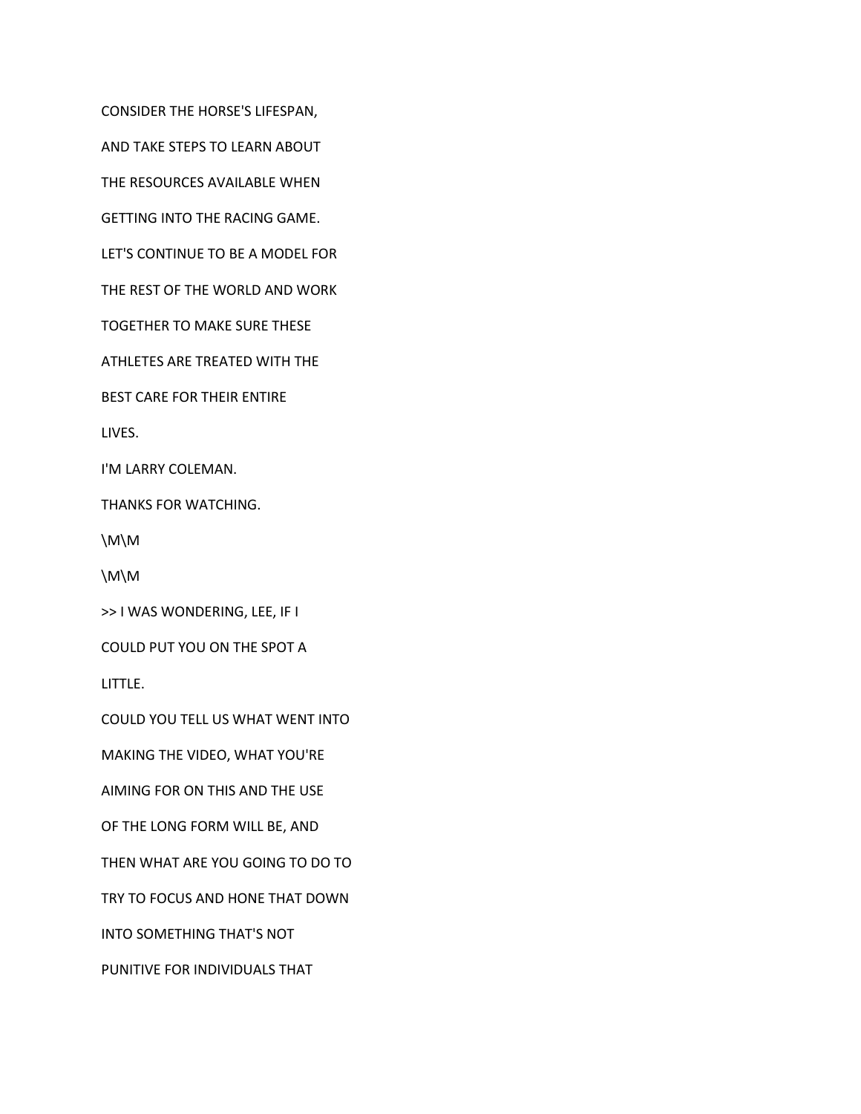CONSIDER THE HORSE'S LIFESPAN,

AND TAKE STEPS TO LEARN ABOUT

THE RESOURCES AVAILABLE WHEN

GETTING INTO THE RACING GAME.

LET'S CONTINUE TO BE A MODEL FOR

THE REST OF THE WORLD AND WORK

TOGETHER TO MAKE SURE THESE

ATHLETES ARE TREATED WITH THE

BEST CARE FOR THEIR ENTIRE

LIVES.

I'M LARRY COLEMAN.

THANKS FOR WATCHING.

\M\M

\M\M

>> I WAS WONDERING, LEE, IF I

COULD PUT YOU ON THE SPOT A

LITTLE.

COULD YOU TELL US WHAT WENT INTO

MAKING THE VIDEO, WHAT YOU'RE

AIMING FOR ON THIS AND THE USE

OF THE LONG FORM WILL BE, AND

THEN WHAT ARE YOU GOING TO DO TO

TRY TO FOCUS AND HONE THAT DOWN

INTO SOMETHING THAT'S NOT

PUNITIVE FOR INDIVIDUALS THAT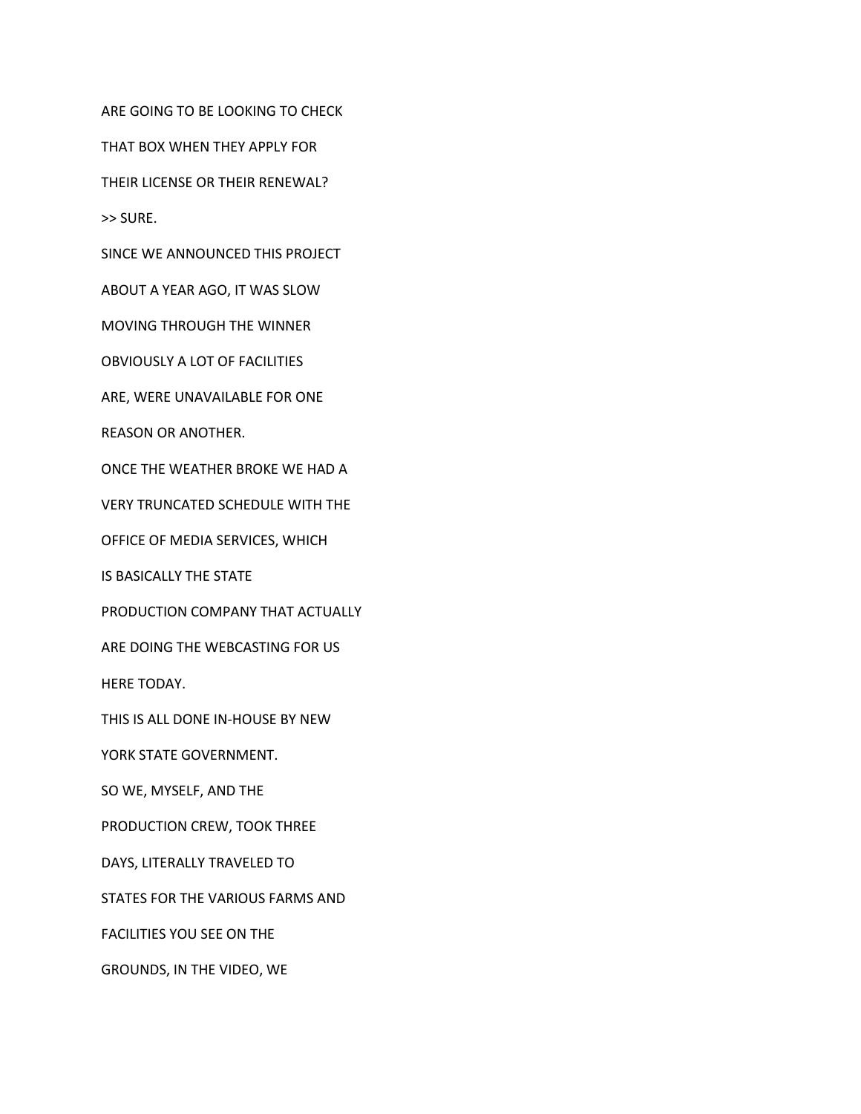ARE GOING TO BE LOOKING TO CHECK

THAT BOX WHEN THEY APPLY FOR

THEIR LICENSE OR THEIR RENEWAL?

>> SURE.

SINCE WE ANNOUNCED THIS PROJECT

ABOUT A YEAR AGO, IT WAS SLOW

MOVING THROUGH THE WINNER

OBVIOUSLY A LOT OF FACILITIES

ARE, WERE UNAVAILABLE FOR ONE

REASON OR ANOTHER.

ONCE THE WEATHER BROKE WE HAD A

VERY TRUNCATED SCHEDULE WITH THE

OFFICE OF MEDIA SERVICES, WHICH

IS BASICALLY THE STATE

PRODUCTION COMPANY THAT ACTUALLY

ARE DOING THE WEBCASTING FOR US

HERE TODAY.

THIS IS ALL DONE IN-HOUSE BY NEW

YORK STATE GOVERNMENT.

SO WE, MYSELF, AND THE

PRODUCTION CREW, TOOK THREE

DAYS, LITERALLY TRAVELED TO

STATES FOR THE VARIOUS FARMS AND

FACILITIES YOU SEE ON THE

GROUNDS, IN THE VIDEO, WE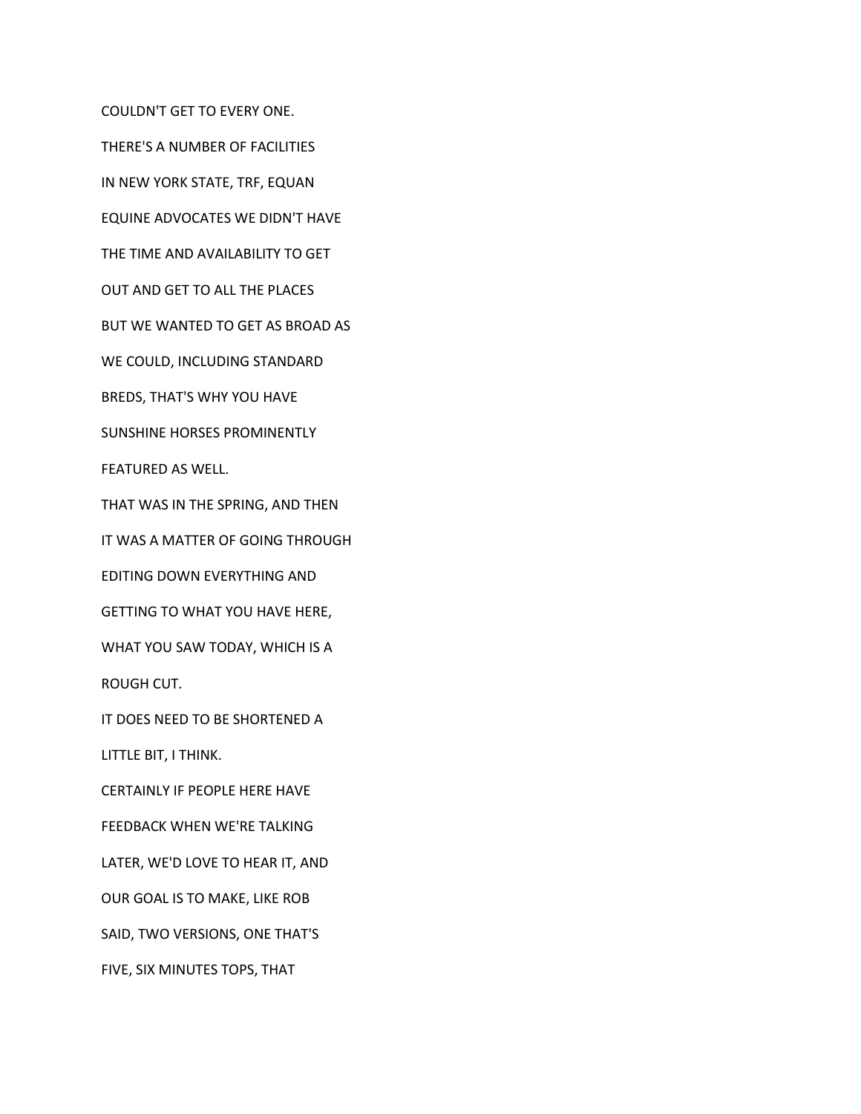COULDN'T GET TO EVERY ONE.

THERE'S A NUMBER OF FACILITIES

IN NEW YORK STATE, TRF, EQUAN

EQUINE ADVOCATES WE DIDN'T HAVE

THE TIME AND AVAILABILITY TO GET

OUT AND GET TO ALL THE PLACES

BUT WE WANTED TO GET AS BROAD AS

WE COULD, INCLUDING STANDARD

BREDS, THAT'S WHY YOU HAVE

SUNSHINE HORSES PROMINENTLY

FEATURED AS WELL.

THAT WAS IN THE SPRING, AND THEN

IT WAS A MATTER OF GOING THROUGH

EDITING DOWN EVERYTHING AND

GETTING TO WHAT YOU HAVE HERE,

WHAT YOU SAW TODAY, WHICH IS A

ROUGH CUT.

IT DOES NEED TO BE SHORTENED A

LITTLE BIT, I THINK.

CERTAINLY IF PEOPLE HERE HAVE

FEEDBACK WHEN WE'RE TALKING

LATER, WE'D LOVE TO HEAR IT, AND

OUR GOAL IS TO MAKE, LIKE ROB

SAID, TWO VERSIONS, ONE THAT'S

FIVE, SIX MINUTES TOPS, THAT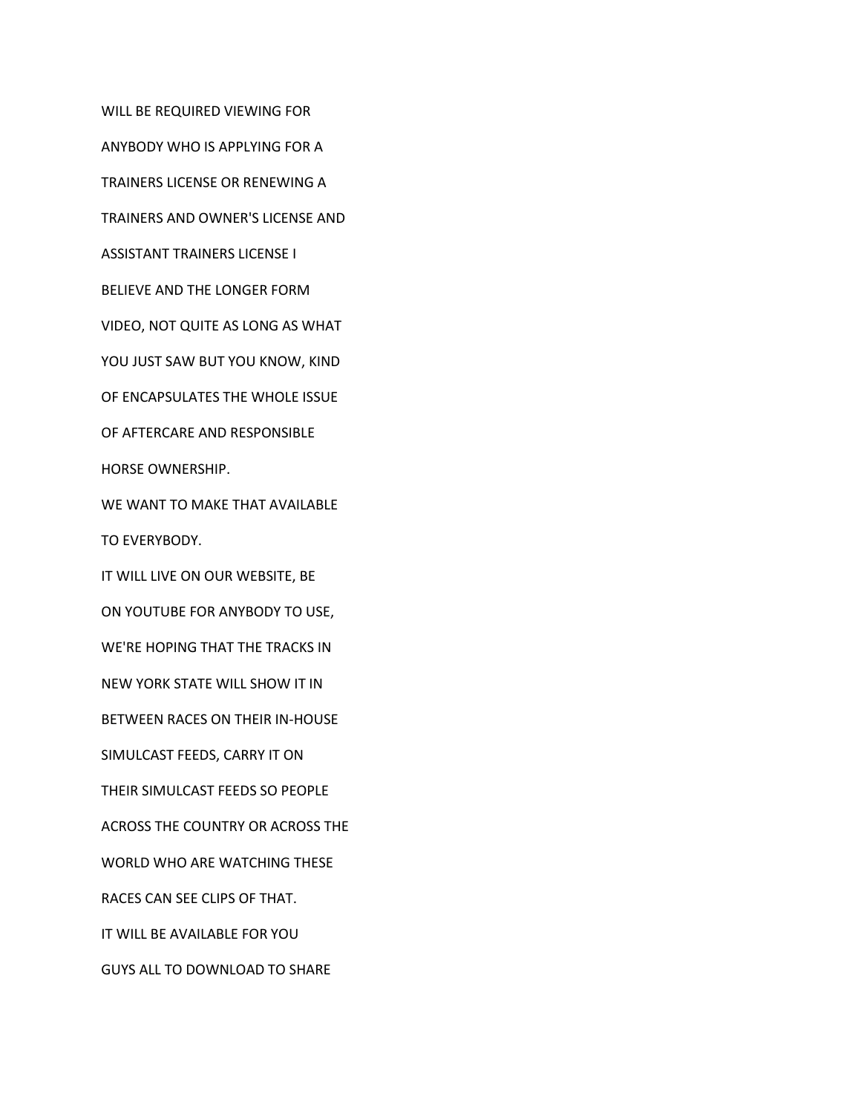WILL BE REQUIRED VIEWING FOR ANYBODY WHO IS APPLYING FOR A TRAINERS LICENSE OR RENEWING A TRAINERS AND OWNER'S LICENSE AND ASSISTANT TRAINERS LICENSE I BELIEVE AND THE LONGER FORM VIDEO, NOT QUITE AS LONG AS WHAT YOU JUST SAW BUT YOU KNOW, KIND OF ENCAPSULATES THE WHOLE ISSUE OF AFTERCARE AND RESPONSIBLE HORSE OWNERSHIP. WE WANT TO MAKE THAT AVAILABLE TO EVERYBODY. IT WILL LIVE ON OUR WEBSITE, BE ON YOUTUBE FOR ANYBODY TO USE, WE'RE HOPING THAT THE TRACKS IN NEW YORK STATE WILL SHOW IT IN BETWEEN RACES ON THEIR IN-HOUSE SIMULCAST FEEDS, CARRY IT ON THEIR SIMULCAST FEEDS SO PEOPLE ACROSS THE COUNTRY OR ACROSS THE WORLD WHO ARE WATCHING THESE RACES CAN SEE CLIPS OF THAT. IT WILL BE AVAILABLE FOR YOU GUYS ALL TO DOWNLOAD TO SHARE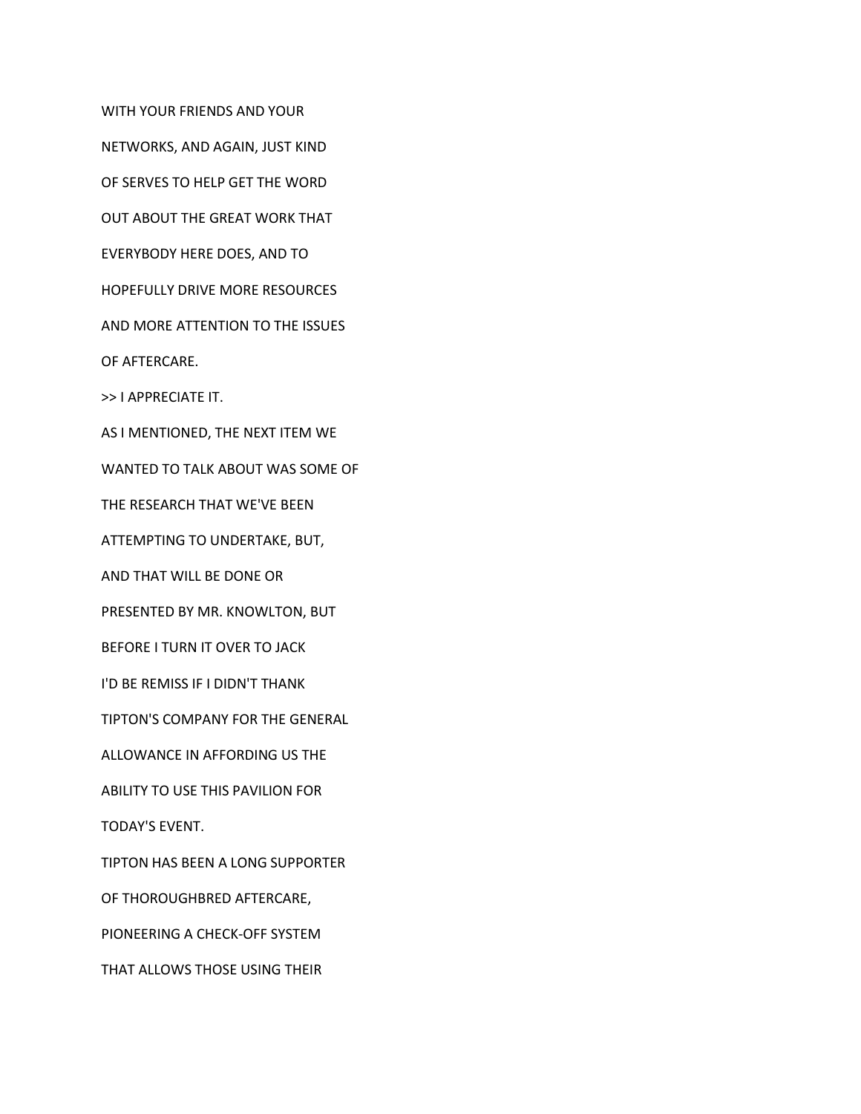WITH YOUR FRIENDS AND YOUR NETWORKS, AND AGAIN, JUST KIND OF SERVES TO HELP GET THE WORD OUT ABOUT THE GREAT WORK THAT EVERYBODY HERE DOES, AND TO HOPEFULLY DRIVE MORE RESOURCES AND MORE ATTENTION TO THE ISSUES OF AFTERCARE. >> I APPRECIATE IT. AS I MENTIONED, THE NEXT ITEM WE WANTED TO TALK ABOUT WAS SOME OF THE RESEARCH THAT WE'VE BEEN ATTEMPTING TO UNDERTAKE, BUT, AND THAT WILL BE DONE OR PRESENTED BY MR. KNOWLTON, BUT BEFORE I TURN IT OVER TO JACK I'D BE REMISS IF I DIDN'T THANK TIPTON'S COMPANY FOR THE GENERAL ALLOWANCE IN AFFORDING US THE ABILITY TO USE THIS PAVILION FOR TODAY'S EVENT. TIPTON HAS BEEN A LONG SUPPORTER OF THOROUGHBRED AFTERCARE, PIONEERING A CHECK-OFF SYSTEM THAT ALLOWS THOSE USING THEIR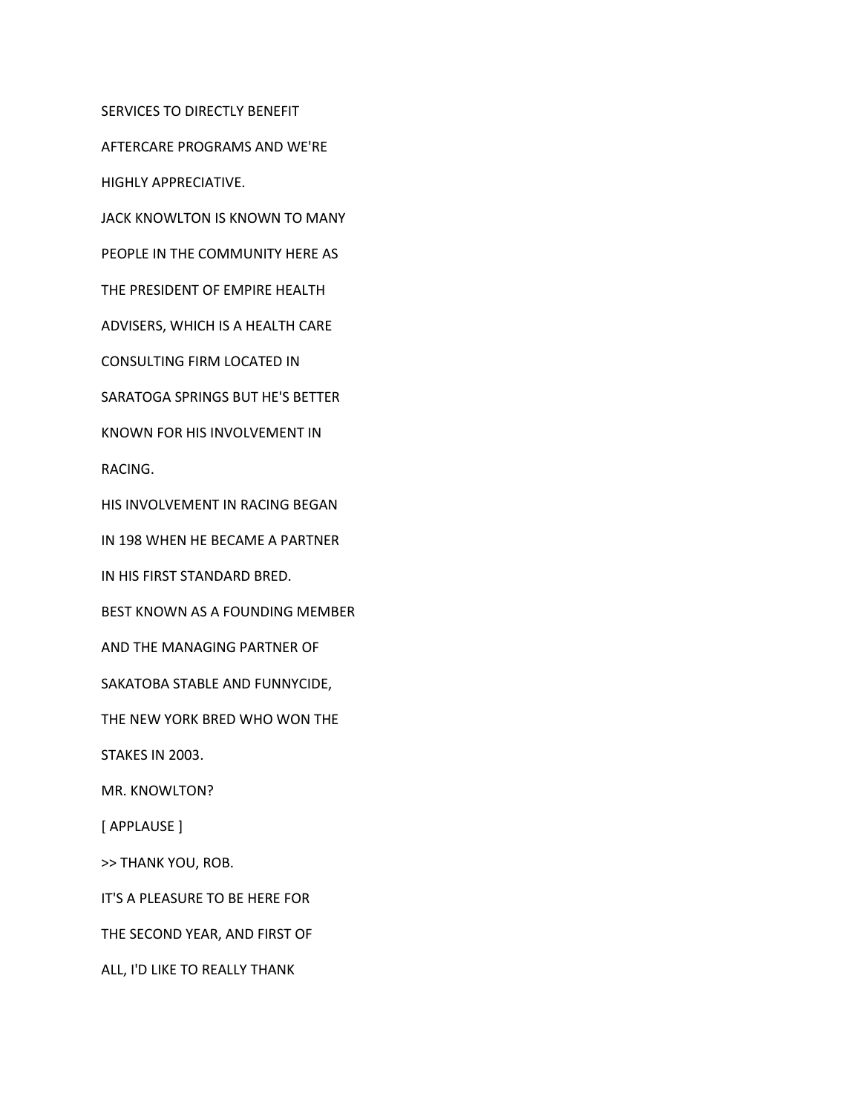SERVICES TO DIRECTLY BENEFIT

AFTERCARE PROGRAMS AND WE'RE

HIGHLY APPRECIATIVE.

JACK KNOWLTON IS KNOWN TO MANY

PEOPLE IN THE COMMUNITY HERE AS

THE PRESIDENT OF EMPIRE HEALTH

ADVISERS, WHICH IS A HEALTH CARE

CONSULTING FIRM LOCATED IN

SARATOGA SPRINGS BUT HE'S BETTER

KNOWN FOR HIS INVOLVEMENT IN

RACING.

HIS INVOLVEMENT IN RACING BEGAN

IN 198 WHEN HE BECAME A PARTNER

IN HIS FIRST STANDARD BRED.

BEST KNOWN AS A FOUNDING MEMBER

AND THE MANAGING PARTNER OF

SAKATOBA STABLE AND FUNNYCIDE,

THE NEW YORK BRED WHO WON THE

STAKES IN 2003.

MR. KNOWLTON?

[ APPLAUSE ]

>> THANK YOU, ROB.

IT'S A PLEASURE TO BE HERE FOR

THE SECOND YEAR, AND FIRST OF

ALL, I'D LIKE TO REALLY THANK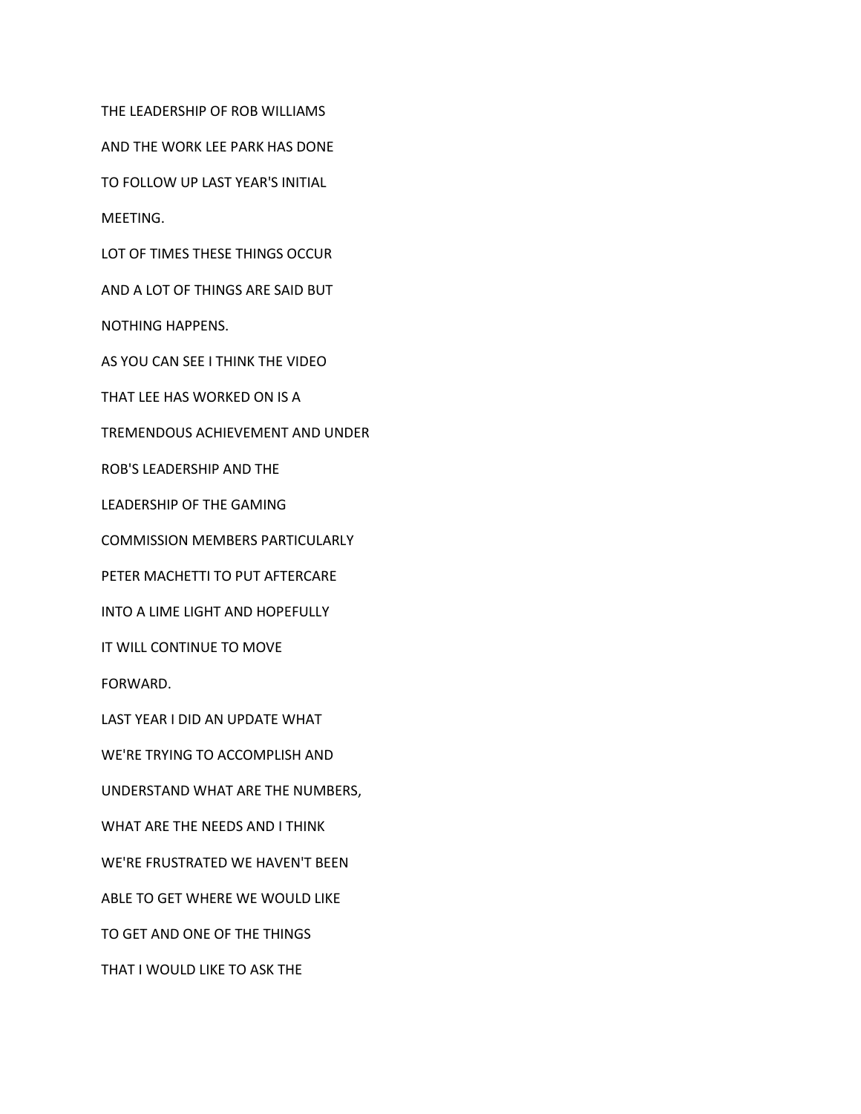THE LEADERSHIP OF ROB WILLIAMS

AND THE WORK LEE PARK HAS DONE

TO FOLLOW UP LAST YEAR'S INITIAL

MEETING.

LOT OF TIMES THESE THINGS OCCUR

AND A LOT OF THINGS ARE SAID BUT

NOTHING HAPPENS.

AS YOU CAN SEE I THINK THE VIDEO

THAT LEE HAS WORKED ON IS A

TREMENDOUS ACHIEVEMENT AND UNDER

ROB'S LEADERSHIP AND THE

LEADERSHIP OF THE GAMING

COMMISSION MEMBERS PARTICULARLY

PETER MACHETTI TO PUT AFTERCARE

INTO A LIME LIGHT AND HOPEFULLY

IT WILL CONTINUE TO MOVE

FORWARD.

LAST YEAR I DID AN UPDATE WHAT

WE'RE TRYING TO ACCOMPLISH AND

UNDERSTAND WHAT ARE THE NUMBERS,

WHAT ARE THE NEEDS AND I THINK

WE'RE FRUSTRATED WE HAVEN'T BEEN

ABLE TO GET WHERE WE WOULD LIKE

TO GET AND ONE OF THE THINGS

THAT I WOULD LIKE TO ASK THE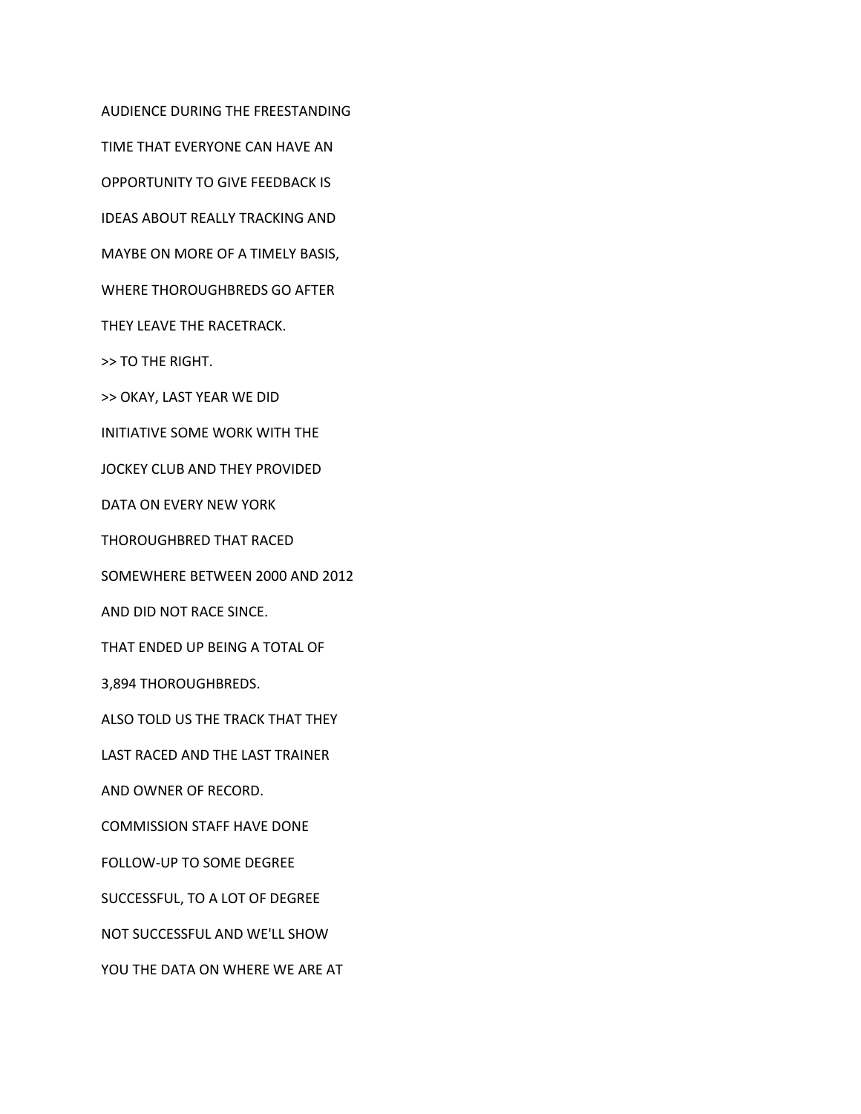TIME THAT EVERYONE CAN HAVE AN OPPORTUNITY TO GIVE FEEDBACK IS IDEAS ABOUT REALLY TRACKING AND MAYBE ON MORE OF A TIMELY BASIS, WHERE THOROUGHBREDS GO AFTER THEY LEAVE THE RACETRACK. >> TO THE RIGHT. >> OKAY, LAST YEAR WE DID INITIATIVE SOME WORK WITH THE JOCKEY CLUB AND THEY PROVIDED DATA ON EVERY NEW YORK THOROUGHBRED THAT RACED SOMEWHERE BETWEEN 2000 AND 2012 AND DID NOT RACE SINCE. THAT ENDED UP BEING A TOTAL OF 3,894 THOROUGHBREDS. ALSO TOLD US THE TRACK THAT THEY LAST RACED AND THE LAST TRAINER AND OWNER OF RECORD. COMMISSION STAFF HAVE DONE FOLLOW-UP TO SOME DEGREE SUCCESSFUL, TO A LOT OF DEGREE NOT SUCCESSFUL AND WE'LL SHOW YOU THE DATA ON WHERE WE ARE AT

AUDIENCE DURING THE FREESTANDING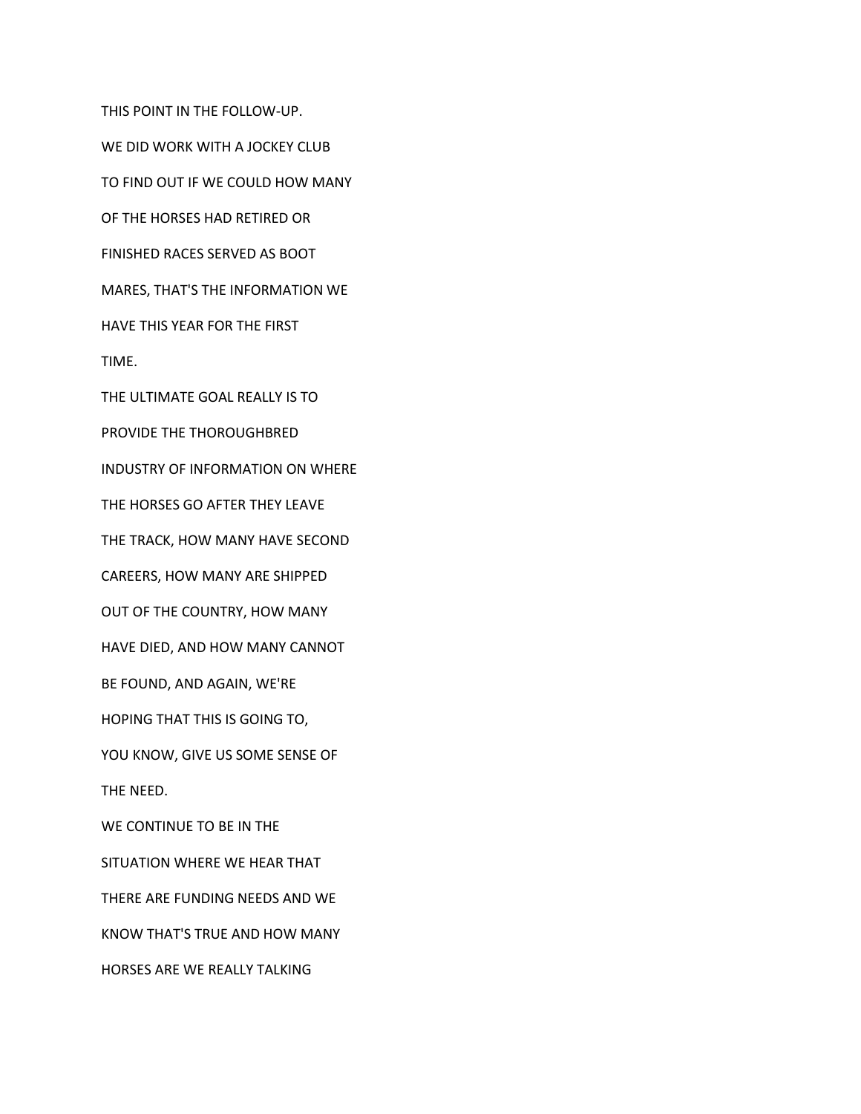THIS POINT IN THE FOLLOW-UP. WE DID WORK WITH A JOCKEY CLUB TO FIND OUT IF WE COULD HOW MANY OF THE HORSES HAD RETIRED OR FINISHED RACES SERVED AS BOOT MARES, THAT'S THE INFORMATION WE HAVE THIS YEAR FOR THE FIRST TIME. THE ULTIMATE GOAL REALLY IS TO PROVIDE THE THOROUGHBRED INDUSTRY OF INFORMATION ON WHERE THE HORSES GO AFTER THEY LEAVE THE TRACK, HOW MANY HAVE SECOND CAREERS, HOW MANY ARE SHIPPED OUT OF THE COUNTRY, HOW MANY HAVE DIED, AND HOW MANY CANNOT BE FOUND, AND AGAIN, WE'RE HOPING THAT THIS IS GOING TO, YOU KNOW, GIVE US SOME SENSE OF THE NEED. WE CONTINUE TO BE IN THE SITUATION WHERE WE HEAR THAT THERE ARE FUNDING NEEDS AND WE KNOW THAT'S TRUE AND HOW MANY HORSES ARE WE REALLY TALKING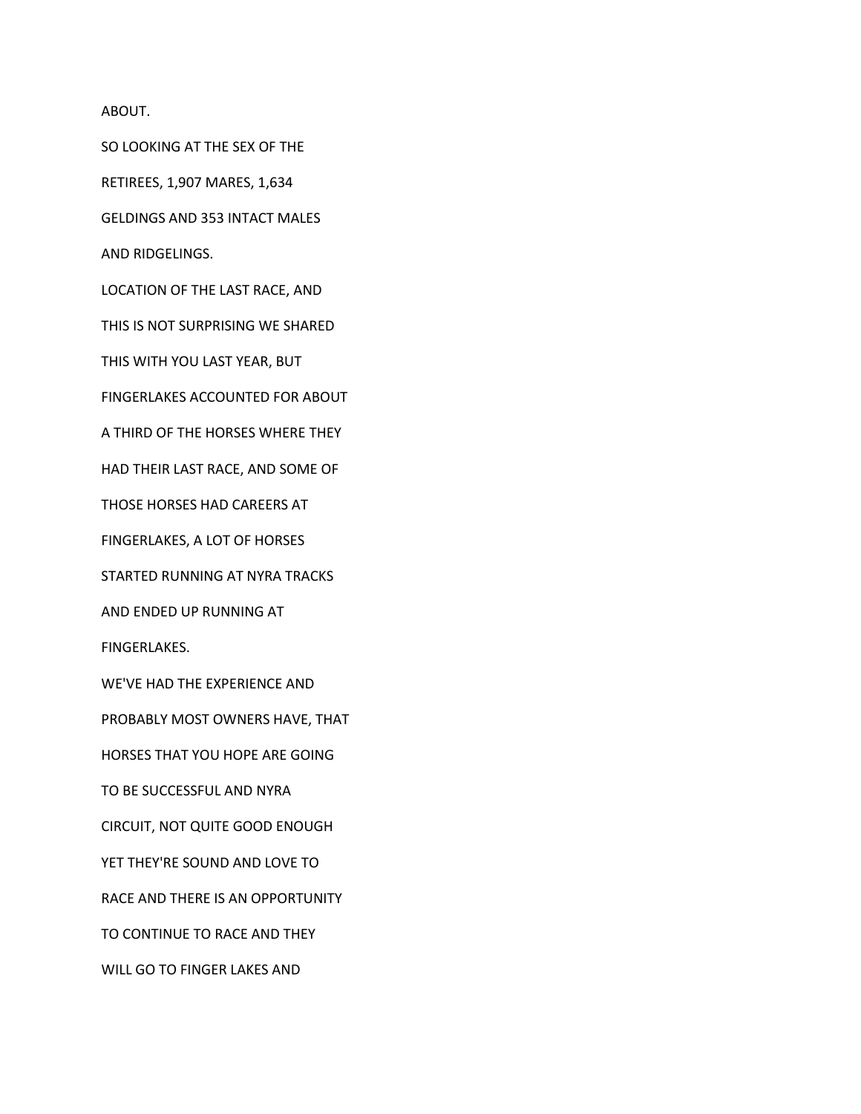ABOUT.

SO LOOKING AT THE SEX OF THE

RETIREES, 1,907 MARES, 1,634

GELDINGS AND 353 INTACT MALES

AND RIDGELINGS.

LOCATION OF THE LAST RACE, AND

THIS IS NOT SURPRISING WE SHARED

THIS WITH YOU LAST YEAR, BUT

FINGERLAKES ACCOUNTED FOR ABOUT

A THIRD OF THE HORSES WHERE THEY

HAD THEIR LAST RACE, AND SOME OF

THOSE HORSES HAD CAREERS AT

FINGERLAKES, A LOT OF HORSES

STARTED RUNNING AT NYRA TRACKS

AND ENDED UP RUNNING AT

FINGERLAKES.

WE'VE HAD THE EXPERIENCE AND

PROBABLY MOST OWNERS HAVE, THAT

HORSES THAT YOU HOPE ARE GOING

TO BE SUCCESSFUL AND NYRA

CIRCUIT, NOT QUITE GOOD ENOUGH

YET THEY'RE SOUND AND LOVE TO

RACE AND THERE IS AN OPPORTUNITY

TO CONTINUE TO RACE AND THEY

WILL GO TO FINGER LAKES AND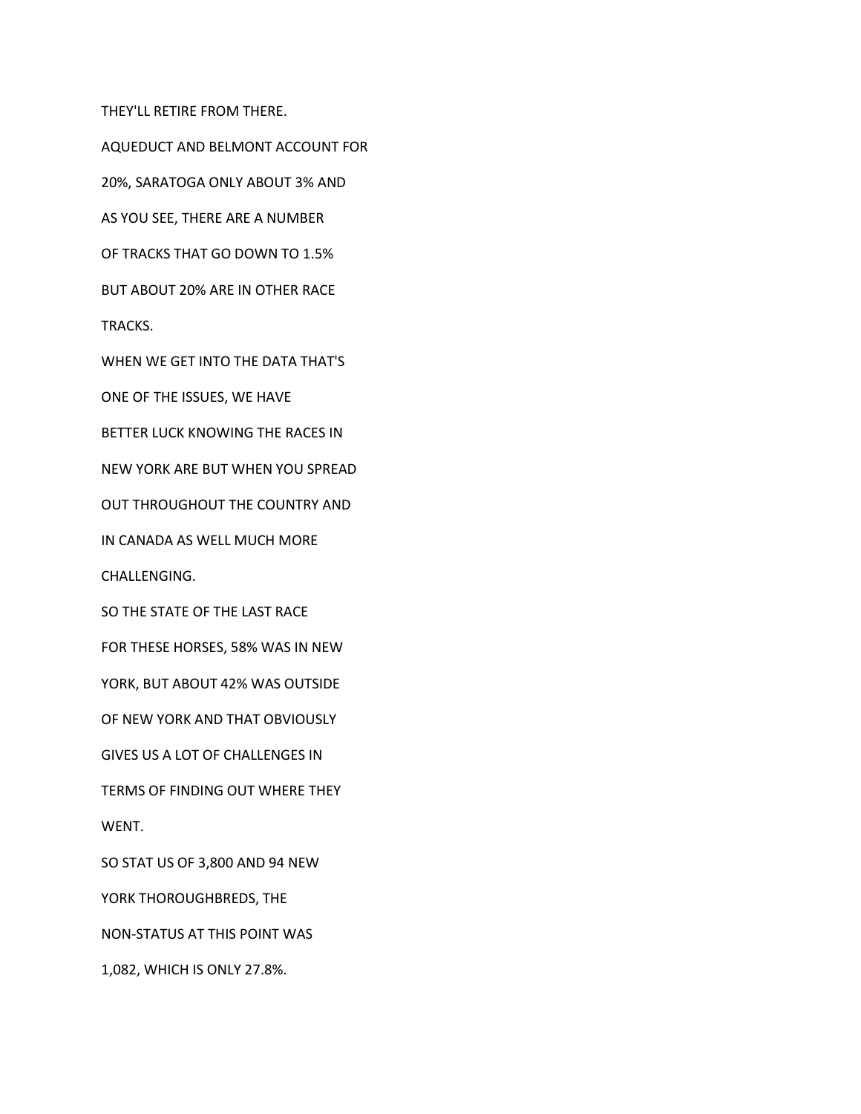THEY'LL RETIRE FROM THERE.

AQUEDUCT AND BELMONT ACCOUNT FOR

20%, SARATOGA ONLY ABOUT 3% AND

AS YOU SEE, THERE ARE A NUMBER

OF TRACKS THAT GO DOWN TO 1.5%

BUT ABOUT 20% ARE IN OTHER RACE

TRACKS.

WHEN WE GET INTO THE DATA THAT'S

ONE OF THE ISSUES, WE HAVE

BETTER LUCK KNOWING THE RACES IN

NEW YORK ARE BUT WHEN YOU SPREAD

OUT THROUGHOUT THE COUNTRY AND

IN CANADA AS WELL MUCH MORE

CHALLENGING.

SO THE STATE OF THE LAST RACE

FOR THESE HORSES, 58% WAS IN NEW

YORK, BUT ABOUT 42% WAS OUTSIDE

OF NEW YORK AND THAT OBVIOUSLY

GIVES US A LOT OF CHALLENGES IN

TERMS OF FINDING OUT WHERE THEY

WENT.

SO STAT US OF 3,800 AND 94 NEW

YORK THOROUGHBREDS, THE

NON-STATUS AT THIS POINT WAS

1,082, WHICH IS ONLY 27.8%.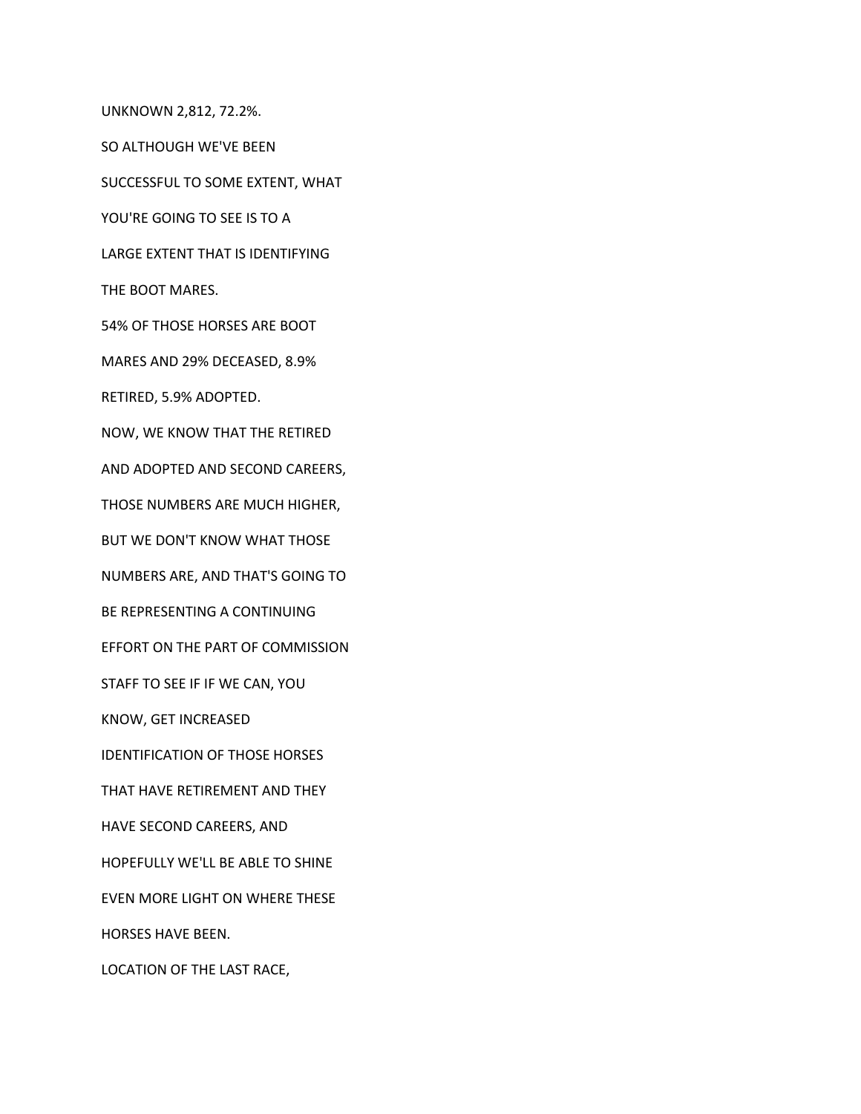UNKNOWN 2,812, 72.2%.

SO ALTHOUGH WE'VE BEEN

SUCCESSFUL TO SOME EXTENT, WHAT

YOU'RE GOING TO SEE IS TO A

LARGE EXTENT THAT IS IDENTIFYING

THE BOOT MARES.

54% OF THOSE HORSES ARE BOOT

MARES AND 29% DECEASED, 8.9%

RETIRED, 5.9% ADOPTED.

NOW, WE KNOW THAT THE RETIRED

AND ADOPTED AND SECOND CAREERS,

THOSE NUMBERS ARE MUCH HIGHER,

BUT WE DON'T KNOW WHAT THOSE

NUMBERS ARE, AND THAT'S GOING TO

BE REPRESENTING A CONTINUING

EFFORT ON THE PART OF COMMISSION

STAFF TO SEE IF IF WE CAN, YOU

KNOW, GET INCREASED

IDENTIFICATION OF THOSE HORSES

THAT HAVE RETIREMENT AND THEY

HAVE SECOND CAREERS, AND

HOPEFULLY WE'LL BE ABLE TO SHINE

EVEN MORE LIGHT ON WHERE THESE

HORSES HAVE BEEN.

LOCATION OF THE LAST RACE,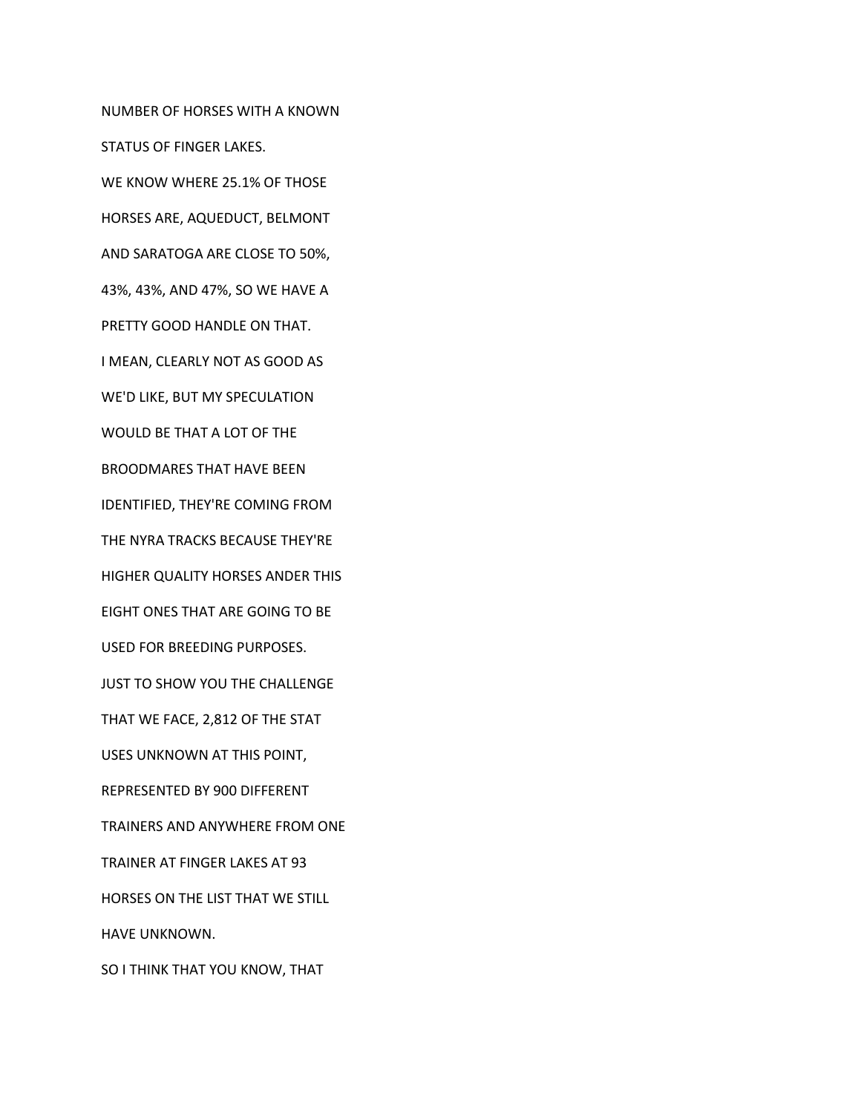NUMBER OF HORSES WITH A KNOWN STATUS OF FINGER LAKES. WE KNOW WHERE 25.1% OF THOSE HORSES ARE, AQUEDUCT, BELMONT AND SARATOGA ARE CLOSE TO 50%, 43%, 43%, AND 47%, SO WE HAVE A PRETTY GOOD HANDLE ON THAT. I MEAN, CLEARLY NOT AS GOOD AS WE'D LIKE, BUT MY SPECULATION WOULD BE THAT A LOT OF THE BROODMARES THAT HAVE BEEN IDENTIFIED, THEY'RE COMING FROM THE NYRA TRACKS BECAUSE THEY'RE HIGHER QUALITY HORSES ANDER THIS EIGHT ONES THAT ARE GOING TO BE USED FOR BREEDING PURPOSES. JUST TO SHOW YOU THE CHALLENGE THAT WE FACE, 2,812 OF THE STAT USES UNKNOWN AT THIS POINT, REPRESENTED BY 900 DIFFERENT TRAINERS AND ANYWHERE FROM ONE TRAINER AT FINGER LAKES AT 93 HORSES ON THE LIST THAT WE STILL HAVE UNKNOWN. SO I THINK THAT YOU KNOW, THAT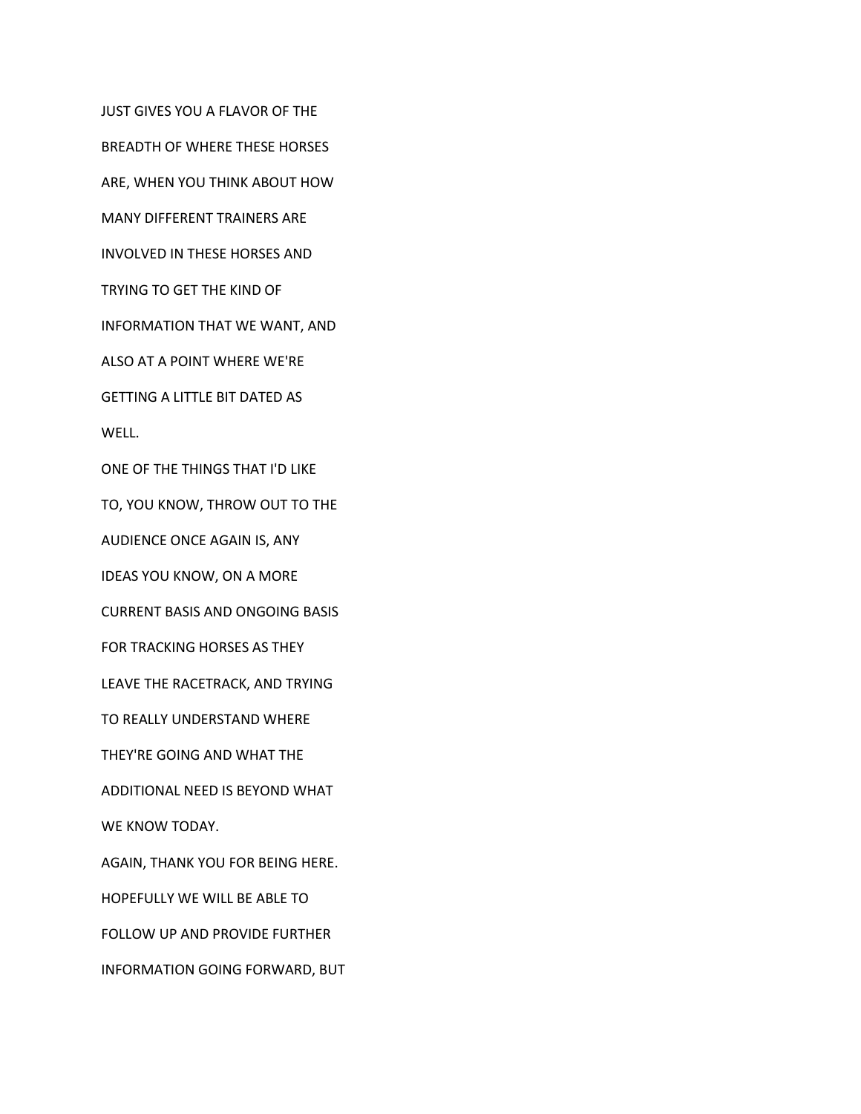JUST GIVES YOU A FLAVOR OF THE BREADTH OF WHERE THESE HORSES ARE, WHEN YOU THINK ABOUT HOW MANY DIFFERENT TRAINERS ARE INVOLVED IN THESE HORSES AND TRYING TO GET THE KIND OF INFORMATION THAT WE WANT, AND ALSO AT A POINT WHERE WE'RE GETTING A LITTLE BIT DATED AS WELL. ONE OF THE THINGS THAT I'D LIKE TO, YOU KNOW, THROW OUT TO THE AUDIENCE ONCE AGAIN IS, ANY IDEAS YOU KNOW, ON A MORE CURRENT BASIS AND ONGOING BASIS FOR TRACKING HORSES AS THEY LEAVE THE RACETRACK, AND TRYING TO REALLY UNDERSTAND WHERE THEY'RE GOING AND WHAT THE ADDITIONAL NEED IS BEYOND WHAT WE KNOW TODAY. AGAIN, THANK YOU FOR BEING HERE. HOPEFULLY WE WILL BE ABLE TO FOLLOW UP AND PROVIDE FURTHER INFORMATION GOING FORWARD, BUT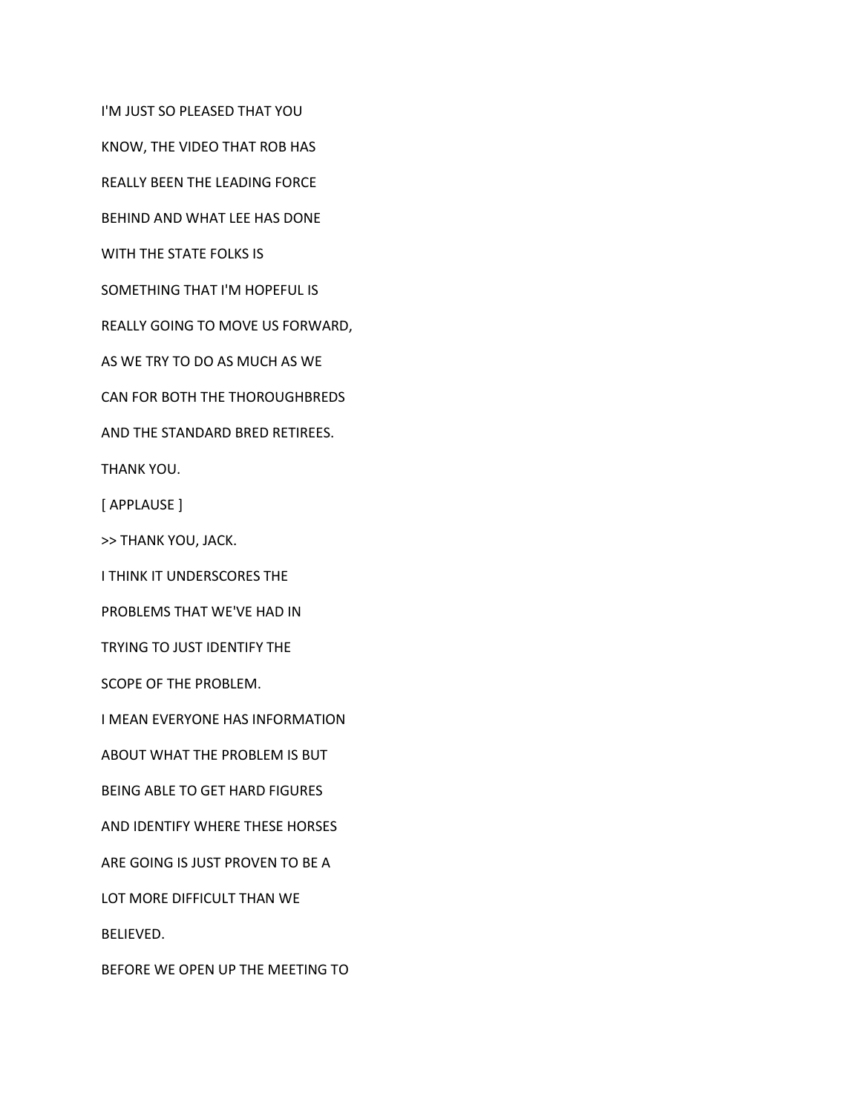I'M JUST SO PLEASED THAT YOU

KNOW, THE VIDEO THAT ROB HAS

REALLY BEEN THE LEADING FORCE

BEHIND AND WHAT LEE HAS DONE

WITH THE STATE FOLKS IS

SOMETHING THAT I'M HOPEFUL IS

REALLY GOING TO MOVE US FORWARD,

AS WE TRY TO DO AS MUCH AS WE

CAN FOR BOTH THE THOROUGHBREDS

AND THE STANDARD BRED RETIREES.

THANK YOU.

[ APPLAUSE ]

>> THANK YOU, JACK.

I THINK IT UNDERSCORES THE

PROBLEMS THAT WE'VE HAD IN

TRYING TO JUST IDENTIFY THE

SCOPE OF THE PROBLEM.

I MEAN EVERYONE HAS INFORMATION

ABOUT WHAT THE PROBLEM IS BUT

BEING ABLE TO GET HARD FIGURES

AND IDENTIFY WHERE THESE HORSES

ARE GOING IS JUST PROVEN TO BE A

LOT MORE DIFFICULT THAN WE

BELIEVED.

BEFORE WE OPEN UP THE MEETING TO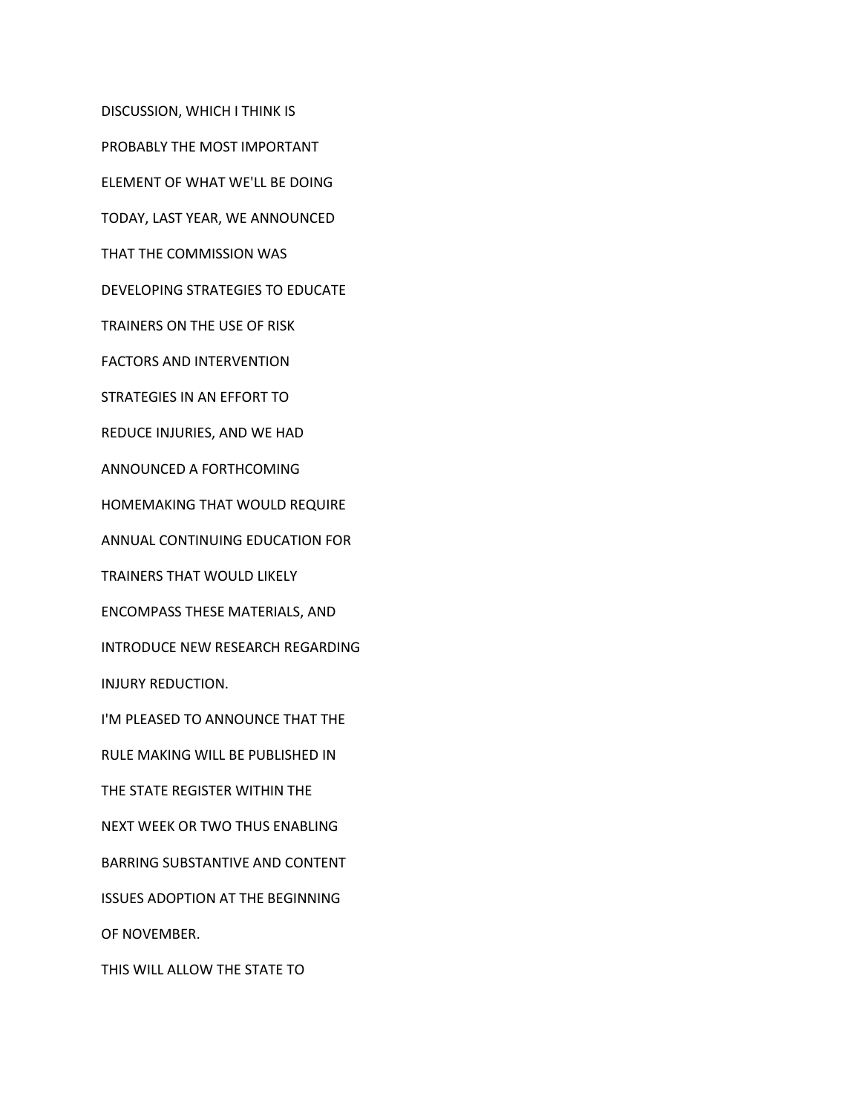DISCUSSION, WHICH I THINK IS

PROBABLY THE MOST IMPORTANT

ELEMENT OF WHAT WE'LL BE DOING

TODAY, LAST YEAR, WE ANNOUNCED

THAT THE COMMISSION WAS

DEVELOPING STRATEGIES TO EDUCATE

TRAINERS ON THE USE OF RISK

FACTORS AND INTERVENTION

STRATEGIES IN AN EFFORT TO

REDUCE INJURIES, AND WE HAD

ANNOUNCED A FORTHCOMING

HOMEMAKING THAT WOULD REQUIRE

ANNUAL CONTINUING EDUCATION FOR

TRAINERS THAT WOULD LIKELY

ENCOMPASS THESE MATERIALS, AND

INTRODUCE NEW RESEARCH REGARDING

INJURY REDUCTION.

I'M PLEASED TO ANNOUNCE THAT THE

RULE MAKING WILL BE PUBLISHED IN

THE STATE REGISTER WITHIN THE

NEXT WEEK OR TWO THUS ENABLING

BARRING SUBSTANTIVE AND CONTENT

ISSUES ADOPTION AT THE BEGINNING

OF NOVEMBER.

THIS WILL ALLOW THE STATE TO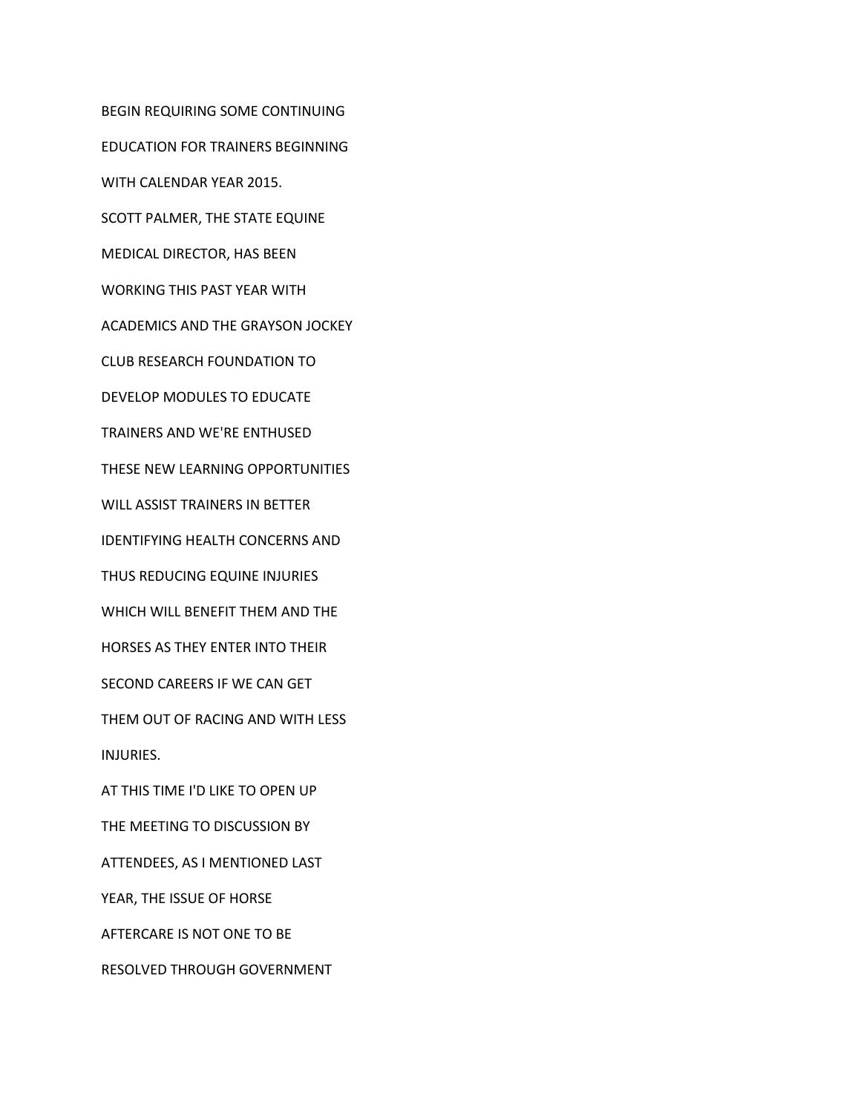BEGIN REQUIRING SOME CONTINUING EDUCATION FOR TRAINERS BEGINNING WITH CALENDAR YEAR 2015. SCOTT PALMER, THE STATE EQUINE MEDICAL DIRECTOR, HAS BEEN WORKING THIS PAST YEAR WITH ACADEMICS AND THE GRAYSON JOCKEY CLUB RESEARCH FOUNDATION TO DEVELOP MODULES TO EDUCATE TRAINERS AND WE'RE ENTHUSED THESE NEW LEARNING OPPORTUNITIES WILL ASSIST TRAINERS IN BETTER IDENTIFYING HEALTH CONCERNS AND THUS REDUCING EQUINE INJURIES WHICH WILL BENEFIT THEM AND THE HORSES AS THEY ENTER INTO THEIR SECOND CAREERS IF WE CAN GET THEM OUT OF RACING AND WITH LESS INJURIES. AT THIS TIME I'D LIKE TO OPEN UP THE MEETING TO DISCUSSION BY ATTENDEES, AS I MENTIONED LAST YEAR, THE ISSUE OF HORSE AFTERCARE IS NOT ONE TO BE RESOLVED THROUGH GOVERNMENT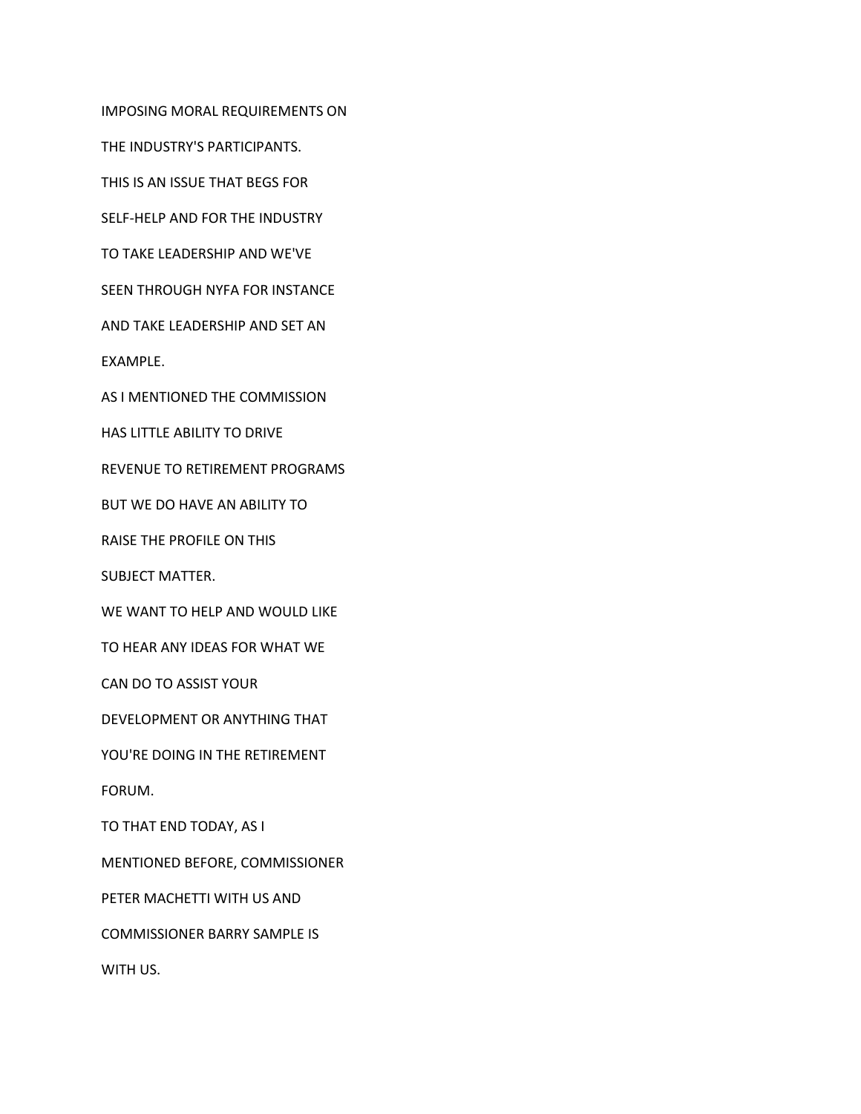IMPOSING MORAL REQUIREMENTS ON

THE INDUSTRY'S PARTICIPANTS.

THIS IS AN ISSUE THAT BEGS FOR

SELF-HELP AND FOR THE INDUSTRY

TO TAKE LEADERSHIP AND WE'VE

SEEN THROUGH NYFA FOR INSTANCE

AND TAKE LEADERSHIP AND SET AN

EXAMPLE.

AS I MENTIONED THE COMMISSION

HAS LITTLE ABILITY TO DRIVE

REVENUE TO RETIREMENT PROGRAMS

BUT WE DO HAVE AN ABILITY TO

RAISE THE PROFILE ON THIS

SUBJECT MATTER.

WE WANT TO HELP AND WOULD LIKE

TO HEAR ANY IDEAS FOR WHAT WE

CAN DO TO ASSIST YOUR

DEVELOPMENT OR ANYTHING THAT

YOU'RE DOING IN THE RETIREMENT

FORUM.

TO THAT END TODAY, AS I

MENTIONED BEFORE, COMMISSIONER

PETER MACHETTI WITH US AND

COMMISSIONER BARRY SAMPLE IS

WITH US.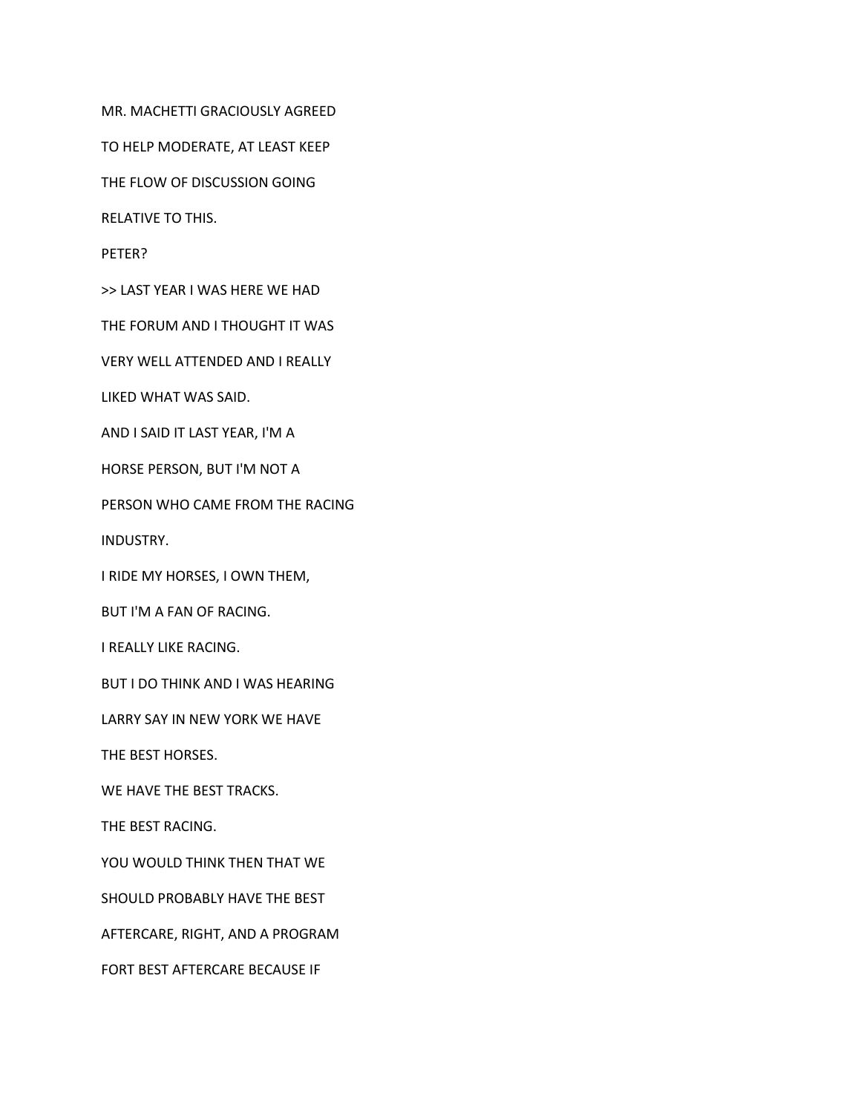MR. MACHETTI GRACIOUSLY AGREED

TO HELP MODERATE, AT LEAST KEEP

THE FLOW OF DISCUSSION GOING

RELATIVE TO THIS.

PETER?

>> LAST YEAR I WAS HERE WE HAD

THE FORUM AND I THOUGHT IT WAS

VERY WELL ATTENDED AND I REALLY

LIKED WHAT WAS SAID.

AND I SAID IT LAST YEAR, I'M A

HORSE PERSON, BUT I'M NOT A

PERSON WHO CAME FROM THE RACING

INDUSTRY.

I RIDE MY HORSES, I OWN THEM,

BUT I'M A FAN OF RACING.

I REALLY LIKE RACING.

BUT I DO THINK AND I WAS HEARING

LARRY SAY IN NEW YORK WE HAVE

THE BEST HORSES.

WE HAVE THE BEST TRACKS.

THE BEST RACING.

YOU WOULD THINK THEN THAT WE

SHOULD PROBABLY HAVE THE BEST

AFTERCARE, RIGHT, AND A PROGRAM

FORT BEST AFTERCARE BECAUSE IF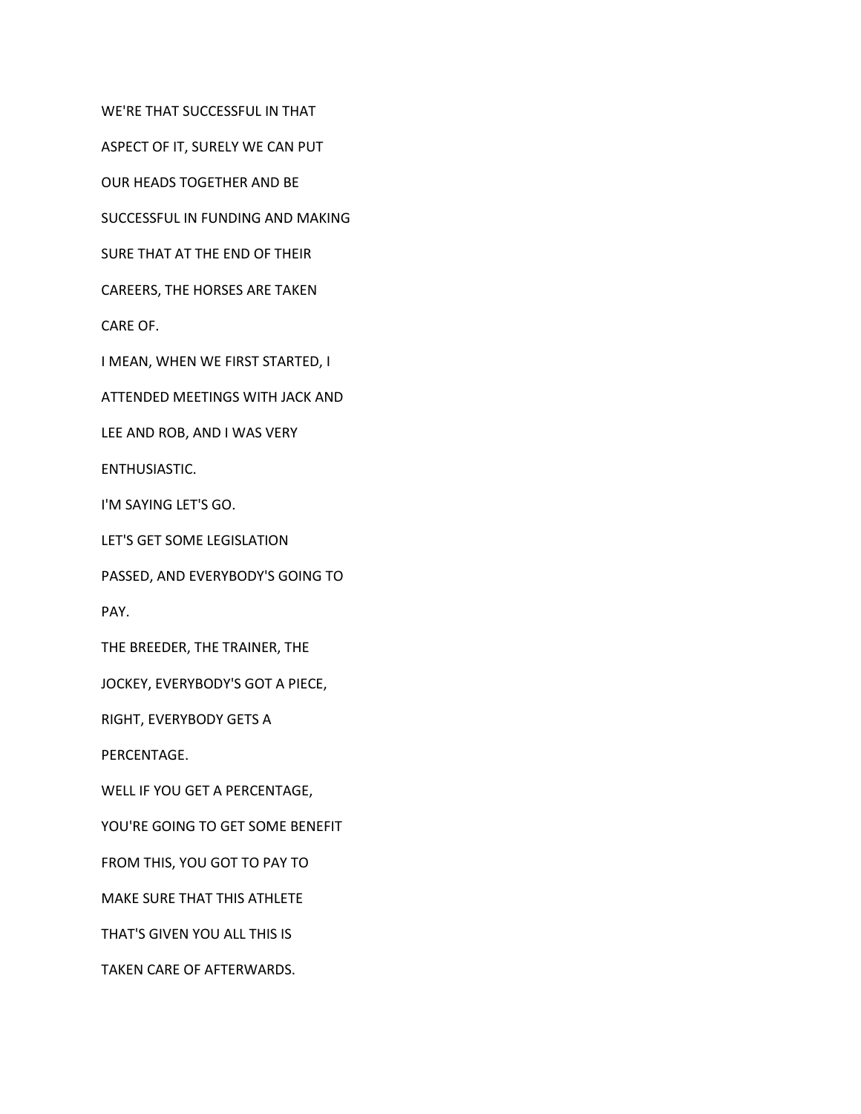WE'RE THAT SUCCESSFUL IN THAT

ASPECT OF IT, SURELY WE CAN PUT

OUR HEADS TOGETHER AND BE

SUCCESSFUL IN FUNDING AND MAKING

SURE THAT AT THE END OF THEIR

CAREERS, THE HORSES ARE TAKEN

CARE OF.

I MEAN, WHEN WE FIRST STARTED, I

ATTENDED MEETINGS WITH JACK AND

LEE AND ROB, AND I WAS VERY

ENTHUSIASTIC.

I'M SAYING LET'S GO.

LET'S GET SOME LEGISLATION

PASSED, AND EVERYBODY'S GOING TO

PAY.

THE BREEDER, THE TRAINER, THE

JOCKEY, EVERYBODY'S GOT A PIECE,

RIGHT, EVERYBODY GETS A

PERCENTAGE.

WELL IF YOU GET A PERCENTAGE,

YOU'RE GOING TO GET SOME BENEFIT

FROM THIS, YOU GOT TO PAY TO

MAKE SURE THAT THIS ATHLETE

THAT'S GIVEN YOU ALL THIS IS

TAKEN CARE OF AFTERWARDS.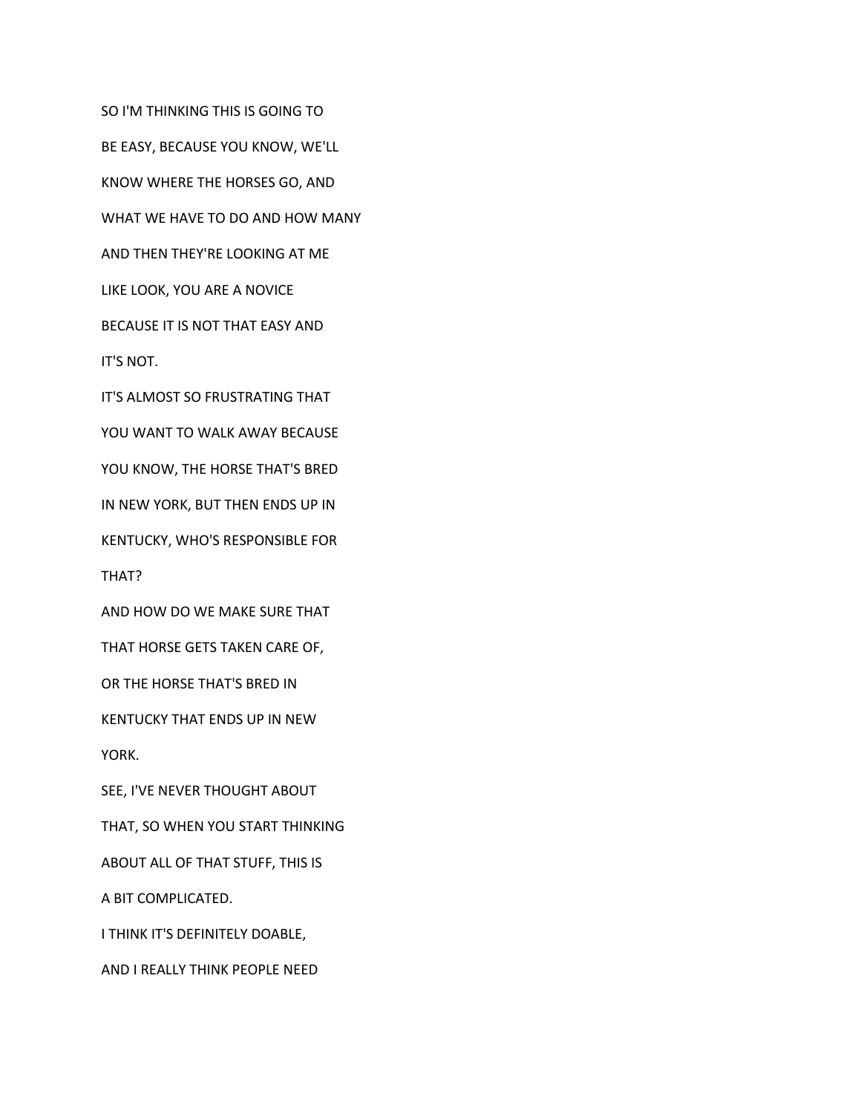SO I'M THINKING THIS IS GOING TO BE EASY, BECAUSE YOU KNOW, WE'LL KNOW WHERE THE HORSES GO, AND WHAT WE HAVE TO DO AND HOW MANY AND THEN THEY'RE LOOKING AT ME LIKE LOOK, YOU ARE A NOVICE BECAUSE IT IS NOT THAT EASY AND IT'S NOT. IT'S ALMOST SO FRUSTRATING THAT YOU WANT TO WALK AWAY BECAUSE YOU KNOW, THE HORSE THAT'S BRED IN NEW YORK, BUT THEN ENDS UP IN KENTUCKY, WHO'S RESPONSIBLE FOR

THAT?

AND HOW DO WE MAKE SURE THAT

THAT HORSE GETS TAKEN CARE OF,

OR THE HORSE THAT'S BRED IN

KENTUCKY THAT ENDS UP IN NEW

YORK.

SEE, I'VE NEVER THOUGHT ABOUT

THAT, SO WHEN YOU START THINKING

ABOUT ALL OF THAT STUFF, THIS IS

A BIT COMPLICATED.

I THINK IT'S DEFINITELY DOABLE,

AND I REALLY THINK PEOPLE NEED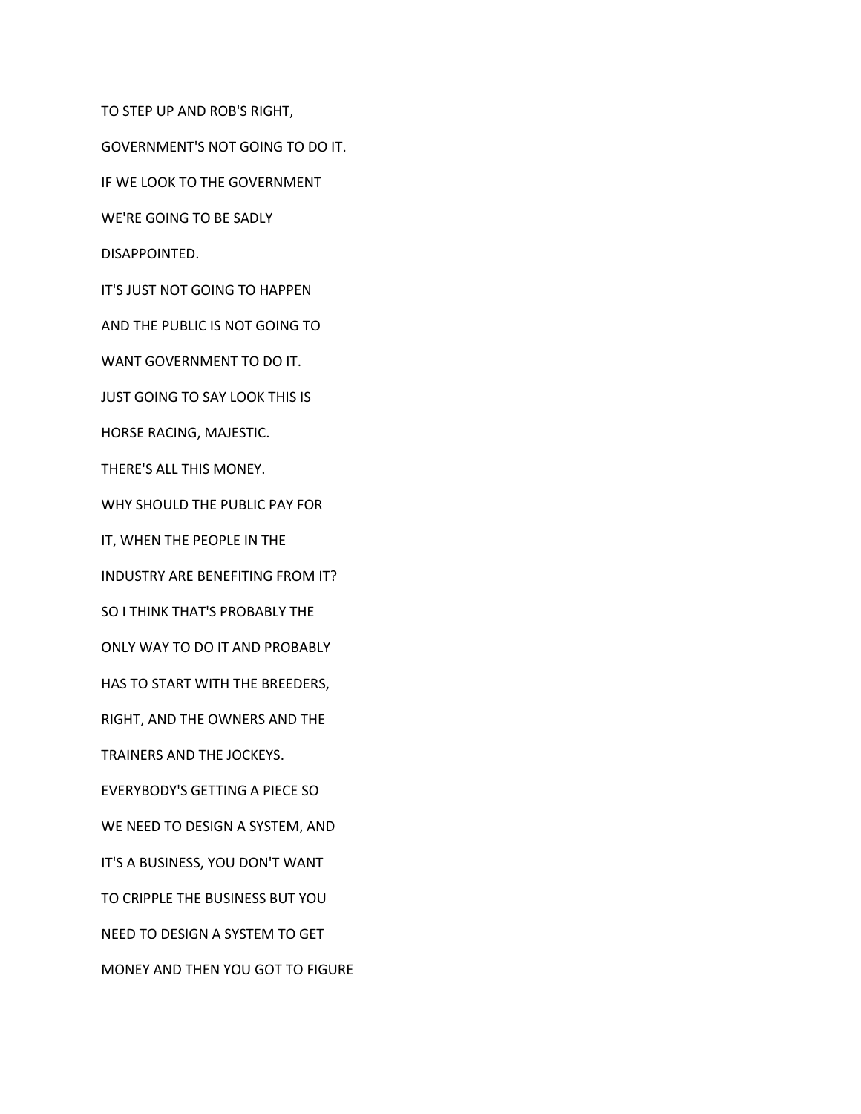TO STEP UP AND ROB'S RIGHT, GOVERNMENT'S NOT GOING TO DO IT. IF WE LOOK TO THE GOVERNMENT WE'RE GOING TO BE SADLY DISAPPOINTED. IT'S JUST NOT GOING TO HAPPEN AND THE PUBLIC IS NOT GOING TO WANT GOVERNMENT TO DO IT. JUST GOING TO SAY LOOK THIS IS HORSE RACING, MAJESTIC. THERE'S ALL THIS MONEY. WHY SHOULD THE PUBLIC PAY FOR IT, WHEN THE PEOPLE IN THE INDUSTRY ARE BENEFITING FROM IT? SO I THINK THAT'S PROBABLY THE ONLY WAY TO DO IT AND PROBABLY HAS TO START WITH THE BREEDERS, RIGHT, AND THE OWNERS AND THE TRAINERS AND THE JOCKEYS. EVERYBODY'S GETTING A PIECE SO WE NEED TO DESIGN A SYSTEM, AND IT'S A BUSINESS, YOU DON'T WANT TO CRIPPLE THE BUSINESS BUT YOU NEED TO DESIGN A SYSTEM TO GET MONEY AND THEN YOU GOT TO FIGURE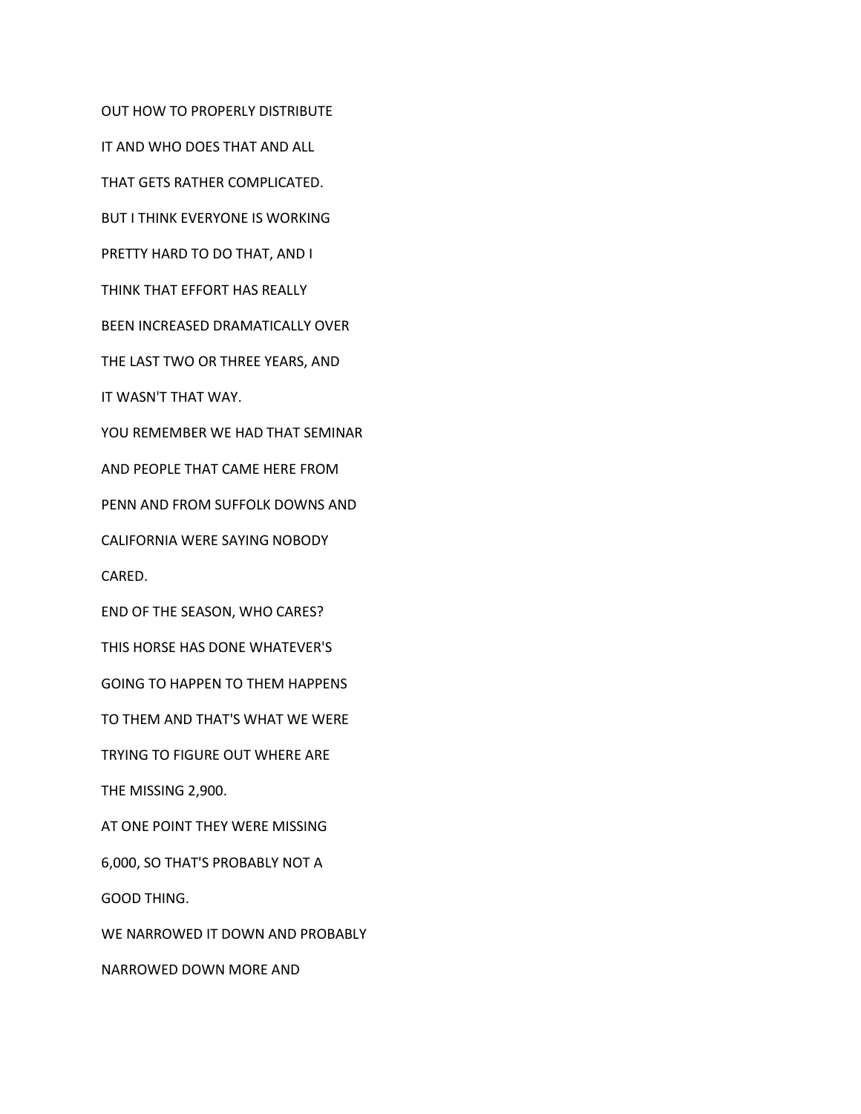OUT HOW TO PROPERLY DISTRIBUTE IT AND WHO DOES THAT AND ALL THAT GETS RATHER COMPLICATED. BUT I THINK EVERYONE IS WORKING PRETTY HARD TO DO THAT, AND I THINK THAT EFFORT HAS REALLY BEEN INCREASED DRAMATICALLY OVER THE LAST TWO OR THREE YEARS, AND IT WASN'T THAT WAY. YOU REMEMBER WE HAD THAT SEMINAR AND PEOPLE THAT CAME HERE FROM PENN AND FROM SUFFOLK DOWNS AND CALIFORNIA WERE SAYING NOBODY CARED. END OF THE SEASON, WHO CARES? THIS HORSE HAS DONE WHATEVER'S GOING TO HAPPEN TO THEM HAPPENS TO THEM AND THAT'S WHAT WE WERE TRYING TO FIGURE OUT WHERE ARE THE MISSING 2,900. AT ONE POINT THEY WERE MISSING 6,000, SO THAT'S PROBABLY NOT A GOOD THING. WE NARROWED IT DOWN AND PROBABLY NARROWED DOWN MORE AND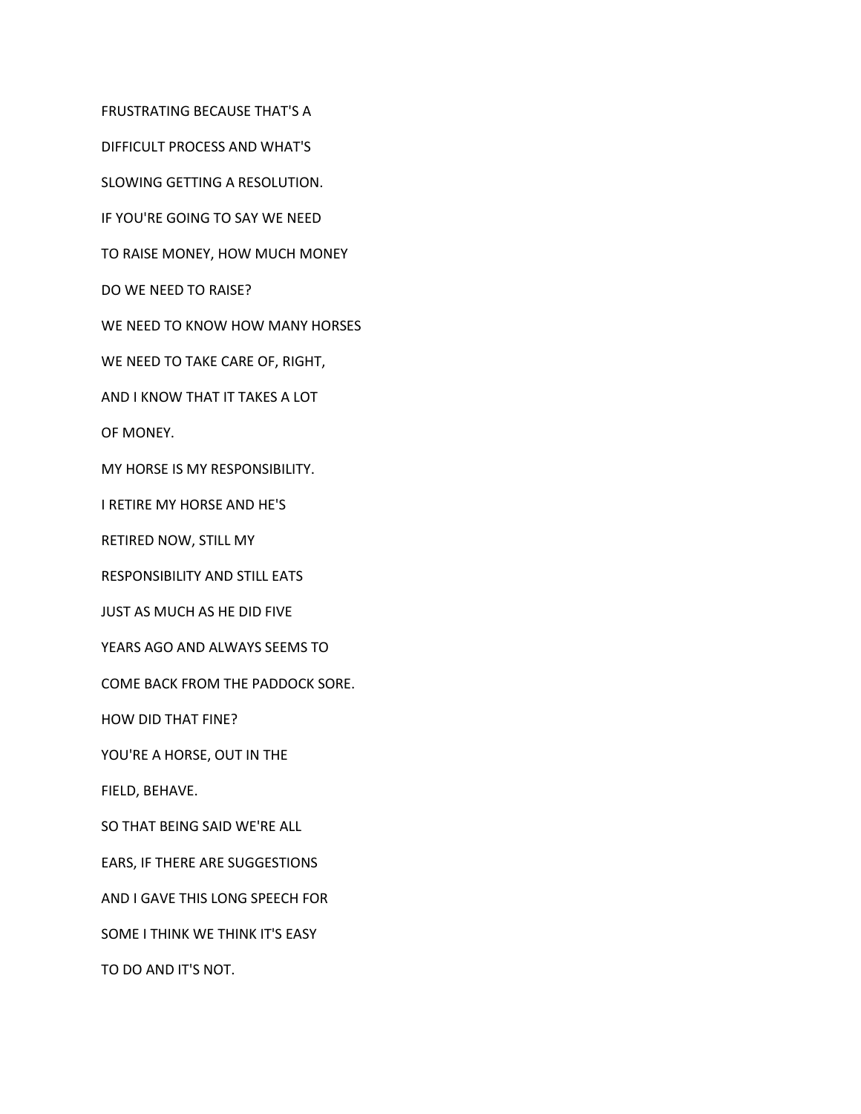FRUSTRATING BECAUSE THAT'S A

DIFFICULT PROCESS AND WHAT'S

SLOWING GETTING A RESOLUTION.

IF YOU'RE GOING TO SAY WE NEED

TO RAISE MONEY, HOW MUCH MONEY

DO WE NEED TO RAISE?

WE NEED TO KNOW HOW MANY HORSES

WE NEED TO TAKE CARE OF, RIGHT,

AND I KNOW THAT IT TAKES A LOT

OF MONEY.

MY HORSE IS MY RESPONSIBILITY.

I RETIRE MY HORSE AND HE'S

RETIRED NOW, STILL MY

RESPONSIBILITY AND STILL EATS

JUST AS MUCH AS HE DID FIVE

YEARS AGO AND ALWAYS SEEMS TO

COME BACK FROM THE PADDOCK SORE.

HOW DID THAT FINE?

YOU'RE A HORSE, OUT IN THE

FIELD, BEHAVE.

SO THAT BEING SAID WE'RE ALL

EARS, IF THERE ARE SUGGESTIONS

AND I GAVE THIS LONG SPEECH FOR

SOME I THINK WE THINK IT'S EASY

TO DO AND IT'S NOT.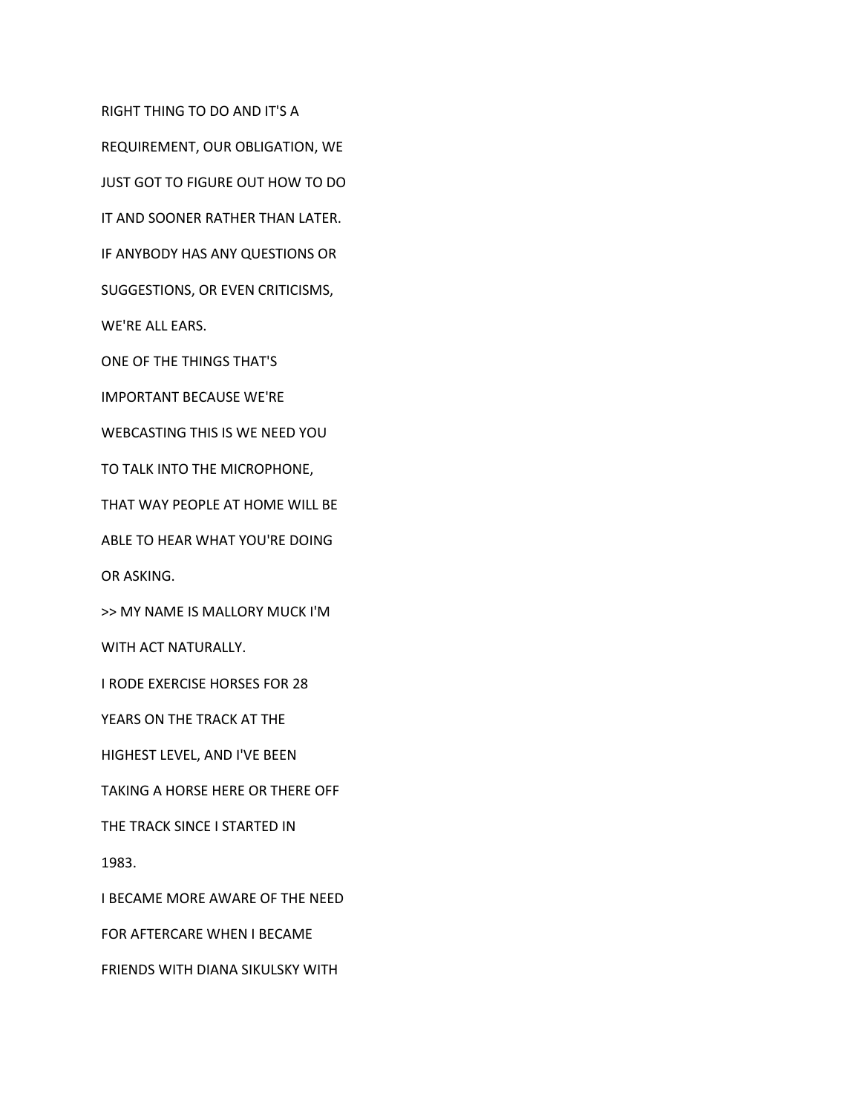REQUIREMENT, OUR OBLIGATION, WE JUST GOT TO FIGURE OUT HOW TO DO IT AND SOONER RATHER THAN LATER. IF ANYBODY HAS ANY QUESTIONS OR SUGGESTIONS, OR EVEN CRITICISMS, WE'RE ALL EARS. ONE OF THE THINGS THAT'S IMPORTANT BECAUSE WE'RE WEBCASTING THIS IS WE NEED YOU TO TALK INTO THE MICROPHONE, THAT WAY PEOPLE AT HOME WILL BE ABLE TO HEAR WHAT YOU'RE DOING

RIGHT THING TO DO AND IT'S A

OR ASKING.

>> MY NAME IS MALLORY MUCK I'M

WITH ACT NATURALLY.

I RODE EXERCISE HORSES FOR 28

YEARS ON THE TRACK AT THE

HIGHEST LEVEL, AND I'VE BEEN

TAKING A HORSE HERE OR THERE OFF

THE TRACK SINCE I STARTED IN

1983.

I BECAME MORE AWARE OF THE NEED

FOR AFTERCARE WHEN I BECAME

FRIENDS WITH DIANA SIKULSKY WITH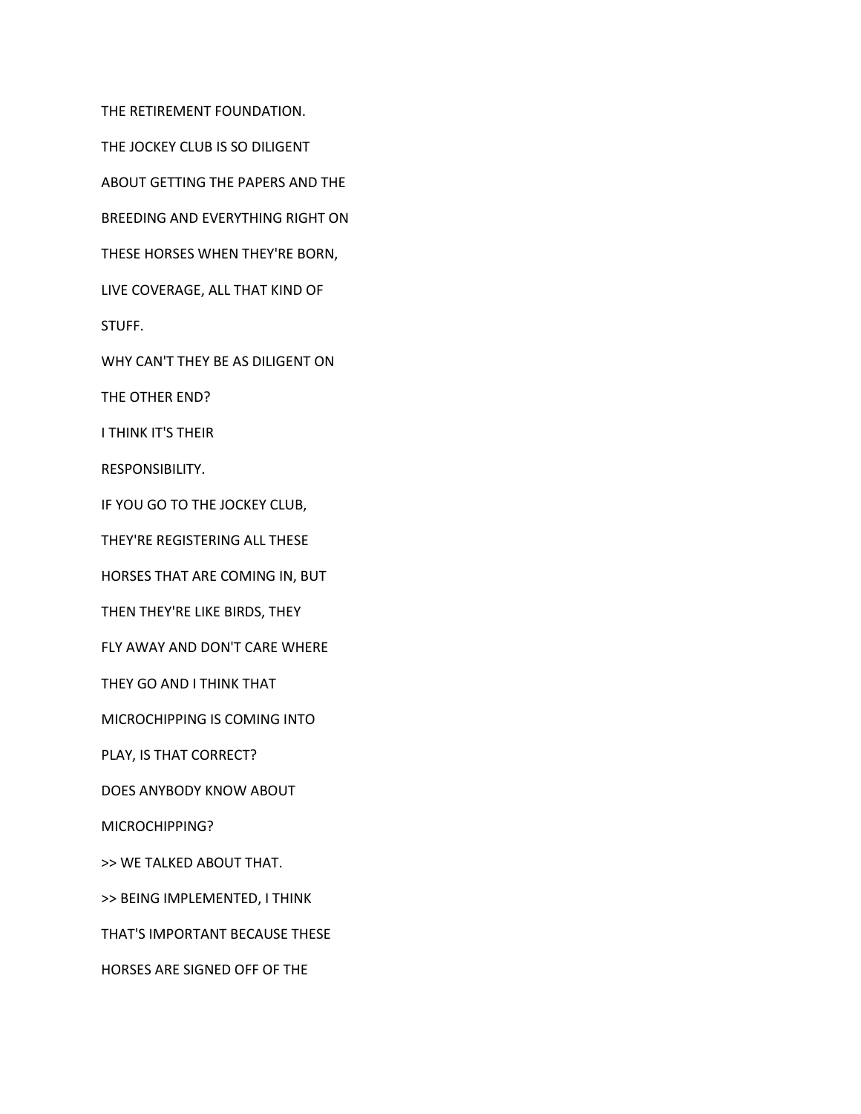THE RETIREMENT FOUNDATION. THE JOCKEY CLUB IS SO DILIGENT ABOUT GETTING THE PAPERS AND THE BREEDING AND EVERYTHING RIGHT ON THESE HORSES WHEN THEY'RE BORN, LIVE COVERAGE, ALL THAT KIND OF STUFF. WHY CAN'T THEY BE AS DILIGENT ON THE OTHER END? I THINK IT'S THEIR RESPONSIBILITY. IF YOU GO TO THE JOCKEY CLUB, THEY'RE REGISTERING ALL THESE HORSES THAT ARE COMING IN, BUT THEN THEY'RE LIKE BIRDS, THEY FLY AWAY AND DON'T CARE WHERE THEY GO AND I THINK THAT MICROCHIPPING IS COMING INTO PLAY, IS THAT CORRECT? DOES ANYBODY KNOW ABOUT MICROCHIPPING? >> WE TALKED ABOUT THAT. >> BEING IMPLEMENTED, I THINK THAT'S IMPORTANT BECAUSE THESE HORSES ARE SIGNED OFF OF THE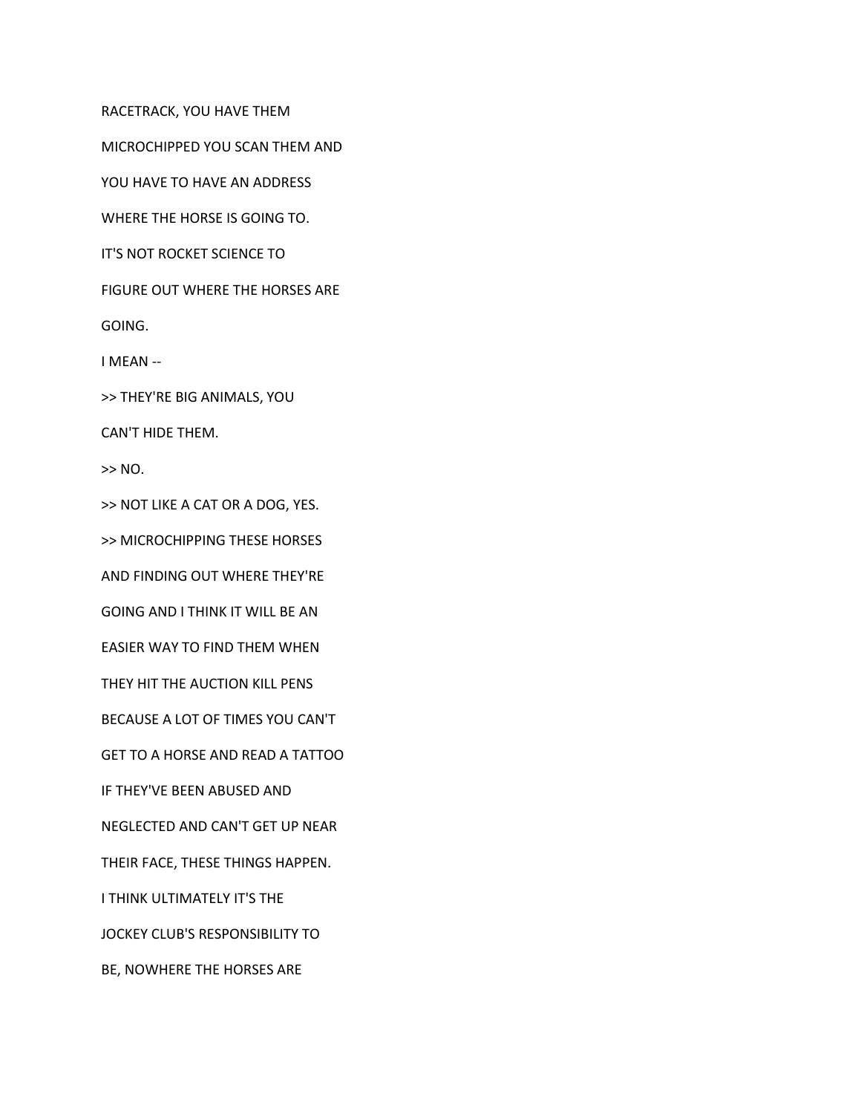RACETRACK, YOU HAVE THEM

MICROCHIPPED YOU SCAN THEM AND

YOU HAVE TO HAVE AN ADDRESS

WHERE THE HORSE IS GOING TO.

IT'S NOT ROCKET SCIENCE TO

FIGURE OUT WHERE THE HORSES ARE

GOING.

I MEAN --

>> THEY'RE BIG ANIMALS, YOU

CAN'T HIDE THEM.

 $>> NO.$ 

>> NOT LIKE A CAT OR A DOG, YES.

>> MICROCHIPPING THESE HORSES

AND FINDING OUT WHERE THEY'RE

GOING AND I THINK IT WILL BE AN

EASIER WAY TO FIND THEM WHEN

THEY HIT THE AUCTION KILL PENS

BECAUSE A LOT OF TIMES YOU CAN'T

GET TO A HORSE AND READ A TATTOO

IF THEY'VE BEEN ABUSED AND

NEGLECTED AND CAN'T GET UP NEAR

THEIR FACE, THESE THINGS HAPPEN.

I THINK ULTIMATELY IT'S THE

JOCKEY CLUB'S RESPONSIBILITY TO

BE, NOWHERE THE HORSES ARE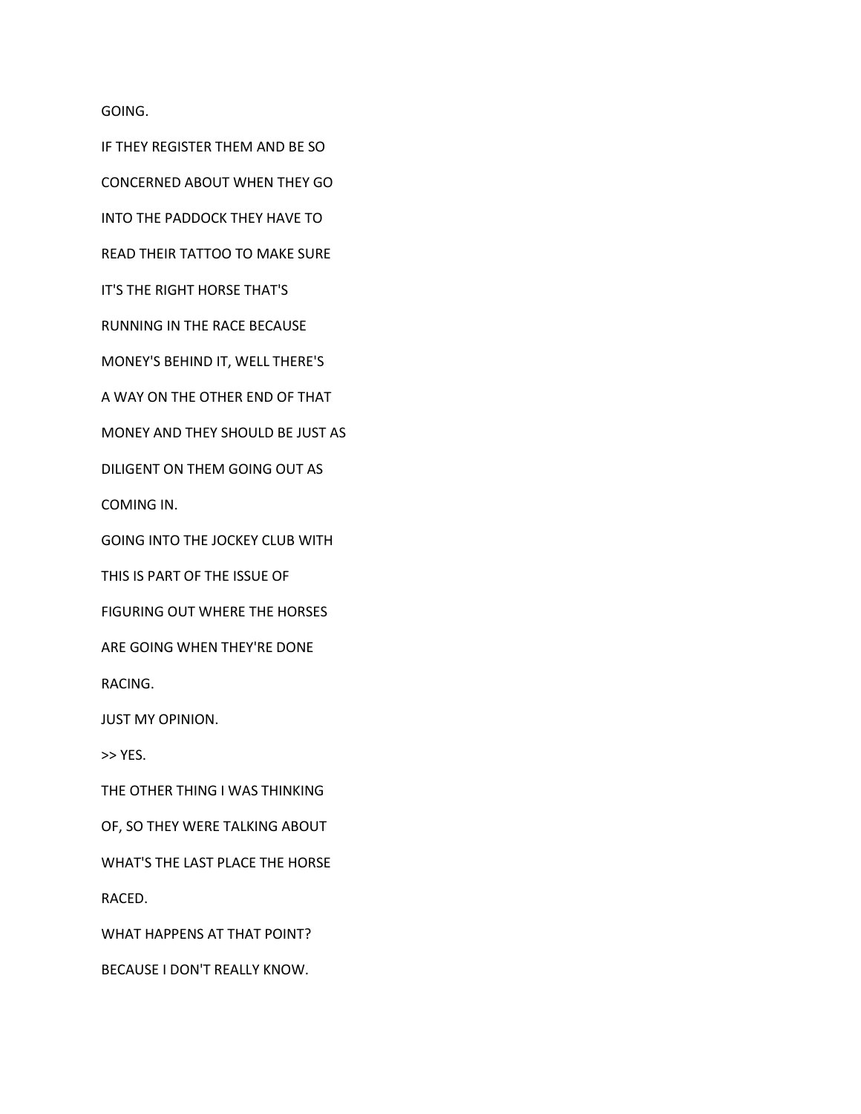GOING.

IF THEY REGISTER THEM AND BE SO

CONCERNED ABOUT WHEN THEY GO

INTO THE PADDOCK THEY HAVE TO

READ THEIR TATTOO TO MAKE SURE

IT'S THE RIGHT HORSE THAT'S

RUNNING IN THE RACE BECAUSE

MONEY'S BEHIND IT, WELL THERE'S

A WAY ON THE OTHER END OF THAT

MONEY AND THEY SHOULD BE JUST AS

DILIGENT ON THEM GOING OUT AS

COMING IN.

GOING INTO THE JOCKEY CLUB WITH

THIS IS PART OF THE ISSUE OF

FIGURING OUT WHERE THE HORSES

ARE GOING WHEN THEY'RE DONE

RACING.

JUST MY OPINION.

>> YES.

THE OTHER THING I WAS THINKING

OF, SO THEY WERE TALKING ABOUT

WHAT'S THE LAST PLACE THE HORSE

RACED.

WHAT HAPPENS AT THAT POINT?

BECAUSE I DON'T REALLY KNOW.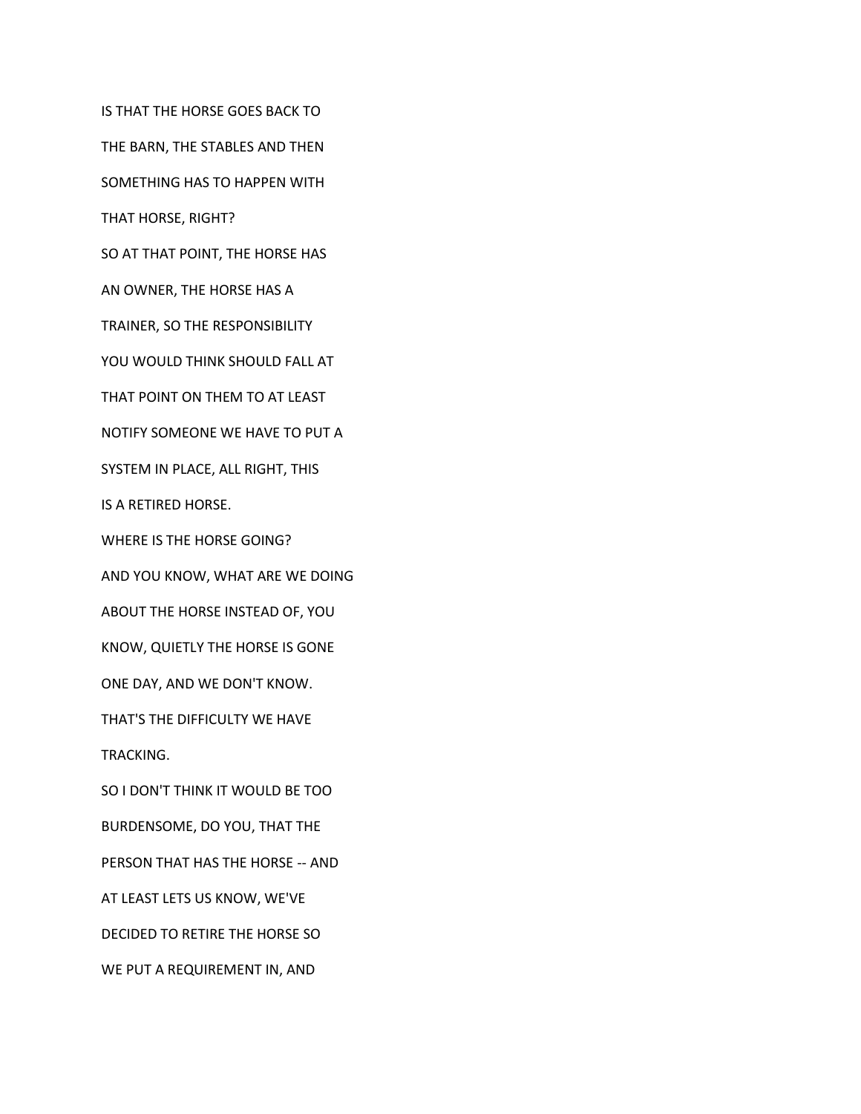IS THAT THE HORSE GOES BACK TO

THE BARN, THE STABLES AND THEN

SOMETHING HAS TO HAPPEN WITH

THAT HORSE, RIGHT?

SO AT THAT POINT, THE HORSE HAS

AN OWNER, THE HORSE HAS A

TRAINER, SO THE RESPONSIBILITY

YOU WOULD THINK SHOULD FALL AT

THAT POINT ON THEM TO AT LEAST

NOTIFY SOMEONE WE HAVE TO PUT A

SYSTEM IN PLACE, ALL RIGHT, THIS

IS A RETIRED HORSE.

WHERE IS THE HORSE GOING?

AND YOU KNOW, WHAT ARE WE DOING

ABOUT THE HORSE INSTEAD OF, YOU

KNOW, QUIETLY THE HORSE IS GONE

ONE DAY, AND WE DON'T KNOW.

THAT'S THE DIFFICULTY WE HAVE

TRACKING.

SO I DON'T THINK IT WOULD BE TOO

BURDENSOME, DO YOU, THAT THE

PERSON THAT HAS THE HORSE -- AND

AT LEAST LETS US KNOW, WE'VE

DECIDED TO RETIRE THE HORSE SO

WE PUT A REQUIREMENT IN, AND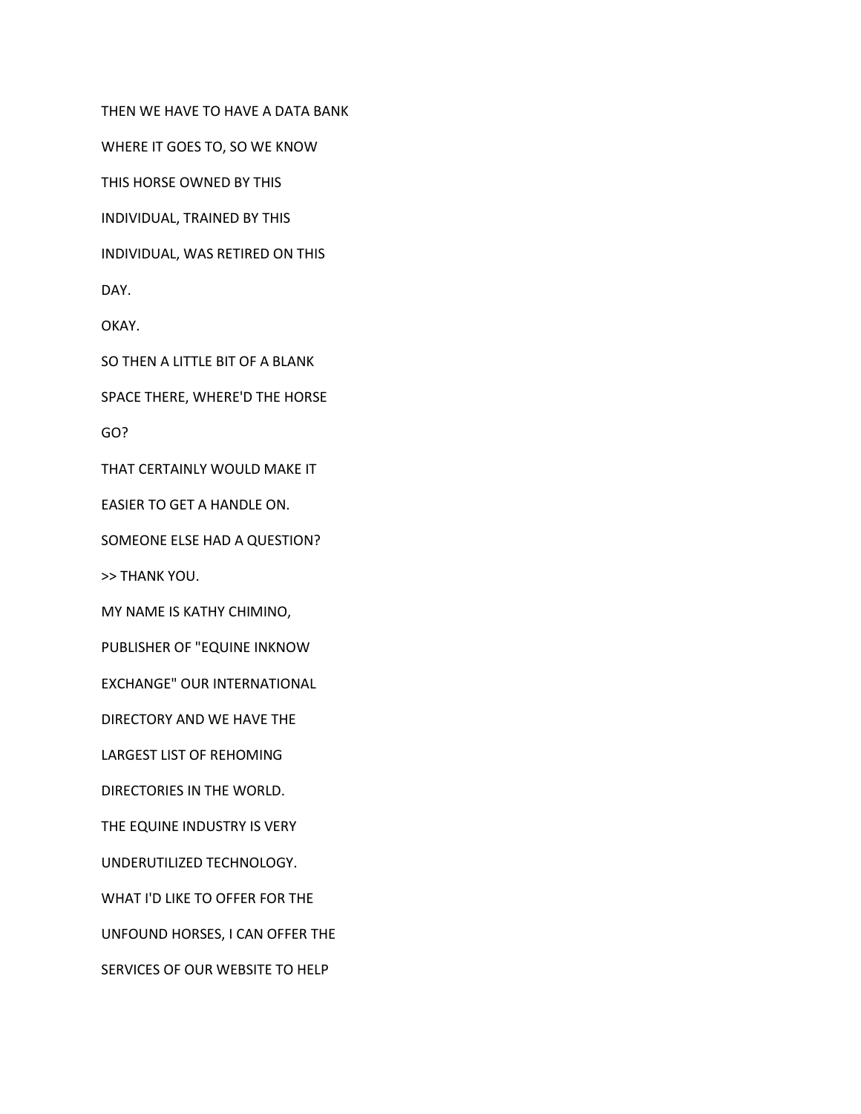THEN WE HAVE TO HAVE A DATA BANK

WHERE IT GOES TO, SO WE KNOW

THIS HORSE OWNED BY THIS

INDIVIDUAL, TRAINED BY THIS

INDIVIDUAL, WAS RETIRED ON THIS

DAY.

OKAY.

SO THEN A LITTLE BIT OF A BLANK

SPACE THERE, WHERE'D THE HORSE

GO?

THAT CERTAINLY WOULD MAKE IT

EASIER TO GET A HANDLE ON.

SOMEONE ELSE HAD A QUESTION?

>> THANK YOU.

MY NAME IS KATHY CHIMINO,

PUBLISHER OF "EQUINE INKNOW

EXCHANGE" OUR INTERNATIONAL

DIRECTORY AND WE HAVE THE

LARGEST LIST OF REHOMING

DIRECTORIES IN THE WORLD.

THE EQUINE INDUSTRY IS VERY

UNDERUTILIZED TECHNOLOGY.

WHAT I'D LIKE TO OFFER FOR THE

UNFOUND HORSES, I CAN OFFER THE

SERVICES OF OUR WEBSITE TO HELP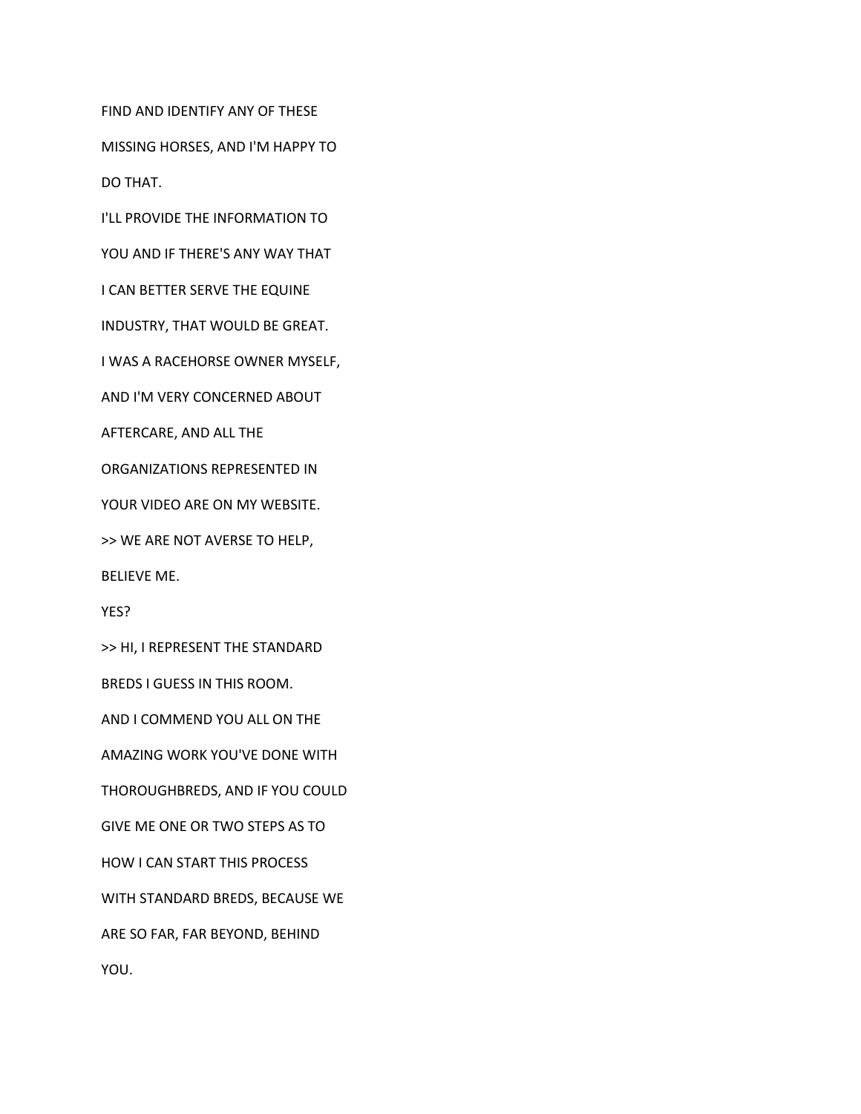FIND AND IDENTIFY ANY OF THESE

MISSING HORSES, AND I'M HAPPY TO

DO THAT.

I'LL PROVIDE THE INFORMATION TO

YOU AND IF THERE'S ANY WAY THAT

I CAN BETTER SERVE THE EQUINE

INDUSTRY, THAT WOULD BE GREAT.

I WAS A RACEHORSE OWNER MYSELF,

AND I'M VERY CONCERNED ABOUT

AFTERCARE, AND ALL THE

ORGANIZATIONS REPRESENTED IN

YOUR VIDEO ARE ON MY WEBSITE.

>> WE ARE NOT AVERSE TO HELP,

BELIEVE ME.

YES?

>> HI, I REPRESENT THE STANDARD

BREDS I GUESS IN THIS ROOM.

AND I COMMEND YOU ALL ON THE

AMAZING WORK YOU'VE DONE WITH

THOROUGHBREDS, AND IF YOU COULD

GIVE ME ONE OR TWO STEPS AS TO

HOW I CAN START THIS PROCESS

WITH STANDARD BREDS, BECAUSE WE

ARE SO FAR, FAR BEYOND, BEHIND

YOU.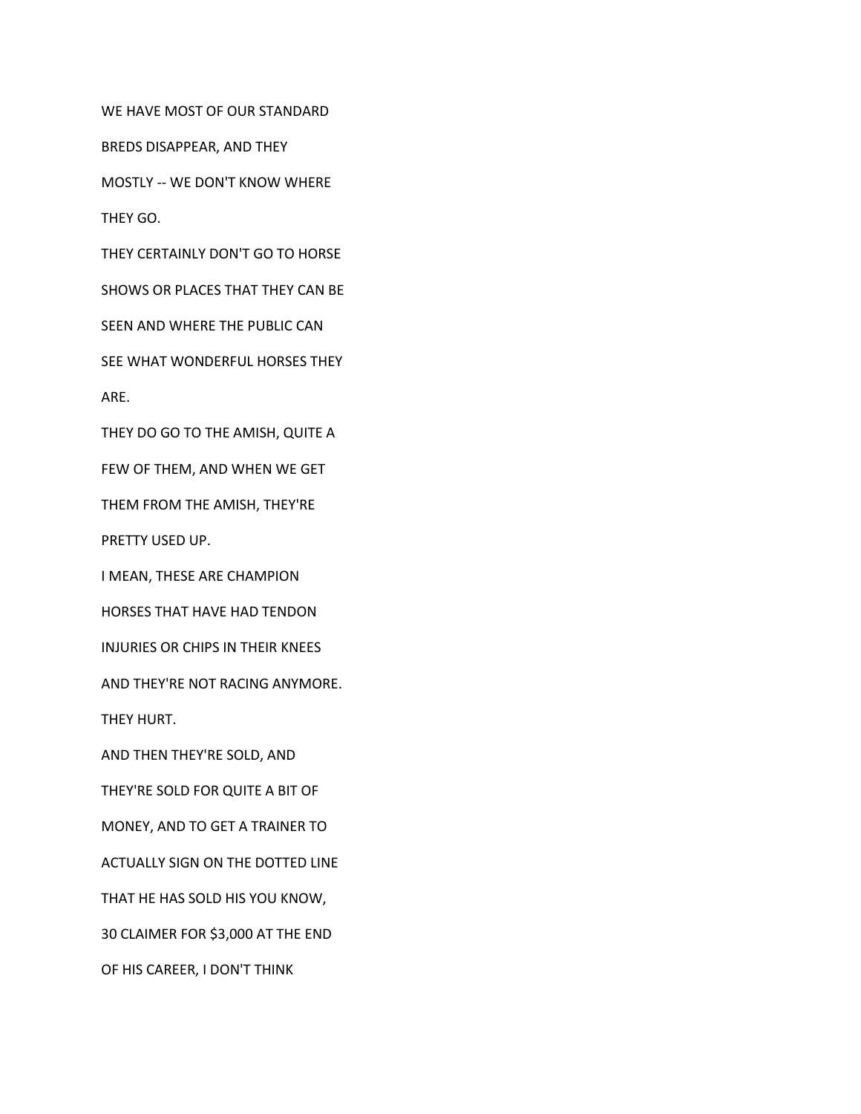WE HAVE MOST OF OUR STANDARD

BREDS DISAPPEAR, AND THEY

MOSTLY -- WE DON'T KNOW WHERE

THEY GO.

THEY CERTAINLY DON'T GO TO HORSE

SHOWS OR PLACES THAT THEY CAN BE

SEEN AND WHERE THE PUBLIC CAN

SEE WHAT WONDERFUL HORSES THEY

ARE.

THEY DO GO TO THE AMISH, QUITE A

FEW OF THEM, AND WHEN WE GET

THEM FROM THE AMISH, THEY'RE

PRETTY USED UP.

I MEAN, THESE ARE CHAMPION

HORSES THAT HAVE HAD TENDON

INJURIES OR CHIPS IN THEIR KNEES

AND THEY'RE NOT RACING ANYMORE.

THEY HURT.

AND THEN THEY'RE SOLD, AND

THEY'RE SOLD FOR QUITE A BIT OF

MONEY, AND TO GET A TRAINER TO

ACTUALLY SIGN ON THE DOTTED LINE

THAT HE HAS SOLD HIS YOU KNOW,

30 CLAIMER FOR \$3,000 AT THE END

OF HIS CAREER, I DON'T THINK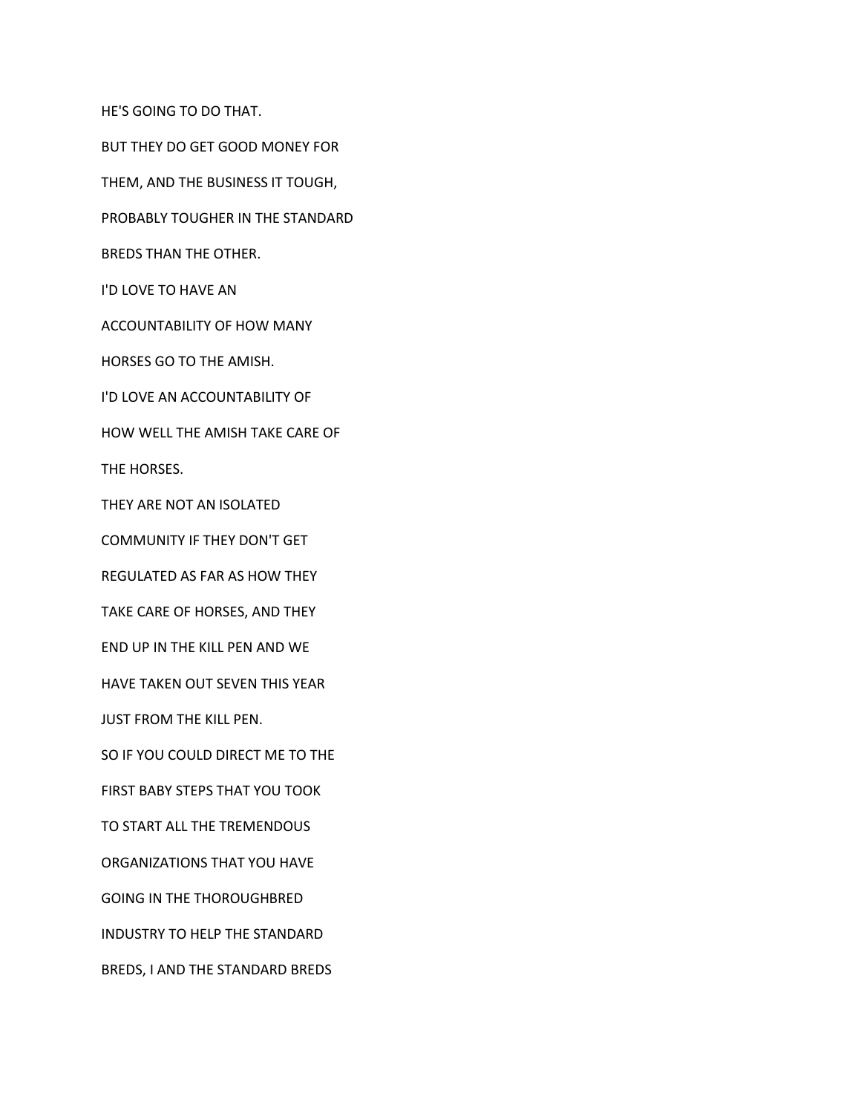BUT THEY DO GET GOOD MONEY FOR THEM, AND THE BUSINESS IT TOUGH, PROBABLY TOUGHER IN THE STANDARD BREDS THAN THE OTHER. I'D LOVE TO HAVE AN ACCOUNTABILITY OF HOW MANY HORSES GO TO THE AMISH. I'D LOVE AN ACCOUNTABILITY OF HOW WELL THE AMISH TAKE CARE OF THE HORSES. THEY ARE NOT AN ISOLATED COMMUNITY IF THEY DON'T GET REGULATED AS FAR AS HOW THEY TAKE CARE OF HORSES, AND THEY END UP IN THE KILL PEN AND WE HAVE TAKEN OUT SEVEN THIS YEAR JUST FROM THE KILL PEN. SO IF YOU COULD DIRECT ME TO THE FIRST BABY STEPS THAT YOU TOOK TO START ALL THE TREMENDOUS ORGANIZATIONS THAT YOU HAVE GOING IN THE THOROUGHBRED INDUSTRY TO HELP THE STANDARD BREDS, I AND THE STANDARD BREDS

HE'S GOING TO DO THAT.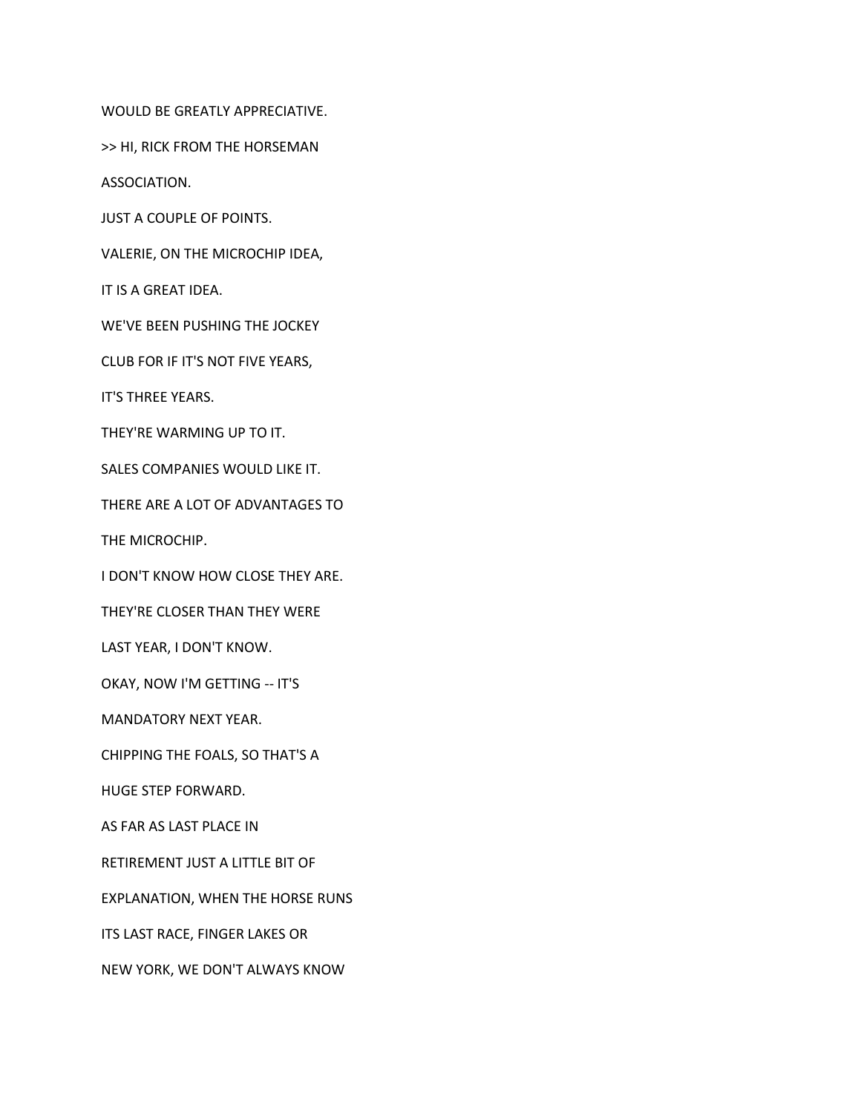WOULD BE GREATLY APPRECIATIVE.

>> HI, RICK FROM THE HORSEMAN

ASSOCIATION.

JUST A COUPLE OF POINTS.

VALERIE, ON THE MICROCHIP IDEA,

IT IS A GREAT IDEA.

WE'VE BEEN PUSHING THE JOCKEY

CLUB FOR IF IT'S NOT FIVE YEARS,

IT'S THREE YEARS.

THEY'RE WARMING UP TO IT.

SALES COMPANIES WOULD LIKE IT.

THERE ARE A LOT OF ADVANTAGES TO

THE MICROCHIP.

I DON'T KNOW HOW CLOSE THEY ARE.

THEY'RE CLOSER THAN THEY WERE

LAST YEAR, I DON'T KNOW.

OKAY, NOW I'M GETTING -- IT'S

MANDATORY NEXT YEAR.

CHIPPING THE FOALS, SO THAT'S A

HUGE STEP FORWARD.

AS FAR AS LAST PLACE IN

RETIREMENT JUST A LITTLE BIT OF

EXPLANATION, WHEN THE HORSE RUNS

ITS LAST RACE, FINGER LAKES OR

NEW YORK, WE DON'T ALWAYS KNOW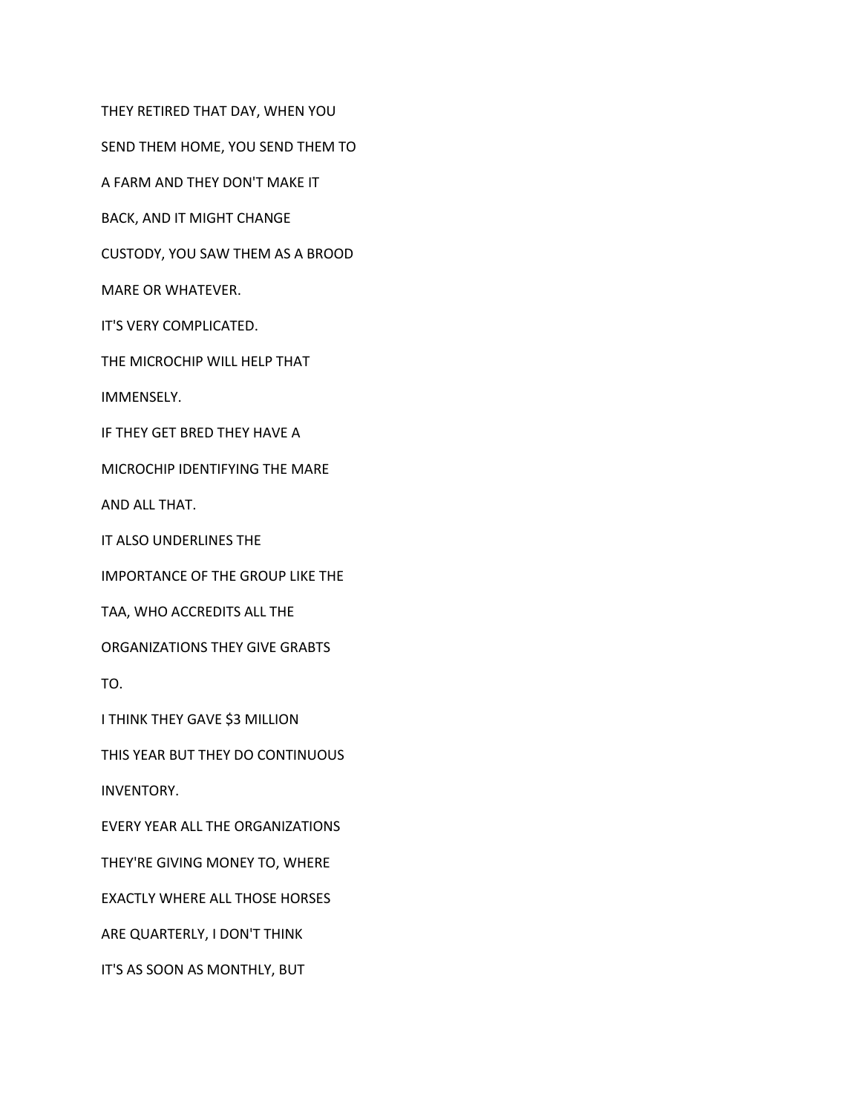THEY RETIRED THAT DAY, WHEN YOU

SEND THEM HOME, YOU SEND THEM TO

A FARM AND THEY DON'T MAKE IT

BACK, AND IT MIGHT CHANGE

CUSTODY, YOU SAW THEM AS A BROOD

MARE OR WHATEVER.

IT'S VERY COMPLICATED.

THE MICROCHIP WILL HELP THAT

IMMENSELY.

IF THEY GET BRED THEY HAVE A

MICROCHIP IDENTIFYING THE MARE

AND ALL THAT.

IT ALSO UNDERLINES THE

IMPORTANCE OF THE GROUP LIKE THE

TAA, WHO ACCREDITS ALL THE

ORGANIZATIONS THEY GIVE GRABTS

TO.

I THINK THEY GAVE \$3 MILLION

THIS YEAR BUT THEY DO CONTINUOUS

INVENTORY.

EVERY YEAR ALL THE ORGANIZATIONS

THEY'RE GIVING MONEY TO, WHERE

EXACTLY WHERE ALL THOSE HORSES

ARE QUARTERLY, I DON'T THINK

IT'S AS SOON AS MONTHLY, BUT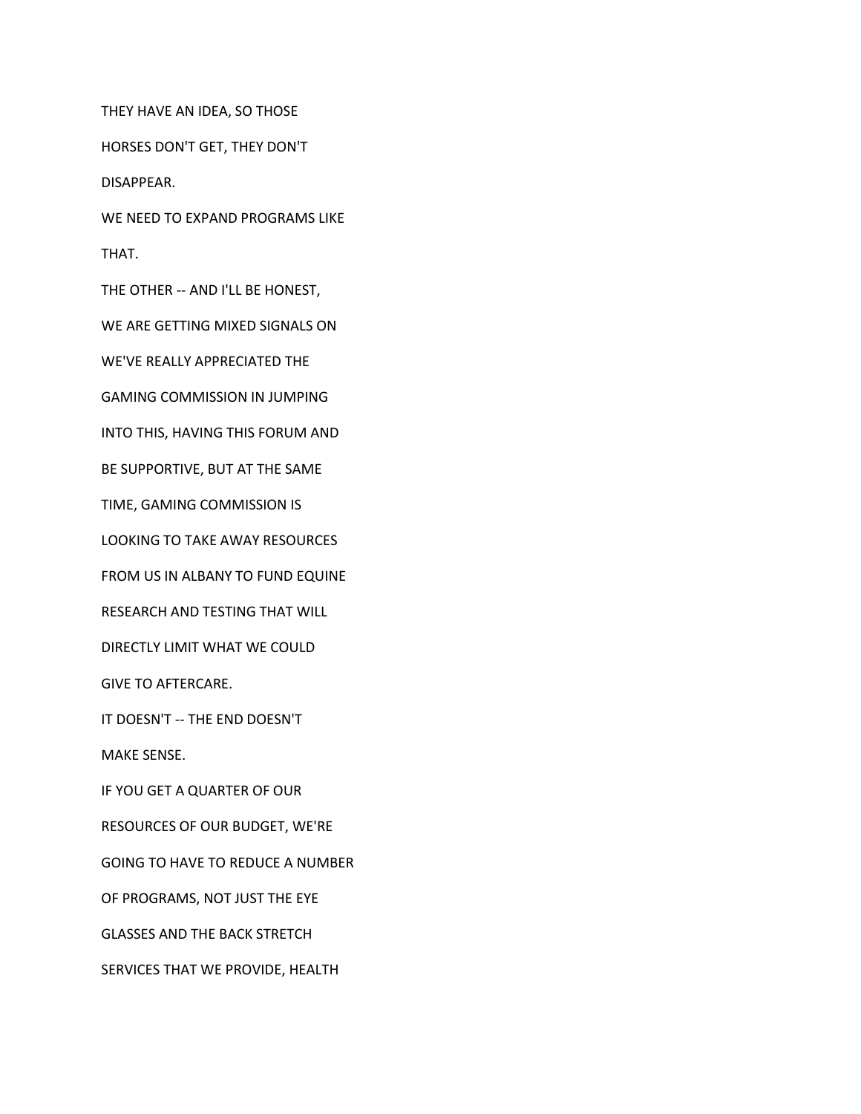THEY HAVE AN IDEA, SO THOSE

HORSES DON'T GET, THEY DON'T

DISAPPEAR.

WE NEED TO EXPAND PROGRAMS LIKE

THAT.

THE OTHER -- AND I'LL BE HONEST,

WE ARE GETTING MIXED SIGNALS ON

WE'VE REALLY APPRECIATED THE

GAMING COMMISSION IN JUMPING

INTO THIS, HAVING THIS FORUM AND

BE SUPPORTIVE, BUT AT THE SAME

TIME, GAMING COMMISSION IS

LOOKING TO TAKE AWAY RESOURCES

FROM US IN ALBANY TO FUND EQUINE

RESEARCH AND TESTING THAT WILL

DIRECTLY LIMIT WHAT WE COULD

GIVE TO AFTERCARE.

IT DOESN'T -- THE END DOESN'T

MAKE SENSE.

IF YOU GET A QUARTER OF OUR

RESOURCES OF OUR BUDGET, WE'RE

GOING TO HAVE TO REDUCE A NUMBER

OF PROGRAMS, NOT JUST THE EYE

GLASSES AND THE BACK STRETCH

SERVICES THAT WE PROVIDE, HEALTH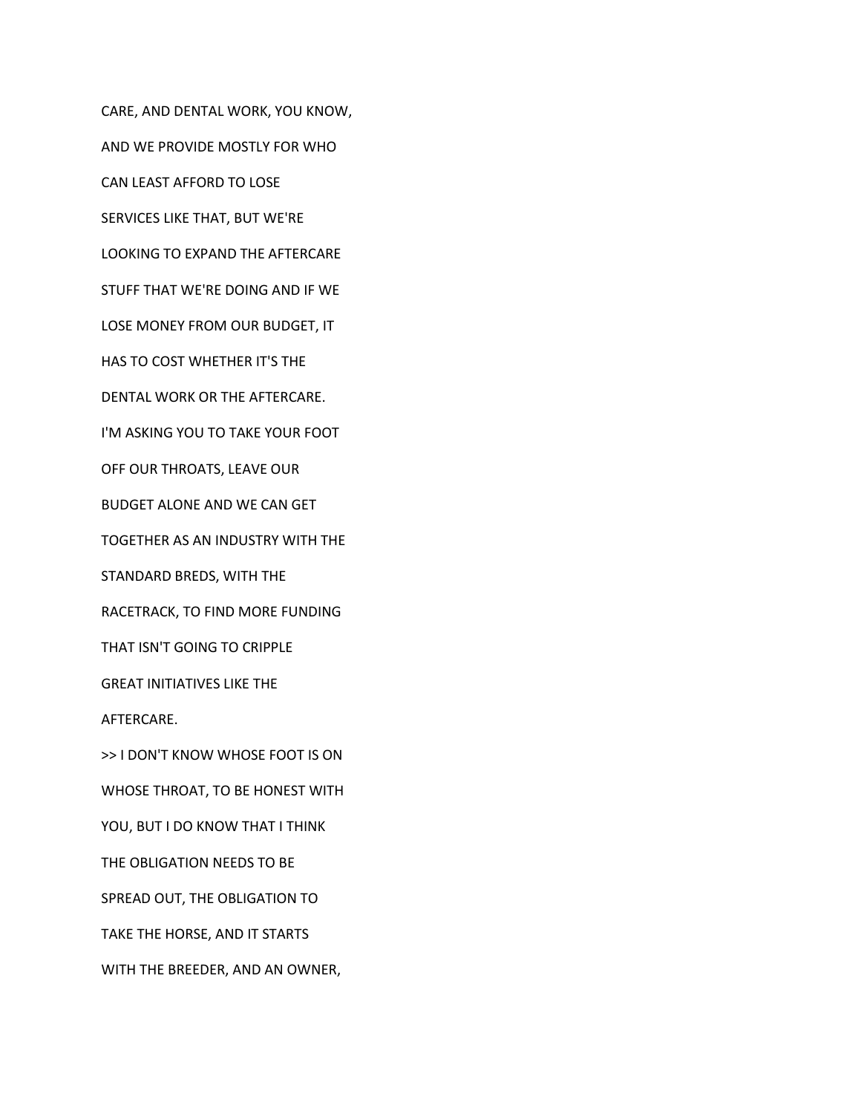CARE, AND DENTAL WORK, YOU KNOW, AND WE PROVIDE MOSTLY FOR WHO CAN LEAST AFFORD TO LOSE SERVICES LIKE THAT, BUT WE'RE LOOKING TO EXPAND THE AFTERCARE STUFF THAT WE'RE DOING AND IF WE LOSE MONEY FROM OUR BUDGET, IT HAS TO COST WHETHER IT'S THE DENTAL WORK OR THE AFTERCARE. I'M ASKING YOU TO TAKE YOUR FOOT OFF OUR THROATS, LEAVE OUR BUDGET ALONE AND WE CAN GET TOGETHER AS AN INDUSTRY WITH THE STANDARD BREDS, WITH THE RACETRACK, TO FIND MORE FUNDING THAT ISN'T GOING TO CRIPPLE GREAT INITIATIVES LIKE THE AFTERCARE. >> I DON'T KNOW WHOSE FOOT IS ON WHOSE THROAT, TO BE HONEST WITH YOU, BUT I DO KNOW THAT I THINK THE OBLIGATION NEEDS TO BE SPREAD OUT, THE OBLIGATION TO TAKE THE HORSE, AND IT STARTS WITH THE BREEDER, AND AN OWNER,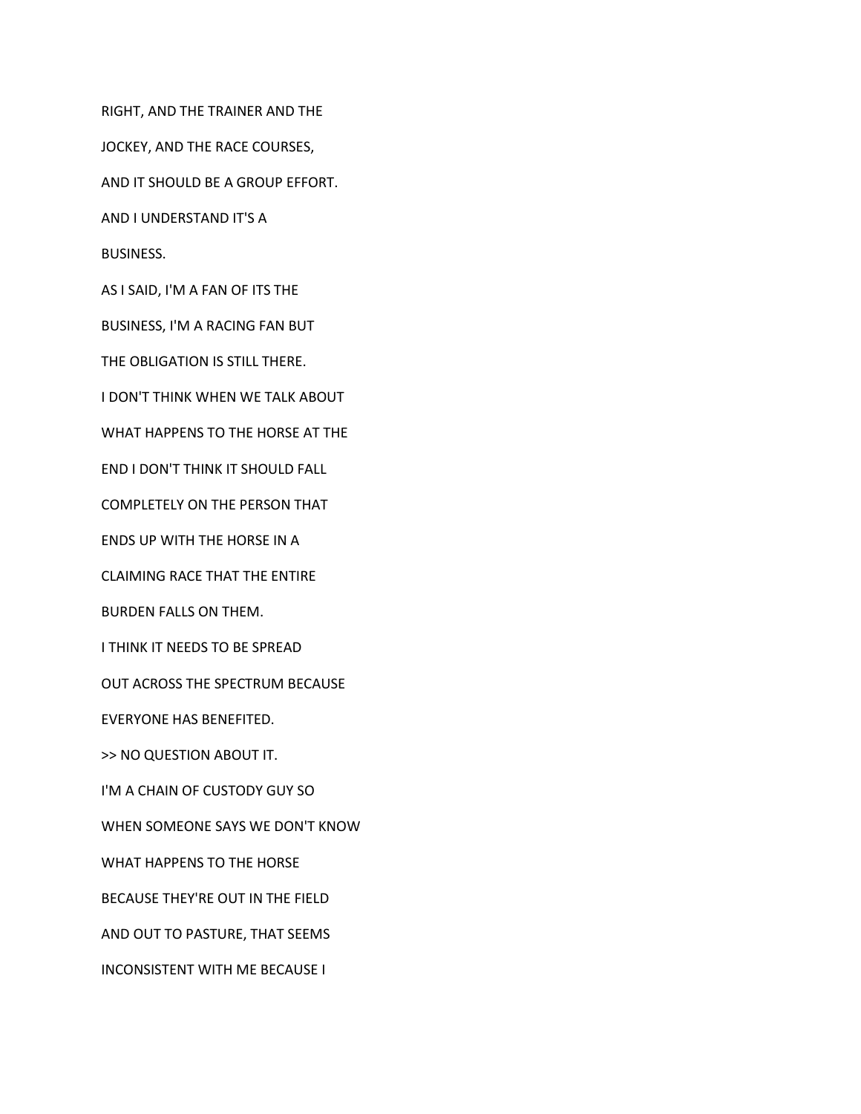RIGHT, AND THE TRAINER AND THE JOCKEY, AND THE RACE COURSES, AND IT SHOULD BE A GROUP EFFORT. AND I UNDERSTAND IT'S A BUSINESS. AS I SAID, I'M A FAN OF ITS THE BUSINESS, I'M A RACING FAN BUT THE OBLIGATION IS STILL THERE. I DON'T THINK WHEN WE TALK ABOUT WHAT HAPPENS TO THE HORSE AT THE END I DON'T THINK IT SHOULD FALL COMPLETELY ON THE PERSON THAT ENDS UP WITH THE HORSE IN A CLAIMING RACE THAT THE ENTIRE BURDEN FALLS ON THEM. I THINK IT NEEDS TO BE SPREAD OUT ACROSS THE SPECTRUM BECAUSE EVERYONE HAS BENEFITED. >> NO QUESTION ABOUT IT. I'M A CHAIN OF CUSTODY GUY SO WHEN SOMEONE SAYS WE DON'T KNOW WHAT HAPPENS TO THE HORSE BECAUSE THEY'RE OUT IN THE FIELD AND OUT TO PASTURE, THAT SEEMS INCONSISTENT WITH ME BECAUSE I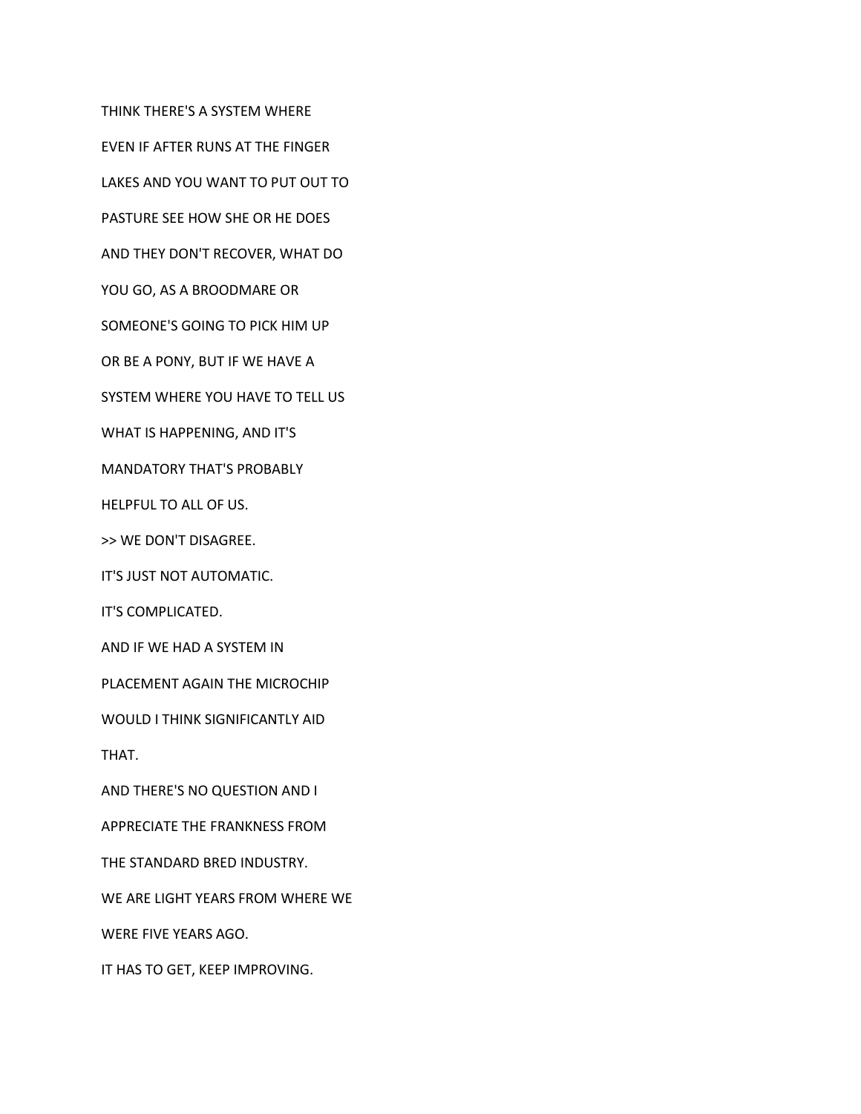THINK THERE'S A SYSTEM WHERE

EVEN IF AFTER RUNS AT THE FINGER

LAKES AND YOU WANT TO PUT OUT TO

PASTURE SEE HOW SHE OR HE DOES

AND THEY DON'T RECOVER, WHAT DO

YOU GO, AS A BROODMARE OR

SOMEONE'S GOING TO PICK HIM UP

OR BE A PONY, BUT IF WE HAVE A

SYSTEM WHERE YOU HAVE TO TELL US

WHAT IS HAPPENING, AND IT'S

MANDATORY THAT'S PROBABLY

HELPFUL TO ALL OF US.

>> WE DON'T DISAGREE.

IT'S JUST NOT AUTOMATIC.

IT'S COMPLICATED.

AND IF WE HAD A SYSTEM IN

PLACEMENT AGAIN THE MICROCHIP

WOULD I THINK SIGNIFICANTLY AID

THAT.

AND THERE'S NO QUESTION AND I

APPRECIATE THE FRANKNESS FROM

THE STANDARD BRED INDUSTRY.

WE ARE LIGHT YEARS FROM WHERE WE

WERE FIVE YEARS AGO.

IT HAS TO GET, KEEP IMPROVING.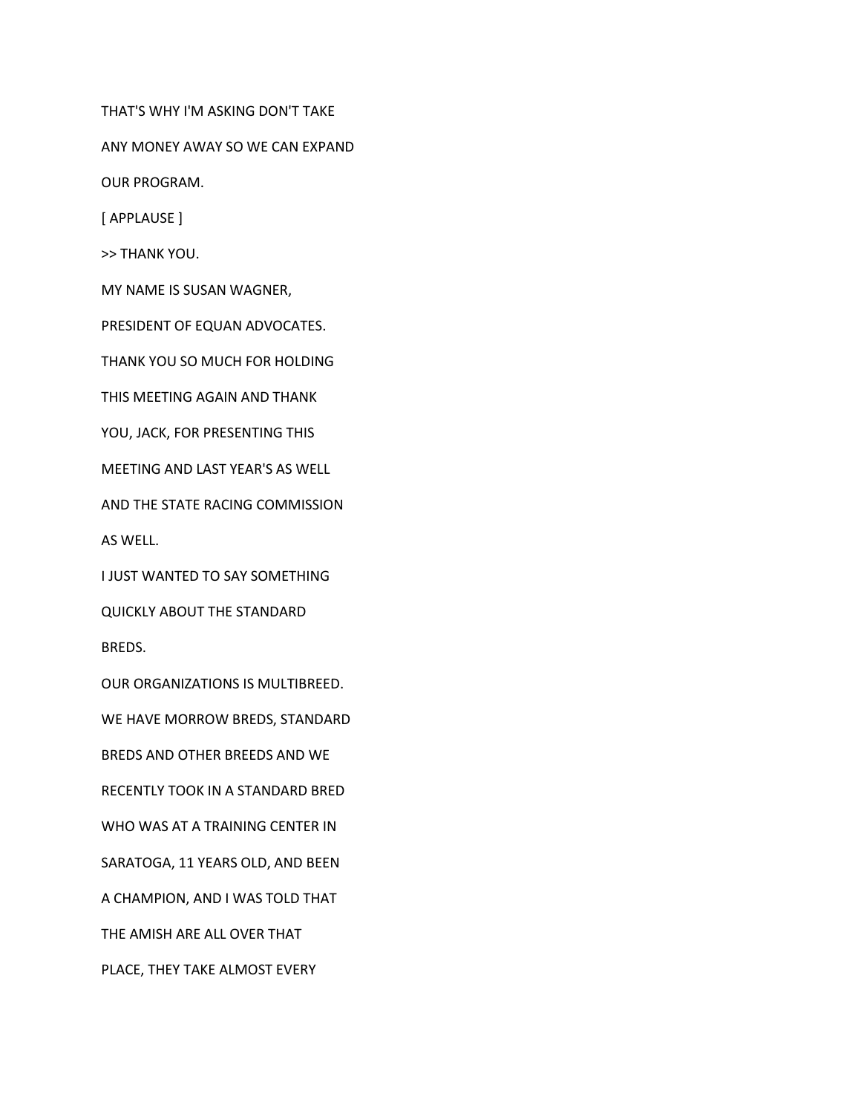THAT'S WHY I'M ASKING DON'T TAKE

ANY MONEY AWAY SO WE CAN EXPAND

OUR PROGRAM.

[ APPLAUSE ]

>> THANK YOU.

MY NAME IS SUSAN WAGNER,

PRESIDENT OF EQUAN ADVOCATES.

THANK YOU SO MUCH FOR HOLDING

THIS MEETING AGAIN AND THANK

YOU, JACK, FOR PRESENTING THIS

MEETING AND LAST YEAR'S AS WELL

AND THE STATE RACING COMMISSION

AS WELL.

I JUST WANTED TO SAY SOMETHING

QUICKLY ABOUT THE STANDARD

BREDS.

OUR ORGANIZATIONS IS MULTIBREED.

WE HAVE MORROW BREDS, STANDARD

BREDS AND OTHER BREEDS AND WE

RECENTLY TOOK IN A STANDARD BRED

WHO WAS AT A TRAINING CENTER IN

SARATOGA, 11 YEARS OLD, AND BEEN

A CHAMPION, AND I WAS TOLD THAT

THE AMISH ARE ALL OVER THAT

PLACE, THEY TAKE ALMOST EVERY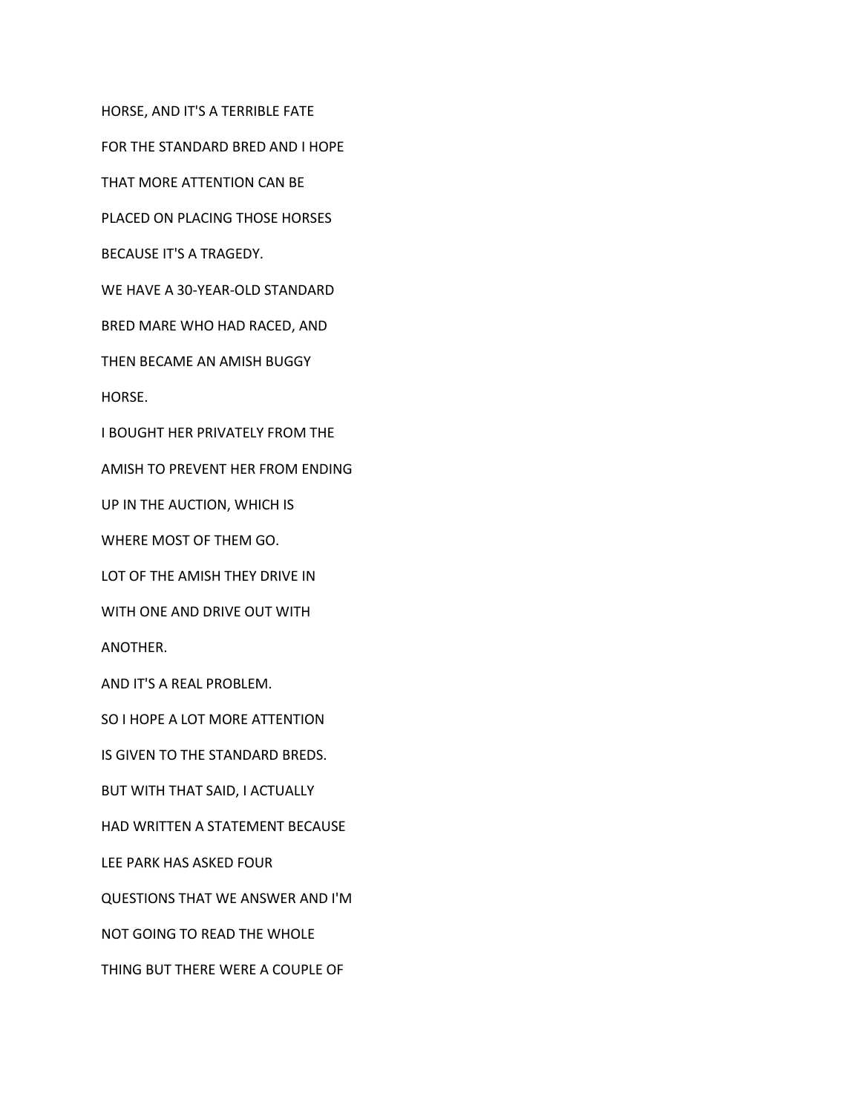HORSE, AND IT'S A TERRIBLE FATE

FOR THE STANDARD BRED AND I HOPE

THAT MORE ATTENTION CAN BE

PLACED ON PLACING THOSE HORSES

BECAUSE IT'S A TRAGEDY.

WE HAVE A 30-YEAR-OLD STANDARD

BRED MARE WHO HAD RACED, AND

THEN BECAME AN AMISH BUGGY

HORSE.

I BOUGHT HER PRIVATELY FROM THE

AMISH TO PREVENT HER FROM ENDING

UP IN THE AUCTION, WHICH IS

WHERE MOST OF THEM GO.

LOT OF THE AMISH THEY DRIVE IN

WITH ONE AND DRIVE OUT WITH

ANOTHER.

AND IT'S A REAL PROBLEM.

SO I HOPE A LOT MORE ATTENTION

IS GIVEN TO THE STANDARD BREDS.

BUT WITH THAT SAID, I ACTUALLY

HAD WRITTEN A STATEMENT BECAUSE

LEE PARK HAS ASKED FOUR

QUESTIONS THAT WE ANSWER AND I'M

NOT GOING TO READ THE WHOLE

THING BUT THERE WERE A COUPLE OF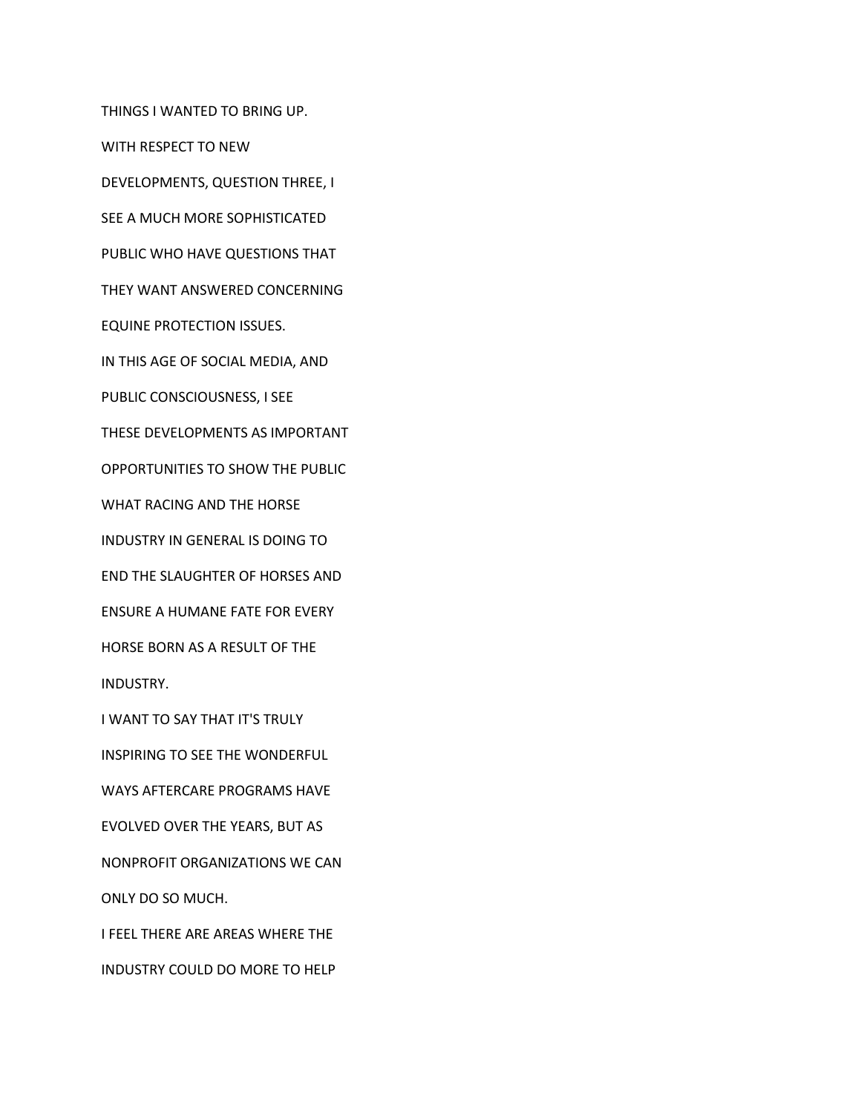THINGS I WANTED TO BRING UP. WITH RESPECT TO NEW DEVELOPMENTS, QUESTION THREE, I SEE A MUCH MORE SOPHISTICATED PUBLIC WHO HAVE QUESTIONS THAT THEY WANT ANSWERED CONCERNING EQUINE PROTECTION ISSUES. IN THIS AGE OF SOCIAL MEDIA, AND PUBLIC CONSCIOUSNESS, I SEE THESE DEVELOPMENTS AS IMPORTANT OPPORTUNITIES TO SHOW THE PUBLIC WHAT RACING AND THE HORSE INDUSTRY IN GENERAL IS DOING TO END THE SLAUGHTER OF HORSES AND ENSURE A HUMANE FATE FOR EVERY HORSE BORN AS A RESULT OF THE INDUSTRY. I WANT TO SAY THAT IT'S TRULY INSPIRING TO SEE THE WONDERFUL WAYS AFTERCARE PROGRAMS HAVE EVOLVED OVER THE YEARS, BUT AS NONPROFIT ORGANIZATIONS WE CAN ONLY DO SO MUCH.

I FEEL THERE ARE AREAS WHERE THE

INDUSTRY COULD DO MORE TO HELP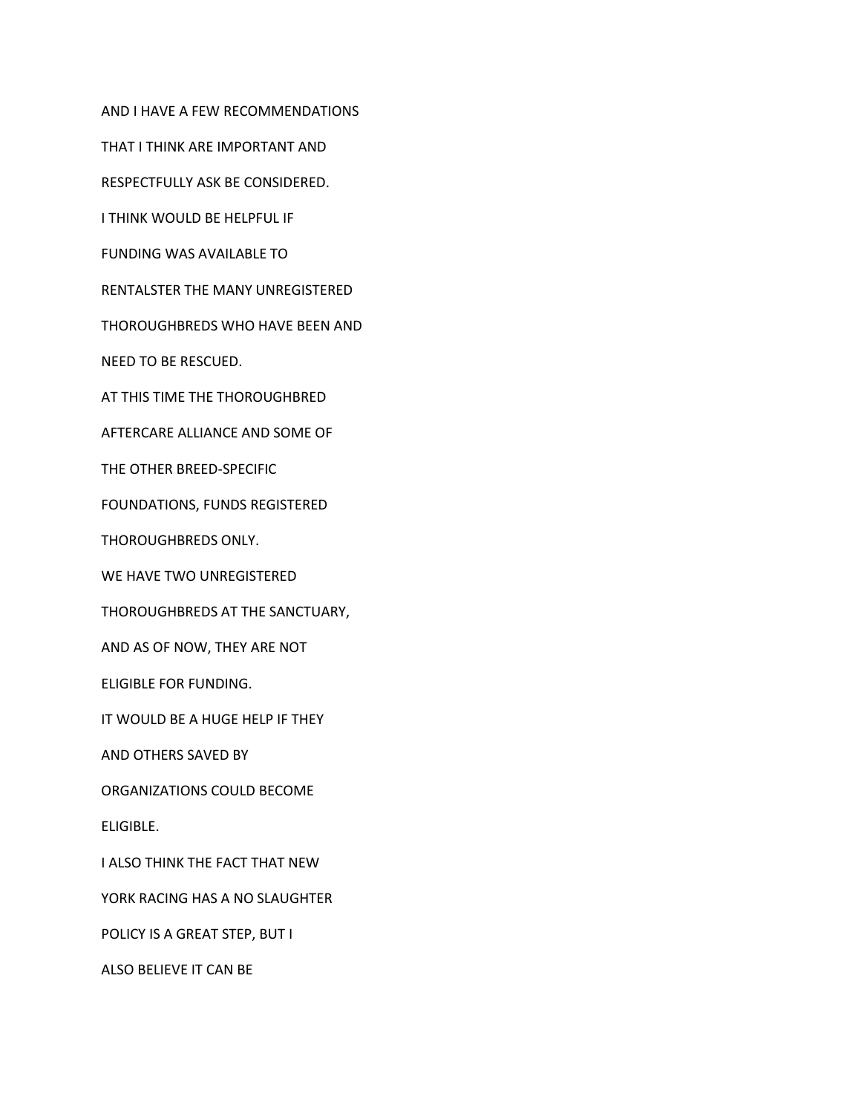AND I HAVE A FEW RECOMMENDATIONS

THAT I THINK ARE IMPORTANT AND

RESPECTFULLY ASK BE CONSIDERED.

I THINK WOULD BE HELPFUL IF

FUNDING WAS AVAILABLE TO

RENTALSTER THE MANY UNREGISTERED

THOROUGHBREDS WHO HAVE BEEN AND

NEED TO BE RESCUED.

AT THIS TIME THE THOROUGHBRED

AFTERCARE ALLIANCE AND SOME OF

THE OTHER BREED-SPECIFIC

FOUNDATIONS, FUNDS REGISTERED

THOROUGHBREDS ONLY.

WE HAVE TWO UNREGISTERED

THOROUGHBREDS AT THE SANCTUARY,

AND AS OF NOW, THEY ARE NOT

ELIGIBLE FOR FUNDING.

IT WOULD BE A HUGE HELP IF THEY

AND OTHERS SAVED BY

ORGANIZATIONS COULD BECOME

ELIGIBLE.

I ALSO THINK THE FACT THAT NEW

YORK RACING HAS A NO SLAUGHTER

POLICY IS A GREAT STEP, BUT I

ALSO BELIEVE IT CAN BE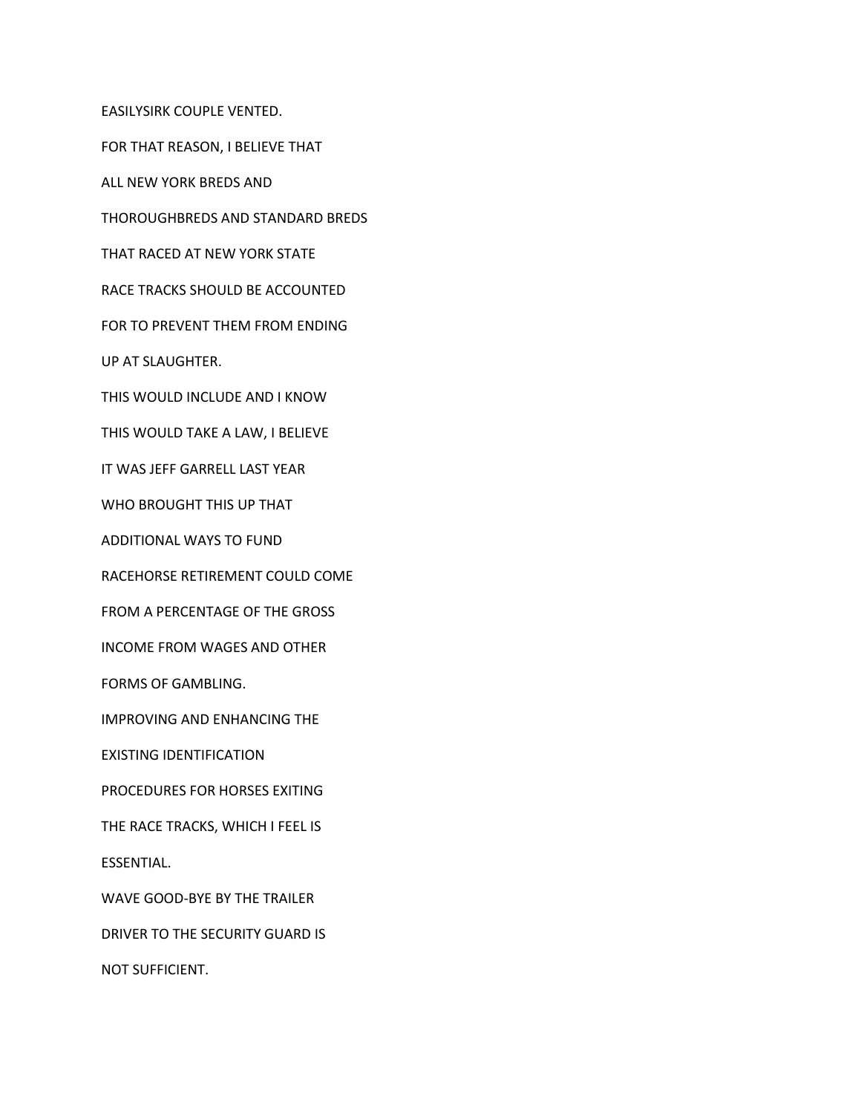EASILYSIRK COUPLE VENTED. FOR THAT REASON, I BELIEVE THAT ALL NEW YORK BREDS AND THOROUGHBREDS AND STANDARD BREDS THAT RACED AT NEW YORK STATE RACE TRACKS SHOULD BE ACCOUNTED FOR TO PREVENT THEM FROM ENDING UP AT SLAUGHTER. THIS WOULD INCLUDE AND I KNOW THIS WOULD TAKE A LAW, I BELIEVE IT WAS JEFF GARRELL LAST YEAR WHO BROUGHT THIS UP THAT ADDITIONAL WAYS TO FUND RACEHORSE RETIREMENT COULD COME FROM A PERCENTAGE OF THE GROSS INCOME FROM WAGES AND OTHER FORMS OF GAMBLING. IMPROVING AND ENHANCING THE EXISTING IDENTIFICATION PROCEDURES FOR HORSES EXITING THE RACE TRACKS, WHICH I FEEL IS ESSENTIAL. WAVE GOOD-BYE BY THE TRAILER DRIVER TO THE SECURITY GUARD IS NOT SUFFICIENT.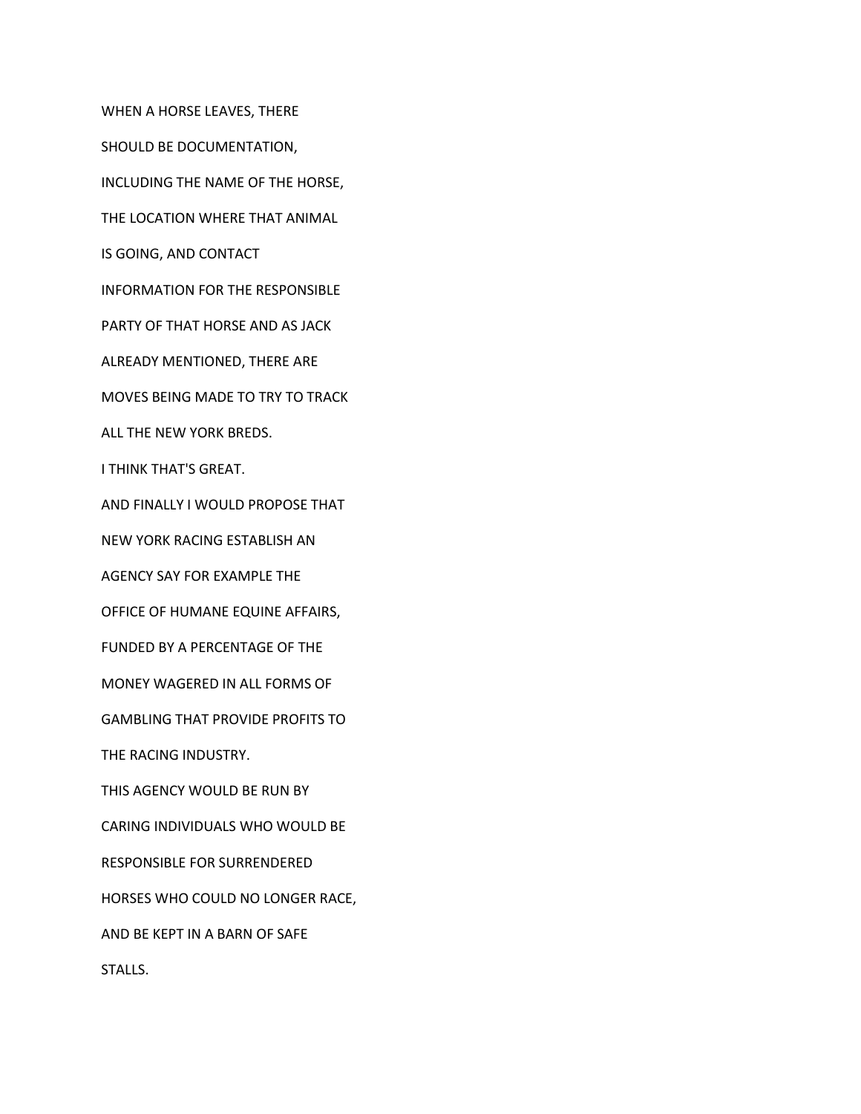WHEN A HORSE LEAVES, THERE SHOULD BE DOCUMENTATION, INCLUDING THE NAME OF THE HORSE, THE LOCATION WHERE THAT ANIMAL IS GOING, AND CONTACT INFORMATION FOR THE RESPONSIBLE PARTY OF THAT HORSE AND AS JACK ALREADY MENTIONED, THERE ARE MOVES BEING MADE TO TRY TO TRACK ALL THE NEW YORK BREDS. I THINK THAT'S GREAT. AND FINALLY I WOULD PROPOSE THAT NEW YORK RACING ESTABLISH AN AGENCY SAY FOR EXAMPLE THE OFFICE OF HUMANE EQUINE AFFAIRS, FUNDED BY A PERCENTAGE OF THE MONEY WAGERED IN ALL FORMS OF GAMBLING THAT PROVIDE PROFITS TO THE RACING INDUSTRY. THIS AGENCY WOULD BE RUN BY CARING INDIVIDUALS WHO WOULD BE RESPONSIBLE FOR SURRENDERED HORSES WHO COULD NO LONGER RACE, AND BE KEPT IN A BARN OF SAFE STALLS.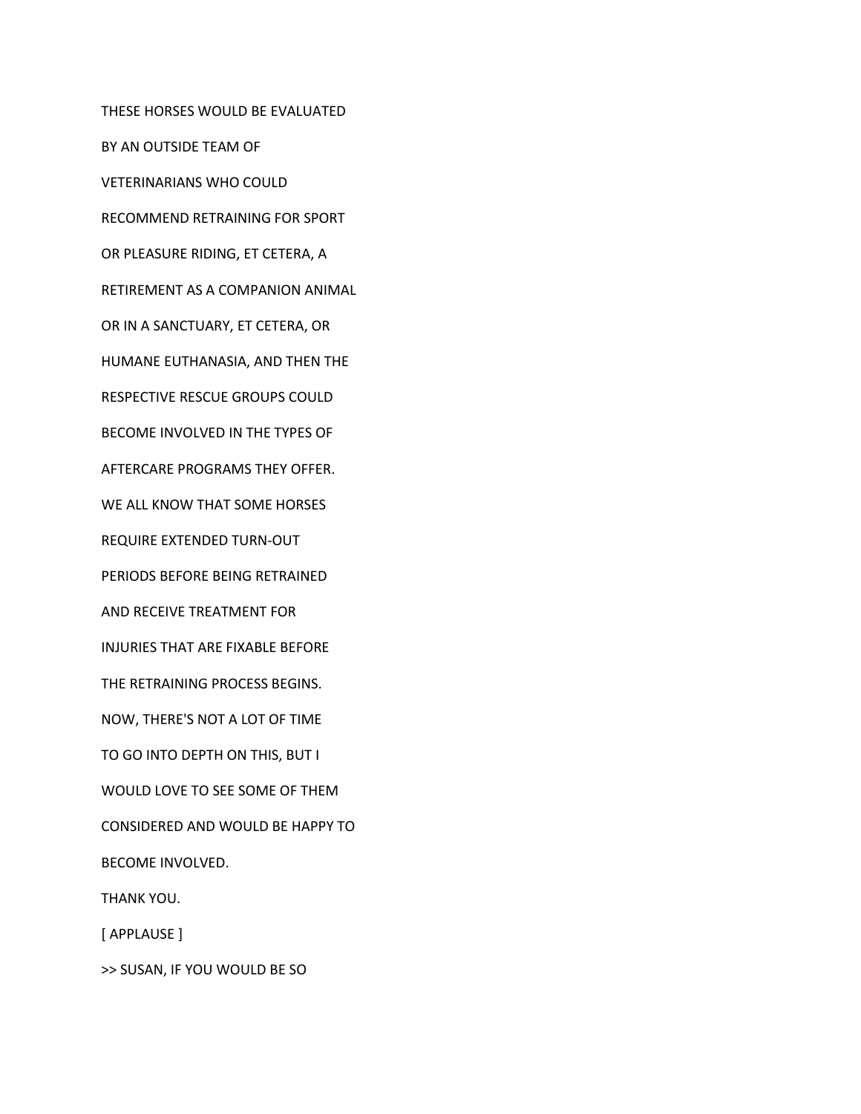THESE HORSES WOULD BE EVALUATED BY AN OUTSIDE TEAM OF VETERINARIANS WHO COULD RECOMMEND RETRAINING FOR SPORT OR PLEASURE RIDING, ET CETERA, A RETIREMENT AS A COMPANION ANIMAL OR IN A SANCTUARY, ET CETERA, OR HUMANE EUTHANASIA, AND THEN THE RESPECTIVE RESCUE GROUPS COULD BECOME INVOLVED IN THE TYPES OF AFTERCARE PROGRAMS THEY OFFER. WE ALL KNOW THAT SOME HORSES REQUIRE EXTENDED TURN-OUT PERIODS BEFORE BEING RETRAINED AND RECEIVE TREATMENT FOR INJURIES THAT ARE FIXABLE BEFORE THE RETRAINING PROCESS BEGINS. NOW, THERE'S NOT A LOT OF TIME TO GO INTO DEPTH ON THIS, BUT I WOULD LOVE TO SEE SOME OF THEM CONSIDERED AND WOULD BE HAPPY TO BECOME INVOLVED. THANK YOU. [ APPLAUSE ]

>> SUSAN, IF YOU WOULD BE SO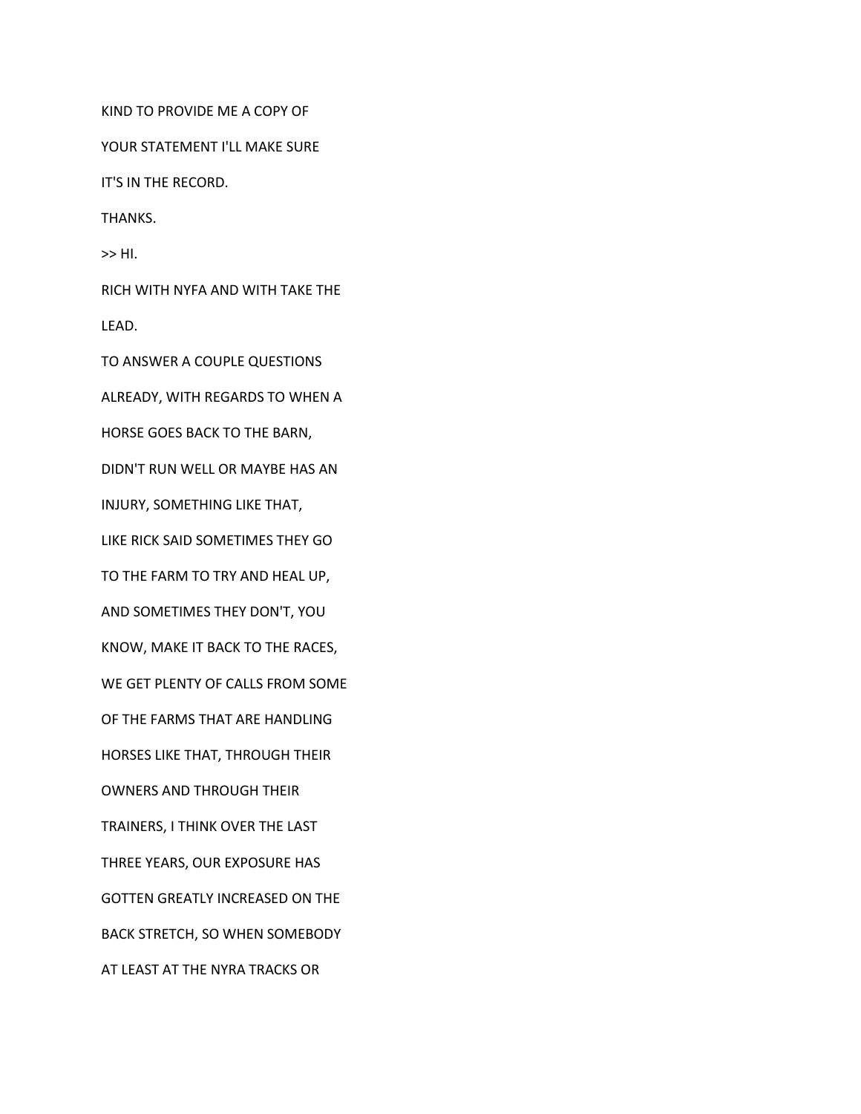KIND TO PROVIDE ME A COPY OF YOUR STATEMENT I'LL MAKE SURE IT'S IN THE RECORD. THANKS. >> HI. RICH WITH NYFA AND WITH TAKE THE LEAD. TO ANSWER A COUPLE QUESTIONS ALREADY, WITH REGARDS TO WHEN A HORSE GOES BACK TO THE BARN, DIDN'T RUN WELL OR MAYBE HAS AN INJURY, SOMETHING LIKE THAT, LIKE RICK SAID SOMETIMES THEY GO TO THE FARM TO TRY AND HEAL UP, AND SOMETIMES THEY DON'T, YOU KNOW, MAKE IT BACK TO THE RACES, WE GET PLENTY OF CALLS FROM SOME OF THE FARMS THAT ARE HANDLING HORSES LIKE THAT, THROUGH THEIR OWNERS AND THROUGH THEIR TRAINERS, I THINK OVER THE LAST THREE YEARS, OUR EXPOSURE HAS GOTTEN GREATLY INCREASED ON THE BACK STRETCH, SO WHEN SOMEBODY AT LEAST AT THE NYRA TRACKS OR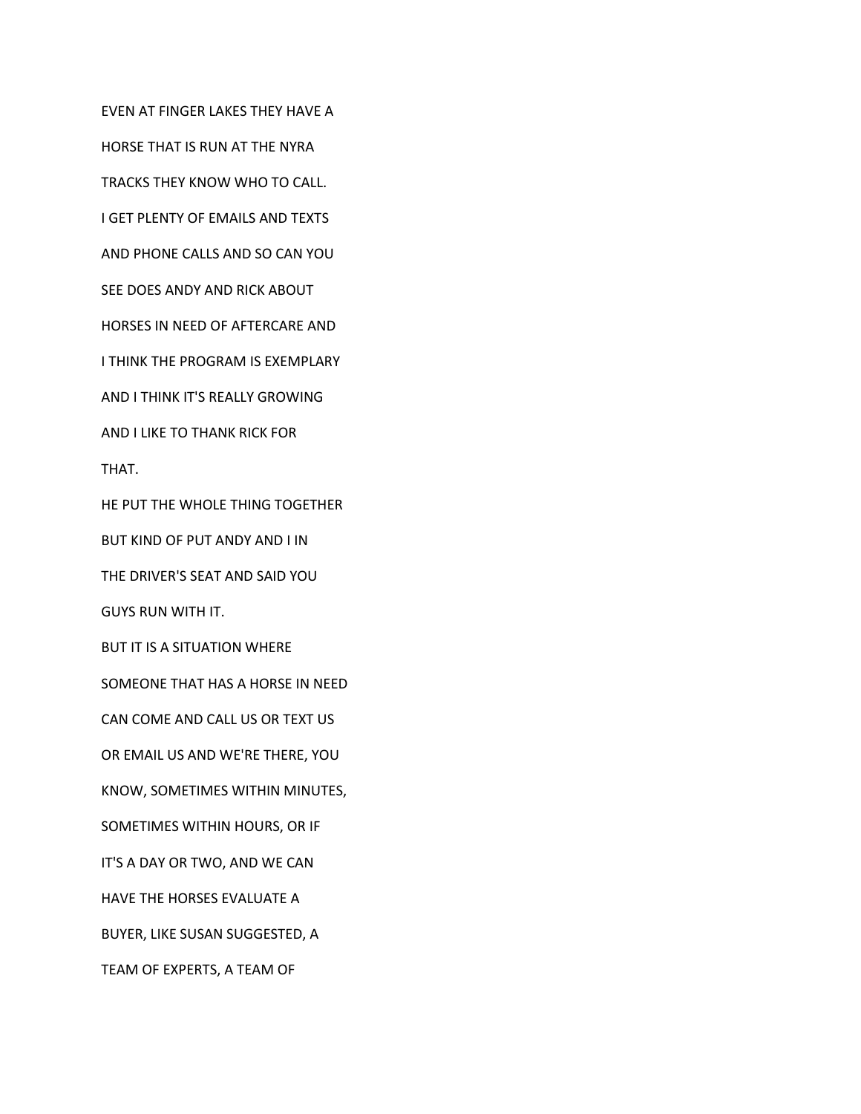EVEN AT FINGER LAKES THEY HAVE A HORSE THAT IS RUN AT THE NYRA TRACKS THEY KNOW WHO TO CALL. I GET PLENTY OF EMAILS AND TEXTS AND PHONE CALLS AND SO CAN YOU SEE DOES ANDY AND RICK ABOUT HORSES IN NEED OF AFTERCARE AND I THINK THE PROGRAM IS EXEMPLARY AND I THINK IT'S REALLY GROWING AND I LIKE TO THANK RICK FOR THAT. HE PUT THE WHOLE THING TOGETHER BUT KIND OF PUT ANDY AND I IN THE DRIVER'S SEAT AND SAID YOU GUYS RUN WITH IT. BUT IT IS A SITUATION WHERE SOMEONE THAT HAS A HORSE IN NEED CAN COME AND CALL US OR TEXT US OR EMAIL US AND WE'RE THERE, YOU KNOW, SOMETIMES WITHIN MINUTES, SOMETIMES WITHIN HOURS, OR IF IT'S A DAY OR TWO, AND WE CAN HAVE THE HORSES EVALUATE A BUYER, LIKE SUSAN SUGGESTED, A TEAM OF EXPERTS, A TEAM OF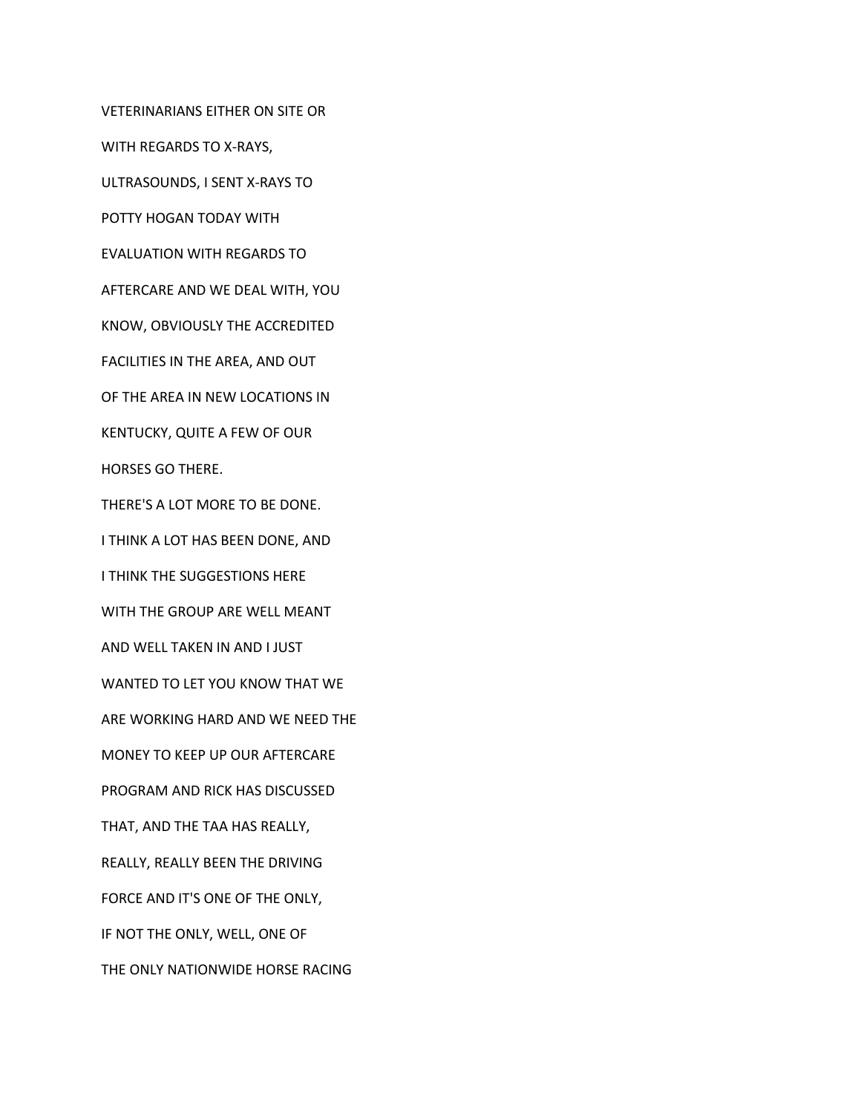VETERINARIANS EITHER ON SITE OR

WITH REGARDS TO X-RAYS,

ULTRASOUNDS, I SENT X-RAYS TO

POTTY HOGAN TODAY WITH

EVALUATION WITH REGARDS TO

AFTERCARE AND WE DEAL WITH, YOU

KNOW, OBVIOUSLY THE ACCREDITED

FACILITIES IN THE AREA, AND OUT

OF THE AREA IN NEW LOCATIONS IN

KENTUCKY, QUITE A FEW OF OUR

HORSES GO THERE.

THERE'S A LOT MORE TO BE DONE.

I THINK A LOT HAS BEEN DONE, AND

I THINK THE SUGGESTIONS HERE

WITH THE GROUP ARE WELL MEANT

AND WELL TAKEN IN AND I JUST

WANTED TO LET YOU KNOW THAT WE

ARE WORKING HARD AND WE NEED THE

MONEY TO KEEP UP OUR AFTERCARE

PROGRAM AND RICK HAS DISCUSSED

THAT, AND THE TAA HAS REALLY,

REALLY, REALLY BEEN THE DRIVING

FORCE AND IT'S ONE OF THE ONLY,

IF NOT THE ONLY, WELL, ONE OF

THE ONLY NATIONWIDE HORSE RACING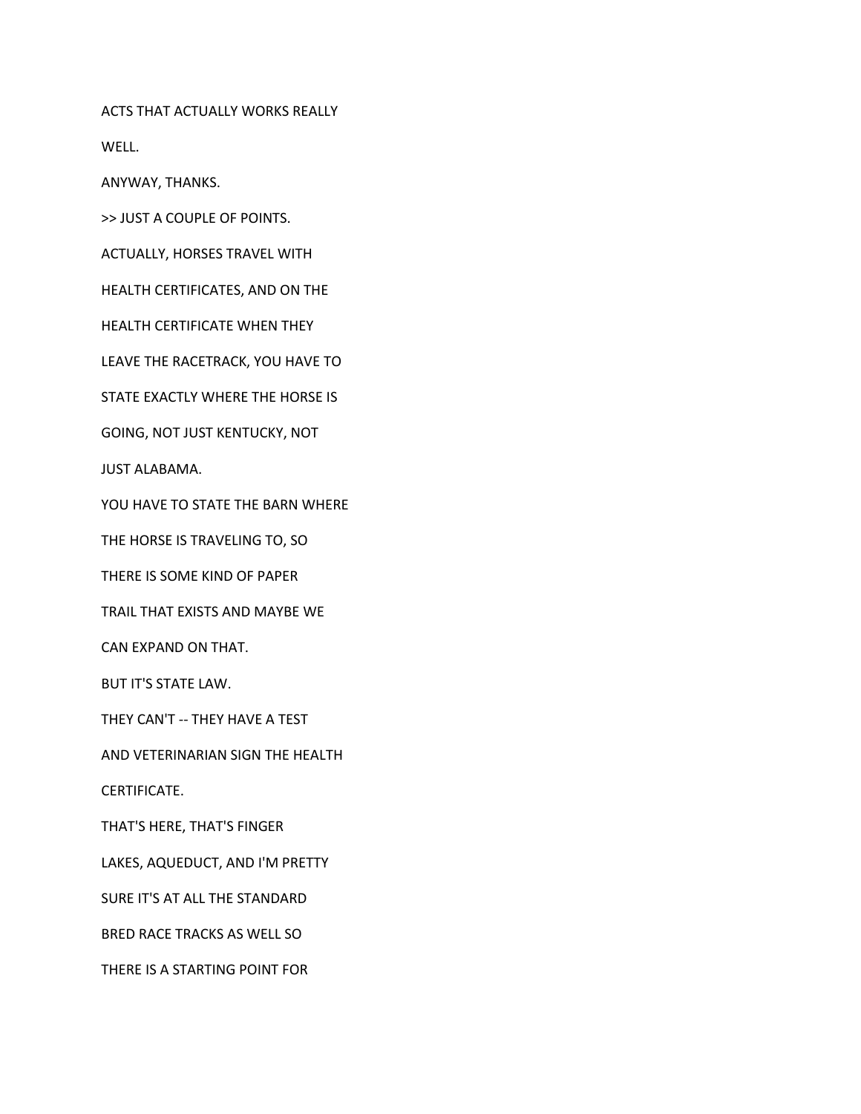ACTS THAT ACTUALLY WORKS REALLY

WELL.

ANYWAY, THANKS.

>> JUST A COUPLE OF POINTS.

ACTUALLY, HORSES TRAVEL WITH

HEALTH CERTIFICATES, AND ON THE

HEALTH CERTIFICATE WHEN THEY

LEAVE THE RACETRACK, YOU HAVE TO

STATE EXACTLY WHERE THE HORSE IS

GOING, NOT JUST KENTUCKY, NOT

JUST ALABAMA.

YOU HAVE TO STATE THE BARN WHERE

THE HORSE IS TRAVELING TO, SO

THERE IS SOME KIND OF PAPER

TRAIL THAT EXISTS AND MAYBE WE

CAN EXPAND ON THAT.

BUT IT'S STATE LAW.

THEY CAN'T -- THEY HAVE A TEST

AND VETERINARIAN SIGN THE HEALTH

CERTIFICATE.

THAT'S HERE, THAT'S FINGER

LAKES, AQUEDUCT, AND I'M PRETTY

SURE IT'S AT ALL THE STANDARD

BRED RACE TRACKS AS WELL SO

THERE IS A STARTING POINT FOR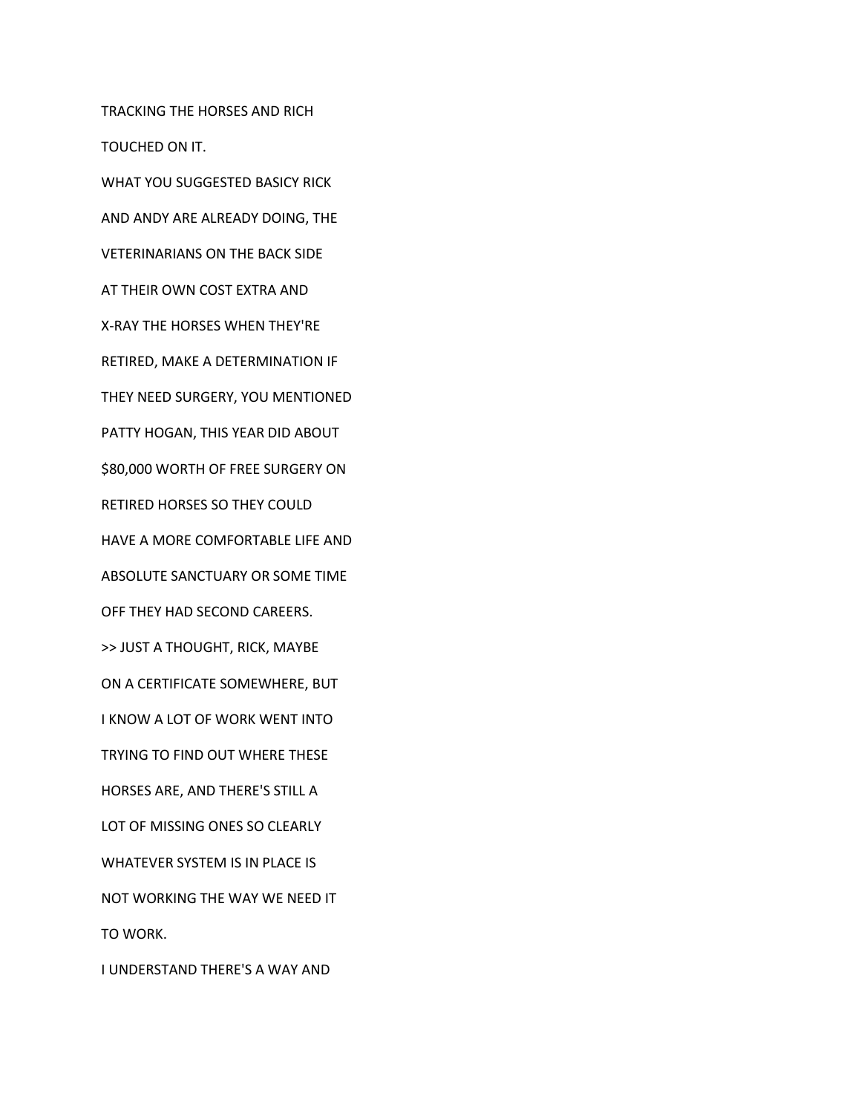TRACKING THE HORSES AND RICH TOUCHED ON IT. WHAT YOU SUGGESTED BASICY RICK AND ANDY ARE ALREADY DOING, THE VETERINARIANS ON THE BACK SIDE AT THEIR OWN COST EXTRA AND X-RAY THE HORSES WHEN THEY'RE RETIRED, MAKE A DETERMINATION IF THEY NEED SURGERY, YOU MENTIONED PATTY HOGAN, THIS YEAR DID ABOUT \$80,000 WORTH OF FREE SURGERY ON RETIRED HORSES SO THEY COULD HAVE A MORE COMFORTABLE LIFE AND ABSOLUTE SANCTUARY OR SOME TIME OFF THEY HAD SECOND CAREERS. >> JUST A THOUGHT, RICK, MAYBE ON A CERTIFICATE SOMEWHERE, BUT I KNOW A LOT OF WORK WENT INTO TRYING TO FIND OUT WHERE THESE HORSES ARE, AND THERE'S STILL A LOT OF MISSING ONES SO CLEARLY WHATEVER SYSTEM IS IN PLACE IS NOT WORKING THE WAY WE NEED IT TO WORK. I UNDERSTAND THERE'S A WAY AND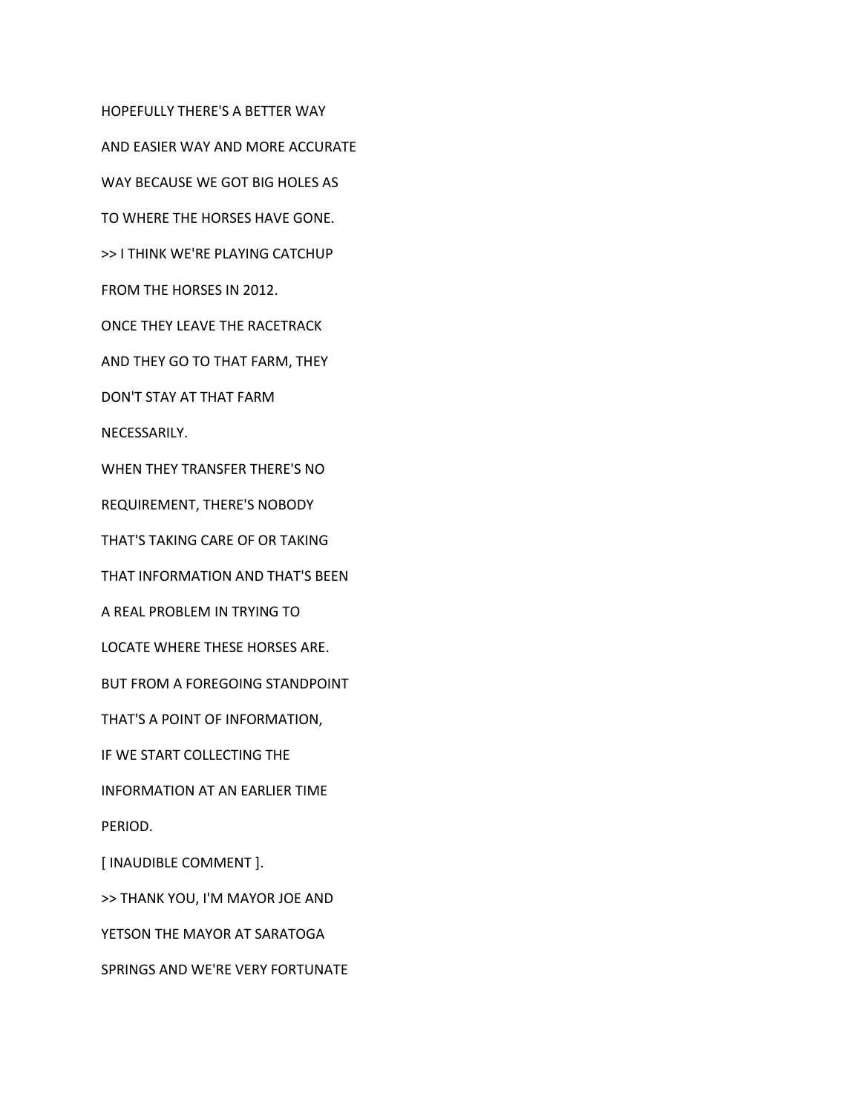HOPEFULLY THERE'S A BETTER WAY AND EASIER WAY AND MORE ACCURATE WAY BECAUSE WE GOT BIG HOLES AS TO WHERE THE HORSES HAVE GONE. >> I THINK WE'RE PLAYING CATCHUP FROM THE HORSES IN 2012. ONCE THEY LEAVE THE RACETRACK AND THEY GO TO THAT FARM, THEY DON'T STAY AT THAT FARM NECESSARILY. WHEN THEY TRANSFER THERE'S NO REQUIREMENT, THERE'S NOBODY THAT'S TAKING CARE OF OR TAKING THAT INFORMATION AND THAT'S BEEN A REAL PROBLEM IN TRYING TO LOCATE WHERE THESE HORSES ARE. BUT FROM A FOREGOING STANDPOINT THAT'S A POINT OF INFORMATION, IF WE START COLLECTING THE INFORMATION AT AN EARLIER TIME PERIOD. [ INAUDIBLE COMMENT ]. >> THANK YOU, I'M MAYOR JOE AND YETSON THE MAYOR AT SARATOGA SPRINGS AND WE'RE VERY FORTUNATE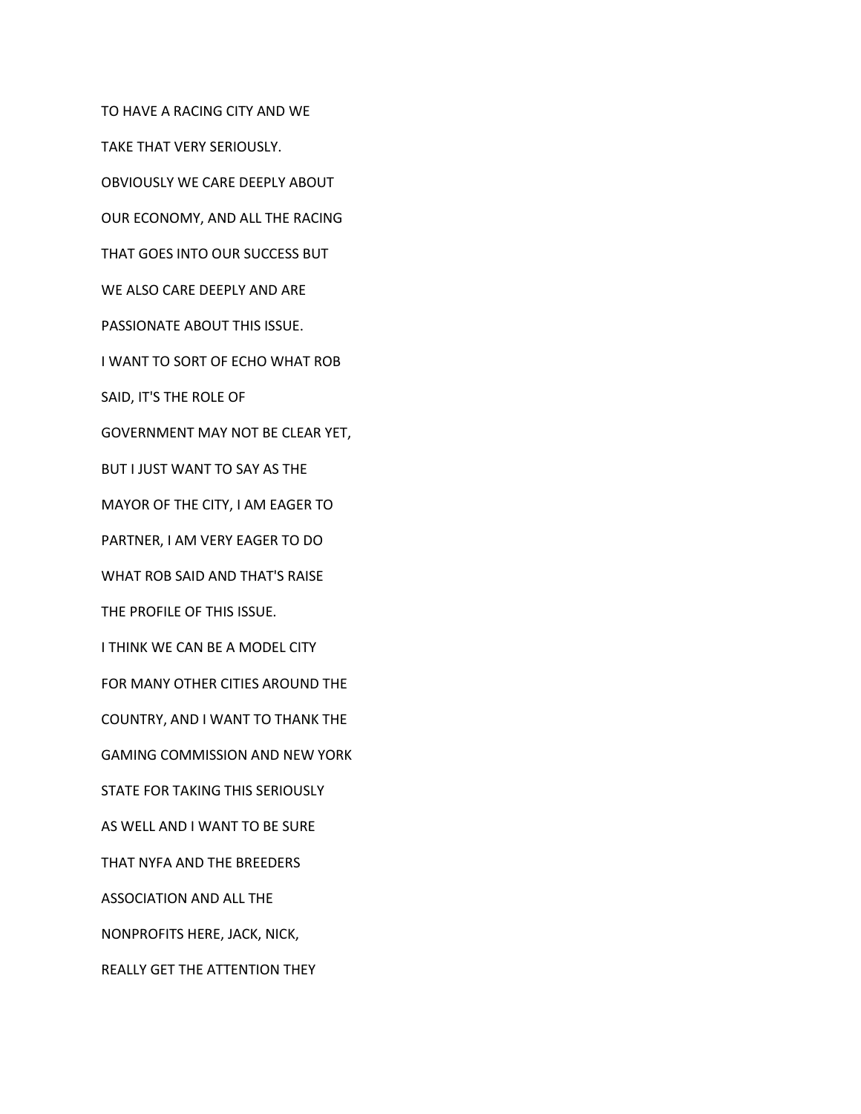TO HAVE A RACING CITY AND WE TAKE THAT VERY SERIOUSLY. OBVIOUSLY WE CARE DEEPLY ABOUT OUR ECONOMY, AND ALL THE RACING THAT GOES INTO OUR SUCCESS BUT WE ALSO CARE DEEPLY AND ARE PASSIONATE ABOUT THIS ISSUE. I WANT TO SORT OF ECHO WHAT ROB SAID, IT'S THE ROLE OF GOVERNMENT MAY NOT BE CLEAR YET, BUT I JUST WANT TO SAY AS THE MAYOR OF THE CITY, I AM EAGER TO PARTNER, I AM VERY EAGER TO DO WHAT ROB SAID AND THAT'S RAISE THE PROFILE OF THIS ISSUE. I THINK WE CAN BE A MODEL CITY FOR MANY OTHER CITIES AROUND THE COUNTRY, AND I WANT TO THANK THE GAMING COMMISSION AND NEW YORK STATE FOR TAKING THIS SERIOUSLY AS WELL AND I WANT TO BE SURE THAT NYFA AND THE BREEDERS ASSOCIATION AND ALL THE NONPROFITS HERE, JACK, NICK, REALLY GET THE ATTENTION THEY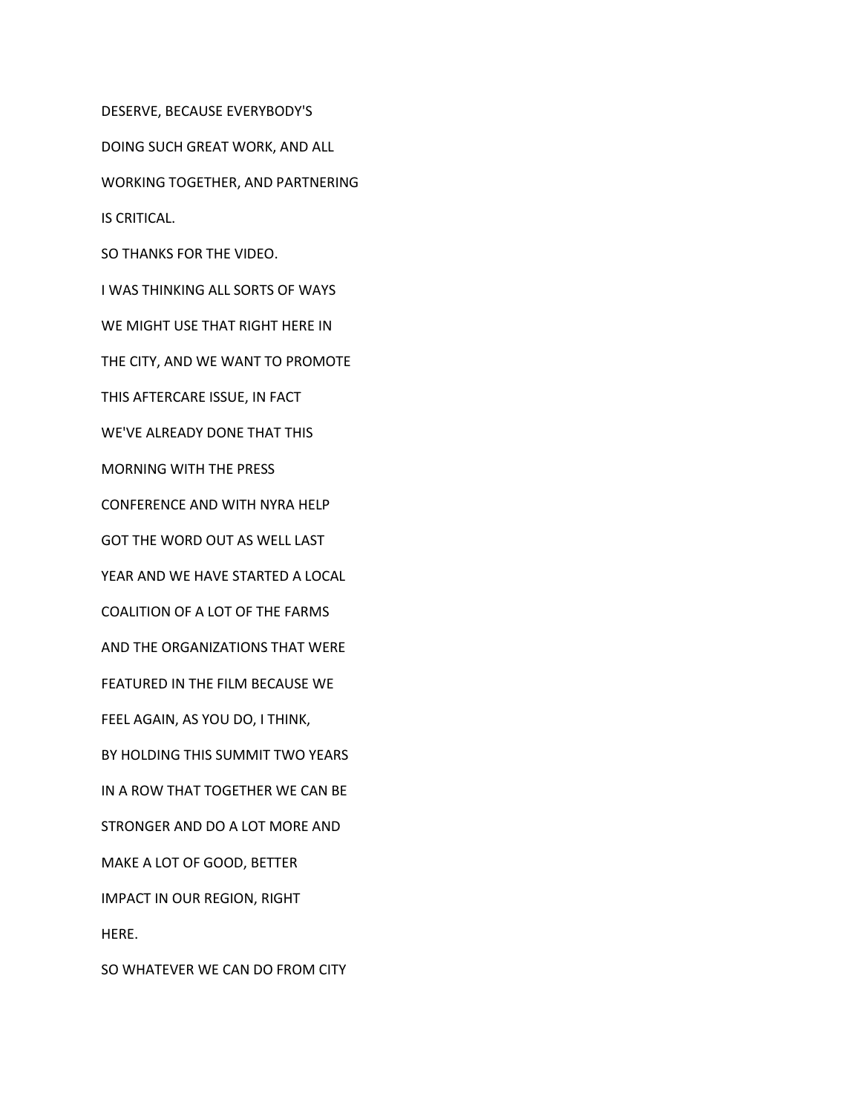DESERVE, BECAUSE EVERYBODY'S DOING SUCH GREAT WORK, AND ALL WORKING TOGETHER, AND PARTNERING IS CRITICAL. SO THANKS FOR THE VIDEO. I WAS THINKING ALL SORTS OF WAYS WE MIGHT USE THAT RIGHT HERE IN THE CITY, AND WE WANT TO PROMOTE THIS AFTERCARE ISSUE, IN FACT WE'VE ALREADY DONE THAT THIS MORNING WITH THE PRESS CONFERENCE AND WITH NYRA HELP GOT THE WORD OUT AS WELL LAST YEAR AND WE HAVE STARTED A LOCAL COALITION OF A LOT OF THE FARMS AND THE ORGANIZATIONS THAT WERE FEATURED IN THE FILM BECAUSE WE FEEL AGAIN, AS YOU DO, I THINK, BY HOLDING THIS SUMMIT TWO YEARS IN A ROW THAT TOGETHER WE CAN BE STRONGER AND DO A LOT MORE AND MAKE A LOT OF GOOD, BETTER IMPACT IN OUR REGION, RIGHT HERE. SO WHATEVER WE CAN DO FROM CITY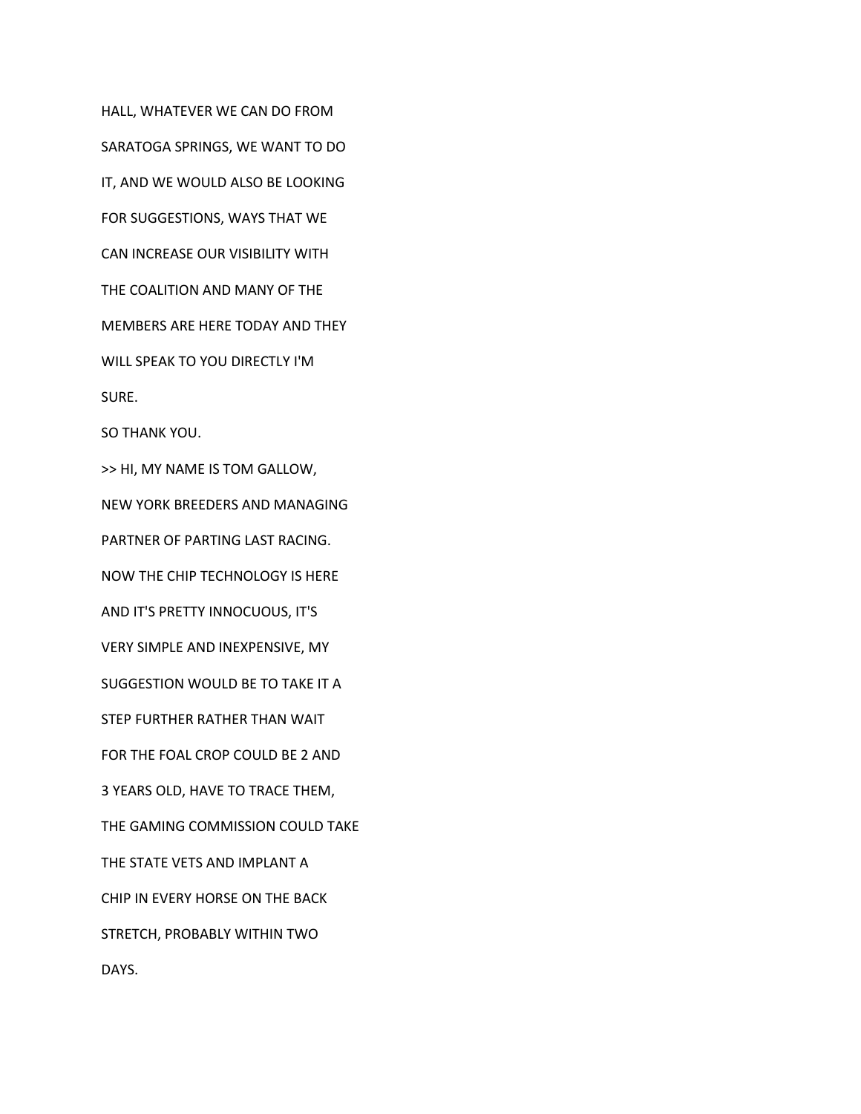HALL, WHATEVER WE CAN DO FROM SARATOGA SPRINGS, WE WANT TO DO IT, AND WE WOULD ALSO BE LOOKING FOR SUGGESTIONS, WAYS THAT WE CAN INCREASE OUR VISIBILITY WITH THE COALITION AND MANY OF THE MEMBERS ARE HERE TODAY AND THEY WILL SPEAK TO YOU DIRECTLY I'M SURE. SO THANK YOU. >> HI, MY NAME IS TOM GALLOW, NEW YORK BREEDERS AND MANAGING PARTNER OF PARTING LAST RACING. NOW THE CHIP TECHNOLOGY IS HERE AND IT'S PRETTY INNOCUOUS, IT'S VERY SIMPLE AND INEXPENSIVE, MY SUGGESTION WOULD BE TO TAKE IT A STEP FURTHER RATHER THAN WAIT FOR THE FOAL CROP COULD BE 2 AND 3 YEARS OLD, HAVE TO TRACE THEM, THE GAMING COMMISSION COULD TAKE THE STATE VETS AND IMPLANT A CHIP IN EVERY HORSE ON THE BACK STRETCH, PROBABLY WITHIN TWO DAYS.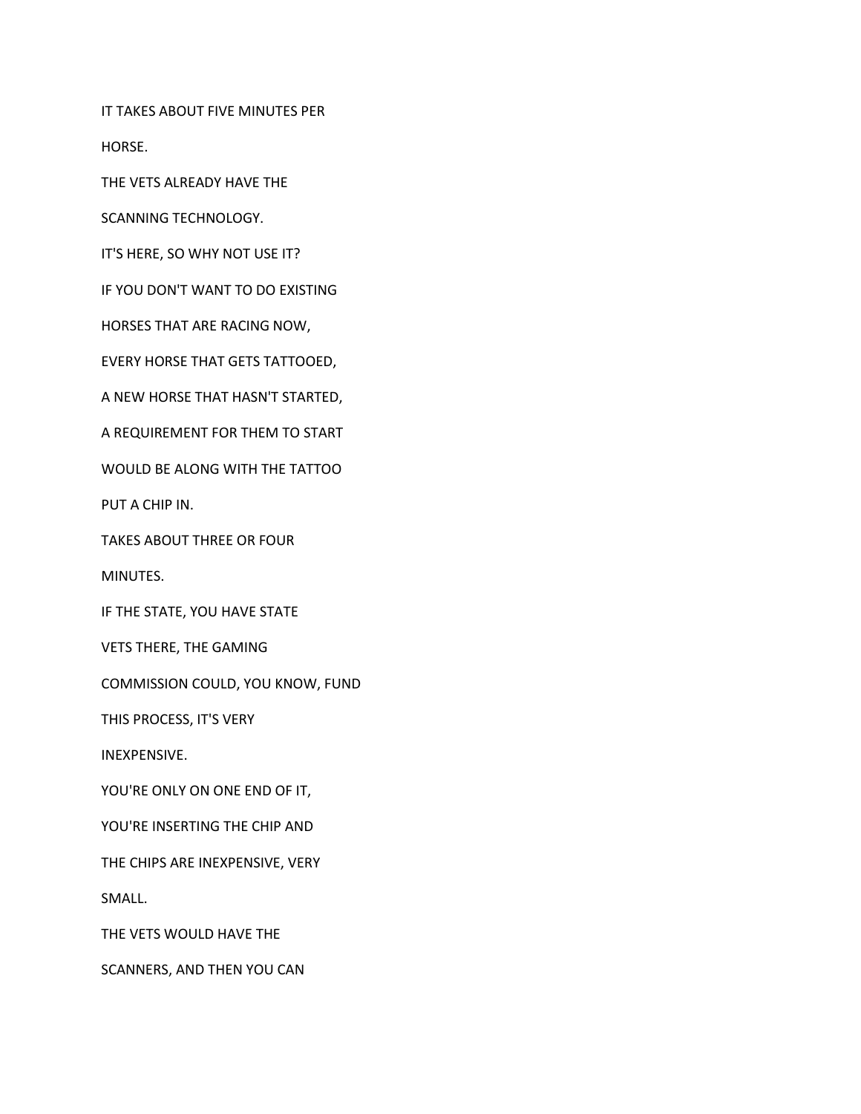IT TAKES ABOUT FIVE MINUTES PER

HORSE.

THE VETS ALREADY HAVE THE

SCANNING TECHNOLOGY.

IT'S HERE, SO WHY NOT USE IT?

IF YOU DON'T WANT TO DO EXISTING

HORSES THAT ARE RACING NOW,

EVERY HORSE THAT GETS TATTOOED,

A NEW HORSE THAT HASN'T STARTED,

A REQUIREMENT FOR THEM TO START

WOULD BE ALONG WITH THE TATTOO

PUT A CHIP IN.

TAKES ABOUT THREE OR FOUR

MINUTES.

IF THE STATE, YOU HAVE STATE

VETS THERE, THE GAMING

COMMISSION COULD, YOU KNOW, FUND

THIS PROCESS, IT'S VERY

INEXPENSIVE.

YOU'RE ONLY ON ONE END OF IT,

YOU'RE INSERTING THE CHIP AND

THE CHIPS ARE INEXPENSIVE, VERY

SMALL.

THE VETS WOULD HAVE THE

SCANNERS, AND THEN YOU CAN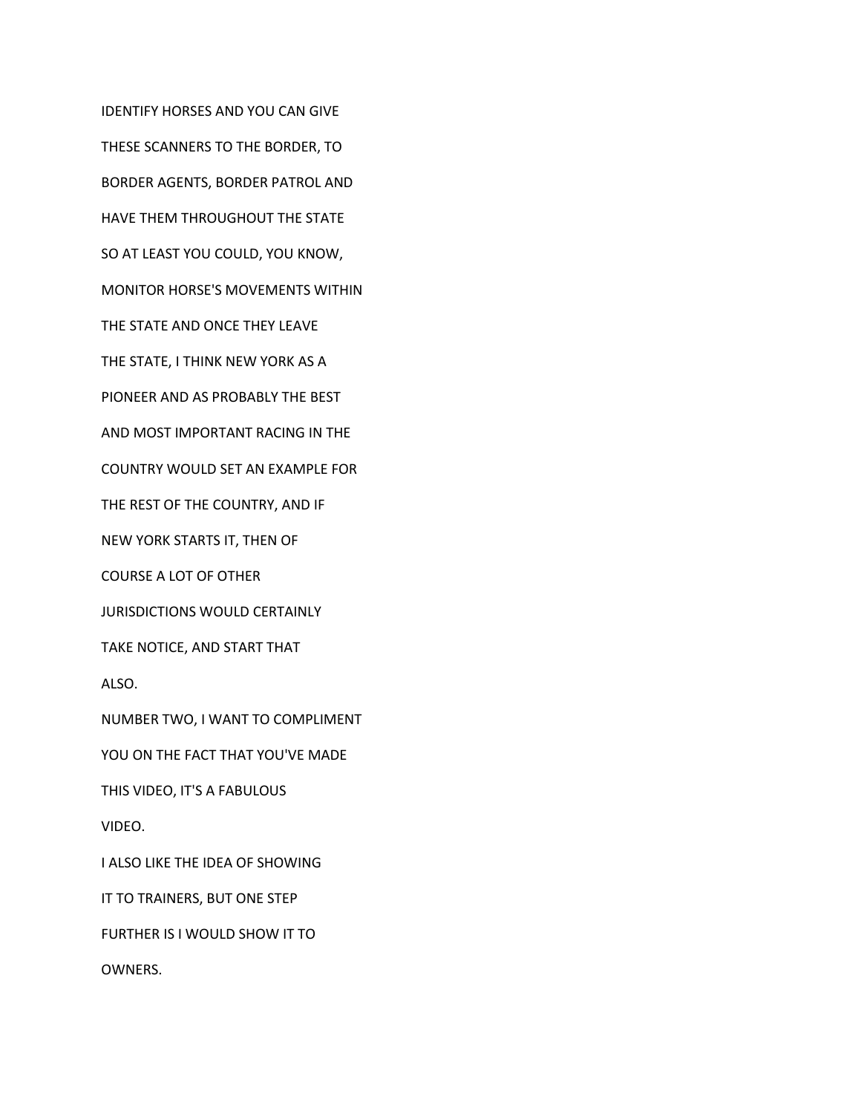IDENTIFY HORSES AND YOU CAN GIVE THESE SCANNERS TO THE BORDER, TO BORDER AGENTS, BORDER PATROL AND HAVE THEM THROUGHOUT THE STATE SO AT LEAST YOU COULD, YOU KNOW, MONITOR HORSE'S MOVEMENTS WITHIN THE STATE AND ONCE THEY LEAVE THE STATE, I THINK NEW YORK AS A PIONEER AND AS PROBABLY THE BEST AND MOST IMPORTANT RACING IN THE COUNTRY WOULD SET AN EXAMPLE FOR THE REST OF THE COUNTRY, AND IF NEW YORK STARTS IT, THEN OF COURSE A LOT OF OTHER JURISDICTIONS WOULD CERTAINLY TAKE NOTICE, AND START THAT ALSO. NUMBER TWO, I WANT TO COMPLIMENT YOU ON THE FACT THAT YOU'VE MADE THIS VIDEO, IT'S A FABULOUS VIDEO. I ALSO LIKE THE IDEA OF SHOWING IT TO TRAINERS, BUT ONE STEP FURTHER IS I WOULD SHOW IT TO OWNERS.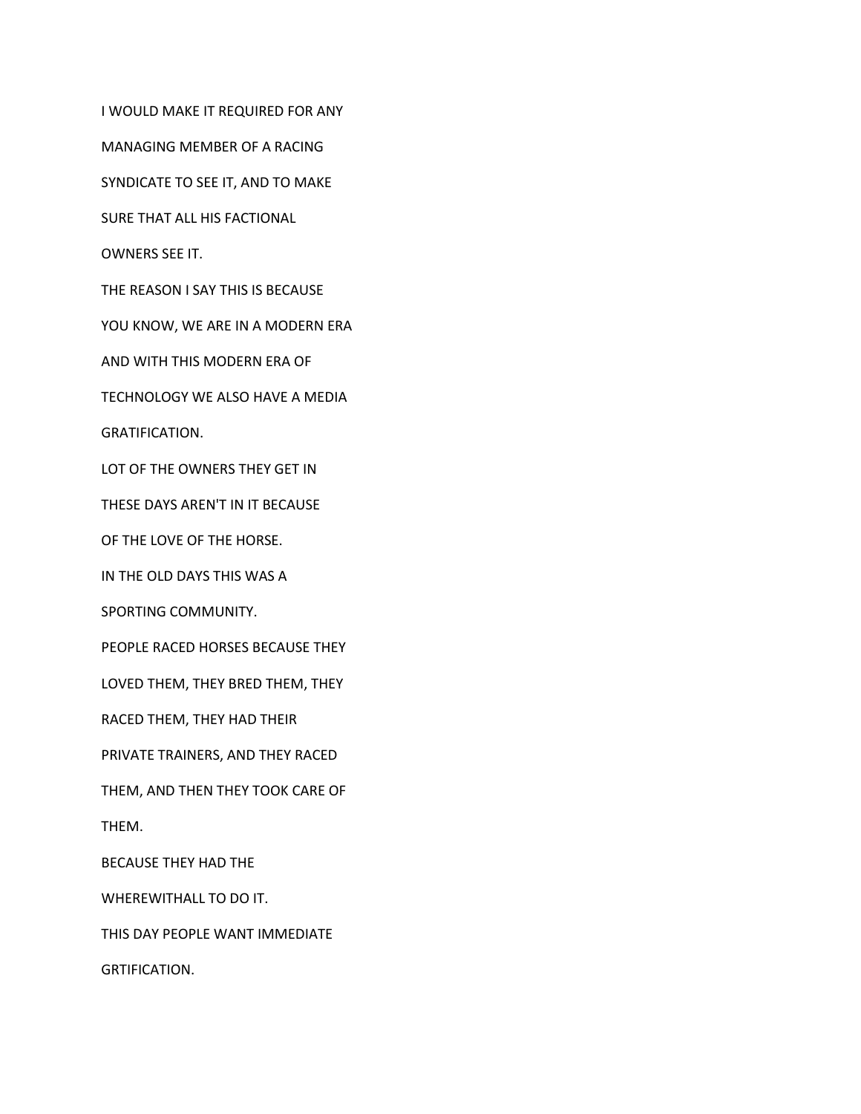I WOULD MAKE IT REQUIRED FOR ANY

MANAGING MEMBER OF A RACING

SYNDICATE TO SEE IT, AND TO MAKE

SURE THAT ALL HIS FACTIONAL

OWNERS SEE IT.

THE REASON I SAY THIS IS BECAUSE

YOU KNOW, WE ARE IN A MODERN ERA

AND WITH THIS MODERN ERA OF

TECHNOLOGY WE ALSO HAVE A MEDIA

GRATIFICATION.

LOT OF THE OWNERS THEY GET IN

THESE DAYS AREN'T IN IT BECAUSE

OF THE LOVE OF THE HORSE.

IN THE OLD DAYS THIS WAS A

SPORTING COMMUNITY.

PEOPLE RACED HORSES BECAUSE THEY

LOVED THEM, THEY BRED THEM, THEY

RACED THEM, THEY HAD THEIR

PRIVATE TRAINERS, AND THEY RACED

THEM, AND THEN THEY TOOK CARE OF

THEM.

BECAUSE THEY HAD THE

WHEREWITHALL TO DO IT.

THIS DAY PEOPLE WANT IMMEDIATE

GRTIFICATION.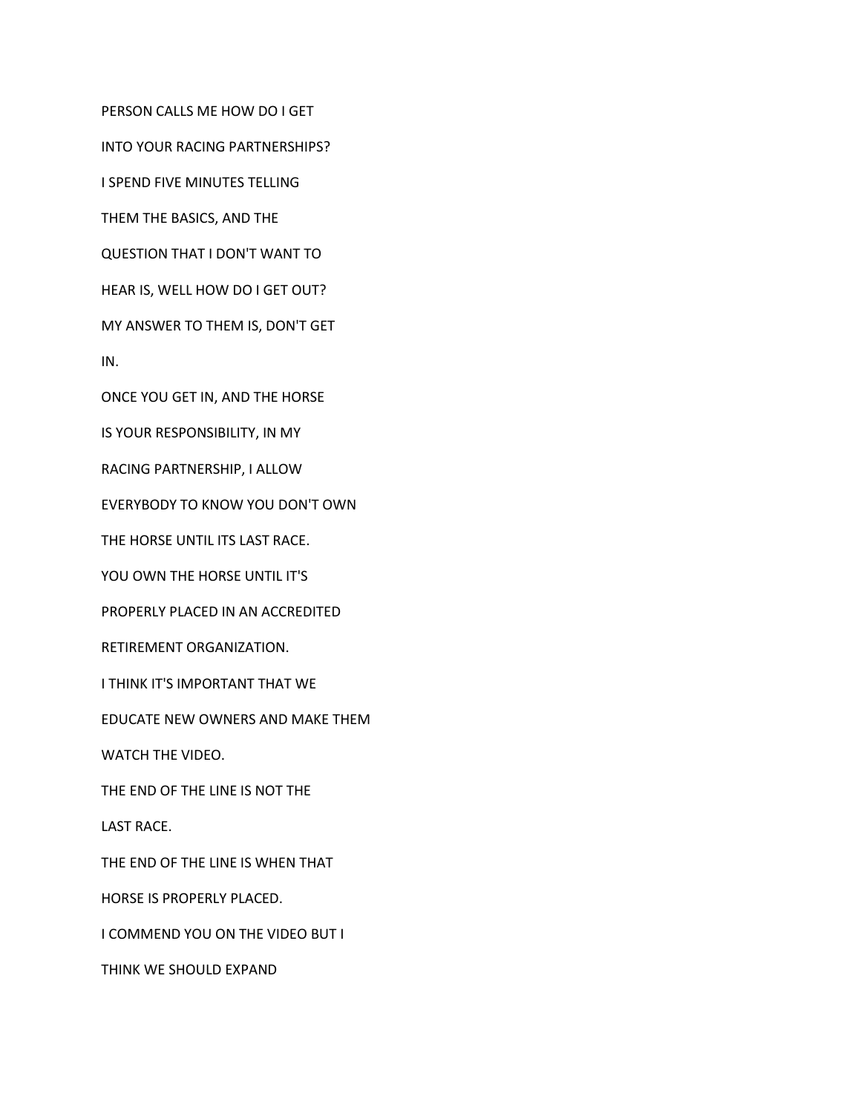PERSON CALLS ME HOW DO I GET

INTO YOUR RACING PARTNERSHIPS?

I SPEND FIVE MINUTES TELLING

THEM THE BASICS, AND THE

QUESTION THAT I DON'T WANT TO

HEAR IS, WELL HOW DO I GET OUT?

MY ANSWER TO THEM IS, DON'T GET

IN.

ONCE YOU GET IN, AND THE HORSE

IS YOUR RESPONSIBILITY, IN MY

RACING PARTNERSHIP, I ALLOW

EVERYBODY TO KNOW YOU DON'T OWN

THE HORSE UNTIL ITS LAST RACE.

YOU OWN THE HORSE UNTIL IT'S

PROPERLY PLACED IN AN ACCREDITED

RETIREMENT ORGANIZATION.

I THINK IT'S IMPORTANT THAT WE

EDUCATE NEW OWNERS AND MAKE THEM

WATCH THE VIDEO.

THE END OF THE LINE IS NOT THE

LAST RACE.

THE END OF THE LINE IS WHEN THAT

HORSE IS PROPERLY PLACED.

I COMMEND YOU ON THE VIDEO BUT I

THINK WE SHOULD EXPAND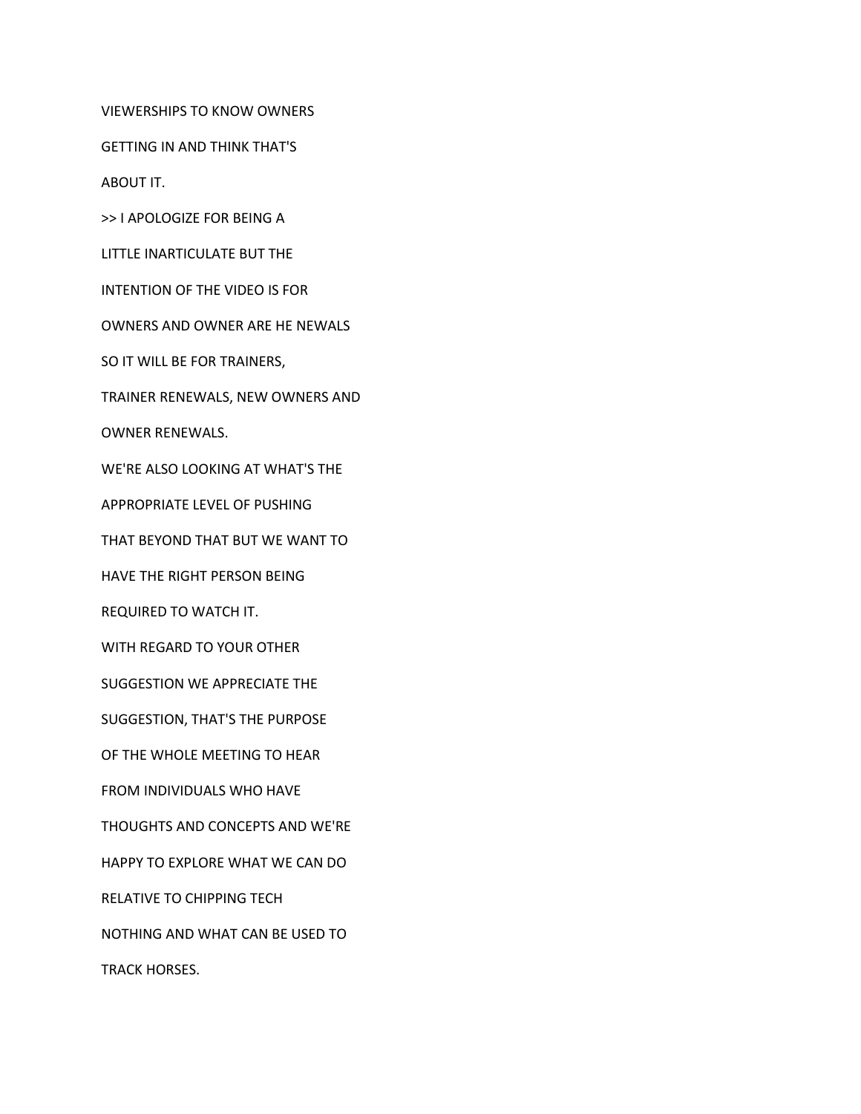VIEWERSHIPS TO KNOW OWNERS

GETTING IN AND THINK THAT'S

ABOUT IT.

>> I APOLOGIZE FOR BEING A

LITTLE INARTICULATE BUT THE

INTENTION OF THE VIDEO IS FOR

OWNERS AND OWNER ARE HE NEWALS

SO IT WILL BE FOR TRAINERS,

TRAINER RENEWALS, NEW OWNERS AND

OWNER RENEWALS.

WE'RE ALSO LOOKING AT WHAT'S THE

APPROPRIATE LEVEL OF PUSHING

THAT BEYOND THAT BUT WE WANT TO

HAVE THE RIGHT PERSON BEING

REQUIRED TO WATCH IT.

WITH REGARD TO YOUR OTHER

SUGGESTION WE APPRECIATE THE

SUGGESTION, THAT'S THE PURPOSE

OF THE WHOLE MEETING TO HEAR

FROM INDIVIDUALS WHO HAVE

THOUGHTS AND CONCEPTS AND WE'RE

HAPPY TO EXPLORE WHAT WE CAN DO

RELATIVE TO CHIPPING TECH

NOTHING AND WHAT CAN BE USED TO

TRACK HORSES.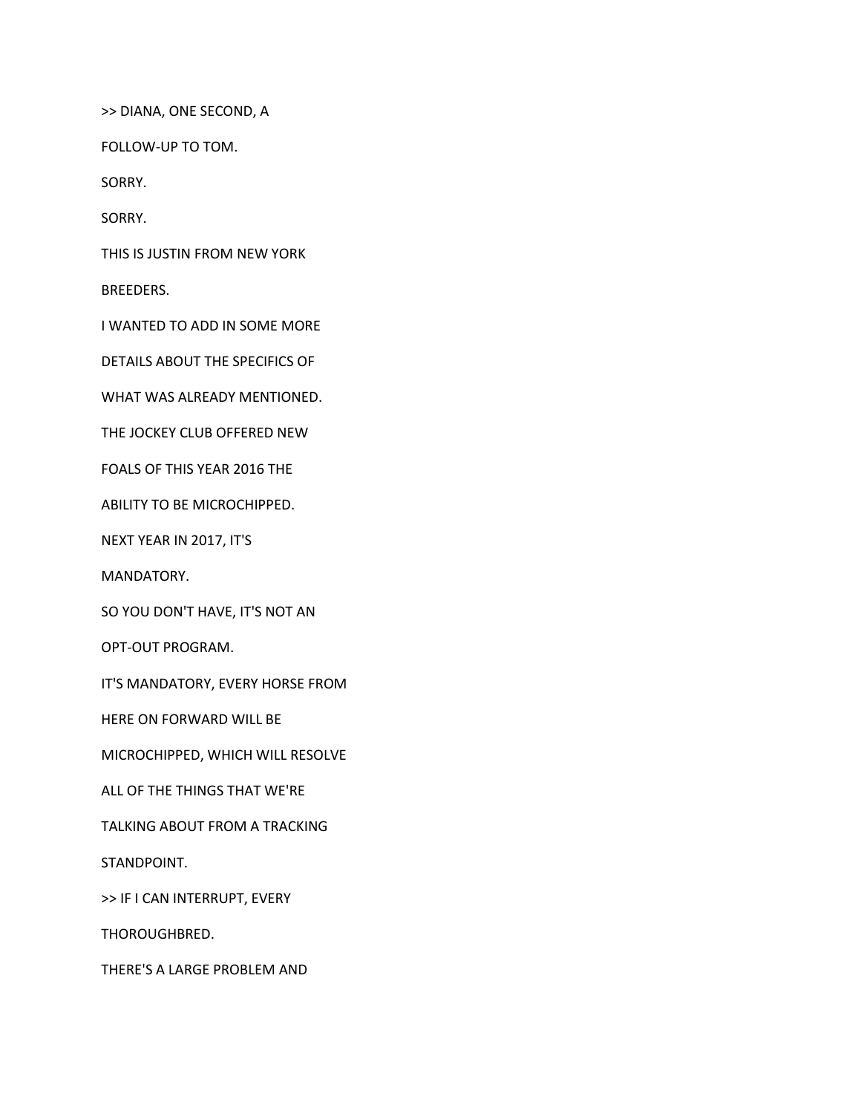>> DIANA, ONE SECOND, A

FOLLOW-UP TO TOM.

SORRY.

SORRY.

THIS IS JUSTIN FROM NEW YORK

BREEDERS.

I WANTED TO ADD IN SOME MORE

DETAILS ABOUT THE SPECIFICS OF

WHAT WAS ALREADY MENTIONED.

THE JOCKEY CLUB OFFERED NEW

FOALS OF THIS YEAR 2016 THE

ABILITY TO BE MICROCHIPPED.

NEXT YEAR IN 2017, IT'S

MANDATORY.

SO YOU DON'T HAVE, IT'S NOT AN

OPT-OUT PROGRAM.

IT'S MANDATORY, EVERY HORSE FROM

HERE ON FORWARD WILL BE

MICROCHIPPED, WHICH WILL RESOLVE

ALL OF THE THINGS THAT WE'RE

TALKING ABOUT FROM A TRACKING

STANDPOINT.

>> IF I CAN INTERRUPT, EVERY

THOROUGHBRED.

THERE'S A LARGE PROBLEM AND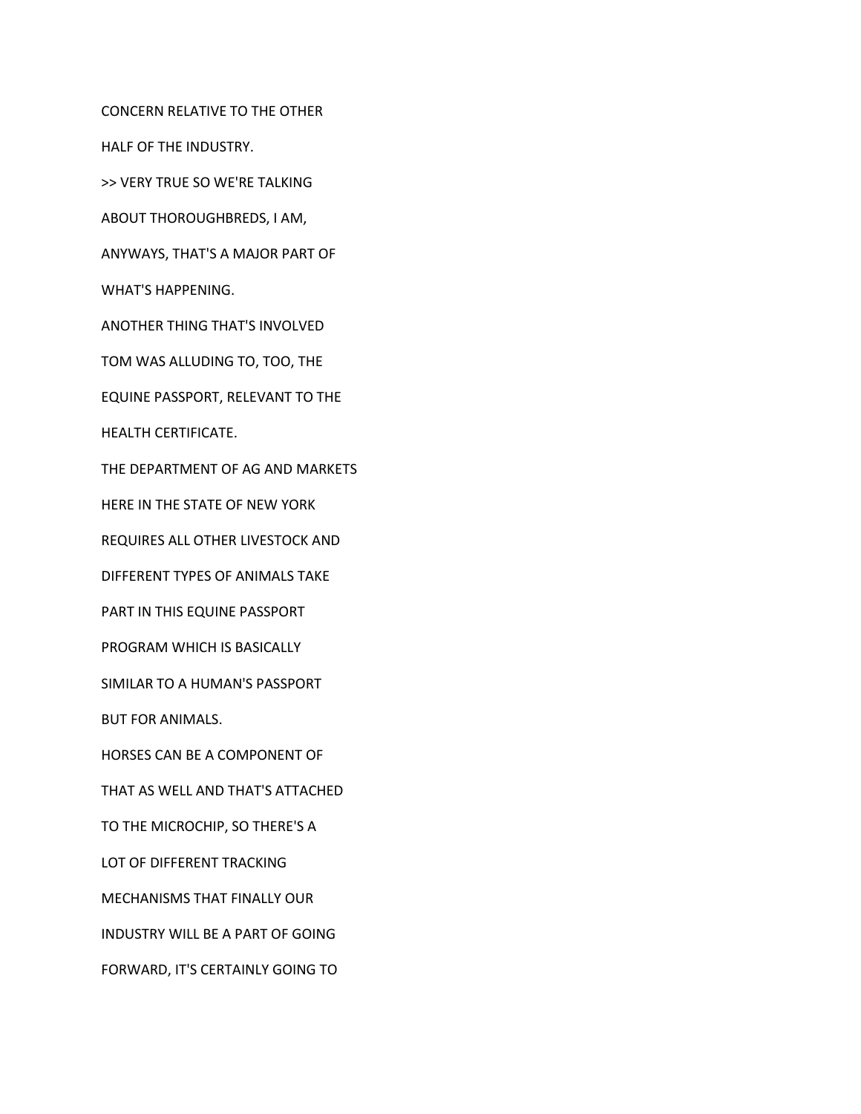CONCERN RELATIVE TO THE OTHER

HALF OF THE INDUSTRY.

>> VERY TRUE SO WE'RE TALKING

ABOUT THOROUGHBREDS, I AM,

ANYWAYS, THAT'S A MAJOR PART OF

WHAT'S HAPPENING.

ANOTHER THING THAT'S INVOLVED

TOM WAS ALLUDING TO, TOO, THE

EQUINE PASSPORT, RELEVANT TO THE

HEALTH CERTIFICATE.

THE DEPARTMENT OF AG AND MARKETS

HERE IN THE STATE OF NEW YORK

REQUIRES ALL OTHER LIVESTOCK AND

DIFFERENT TYPES OF ANIMALS TAKE

PART IN THIS EQUINE PASSPORT

PROGRAM WHICH IS BASICALLY

SIMILAR TO A HUMAN'S PASSPORT

BUT FOR ANIMALS.

HORSES CAN BE A COMPONENT OF

THAT AS WELL AND THAT'S ATTACHED

TO THE MICROCHIP, SO THERE'S A

LOT OF DIFFERENT TRACKING

MECHANISMS THAT FINALLY OUR

INDUSTRY WILL BE A PART OF GOING

FORWARD, IT'S CERTAINLY GOING TO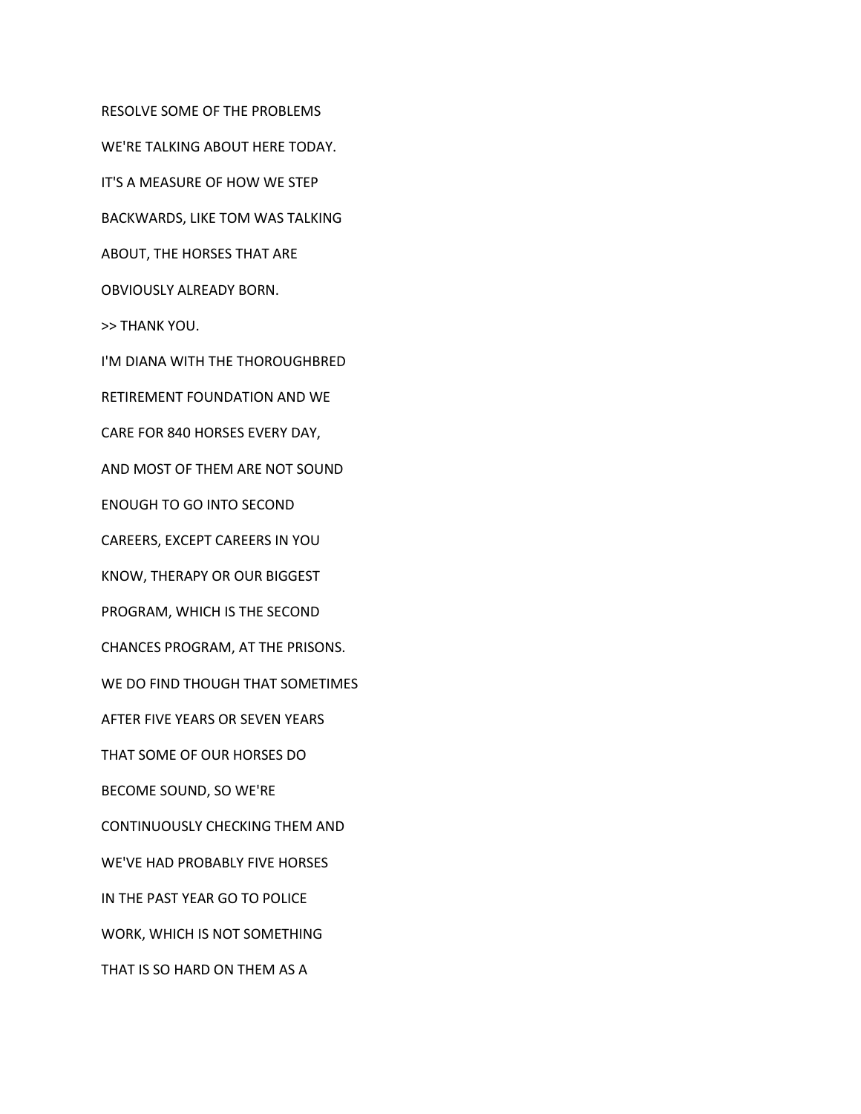RESOLVE SOME OF THE PROBLEMS WE'RE TALKING ABOUT HERE TODAY. IT'S A MEASURE OF HOW WE STEP BACKWARDS, LIKE TOM WAS TALKING ABOUT, THE HORSES THAT ARE OBVIOUSLY ALREADY BORN. >> THANK YOU. I'M DIANA WITH THE THOROUGHBRED RETIREMENT FOUNDATION AND WE CARE FOR 840 HORSES EVERY DAY, AND MOST OF THEM ARE NOT SOUND ENOUGH TO GO INTO SECOND CAREERS, EXCEPT CAREERS IN YOU KNOW, THERAPY OR OUR BIGGEST PROGRAM, WHICH IS THE SECOND CHANCES PROGRAM, AT THE PRISONS. WE DO FIND THOUGH THAT SOMETIMES AFTER FIVE YEARS OR SEVEN YEARS THAT SOME OF OUR HORSES DO BECOME SOUND, SO WE'RE CONTINUOUSLY CHECKING THEM AND WE'VE HAD PROBABLY FIVE HORSES IN THE PAST YEAR GO TO POLICE WORK, WHICH IS NOT SOMETHING THAT IS SO HARD ON THEM AS A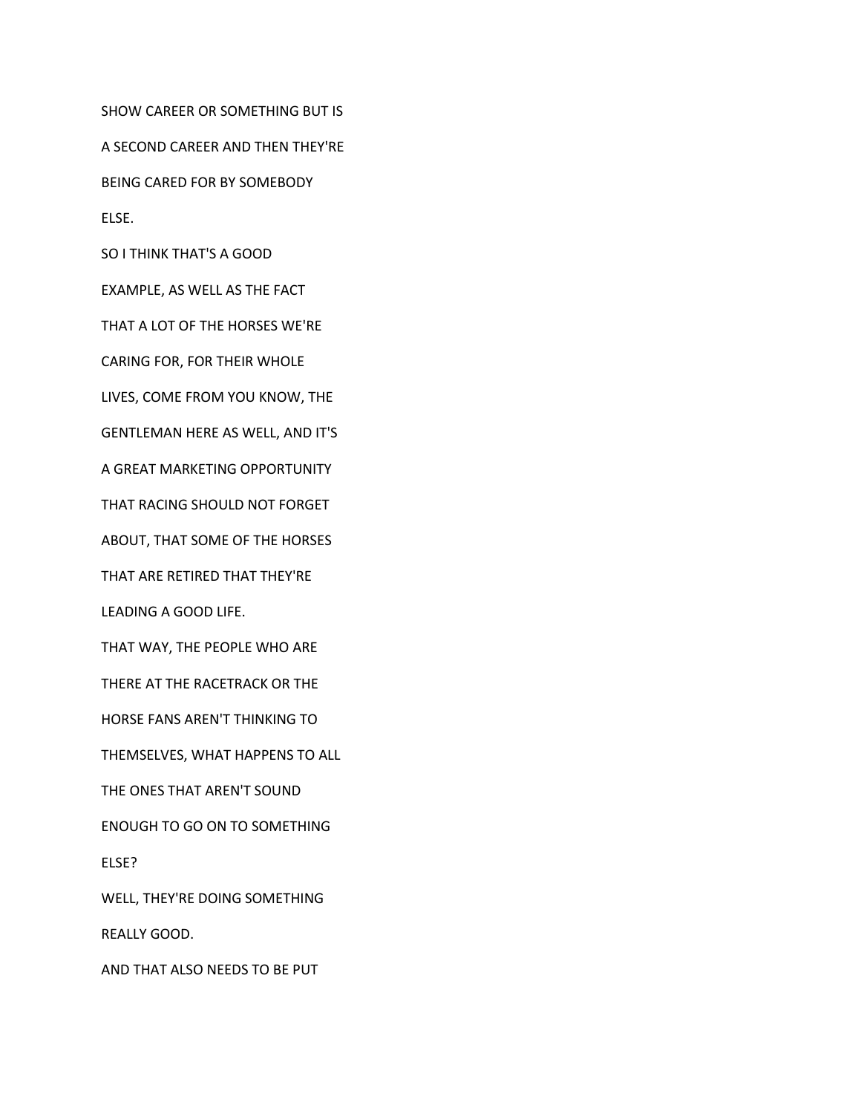SHOW CAREER OR SOMETHING BUT IS

A SECOND CAREER AND THEN THEY'RE

BEING CARED FOR BY SOMEBODY

ELSE.

SO I THINK THAT'S A GOOD

EXAMPLE, AS WELL AS THE FACT

THAT A LOT OF THE HORSES WE'RE

CARING FOR, FOR THEIR WHOLE

LIVES, COME FROM YOU KNOW, THE

GENTLEMAN HERE AS WELL, AND IT'S

A GREAT MARKETING OPPORTUNITY

THAT RACING SHOULD NOT FORGET

ABOUT, THAT SOME OF THE HORSES

THAT ARE RETIRED THAT THEY'RE

LEADING A GOOD LIFE.

THAT WAY, THE PEOPLE WHO ARE

THERE AT THE RACETRACK OR THE

HORSE FANS AREN'T THINKING TO

THEMSELVES, WHAT HAPPENS TO ALL

THE ONES THAT AREN'T SOUND

ENOUGH TO GO ON TO SOMETHING

ELSE?

WELL, THEY'RE DOING SOMETHING

REALLY GOOD.

AND THAT ALSO NEEDS TO BE PUT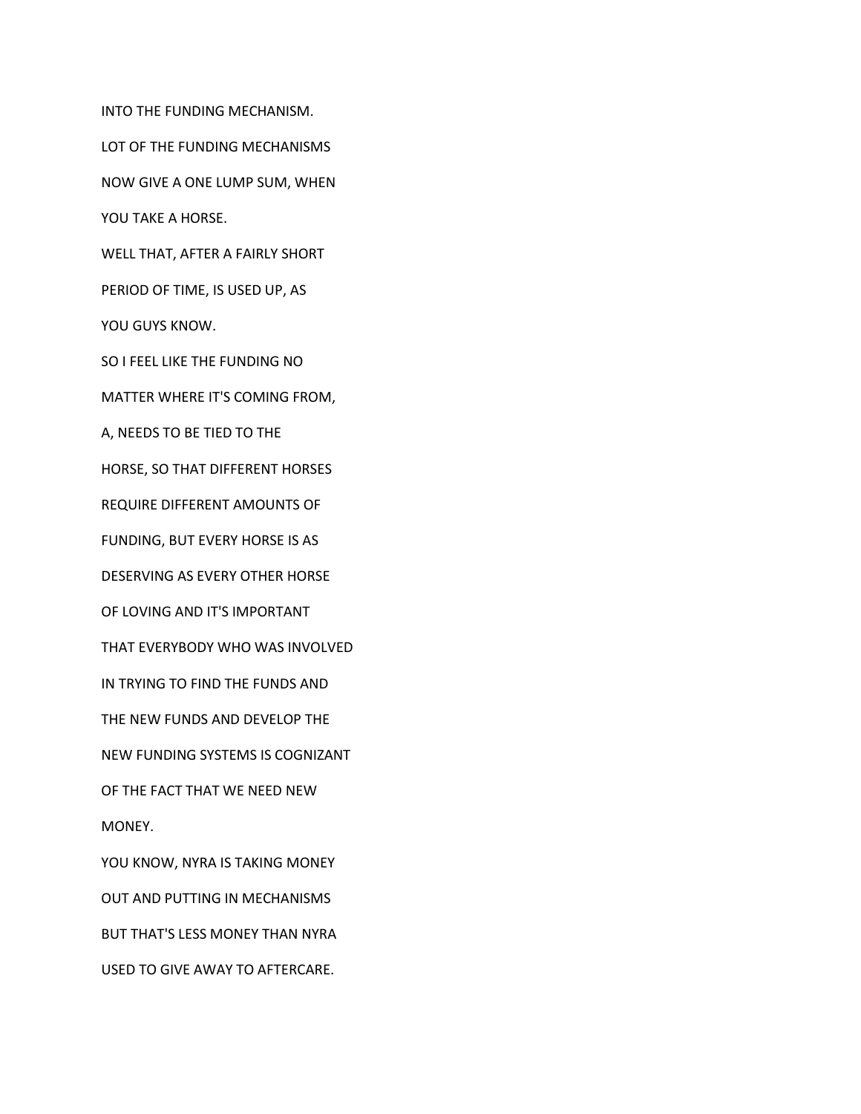INTO THE FUNDING MECHANISM. LOT OF THE FUNDING MECHANISMS NOW GIVE A ONE LUMP SUM, WHEN YOU TAKE A HORSE. WELL THAT, AFTER A FAIRLY SHORT PERIOD OF TIME, IS USED UP, AS YOU GUYS KNOW. SO I FEEL LIKE THE FUNDING NO MATTER WHERE IT'S COMING FROM, A, NEEDS TO BE TIED TO THE HORSE, SO THAT DIFFERENT HORSES REQUIRE DIFFERENT AMOUNTS OF FUNDING, BUT EVERY HORSE IS AS DESERVING AS EVERY OTHER HORSE OF LOVING AND IT'S IMPORTANT THAT EVERYBODY WHO WAS INVOLVED IN TRYING TO FIND THE FUNDS AND THE NEW FUNDS AND DEVELOP THE NEW FUNDING SYSTEMS IS COGNIZANT OF THE FACT THAT WE NEED NEW MONEY. YOU KNOW, NYRA IS TAKING MONEY OUT AND PUTTING IN MECHANISMS BUT THAT'S LESS MONEY THAN NYRA USED TO GIVE AWAY TO AFTERCARE.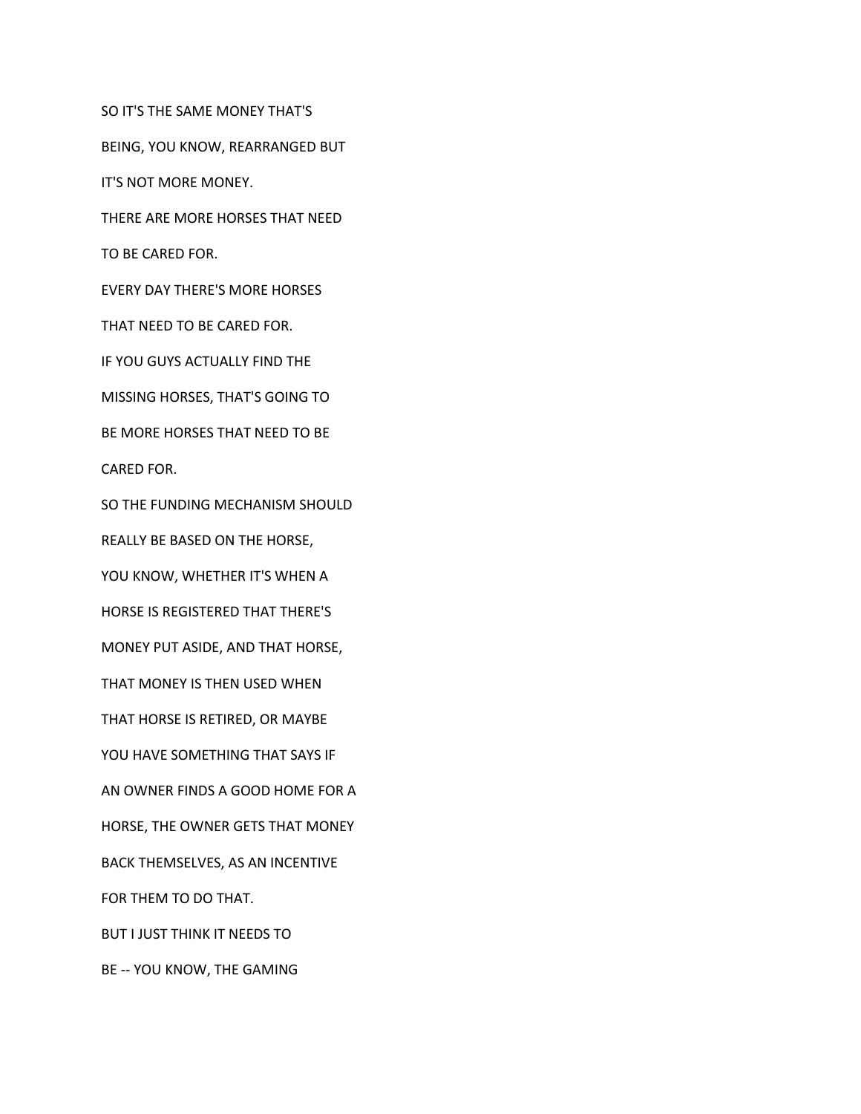SO IT'S THE SAME MONEY THAT'S BEING, YOU KNOW, REARRANGED BUT IT'S NOT MORE MONEY. THERE ARE MORE HORSES THAT NEED TO BE CARED FOR. EVERY DAY THERE'S MORE HORSES THAT NEED TO BE CARED FOR. IF YOU GUYS ACTUALLY FIND THE MISSING HORSES, THAT'S GOING TO BE MORE HORSES THAT NEED TO BE CARED FOR. SO THE FUNDING MECHANISM SHOULD REALLY BE BASED ON THE HORSE, YOU KNOW, WHETHER IT'S WHEN A HORSE IS REGISTERED THAT THERE'S MONEY PUT ASIDE, AND THAT HORSE, THAT MONEY IS THEN USED WHEN THAT HORSE IS RETIRED, OR MAYBE YOU HAVE SOMETHING THAT SAYS IF AN OWNER FINDS A GOOD HOME FOR A HORSE, THE OWNER GETS THAT MONEY BACK THEMSELVES, AS AN INCENTIVE FOR THEM TO DO THAT. BUT I JUST THINK IT NEEDS TO BE -- YOU KNOW, THE GAMING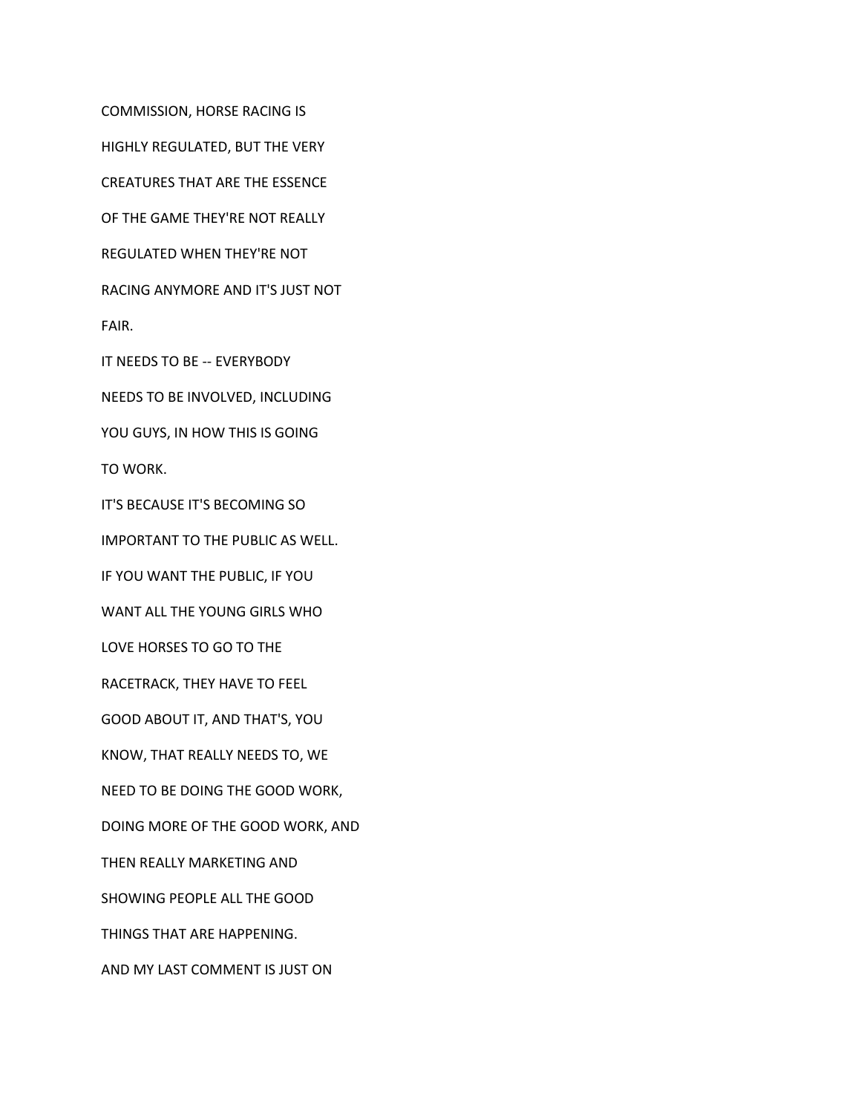COMMISSION, HORSE RACING IS HIGHLY REGULATED, BUT THE VERY CREATURES THAT ARE THE ESSENCE OF THE GAME THEY'RE NOT REALLY REGULATED WHEN THEY'RE NOT RACING ANYMORE AND IT'S JUST NOT FAIR. IT NEEDS TO BE -- EVERYBODY NEEDS TO BE INVOLVED, INCLUDING YOU GUYS, IN HOW THIS IS GOING

TO WORK.

IT'S BECAUSE IT'S BECOMING SO

IMPORTANT TO THE PUBLIC AS WELL.

IF YOU WANT THE PUBLIC, IF YOU

WANT ALL THE YOUNG GIRLS WHO

LOVE HORSES TO GO TO THE

RACETRACK, THEY HAVE TO FEEL

GOOD ABOUT IT, AND THAT'S, YOU

KNOW, THAT REALLY NEEDS TO, WE

NEED TO BE DOING THE GOOD WORK,

DOING MORE OF THE GOOD WORK, AND

THEN REALLY MARKETING AND

SHOWING PEOPLE ALL THE GOOD

THINGS THAT ARE HAPPENING.

AND MY LAST COMMENT IS JUST ON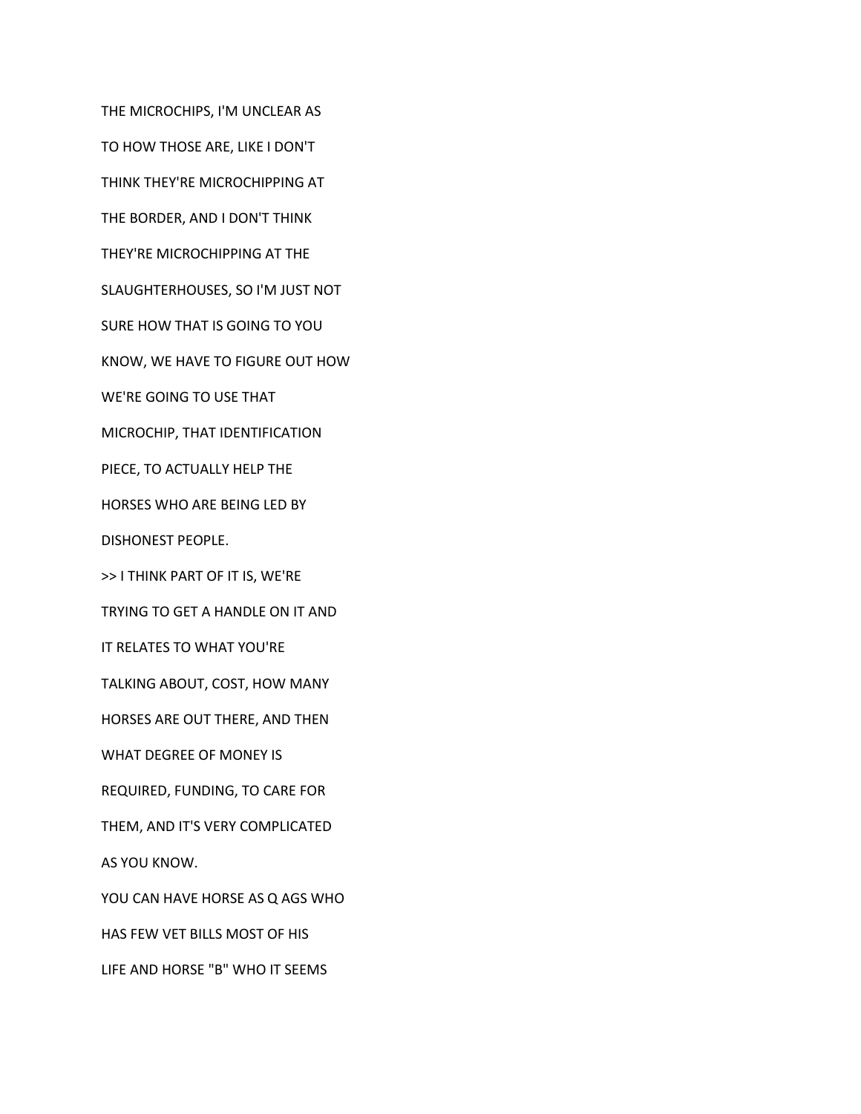THE MICROCHIPS, I'M UNCLEAR AS TO HOW THOSE ARE, LIKE I DON'T THINK THEY'RE MICROCHIPPING AT THE BORDER, AND I DON'T THINK THEY'RE MICROCHIPPING AT THE SLAUGHTERHOUSES, SO I'M JUST NOT SURE HOW THAT IS GOING TO YOU KNOW, WE HAVE TO FIGURE OUT HOW WE'RE GOING TO USE THAT MICROCHIP, THAT IDENTIFICATION PIECE, TO ACTUALLY HELP THE HORSES WHO ARE BEING LED BY DISHONEST PEOPLE. >> I THINK PART OF IT IS, WE'RE TRYING TO GET A HANDLE ON IT AND IT RELATES TO WHAT YOU'RE TALKING ABOUT, COST, HOW MANY HORSES ARE OUT THERE, AND THEN WHAT DEGREE OF MONEY IS REQUIRED, FUNDING, TO CARE FOR THEM, AND IT'S VERY COMPLICATED AS YOU KNOW. YOU CAN HAVE HORSE AS Q AGS WHO HAS FEW VET BILLS MOST OF HIS LIFE AND HORSE "B" WHO IT SEEMS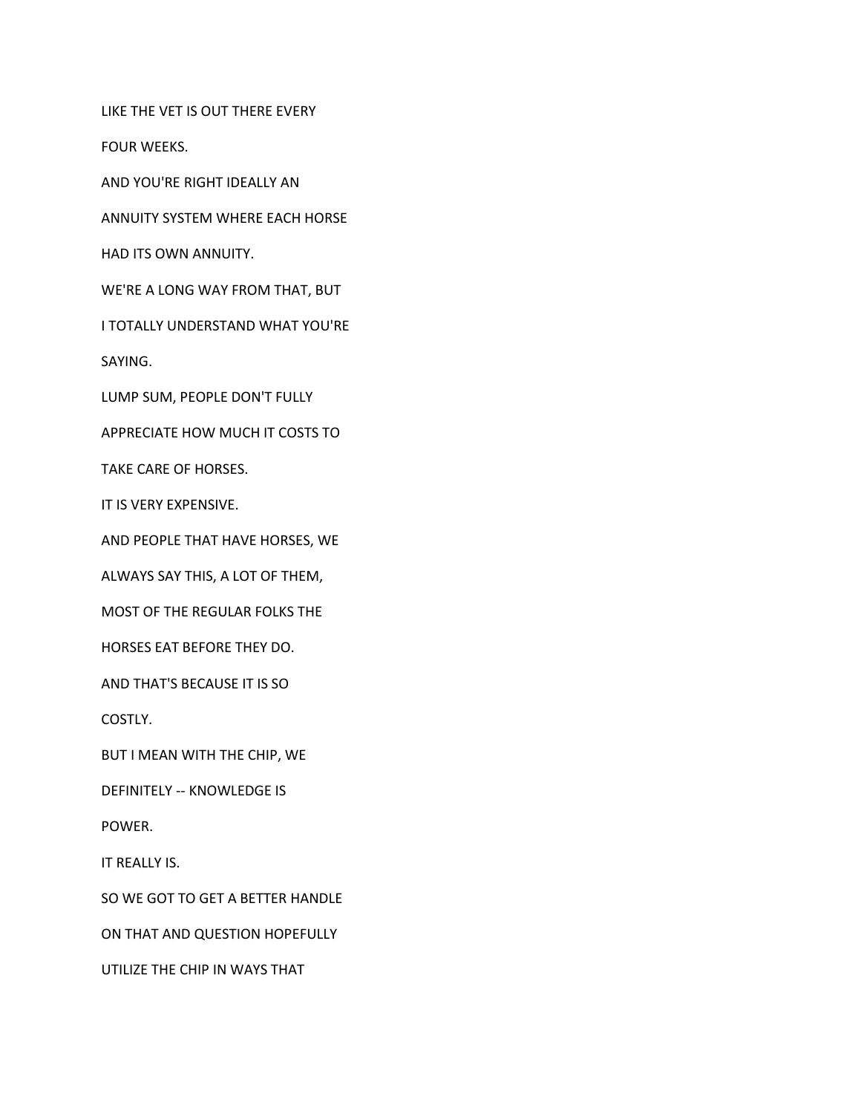LIKE THE VET IS OUT THERE EVERY

FOUR WEEKS.

AND YOU'RE RIGHT IDEALLY AN

ANNUITY SYSTEM WHERE EACH HORSE

HAD ITS OWN ANNUITY.

WE'RE A LONG WAY FROM THAT, BUT

I TOTALLY UNDERSTAND WHAT YOU'RE

SAYING.

LUMP SUM, PEOPLE DON'T FULLY

APPRECIATE HOW MUCH IT COSTS TO

TAKE CARE OF HORSES.

IT IS VERY EXPENSIVE.

AND PEOPLE THAT HAVE HORSES, WE

ALWAYS SAY THIS, A LOT OF THEM,

MOST OF THE REGULAR FOLKS THE

HORSES EAT BEFORE THEY DO.

AND THAT'S BECAUSE IT IS SO

COSTLY.

BUT I MEAN WITH THE CHIP, WE

DEFINITELY -- KNOWLEDGE IS

POWER.

IT REALLY IS.

SO WE GOT TO GET A BETTER HANDLE

ON THAT AND QUESTION HOPEFULLY

UTILIZE THE CHIP IN WAYS THAT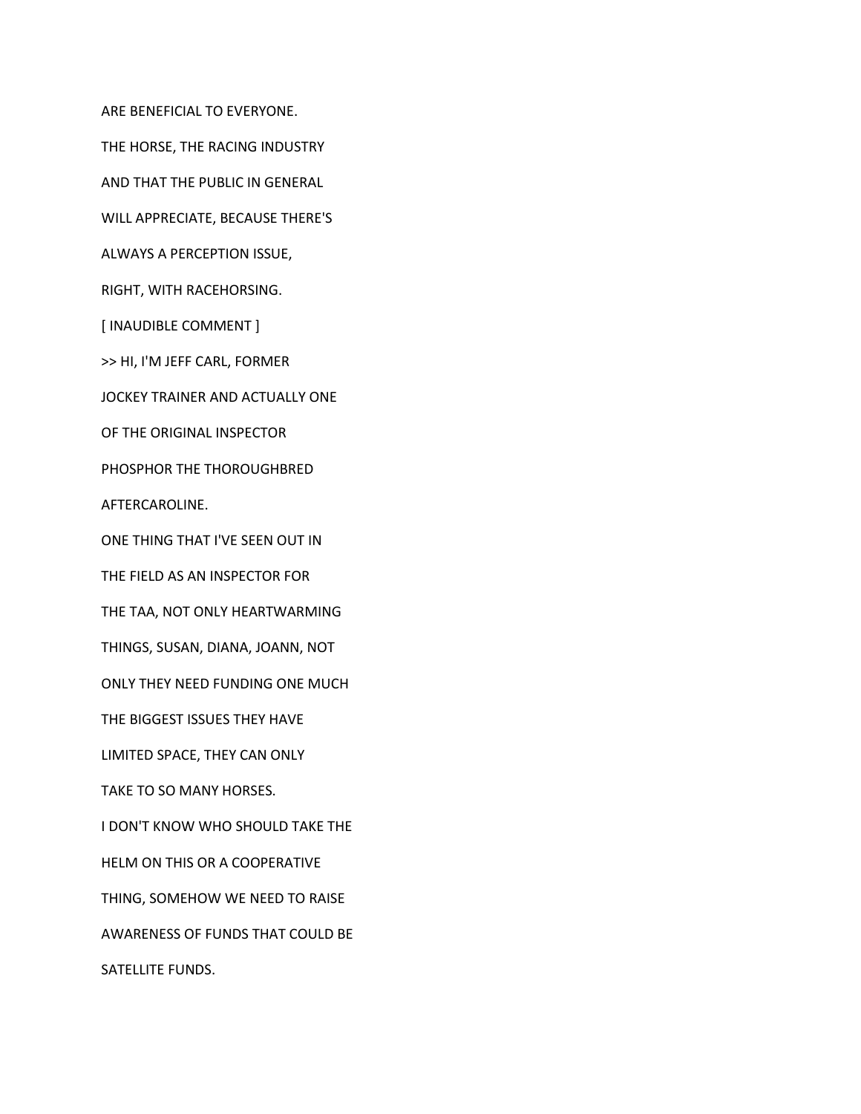ARE BENEFICIAL TO EVERYONE.

THE HORSE, THE RACING INDUSTRY

AND THAT THE PUBLIC IN GENERAL

WILL APPRECIATE, BECAUSE THERE'S

ALWAYS A PERCEPTION ISSUE,

RIGHT, WITH RACEHORSING.

[ INAUDIBLE COMMENT ]

>> HI, I'M JEFF CARL, FORMER

JOCKEY TRAINER AND ACTUALLY ONE

OF THE ORIGINAL INSPECTOR

PHOSPHOR THE THOROUGHBRED

AFTERCAROLINE.

ONE THING THAT I'VE SEEN OUT IN

THE FIELD AS AN INSPECTOR FOR

THE TAA, NOT ONLY HEARTWARMING

THINGS, SUSAN, DIANA, JOANN, NOT

ONLY THEY NEED FUNDING ONE MUCH

THE BIGGEST ISSUES THEY HAVE

LIMITED SPACE, THEY CAN ONLY

TAKE TO SO MANY HORSES.

I DON'T KNOW WHO SHOULD TAKE THE

HELM ON THIS OR A COOPERATIVE

THING, SOMEHOW WE NEED TO RAISE

AWARENESS OF FUNDS THAT COULD BE

SATELLITE FUNDS.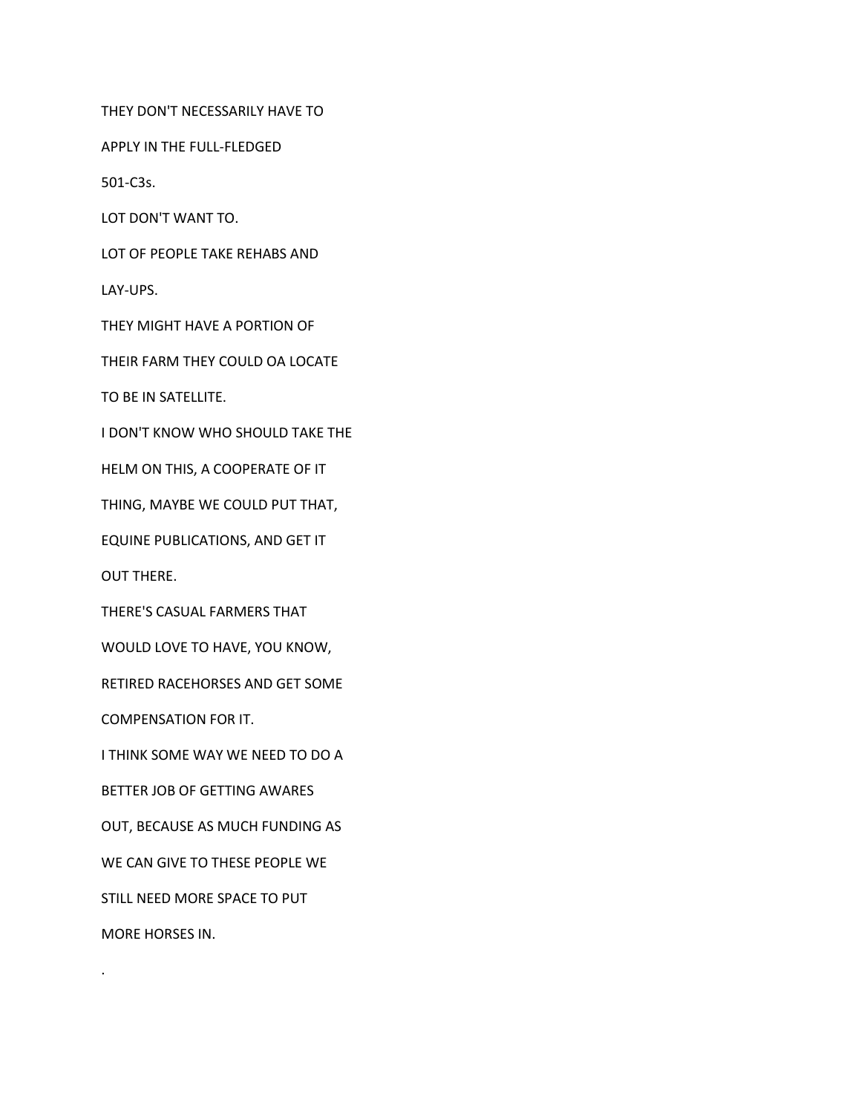THEY DON'T NECESSARILY HAVE TO

APPLY IN THE FULL-FLEDGED

501-C3s.

LOT DON'T WANT TO.

LOT OF PEOPLE TAKE REHABS AND

LAY-UPS.

THEY MIGHT HAVE A PORTION OF

THEIR FARM THEY COULD OA LOCATE

TO BE IN SATELLITE.

I DON'T KNOW WHO SHOULD TAKE THE

HELM ON THIS, A COOPERATE OF IT

THING, MAYBE WE COULD PUT THAT,

EQUINE PUBLICATIONS, AND GET IT

OUT THERE.

THERE'S CASUAL FARMERS THAT

WOULD LOVE TO HAVE, YOU KNOW,

RETIRED RACEHORSES AND GET SOME

COMPENSATION FOR IT.

I THINK SOME WAY WE NEED TO DO A

BETTER JOB OF GETTING AWARES

OUT, BECAUSE AS MUCH FUNDING AS

WE CAN GIVE TO THESE PEOPLE WE

STILL NEED MORE SPACE TO PUT

MORE HORSES IN.

.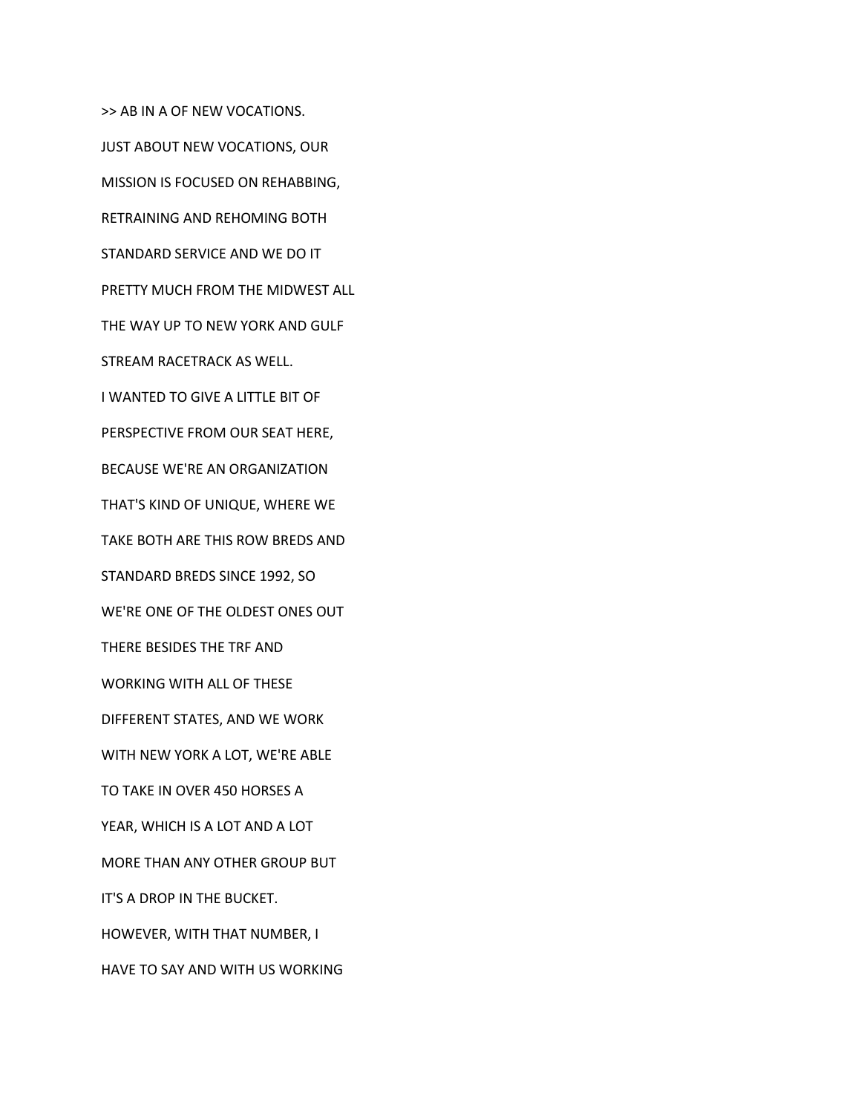>> AB IN A OF NEW VOCATIONS. JUST ABOUT NEW VOCATIONS, OUR MISSION IS FOCUSED ON REHABBING, RETRAINING AND REHOMING BOTH STANDARD SERVICE AND WE DO IT PRETTY MUCH FROM THE MIDWEST ALL THE WAY UP TO NEW YORK AND GULF STREAM RACETRACK AS WELL. I WANTED TO GIVE A LITTLE BIT OF PERSPECTIVE FROM OUR SEAT HERE, BECAUSE WE'RE AN ORGANIZATION THAT'S KIND OF UNIQUE, WHERE WE TAKE BOTH ARE THIS ROW BREDS AND STANDARD BREDS SINCE 1992, SO WE'RE ONE OF THE OLDEST ONES OUT THERE BESIDES THE TRF AND WORKING WITH ALL OF THESE DIFFERENT STATES, AND WE WORK WITH NEW YORK A LOT, WE'RE ABLE TO TAKE IN OVER 450 HORSES A YEAR, WHICH IS A LOT AND A LOT MORE THAN ANY OTHER GROUP BUT IT'S A DROP IN THE BUCKET. HOWEVER, WITH THAT NUMBER, I HAVE TO SAY AND WITH US WORKING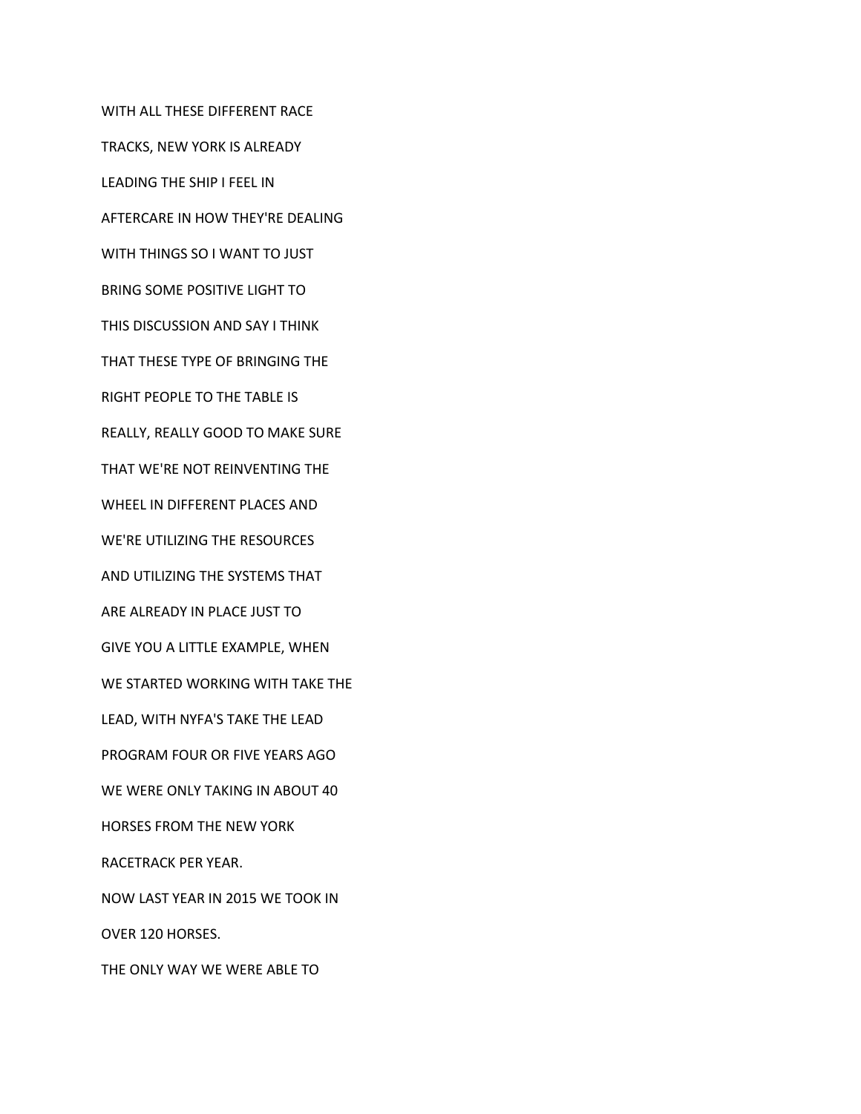WITH ALL THESE DIFFERENT RACE TRACKS, NEW YORK IS ALREADY LEADING THE SHIP I FEEL IN AFTERCARE IN HOW THEY'RE DEALING WITH THINGS SO I WANT TO JUST BRING SOME POSITIVE LIGHT TO THIS DISCUSSION AND SAY I THINK THAT THESE TYPE OF BRINGING THE RIGHT PEOPLE TO THE TABLE IS REALLY, REALLY GOOD TO MAKE SURE THAT WE'RE NOT REINVENTING THE WHEEL IN DIFFERENT PLACES AND WE'RE UTILIZING THE RESOURCES AND UTILIZING THE SYSTEMS THAT ARE ALREADY IN PLACE JUST TO GIVE YOU A LITTLE EXAMPLE, WHEN WE STARTED WORKING WITH TAKE THE LEAD, WITH NYFA'S TAKE THE LEAD PROGRAM FOUR OR FIVE YEARS AGO WE WERE ONLY TAKING IN ABOUT 40 HORSES FROM THE NEW YORK RACETRACK PER YEAR. NOW LAST YEAR IN 2015 WE TOOK IN OVER 120 HORSES.

THE ONLY WAY WE WERE ABLE TO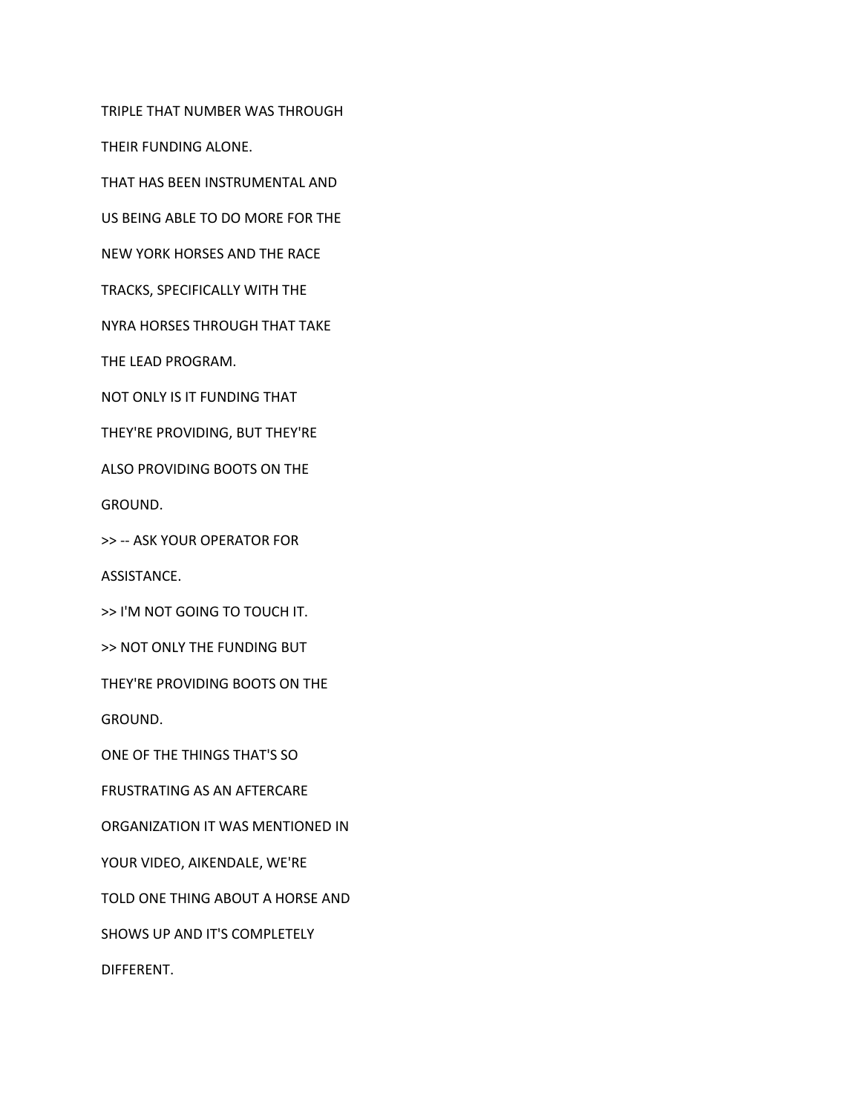TRIPLE THAT NUMBER WAS THROUGH

THEIR FUNDING ALONE.

THAT HAS BEEN INSTRUMENTAL AND

US BEING ABLE TO DO MORE FOR THE

NEW YORK HORSES AND THE RACE

TRACKS, SPECIFICALLY WITH THE

NYRA HORSES THROUGH THAT TAKE

THE LEAD PROGRAM.

NOT ONLY IS IT FUNDING THAT

THEY'RE PROVIDING, BUT THEY'RE

ALSO PROVIDING BOOTS ON THE

GROUND.

>> -- ASK YOUR OPERATOR FOR

ASSISTANCE.

>> I'M NOT GOING TO TOUCH IT.

>> NOT ONLY THE FUNDING BUT

THEY'RE PROVIDING BOOTS ON THE

GROUND.

ONE OF THE THINGS THAT'S SO

FRUSTRATING AS AN AFTERCARE

ORGANIZATION IT WAS MENTIONED IN

YOUR VIDEO, AIKENDALE, WE'RE

TOLD ONE THING ABOUT A HORSE AND

SHOWS UP AND IT'S COMPLETELY

DIFFERENT.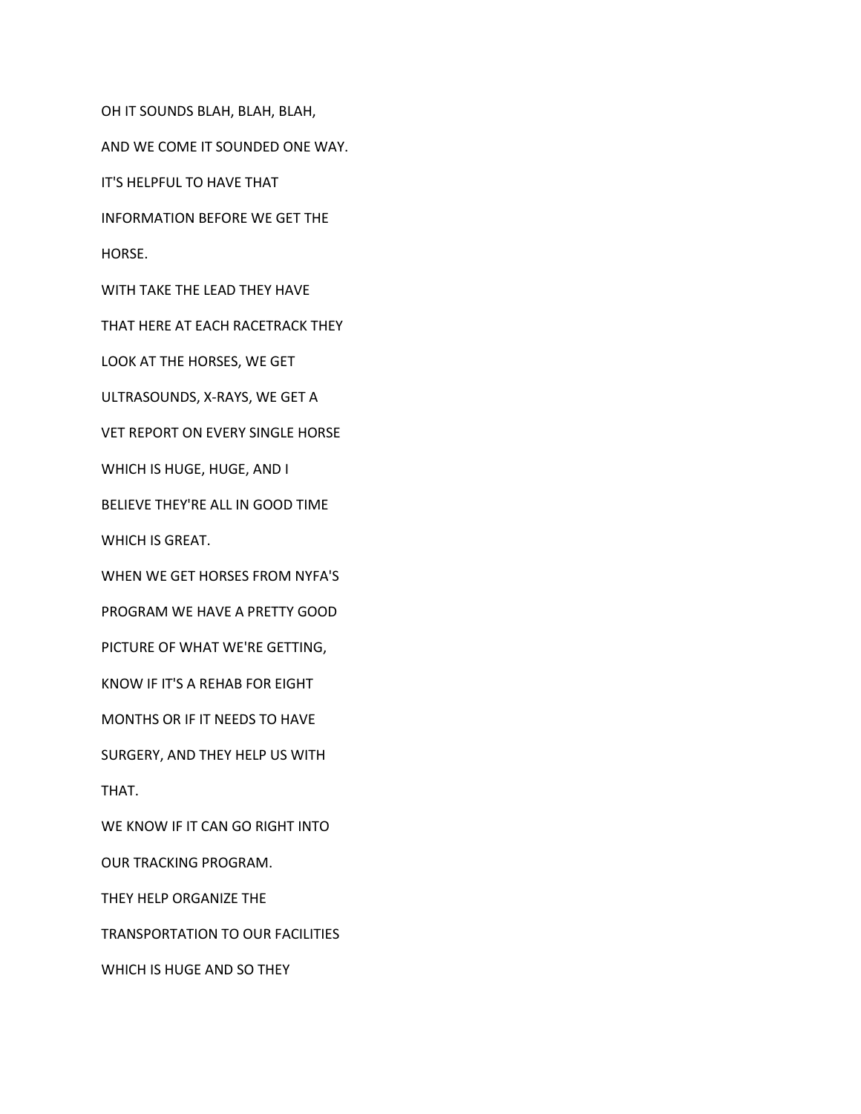OH IT SOUNDS BLAH, BLAH, BLAH, AND WE COME IT SOUNDED ONE WAY. IT'S HELPFUL TO HAVE THAT INFORMATION BEFORE WE GET THE HORSE. WITH TAKE THE LEAD THEY HAVE THAT HERE AT EACH RACETRACK THEY LOOK AT THE HORSES, WE GET ULTRASOUNDS, X-RAYS, WE GET A VET REPORT ON EVERY SINGLE HORSE WHICH IS HUGE, HUGE, AND I BELIEVE THEY'RE ALL IN GOOD TIME WHICH IS GREAT. WHEN WE GET HORSES FROM NYFA'S PROGRAM WE HAVE A PRETTY GOOD PICTURE OF WHAT WE'RE GETTING, KNOW IF IT'S A REHAB FOR EIGHT MONTHS OR IF IT NEEDS TO HAVE SURGERY, AND THEY HELP US WITH THAT. WE KNOW IF IT CAN GO RIGHT INTO OUR TRACKING PROGRAM. THEY HELP ORGANIZE THE

TRANSPORTATION TO OUR FACILITIES

WHICH IS HUGE AND SO THEY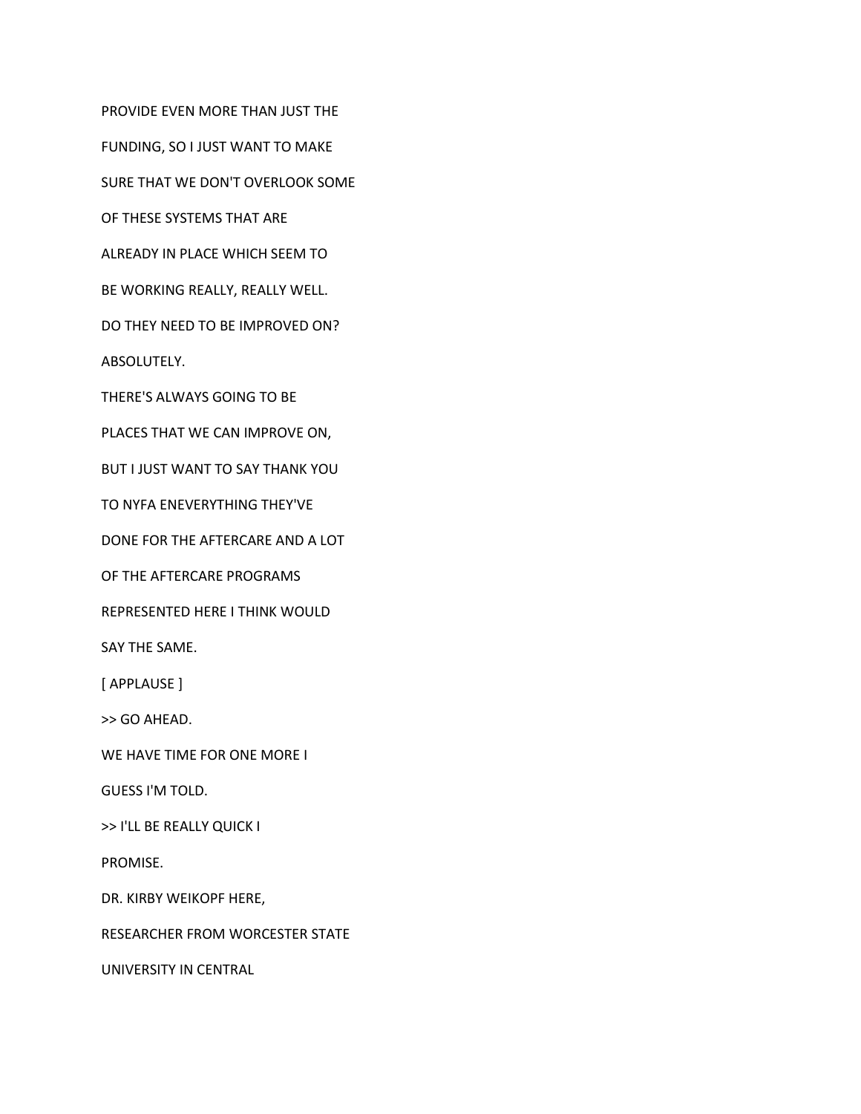PROVIDE EVEN MORE THAN JUST THE

FUNDING, SO I JUST WANT TO MAKE

SURE THAT WE DON'T OVERLOOK SOME

OF THESE SYSTEMS THAT ARE

ALREADY IN PLACE WHICH SEEM TO

BE WORKING REALLY, REALLY WELL.

DO THEY NEED TO BE IMPROVED ON?

ABSOLUTELY.

THERE'S ALWAYS GOING TO BE

PLACES THAT WE CAN IMPROVE ON,

BUT I JUST WANT TO SAY THANK YOU

TO NYFA ENEVERYTHING THEY'VE

DONE FOR THE AFTERCARE AND A LOT

OF THE AFTERCARE PROGRAMS

REPRESENTED HERE I THINK WOULD

SAY THE SAME.

[ APPLAUSE ]

>> GO AHEAD.

WE HAVE TIME FOR ONE MORE I

GUESS I'M TOLD.

>> I'LL BE REALLY QUICK I

PROMISE.

DR. KIRBY WEIKOPF HERE,

RESEARCHER FROM WORCESTER STATE

UNIVERSITY IN CENTRAL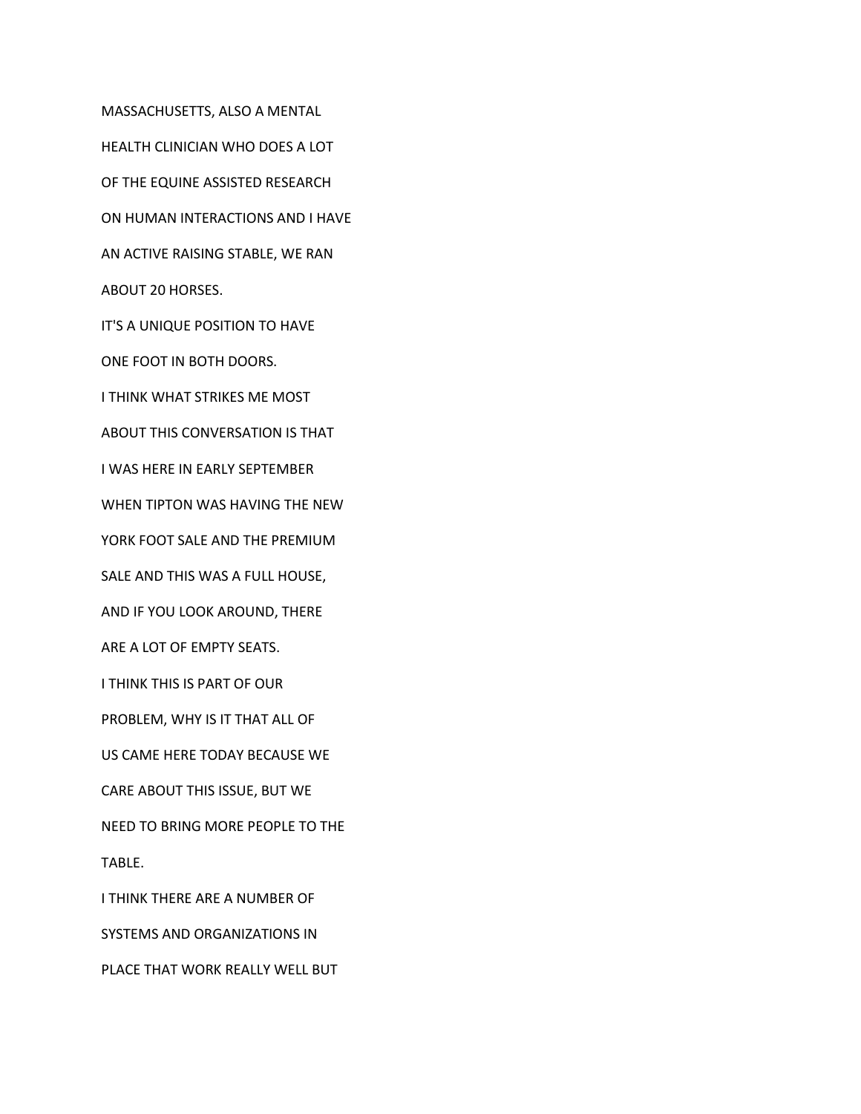MASSACHUSETTS, ALSO A MENTAL HEALTH CLINICIAN WHO DOES A LOT OF THE EQUINE ASSISTED RESEARCH ON HUMAN INTERACTIONS AND I HAVE AN ACTIVE RAISING STABLE, WE RAN ABOUT 20 HORSES. IT'S A UNIQUE POSITION TO HAVE ONE FOOT IN BOTH DOORS. I THINK WHAT STRIKES ME MOST ABOUT THIS CONVERSATION IS THAT I WAS HERE IN EARLY SEPTEMBER WHEN TIPTON WAS HAVING THE NEW YORK FOOT SALE AND THE PREMIUM SALE AND THIS WAS A FULL HOUSE, AND IF YOU LOOK AROUND, THERE ARE A LOT OF EMPTY SEATS. I THINK THIS IS PART OF OUR PROBLEM, WHY IS IT THAT ALL OF US CAME HERE TODAY BECAUSE WE CARE ABOUT THIS ISSUE, BUT WE NEED TO BRING MORE PEOPLE TO THE TABLE. I THINK THERE ARE A NUMBER OF SYSTEMS AND ORGANIZATIONS IN PLACE THAT WORK REALLY WELL BUT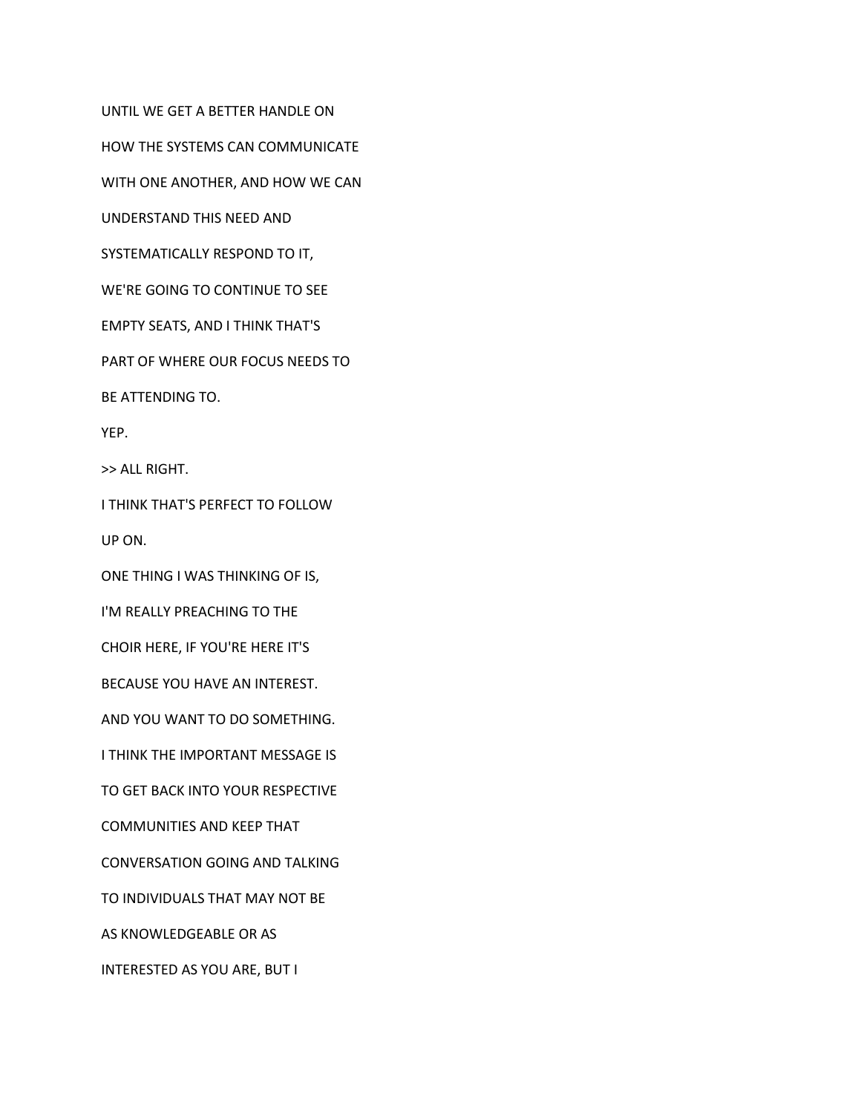UNTIL WE GET A BETTER HANDLE ON HOW THE SYSTEMS CAN COMMUNICATE WITH ONE ANOTHER, AND HOW WE CAN UNDERSTAND THIS NEED AND SYSTEMATICALLY RESPOND TO IT, WE'RE GOING TO CONTINUE TO SEE EMPTY SEATS, AND I THINK THAT'S PART OF WHERE OUR FOCUS NEEDS TO BE ATTENDING TO. YEP. >> ALL RIGHT. I THINK THAT'S PERFECT TO FOLLOW UP ON. ONE THING I WAS THINKING OF IS, I'M REALLY PREACHING TO THE CHOIR HERE, IF YOU'RE HERE IT'S BECAUSE YOU HAVE AN INTEREST. AND YOU WANT TO DO SOMETHING. I THINK THE IMPORTANT MESSAGE IS TO GET BACK INTO YOUR RESPECTIVE COMMUNITIES AND KEEP THAT CONVERSATION GOING AND TALKING TO INDIVIDUALS THAT MAY NOT BE AS KNOWLEDGEABLE OR AS INTERESTED AS YOU ARE, BUT I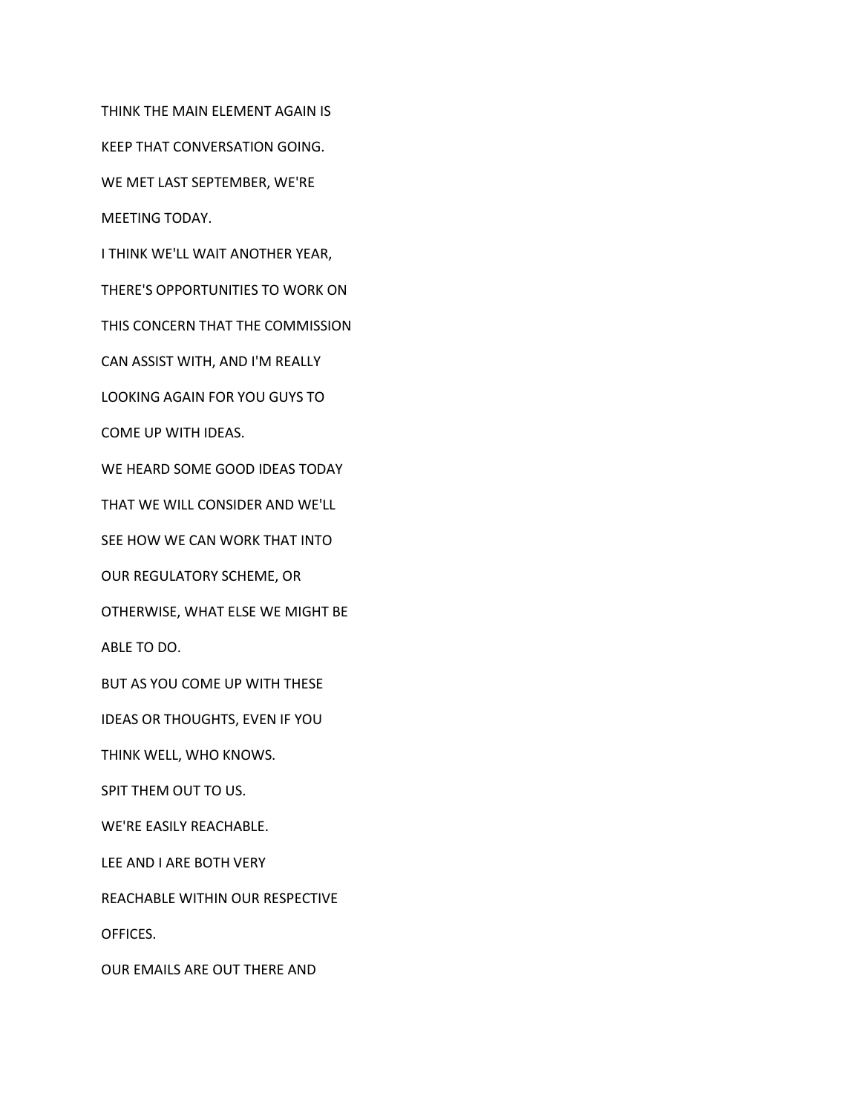THINK THE MAIN ELEMENT AGAIN IS

KEEP THAT CONVERSATION GOING.

WE MET LAST SEPTEMBER, WE'RE

MEETING TODAY.

I THINK WE'LL WAIT ANOTHER YEAR,

THERE'S OPPORTUNITIES TO WORK ON

THIS CONCERN THAT THE COMMISSION

CAN ASSIST WITH, AND I'M REALLY

LOOKING AGAIN FOR YOU GUYS TO

COME UP WITH IDEAS.

WE HEARD SOME GOOD IDEAS TODAY

THAT WE WILL CONSIDER AND WE'LL

SEE HOW WE CAN WORK THAT INTO

OUR REGULATORY SCHEME, OR

OTHERWISE, WHAT ELSE WE MIGHT BE

ABLE TO DO.

BUT AS YOU COME UP WITH THESE

IDEAS OR THOUGHTS, EVEN IF YOU

THINK WELL, WHO KNOWS.

SPIT THEM OUT TO US.

WE'RE EASILY REACHABLE.

LEE AND I ARE BOTH VERY

REACHABLE WITHIN OUR RESPECTIVE

OFFICES.

OUR EMAILS ARE OUT THERE AND